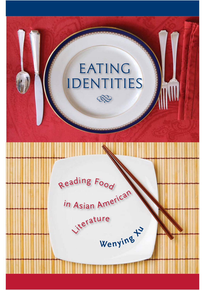# EATING IDENTITIES

 $\bigotimes$ 

Reading Food

in Asian American

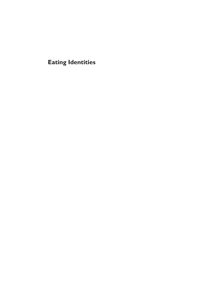**Eating Identities**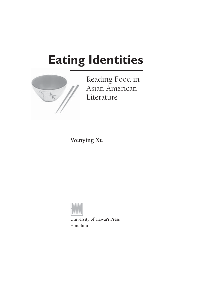# **Eating Identities**



Reading Food in Asian American Literature

**Wenying Xu**



University of Hawai'i Press Honolulu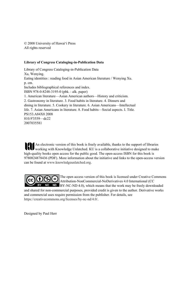© 2008 University of Hawai'i Press All rights reserved

#### **Library of Congress Cataloging-in-Publication Data**

Library of Congress Cataloging-in-Publication Data Xu, Wenying. Eating identities : reading food in Asian American literature / Wenying Xu. p. cm. Includes bibliographical references and index. ISBN 978-0-8248-3195-0 (pbk. : alk. paper) 1. American literature—Asian American authors—History and criticism. 2. Gastronomy in literature. 3. Food habits in literature. 4. Dinners and dining in literature. 5. Cookery in literature. 6. Asian Americans—Intellectual life. 7. Asian Americans in literature. 8. Food habits—Social aspects. I. Title. PS153.A84X8 2008 810.9'3559—dc22 2007035581

An electronic version of this book is freely available, thanks to the support of libraries working with Knowledge Unlatched. KU is a collaborative initiative designed to make high-quality books open access for the public good. The open-access ISBN for this book is 9780824878436 (PDF). More information about the initiative and links to the open-access version can be found at www.knowledgeunlatched.org.



The open access version of this book is licensed under Creative Commons Attribution-NonCommercial-NoDerivatives 4.0 International (CC NG ND BY-NC-ND 4.0), which means that the work may be freely downloaded

and shared for non-commercial purposes, provided credit is given to the author. Derivative works and commercial uses require permission from the publisher. For details, see https://creativecommons.org/licenses/by-nc-nd/4.0/.

Designed by Paul Herr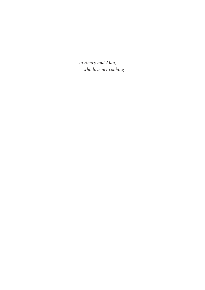*To Henry and Alan, who love my cooking*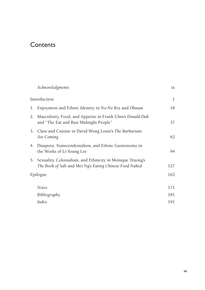### **Contents**

|          | Acknowledgments                                                                                                         | ix          |
|----------|-------------------------------------------------------------------------------------------------------------------------|-------------|
|          | Introduction                                                                                                            | $\mathbf 1$ |
|          | 1. Enjoyment and Ethnic Identity in No-No Boy and Obasan                                                                | 18          |
|          | 2. Masculinity, Food, and Appetite in Frank Chin's Donald Duk<br>and "The Eat and Run Midnight People"                  | 37          |
|          | 3. Class and Cuisine in David Wong Louie's The Barbarians<br>Are Coming                                                 | 62          |
| 4.       | Diaspora, Transcendentalism, and Ethnic Gastronomy in<br>the Works of Li-Young Lee                                      | 94          |
|          | 5. Sexuality, Colonialism, and Ethnicity in Monique Truong's<br>The Book of Salt and Mei Ng's Eating Chinese Food Naked | 127         |
| Epilogue |                                                                                                                         | 162         |
|          | <b>Notes</b>                                                                                                            | 171         |
|          | Bibliography<br><i>Index</i>                                                                                            | 181<br>191  |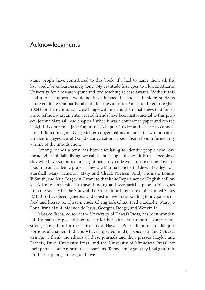### Acknowledgments

Many people have contributed to this book. If I had to name them all, the list would be embarrassingly long. My gratitude first goes to Florida Atlantic University for a research grant and two teaching release awards. Without this institutional support, I would not have finished this book. I thank my students in the graduate seminar Food and Identities in Asian American Literature (Fall 2004) for their enthusiastic exchange with me and their challenges that forced me to refine my arguments. Several friends have been instrumental to this project. Joanna Marshall read chapter 1 when it was a conference paper and offered insightful comments. Jane Caputi read chapter 2 twice and led me to connections I didn't imagine. Greg Richter copyedited my manuscript with a pair of unrelenting eyes. Carol Gould's conversations about fusion food informed my writing of the introduction.

 Among friends a term has been circulating to identify people who love the activities of daily living; we call them "people of clay." It is these people of clay who have supported and legitimated my endeavor to convert my love for food into an academic project. They are Marina Banchetti, Clevis Headley, Tom Marshall, Mary Cameron, Mary and Chuck Niessen, Andy Furman, Bonnie TuSmith, and Jerry Bergevin. I want to thank the Department of English at Florida Atlantic University for travel funding and secretarial support. Colleagues from the Society for the Study of the Multiethnic Literature of the United States (MELUS) have been generous and constructive in responding to my papers on food and literature. These include Cheng Lok Chua, Fred Gardaphe, Mary Jo Bona, Irma Maini, Melinda de Jesus, Georgina Dodge, and Wenxin Li.

 Masako Ikeda, editor at the University of Hawai'i Press, has been wonderful. I remain deeply indebted to her for her faith and support. Joanne Sandstrom, copy editor for the University of Hawai'i Press, did a remarkable job. Portions of chapters 1, 2, and 4 have appeared in *LIT, boundary 2,* and *Cultural Critique.* I thank the editors of these journals and their presses (Taylor and Francis, Duke University Press, and the University of Minnesota Press) for their permission to reprint these portions. To my family goes my final gratitude for their support, interest, and love.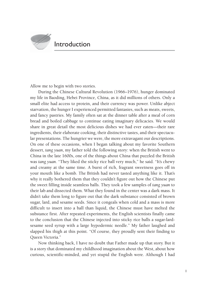

## Introduction

Allow me to begin with two stories.

 During the Chinese Cultural Revolution (1966–1976), hunger dominated my life in Baoding, Hebei Province, China, as it did millions of others. Only a small elite had access to protein, and their currency was power. Unlike abject starvation, the hunger I experienced permitted fantasies, such as meats, sweets, and fancy pastries. My family often sat at the dinner table after a meal of corn bread and boiled cabbage to continue eating imaginary delicacies. We would share in great detail the most delicious dishes we had ever eaten—their rare ingredients, their elaborate cooking, their distinctive tastes, and their spectacular presentations. The hungrier we were, the more extravagant our descriptions. On one of these occasions, when I began talking about my favorite Southern dessert, *tang yuan*, my father told the following story: when the British went to China in the late 1600s, one of the things about China that puzzled the British was *tang yuan.* "They liked the sticky rice ball very much," he said. "It's chewy and creamy at the same time. A burst of rich, fragrant sweetness goes off in your mouth like a bomb. The British had never tasted anything like it. That's why it really bothered them that they couldn't figure out how the Chinese put the sweet filling inside seamless balls. They took a few samples of *tang yuan* to their lab and dissected them. What they found in the center was a dark mass. It didn't take them long to figure out that the dark substance consisted of brown sugar, lard, and sesame seeds. Since it congeals when cold and a mass is more difficult to insert into a ball than liquid, the Chinese must have melted the substance first. After repeated experiments, the English scientists finally came to the conclusion that the Chinese injected into sticky rice balls a sugar-lardsesame seed syrup with a large hypodermic needle." My father laughed and slapped his thigh at this point. "Of course, they proudly sent their finding to Queen Victoria."

 Now thinking back, I have no doubt that Father made up that story. But it is a story that dominated my childhood imagination about the West, about how curious, scientific-minded, and yet stupid the English were. Although I had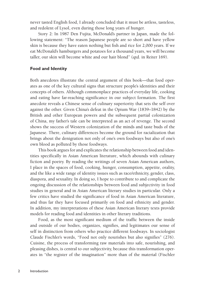never tasted English food, I already concluded that it must be artless, tasteless, and redolent of Lysol, even during those long years of hunger.

 Story 2: In 1987 Den Fujita, McDonald's partner in Japan, made the following statement: "The reason Japanese people are so short and have yellow skin is because they have eaten nothing but fish and rice for 2,000 years. If we eat McDonald's hamburgers and potatoes for a thousand years, we will become taller, our skin will become white and our hair blond" (qtd. in Reiter 169).

#### **Food and Identity**

Both anecdotes illustrate the central argument of this book—that food operates as one of the key cultural signs that structure people's identities and their concepts of others. Although commonplace practices of everyday life, cooking and eating have far-reaching significance in our subject formation. The first anecdote reveals a Chinese sense of culinary superiority that sets the self over against the other. Given China's defeat in the Opium War (1839–1842) by the British and other European powers and the subsequent partial colonization of China, my father's tale can be interpreted as an act of revenge. The second shows the success of Western colonization of the minds and taste buds of the Japanese. There, culinary differences become the ground for racialization that brings about the denigration not only of one's own foodways but also of one's own blood as polluted by those foodways.

 This book argues for and explicates the relationship between food and identities specifically in Asian American literature, which abounds with culinary fiction and poetry. By reading the writings of seven Asian American authors, I place in the spaces of food, cooking, hunger, consumption, appetite, orality, and the like a wide range of identity issues such as race/ethnicity, gender, class, diaspora, and sexuality. In doing so, I hope to contribute to and complicate the ongoing discussion of the relationships between food and subjectivity in food studies in general and in Asian American literary studies in particular. Only a few critics have studied the significance of food in Asian American literature, and thus far they have focused primarily on food and ethnicity and gender. In addition, my interpretations of these Asian American literary texts provide models for reading food and identities in other literary traditions.

 Food, as the most significant medium of the traffic between the inside and outside of our bodies, organizes, signifies, and legitimates our sense of self in distinction from others who practice different foodways. In sociologist Claude Fischler's words, "Food not only nourishes but also signifies" (276). Cuisine, the process of transforming raw materials into safe, nourishing, and pleasing dishes, is central to our subjectivity, because this transformation operates in "the register of the imagination" more than of the material (Fischler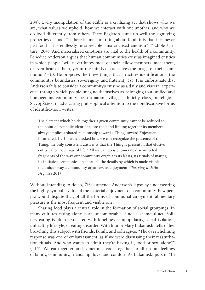284). Every manipulation of the edible is a civilizing act that shows who we are, what values we uphold, how we interact with one another, and why we do food differently from others. Terry Eagleton sums up well the signifying properties of food: "If there is one sure thing about food, it is that it is never just food—it is endlessly interpretable—materialised emotion" ("Edible écriture" 204). And materialized emotions are vital to the health of a community. Benedict Anderson argues that human communities exist as imagined entities in which people "will never know most of their fellow-members, meet them, or even hear of them, yet in the minds of each lives the image of their communion" (6). He proposes the three things that structure identifications: the community's boundaries, sovereignty, and fraternity (7). It is unfortunate that Anderson fails to consider a community's cuisine as a daily and visceral experience through which people imagine themselves as belonging to a unified and homogenous community, be it a nation, village, ethnicity, class, or religion. Slavoj Žižek, in advocating philosophical attention to the nondiscursive forms of identification, writes,

The element which holds together a given community cannot be reduced to the point of symbolic identification: the bond linking together its members always implies a shared relationship toward a Thing, toward Enjoyment incarnated. [. . .] If we are asked how we can recognize the presence of the Thing, the only consistent answer is that the Thing is present in that elusive entity called "our way of life." All we can do is enumerate disconnected fragments of the way our community organizes its feasts, its rituals of mating, its initiation ceremonies, in short, all the details by which is made visible the unique way a community organizes its enjoyment. (*Tarrying with the Negative* 201)

Without intending to do so, Žižek amends Anderson's lapse by underscoring the highly symbolic value of the material enjoyment of a community. Few people would dispute that, of all the forms of communal enjoyment, alimentary pleasure is the most frequent and visible one.

 Sharing food plays a central role in the formation of social groupings. In many cultures eating alone is an uncomfortable if not a shameful act. Solitary eating is often associated with loneliness, unpopularity, social isolation, unhealthy lifestyle, or eating disorder. With humor Mary Lukanuski tells of her broaching this subject with friends, family, and colleagues: "The overwhelming response was one of embarrassment, as if we were discussing their masturbation rituals. And who wants to admit they're having it, food or sex, alone?" (115). We eat together, and sometimes cook together, to affirm our feelings of family, community, friendship, love, and comfort. As Lukanuski puts it, "In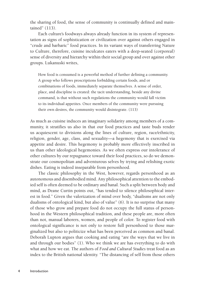the sharing of food, the sense of community is continually defined and maintained" (113).

 Each culture's foodways always already function in its system of representation as signs of sophistication or civilization over against others engaged in "crude and barbaric" food practices. In its variant ways of transferring Nature to Culture, therefore, cuisine inculcates eaters with a deep-seated (corporeal) sense of diversity and hierarchy within their social group and over against other groups. Lukanuski writes,

How food is consumed is a powerful method of further defining a community. A group who follows proscriptions forbidding certain foods, and or combinations of foods, immediately separate themselves. A sense of order, place, and discipline is created: the tacit understanding, beside any divine command, is that without such regulations the community would fall victim to its individual appetites. Once members of the community were pursuing their own desires, the community would disintegrate. (113)

As much as cuisine induces an imaginary solidarity among members of a community, it stratifies us also in that our food practices and taste buds render us acquiescent to divisions along the lines of culture, region, race/ethnicity, religion, gender, age, class, and sexuality—a hegemony that is exercised via appetite and desire. This hegemony is probably more effectively inscribed in us than other ideological hegemonies. As we often express our intolerance of other cultures by our repugnance toward their food practices, so do we demonstrate our cosmopolitan and adventurous selves by trying and relishing exotic dishes. Eating is indeed inseparable from personhood.

 The classic philosophy in the West, however, regards personhood as an autonomous and disembodied mind. Any philosophical attention to the embodied self is often deemed to be ordinary and banal. Such a split between body and mind, as Deane Curtin points out, "has tended to silence philosophical interest in food." Given the valorization of mind over body, "dualisms are not only dualisms of ontological kind, but also of value" (6). It is no surprise that many of those who grow and prepare food do not occupy the full status of personhood in the Western philosophical tradition, and these people are, more often than not, manual laborers, women, and people of color. To register food with ontological significance is not only to restore full personhood to those marginalized but also to politicize what has been perceived as common and banal. Deborah Lupton argues that cooking and eating "are the ways that we live in and through our bodies" (1). Who we think we are has everything to do with what and how we eat. The authors of *Food and Cultural Studies* treat food as an index to the British national identity. "The distancing of self from those others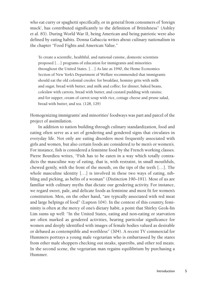who eat curry or spaghetti specifically, or in general from consumers of 'foreign muck', has contributed significantly to the definition of Britishness" (Ashley et al. 83). During World War II, being American and being patriotic were also defined by eating habits. Donna Gabaccia writes about culinary nationalism in the chapter "Food Fights and American Value."

To create a scientific, healthful, and national cuisine, domestic scientists proposed [. . .] programs of education for immigrants and minorities throughout the United States. [. . .] As late as 1940, the Home Economics Section of New York's Department of Welfare recommended that immigrants should eat the old colonial creoles: for breakfast, hominy grits with milk and sugar, bread with butter, and milk and coffee; for dinner, baked beans, coleslaw with carrots, bread with butter, and custard pudding with raisins; and for supper, cream of carrot soup with rice, cottage cheese and prune salad, bread with butter, and tea. (128, 129)

Homogenizing immigrants' and minorities' foodways was part and parcel of the project of assimilation.

 In addition to nation building through culinary standardization, food and eating often serve as a set of gendering and gendered signs that circulates in everyday life. Not only are eating disorders most frequently associated with girls and women, but also certain foods are considered to be men's or women's. For instance, fish is considered a feminine food by the French working classes. Pierre Bourdieu writes, "Fish has to be eaten in a way which totally contradicts the masculine way of eating, that is, with restraint, in small mouthfuls, chewed gently, with the front of the mouth, on the tips of the teeth [. . .]. The whole masculine identity  $[...]$  is involved in these two ways of eating, nibbling and picking, as befits of a woman" (*Distinction* 190–191). Most of us are familiar with culinary myths that dictate our gendering activity. For instance, we regard sweet, pale, and delicate foods as feminine and most fit for women's constitution. Men, on the other hand, "are typically associated with red meat and large helpings of food" (Lupton 104). In the context of this country, femininity is often at the mercy of one's dietary habit, a point that Shirley Geok-lin Lim sums up well: "In the United States, eating and non-eating or starvation are often marked as gendered activities, bearing particular significance for women and deeply identified with images of female bodies valued as desirable or debased as contemptible and worthless" (304). A recent TV commercial for Hummers portrays a young male vegetarian who is embarrassed by the stares from other male shoppers checking out steaks, spareribs, and other red meats. In the second scene, the vegetarian man regains equilibrium by purchasing a Hummer.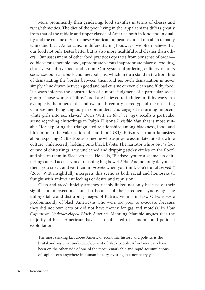More prominently than gendering, food stratifies in terms of classes and races/ethnicities. The diet of the poor living in the Appalachians differs greatly from that of the middle and upper classes of America both in kind and in quality, and the cuisine of Vietnamese Americans appears exotic if not alien to many white and black Americans. In differentiating foodways, we often believe that our food not only tastes better but is also more healthful and cleaner than others'. Our assessment of other food practices operates from *our* sense of order edible versus inedible food, appropriate versus inappropriate place of cooking, clean versus dirty food, and so on. Our system of ordering culinary matters socializes our taste buds and metabolisms, which in turn stand in the front line of demarcating the border between them and us. Such demarcation is never simply a line drawn between good and bad cuisine or even clean and filthy food. It always informs the construction of a moral judgment of a particular social group. Those who eat "filthy" food are believed to indulge in filthy ways. An example is the nineteenth- and twentieth-century stereotype of the rat-eating Chinese men lying languidly in opium dens and engaged in turning innocent white girls into sex slaves.1 Doris Witt, in *Black Hunger,* recalls a particular scene regarding chitterlings in Ralph Ellison's *Invisible Man* that is most suitable "for exploring the triangulated relationships among blackness, food, and filth prior to the valorization of soul food" (83). Ellison's narrator fantasizes about exposing Dr. Bledsoe as someone who aspires to assimilate into the white culture while secretly holding onto black habits. The narrator whips out "a foot or two of chitterlings, raw, uncleaned and dripping sticky circles on the floor" and shakes them in Bledsoe's face. He yells, "Bledsoe, you're a shameless chitterling eater! I accuse you of relishing hog bowels! Ha! And not only do you eat them, you sneak and eat them in *private* when you think you're unobserved!" (265). Witt insightfully interprets this scene as both racial and homosexual, fraught with ambivalent feelings of desire and repulsion.

 Class and race/ethnicity are inextricably linked not only because of their significant intersections but also because of their frequent synonymy. The unforgettable and disturbing images of Katrina victims in New Orleans were predominantly of black Americans who were too poor to evacuate (because they did not own cars or did not have money for gas and motels). In *How Capitalism Underdeveloped Black America,* Manning Marable argues that the majority of black Americans have been subjected to economic and political exploitation.

The most striking fact about American economic history and politics is the brutal and systemic underdevelopment of Black people. Afro-Americans have been on the other side of one of the most remarkable and rapid accumulations of capital seen anywhere in human history, existing as a necessary yet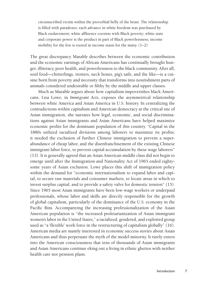circumscribed victim within the proverbial belly of the beast. The relationship is filled with paradoxes: each advance in white freedom was purchased by Black enslavement; white affluence coexists with Black poverty; white state and corporate power is the product in part of Black powerlessness; income mobility for the few is rooted in income stasis for the many. (1–2)

The great discrepancy Marable describes between the economic contribution and the economic earnings of African Americans has continually brought hunger, illiteracy, poor health, and powerlessness to the black community. After all, soul food—chitterlings, trotters, neck bones, pig's tails, and the like—is a cuisine born from poverty and necessity that transforms into nourishment parts of animals considered undesirable or filthy by the middle and upper classes.

 Much as Marable argues about how capitalism impoverishes black Americans, Lisa Lowe, in *Immigrant Acts*, exposes the asymmetrical relationship between white America and Asian America in U.S. history. In centralizing the contradictions within capitalism and American democracy at the critical site of Asian immigration, she narrates how legal, economic, and social discriminations against Asian immigrants and Asian Americans have helped maximize economic profits for the dominant population of this country. "Capital in the 1880s utilized racialized divisions among laborers to maximize its profits; it needed the exclusion of further Chinese immigration to prevent a superabundance of cheap labor, and the disenfranchisement of the existing Chinese immigrant labor force, to prevent capital accumulation by these wage laborers" (13). It is generally agreed that an Asian American middle class did not begin to emerge until after the Immigration and Nationality Act of 1965 ended eightysome years of Asian exclusion. Lowe places this shift of immigration policy within the demand for "economic internationalism to expand labor and capital, to secure raw materials and consumer markets, to locate areas in which to invest surplus capital, and to provide a safety valve for domestic tension" (15). Since 1965 most Asian immigrants have been low-wage workers or underpaid professionals, whose labor and skills are directly responsible for the growth of global capitalism, particularly of the dominance of the U.S. economy in the Pacific Rim. Accompanying the increasing professionalization of the Asian American population is "the increased proletarianization of Asian immigrant women's labor in the United States," a racialized, gendered, and exploited group used as "a 'flexible' work force in the restructuring of capitalism globally" (16). American media are mainly interested in economic success stories about Asian Americans and thus perpetuate the myth of the model minority. It rarely enters into the American consciousness that tens of thousands of Asian immigrants and Asian Americans continue eking out a living in ethnic ghettos with neither health care nor pension plans.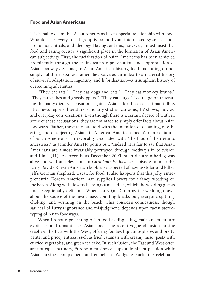#### **Food and Asian Americans**

It is banal to claim that Asian Americans have a special relationship with food. Who doesn't? Every social group is bound by an interrelated system of food production, rituals, and ideology. Having said this, however, I must insist that food and eating occupy a significant place in the formation of Asian American subjectivity. First, the racialization of Asian Americans has been achieved prominently through the mainstream's representation and appropriation of Asian foodways. Second, in Asian American history, food and eating do not simply fulfill necessities; rather they serve as an index to a material history of survival, adaptation, ingenuity, and hybridization—a triumphant history of overcoming adversities.

 "They eat rats." "They eat dogs and cats." "They eat monkey brains." "They eat snakes and grasshoppers." "They eat slugs." I could go on reiterating the many dietary accusations against Asians, for these sensational tidbits litter news reports, literature, scholarly studies, cartoons, TV shows, movies, and everyday conversations. Even though there is a certain degree of truth in some of these accusations, they are not made to simply offer facts about Asian foodways. Rather, these tales are told with the intention of defaming, of othering, and of abjecting Asians in America. American media's representation of Asian Americans is irrevocably associated with "the food of their ethnic ancestries," as Jennifer Ann Ho points out. "Indeed, it is fair to say that Asian Americans are almost invariably portrayed through foodways in television and film" (11). As recently as December 2005, such dietary othering was alive and well on television. In *Curb Your Enthusiasm,* episode number 49, Larry David's Korean American bookie is suspected of having stolen and killed Jeff's German shepherd, Oscar, for food. It also happens that this jolly, entrepreneurial Korean American man supplies flowers for a fancy wedding on the beach. Along with flowers he brings a meat dish, which the wedding guests find exceptionally delicious. When Larry (mis)informs the wedding crowd about the source of the meat, mass vomiting breaks out, everyone spitting, choking, and writhing on the beach. This episode's comicalness, though satirical of Larry's ignorance and misjudgment, depends upon racist stereotyping of Asian foodways.

 When it's not representing Asian food as disgusting, mainstream culture exoticizes and romanticizes Asian food. The recent vogue of fusion cuisine creolizes the East with the West, offering foodies hip atmospheres and pretty, petite, and pricey entrees, such as fried calamari with creamy miso, pasta with curried vegetables, and green tea cake. In such fusion, the East and West often are not equal partners; European cuisines occupy a dominant position while Asian cuisines complement and embellish. Wolfgang Puck, the celebrated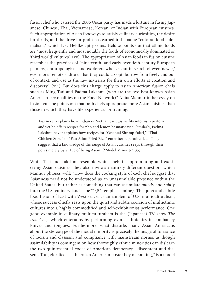fusion chef who catered the 2006 Oscar party, has made a fortune in fusing Japanese, Chinese, Thai, Vietnamese, Korean, or Indian with European cuisines. Such appropriation of Asian foodways to satisfy culinary curiosities, the desire for thrills, and the drive for profit has earned it the name "cultural food colonialism," which Lisa Heldke aptly coins. Heldke points out that ethnic foods are "most frequently and most notably the foods of economically dominated or 'third world' cultures" (xv). The appropriation of Asian foods in fusion cuisine resembles the practices of "nineteenth- and early twentieth-century European painters, anthropologists, and explorers who set out in search of ever 'newer,' ever more 'remote' cultures that they could co-opt, borrow from freely and out of context, and use as the raw materials for their own efforts at creation and discovery" (xvi). But does this charge apply to Asian American fusion chefs such as Ming Tsai and Padma Lakshmi (who are the two best-known Asian American personalities on the Food Network)? Anita Mannur in her essay on fusion cuisine points out that both chefs appropriate more Asian cuisines than those in which they have life experiences or training.

Tsai never explains how Indian or Vietnamese cuisine fits into his repertoire and yet he offers recipes for pho and lemon basmatic rice. Similarly, Padma Lakshmi never explains how recipes for "Oriental Shrimp Salad," "Thai Chicken Stew," or "Pan Asian Fried Rice" enter her repertoire. [. . .] They suggest that a knowledge of the range of Asian cuisines seeps through their pores merely by virtue of being Asian. ("Model Minority" 85)

While Tsai and Lakshmi resemble white chefs in appropriating and exoticizing Asian cuisines, they also invite an entirely different question, which Mannur phrases well: "How does the cooking style of each chef suggest that Asianness need not be understood as an unassimilable presence within the United States, but rather as something that can assimilate *quietly* and *subtly* into the U.S. culinary landscape?" (85, emphasis mine). The quiet and subtle food fusion of East with West serves as an emblem of U.S. multiculturalism, whose success chiefly rests upon the quiet and subtle coercion of multiethnic cultures into a highly commodified and self-exhibitionist performance. One good example in culinary multiculturalism is the (Japanese) TV show *The Iron Chef,* which entertains by performing exotic ethnicities in combat by knives and tongues. Furthermore, what disturbs many Asian Americans about the stereotype of the model minority is precisely the image of tolerance of racism and classism and compliance with mainstream norms, as though assimilability is contingent on how thoroughly ethnic minorities can dislearn the two quintessential codes of American democracy—discontent and dissent. Tsai, glorified as "the Asian American poster boy of cooking," is a model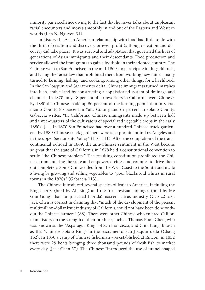minority par excellence owing to the fact that he never talks about unpleasant racial encounters and moves smoothly in and out of the Eastern and Western worlds (Lan N. Nguyen 31).

 In history the Asian American relationship with food had little to do with the thrill of creation and discovery or even profit (although creation and discovery did take place). It was survival and adaptation that governed the lives of generations of Asian immigrants and their descendants. Food production and service allowed the immigrants to gain a foothold in their adopted country. The Chinese went to San Francisco in the mid-1800s to participate in the gold rush, and facing the racist law that prohibited them from working new mines, many turned to farming, fishing, and cooking, among other things, for a livelihood. In the San Joaquin and Sacramento delta, Chinese immigrants turned marshes into lush, arable land by constructing a sophisticated system of drainage and channels. In 1870 only 18 percent of farmworkers in California were Chinese. By 1880 the Chinese made up 86 percent of the farming population in Sacramento County, 85 percent in Yuba County, and 67 percent in Solano County. Gabaccia writes, "In California, Chinese immigrants made up between half and three-quarters of the cultivators of specialized vegetable crops in the early 1880s. [. . .] In 1870 San Francisco had over a hundred Chinese truck gardeners; by 1880 Chinese truck gardeners were also prominent in Los Angeles and in the upper Sacramento Valley" (110–111). After the completion of the transcontinental railroad in 1869, the anti-Chinese sentiment in the West became so great that the state of California in 1878 held a constitutional convention to settle "the Chinese problem." The resulting constitution prohibited the Chinese from entering the state and empowered cities and counties to drive them out completely. Some Chinese fled from the West Coast to the South and made a living by growing and selling vegetables to "poor blacks and whites in rural towns in the 1870s" (Gabaccia 113).

 The Chinese introduced several species of fruit to America, including the Bing cherry (bred by Ah Bing) and the frost-resistant oranges (bred by Me Gim Gong) that jump-started Florida's nascent citrus industry (Cao 22–23). Jack Chen is correct in claiming that "much of the development of the present multimillion-dollar fruit industry of California could not have been done without the Chinese farmers" (88). There were other Chinese who entered Californian history on the strength of their produce, such as Thomas Foon Chen, who was known as the "Asparagus King" of San Francisco, and Chin Lung, known as the "Chinese Potato King" in the Sacramento–San Joaquin delta (Chang 162). In 1850 a camp of Chinese fisherman was established at Rincon; in 1852 there were 25 boats bringing three thousand pounds of fresh fish to market every day (Jack Chen 57). The Chinese "introduced the use of funnel-shaped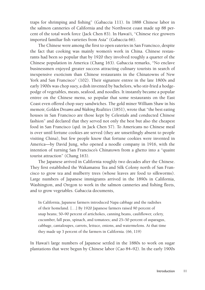traps for shrimping and fishing" (Gabaccia 111). In 1888 Chinese labor in the salmon canneries of California and the Northwest coast made up 88 percent of the total work force (Jack Chen 83). In Hawai'i, "Chinese rice growers imported familiar fish varieties from Asia" (Gabaccia 66).

 The Chinese were among the first to open eateries in San Francisco, despite the fact that cooking was mainly women's work in China. Chinese restaurants had been so popular that by 1920 they involved roughly a quarter of the Chinese population in America (Chang 163). Gabaccia remarks, "No enclave businessmen enjoyed greater success attracting culinary tourists in search of inexpensive exoticism than Chinese restaurants in the Chinatowns of New York and San Francisco" (102). Their signature entree in the late 1800s and early 1900s was chop suey, a dish invented by bachelors, who stir-fried a hodgepodge of vegetables, meats, seafood, and noodles. It instantly became a popular entree on the Chinese menu, so popular that some restaurants on the East Coast even offered chop suey sandwiches. The gold miner William Shaw in his memoir, *Golden Dreams and Waking Realities* (1851), wrote that "the best eating houses in San Francisco are those kept by Celestials and conducted Chinese fashion" and declared that they served not only the best but also the cheapest food in San Francisco (qtd. in Jack Chen 57). To Americans no Chinese meal is over until fortune cookies are served (they are unsettlingly absent to people visiting China), but few people know that fortune cookies were invented in America—by David Jung, who opened a noodle company in 1916, with the intention of turning San Francisco's Chinatown from a ghetto into a "quaint tourist attraction" (Chang 163).

 The Japanese arrived in California roughly two decades after the Chinese. They first established the Wakamatsu Tea and Silk Colony north of San Francisco to grow tea and mulberry trees (whose leaves are food to silkworms). Large numbers of Japanese immigrants arrived in the 1890s in California, Washington, and Oregon to work in the salmon canneries and fishing fleets, and to grow vegetables. Gabaccia documents,

In California, Japanese farmers introduced Napa cabbage and the radishes of their homeland. [. . .] By 1920 Japanese farmers raised 90 percent of snap beans; 50–90 percent of artichokes, canning beans, cauliflower, celery, cucumber, fall peas, spinach, and tomatoes; and 25–50 percent of asparagus, cabbage, cantaloupes, carrots, lettuce, onions, and watermelons. At that time they made up 3 percent of the farmers in California. (66, 119)

In Hawai'i large numbers of Japanese settled in the 1880s to work on sugar plantations that were begun by Chinese labor (Cao 84–92). In the early 1900s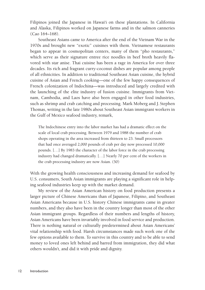Filipinos joined the Japanese in Hawai'i on these plantations. In California and Alaska, Filipinos worked on Japanese farms and in the salmon canneries (Cao 164–168).

 Southeast Asians came to America after the end of the Vietnam War in the 1970s and brought new "exotic" cuisines with them. Vietnamese restaurants began to appear in cosmopolitan centers, many of them "pho restaurants," which serve as their signature entree rice noodles in beef broth heavily flavored with star anise. Thai cuisine has been a rage in America for over three decades. Its rich and fragrant curry-coconut dishes are popular among people of all ethnicities. In addition to traditional Southeast Asian cuisine, the hybrid cuisine of Asian and French cooking—one of the few happy consequences of French colonization of Indochina—was introduced and largely credited with the launching of the elite industry of fusion cuisine. Immigrants from Vietnam, Cambodia, and Laos have also been engaged in other food industries, such as shrimp and crab catching and processing. Mark Moberg and J. Stephen Thomas, writing in the late 1980s about Southeast Asian immigrant workers in the Gulf of Mexico seafood industry, remark,

The Indochinese entry into the labor market has had a dramatic effect on the scale of local crab processing. Between 1979 and 1988 the number of crab shops operating in the area increased from thirteen to 23. Small processors that had once averaged 2,000 pounds of crab per day now processed 10,000 pounds. [. . .] By 1983 the character of the labor force in the crab processing industry had changed dramatically. [. . .] Nearly 70 per cent of the workers in the crab processing industry are now Asian. (50)

With the growing health consciousness and increasing demand for seafood by U.S. consumers, South Asian immigrants are playing a significant role in helping seafood industries keep up with the market demand.

 My review of the Asian American history on food production presents a larger picture of Chinese Americans than of Japanese, Filipino, and Southeast Asian Americans because in U.S. history Chinese immigrants came in greater numbers, and they also have been in the country longer than most of the other Asian immigrant groups. Regardless of their numbers and lengths of history, Asian Americans have been invariably involved in food service and production. There is nothing natural or culturally predetermined about Asian Americans' vital relationship with food. Harsh circumstances made such work one of the few options available to them. To survive in this country and to be able to send money to loved ones left behind and barred from immigration, they did what others wouldn't, and did it with pride and dignity.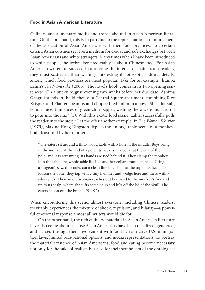#### **Food in Asian American Literature**

Culinary and alimentary motifs and tropes abound in Asian American literature. On the one hand, this is in part due to the representational reinforcement of the association of Asian Americans with their food practices. To a certain extent, Asian cuisines serve as a medium for casual and safe exchanges between Asian Americans and white strangers. Many times when I have been introduced to white people, the icebreaker predictably is about Chinese food. For Asian American writers to succeed in attracting the interest of mainstream readers, they must scatter in their writings interesting if not exotic cultural details, among which food practices are most popular. Take for an example Jhumpa Lahiri's *The Namesake* (2003). The novel's hook comes in its two opening sentences: "On a sticky August evening two weeks before her due date, Ashima Ganguli stands in the kitchen of a Central Square apartment, combining Rice Krispies and Planters peanuts and chopped red onion in a bowl. She adds salt, lemon juice, thin slices of green chili pepper, wishing there were mustard oil to pour into the mix" (1). With this exotic food scene, Lahiri successfully pulls the reader into the story.2 Let me offer another example. In *The Woman Warrior* (1975), Maxine Hong Kingston depicts the unforgettable scene of a monkeybrain feast told by her mother.

"The eaters sit around a thick wood table with a hole in the middle. Boys bring in the monkey at the end of a pole. Its neck is in a collar at the end of the pole, and it is screaming. Its hands are tied behind it. They clamp the monkey into the table; the whole table fits like another collar around its neck. Using a surgeon's saw, the cooks cut a clean line in a circle at the top of its head. To loosen the bone, they tap with a tiny hammer and wedge here and there with a silver pick. Then an old woman reaches out her hand to the monkey's face and up to its scalp, where she tufts some hairs and lifts off the lid of the skull. The eaters spoon out the brain." (91–92)

When encountering this scene, almost everyone, including Chinese readers, inevitably experiences the mixture of shock, repulsion, and hilarity—a powerful emotional response almost all writers would die for.

 On the other hand, the rich culinary materials in Asian American literature have also come about because Asian Americans have been racialized, gendered, and classed through their involvement with food by restrictive U.S. immigration laws, limited occupational options, and media representations. To portray the material existence of Asian Americans, food and eating become necessary not only for the sake of realism but also for their symbolism of the ontological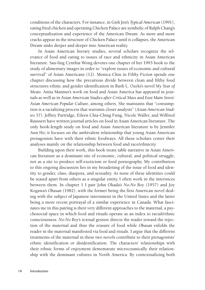conditions of the characters. For instance, in Gish Jen's *Typical American* (1991), eating fried chicken and operating Chicken Palace are symbolic of Ralph Chang's conceptualization and experience of the American Dream. As more and more cracks appear in the structure of Chicken Palace until it collapses, the American Dream sinks deeper and deeper into American reality.

 In Asian American literary studies, several scholars recognize the relevance of food and eating to issues of race and ethnicity in Asian American literature. Sau-ling Cynthia Wong devotes one chapter of her 1993 book to the study of alimentary images in order to "explore issues of economic and cultural survival" of Asian Americans (12). Monica Chiu in *Filthy Fiction* spends one chapter discussing how the precarious divide between clean and filthy food structures ethnic and gender identification in Ruth L. Ozeki's novel *My Year of Meats.* Anita Mannur's work on food and Asian America has appeared in journals as well as in *Asian American Studies after Critical Mass* and *East Main Street: Asian American Popular Culture*, among others. She maintains that "consumption is a racializing process that warrants closer analysis" (*Asian American Studies* 57). Jeffrey Partridge, Eileen Chia-Ching Fung, Nicole Waller, and Wilfried Raussert have written journal articles on food in Asian American literature. The only book-length study on food and Asian American literature is by Jennifer Ann Ho; it focuses on the ambivalent relationship that young Asian American protagonists have with their ethnic foodways. All these scholars center their analyses mainly on the relationship between food and race/ethnicity.

 Building upon their work, this book treats table narrative in Asian American literature as a dominant site of economic, cultural, and political struggle, not as a site to produce self-exoticism or food pornography. My contribution to this ongoing discussion lies in my broadening of the issue of food and identity to gender, class, diaspora, and sexuality. As none of these identities could be teased apart from others as a singular entity, I often work in the interstices between them. In chapter 1 I pair John Okada's *No-No Boy* (1957) and Joy Kogawa's *Obasan* (1982), with the former being the first American novel dealing with the subject of Japanese internment in the United States and the latter being a more recent portrayal of a similar experience in Canada. What fascinates me in this pairing is their very different approaches to the maternal, a psychosocial space in which food and rituals operate as an index to racial/ethnic consciousness. *No-No Boy*'s textual gesture directs the reader toward the rejection of the maternal and thus the erasure of food while *Obasan* enfolds the reader in the maternal manifested via food and rituals. I argue that the different treatments of the maternal in these two novels contribute to their protagonists' ethnic identification or disidentification. The characters' relationships with their ethnic forms of enjoyment demonstrate microcosmically their relationship with the dominant cultures in North America. By contextualizing both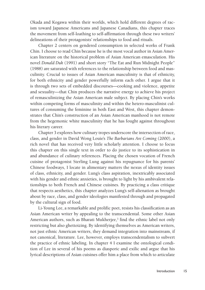Okada and Kogawa within their worlds, which hold different degrees of racism toward Japanese Americans and Japanese Canadians, this chapter traces the movement from self-loathing to self-affirmation through these two writers' delineations of their protagonists' relationships to food and rituals.

 Chapter 2 centers on gendered consumption in selected works of Frank Chin. I choose to read Chin because he is the most vocal author in Asian American literature on the historical problem of Asian American emasculation. His novel *Donald Duk* (1991) and short story "The Eat and Run Midnight People" (1988) are saturated with references to the relationship between food and masculinity. Crucial to issues of Asian American masculinity is that of ethnicity, for both ethnicity and gender powerfully inform each other. I argue that it is through two sets of embedded discourses—cooking and violence, appetite and sexuality—that Chin produces the narrative energy to achieve his project of remasculinizing the Asian American male subject. By placing Chin's works within competing forms of masculinity and within the hetero-masculinist cultures of consuming the feminine in both East and West, this chapter demonstrates that Chin's construction of an Asian American manhood is not remote from the hegemonic white masculinity that he has fought against throughout his literary career.

 Chapter 3 explores how culinary tropes underscore the intersection of race, class, and gender in David Wong Louie's *The Barbarians Are Coming* (2000), a rich novel that has received very little scholarly attention. I choose to focus this chapter on this single text in order to do justice to its sophistication in and abundance of culinary references. Placing the chosen vocation of French cuisine of protagonist Sterling Lung against his repugnance for his parents' Chinese foodways, I locate in alimentary matters the nexus of identity issues of class, ethnicity, and gender. Lung's class aspiration, inextricably associated with his gender and ethnic anxieties, is brought to light by his ambivalent relationships to both French and Chinese cuisines. By practicing a class critique that respects aesthetics, this chapter analyzes Lung's self-alienation as brought about by race, class, and gender ideologies manifested through and propagated by the cultural sign of food.

 Li-Young Lee, a remarkable and prolific poet, resists his classification as an Asian American writer by appealing to the transcendental. Some other Asian American authors, such as Bharati Mukherjee,<sup>3</sup> find the ethnic label not only restricting but also ghettoizing. By identifying themselves as American writers, not just ethnic American writers, they demand integration into mainstream, if not canonical, literature. Lee, however, employs transcendentalism to subvert the practice of ethnic labeling. In chapter 4 I examine the ontological condition of Lee in several of his poems as diasporic and exilic and argue that his lyrical descriptions of Asian cuisines offer him a place from which to articulate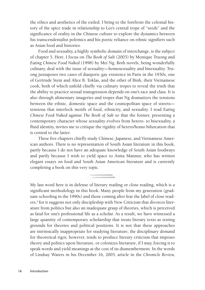the ethics and aesthetics of the exiled. I bring to the forefront the colonial history of the spice trade in relationship to Lee's central trope of "seeds" and the significance of orality in the Chinese culture to explore the dynamics between his transcendentalist polemics and his poetic reliance on ethnic signifiers such as Asian food and histories.

 Food and sexuality, a highly symbolic domain of interchange, is the subject of chapter 5. Here, I focus on *The Book of Salt* (2003) by Monique Truong and *Eating Chinese Food Naked* (1998) by Mei Ng. Both novels, being wonderfully culinary, deal with the issue of sexuality—homosexuality and bisexuality. Truong juxtaposes two cases of diasporic gay existence in Paris in the 1930s, one of Gertrude Stein and Alice B. Toklas, and the other of Bình, their Vietnamese cook, both of which unfold chiefly via culinary tropes to reveal the truth that the ability to practice sexual transgression depends on one's race and class. It is also through alimentary imageries and tropes that Ng dramatizes the tensions between the ethnic, domestic space and the cosmopolitan space of streets tensions that interlock motifs of food, ethnicity, and sexuality. I read *Eating Chinese Food Naked* against *The Book of Salt* so that the former, presenting a contemporary character whose sexuality evolves from hetero- to bisexuality, a fluid identity, invites me to critique the rigidity of hetero/homo bifurcation that is central to the latter.

 These five chapters chiefly study Chinese, Japanese, and Vietnamese American authors. There is no representation of South Asian literature in this book, partly because I do not have an adequate knowledge of South Asian foodways and partly because I wish to yield space to Anita Mannur, who has written elegant essays on food and South Asian American literature and is currently completing a book on this very topic.

My last word here is in defense of literary reading or close reading, which is a significant methodology in this book. Many people from my generation (graduate schooling in the 1990s) and those coming after fear the label of close readers,<sup>4</sup> for it suggests not only discipleship with New Criticism that divorces literature from politics but also an inadequate grasp of theories, which is perceived as fatal for one's professional life as a scholar. As a result, we have witnessed a large quantity of contemporary scholarship that treats literary texts as testing grounds for theories and political positions. It is not that these approaches are intrinsically inappropriate for studying literature; the disciplinary demand for theoretical rigor, however, tends to produce literary criticism that imposes theory and politics upon literature, or colonizes literature, if I may, forcing it to speak words and yield meanings at the cost of its dismemberment. In the words of Lindsay Waters in his December 16, 2005, article in the *Chronicle Review,*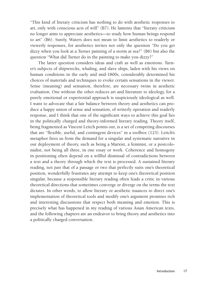"This kind of literary criticism has nothing to do with aesthetic responses to art, only with conscious acts of will" (B7). He laments that "literary criticism no longer aims to appreciate aesthetics—to study how human beings respond to art" (B6). Surely, Waters does not mean to limit aesthetics to readerly or viewerly responses, for aesthetics invites not only the question "Do you get dizzy when you look at a Turner painting of a storm at sea?" (B6) but also the question "What did Turner do in the painting to make you dizzy?"

 The latter question considers ideas and craft as well as emotions. Turner's subjects of shipwrecks, whaling, and slave ships, laden with his views on human conditions in the early and mid-1800s, considerably determined his choices of materials and techniques to evoke certain sensations in the viewer. Sense (meaning) and sensation, therefore, are necessary twins in aesthetic evaluation. One without the other reduces art and literature to ideology, for a purely emotional or experiential approach is suspiciously ideological as well. I want to advocate that a fair balance between theory and aesthetics can produce a happy union of sense and sensation, of writerly operation and readerly response, and I think that one of the significant ways to achieve this goal lies in the politically charged and theory-informed literary reading. Theory itself, being fragmented as Vincent Leitch points out, is a set of competing discourses that are "flexible, useful, and contingent devices" in a toolbox (123). Leitch's metaphor frees us from the demand for a singular and systematic narrative in our deployment of theory, such as being a Marxist, a feminist, or a postcolonialist, not being all three, in one essay or work. Coherence and homogeny in positioning often depend on a willful dismissal of contradictions between a text and a theory through which the text is processed. A sustained literary reading, not just that of a passage or two that perfectly suits one's theoretical position, wonderfully frustrates any attempt to keep one's theoretical position singular, because a responsible literary reading often leads a critic in various theoretical directions that sometimes converge or diverge on the terms the text dictates. In other words, to allow literary or aesthetic nuances to direct one's implementation of theoretical tools and modify one's argument promises rich and interesting discussions that respect both meaning and emotion. This is precisely what has happened in my reading of various Asian American texts, and the following chapters are an endeavor to bring theory and aesthetics into a politically charged conversation.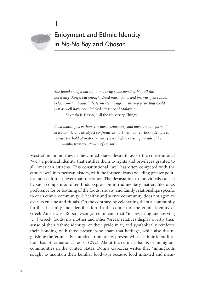

## Enjoyment and Ethnic Identity in *No-No Boy* and *Obasan*

*She found enough barang to make up some noodles. Not all the necessary things, but enough: dried mushrooms and prawns, fish sauce, belacan—that beautifully fermented, fragrant shrimp paste that could just as well have been labeled "Essence of Malaysia."*

—Shymala B. Dason, "All the Necessary Things"

*Food loathing is perhaps the most elementary and most archaic form of abjection.* [*. . .*] *The abject confronts us* [*. . .*] *with our earliest attempts to release the hold of* maternal *entity even before existing outside of her.* —Julia Kristeva, *Powers of Horror*

Most ethnic minorities in the United States desire to assert the constitutional "we," a political identity that entitles them to rights and privileges granted to all American citizens. This constitutional "we" has often competed with the ethnic "we" in American history, with the former always wielding greater political and cultural power than the latter. The devastation to individuals caused by such competition often finds expression in rudimentary matters like one's preference for or loathing of the foods, rituals, and family relationships specific to one's ethnic community. A healthy and secure community does not agonize over its cuisine and rituals. On the contrary, by celebrating them a community fortifies its unity and identification. In the context of the ethnic identity of Greek Americans, Robert Georges comments that "in preparing and serving [...] 'Greek' foods, my mother and other 'Greek' relatives display overtly their sense of their 'ethnic identity,' or their pride in it, and symbolically reinforce their 'bonding' with those present who share that heritage, while also distinguishing the 'ethnically bounded' from others present whose 'ethnic identification' has other national roots" (252). About the culinary habits of immigrant communities in the United States, Donna Gabaccia writes that "immigrants sought to maintain their familiar foodways because food initiated and main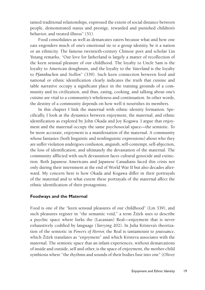tained traditional relationships, expressed the extent of social distance between people, demonstrated status and prestige, rewarded and punished children's behavior, and treated illness" (51).

 Food consolidates as well as demarcates eaters because what and how one eats engenders much of one's emotional tie to a group identity, be it a nation or an ethnicity. The famous twentieth-century Chinese poet and scholar Lin Yutang remarks, "Our love for fatherland is largely a matter of recollection of the keen sensual pleasure of our childhood. The loyalty to Uncle Sam is the loyalty to American doughnuts, and the loyalty to the *Vaterland* is the loyalty to *Pfannkuchen* and *Stollen*" (339). Such keen connection between food and national or ethnic identification clearly indicates the truth that cuisine and table narrative occupy a significant place in the training grounds of a community and its civilization, and thus, eating, cooking, and talking about one's cuisine are vital to a community's wholeness and continuation. In other words, the destiny of a community depends on how well it nourishes its members.

 In this chapter I link the maternal with ethnic identity formation. Specifically, I look at the dynamics between enjoyment, the maternal, and ethnic identification as explored by John Okada and Joy Kogawa. I argue that enjoyment and the maternal occupy the same psychosocial space—the semiotic. To be more accurate, enjoyment is a manifestation of the maternal. A community whose fantasies (both linguistic and nonlinguistic expressions) about who they are suffer violation undergoes confusion, anguish, self-contempt, self-abjection, the loss of identification, and ultimately the devastation of the maternal. The community afflicted with such devastation faces cultural genocide and extinction. Both Japanese Americans and Japanese Canadians faced this crisis not only during their internment at the end of World War II but also decades afterward. My concern here is how Okada and Kogawa differ in their portrayals of the maternal and to what extent these portrayals of the maternal affect the ethnic identification of their protagonists.

#### **Foodways and the Maternal**

Food is one of the "keen sensual pleasures of our childhood" (Lin 339), and such pleasures register in "the semantic void," a term Žižek uses to describe a psychic space where lurks the (Lacanian) Real—enjoyment that is never exhaustively codified by language (*Tarrying* 202). In Julia Kristeva's theorization of the semiotic in *Powers of Horror,* the Real is tantamount to *jouissance,* which Žižek translates as "enjoyment" and which Kristeva associates with the maternal. The semiotic space that an infant experiences, without demarcations of inside and outside, self and other, is the space of enjoyment, the mother-child symbiosis where "the rhythms and sounds of their bodies fuse into one" (Oliver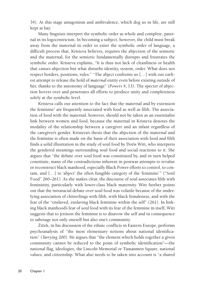34). At this stage antagonism and ambivalence, which dog us in life, are still kept at bay.

 Many linguists interpret the symbolic order as whole and complete, paternal in its logocentricism. In becoming a subject, however, the child must break away from the maternal in order to enter the symbolic order of language, a difficult process that, Kristeva believes, requires the abjection of the semiotic and the maternal, for the semiotic fundamentally disrupts and frustrates the symbolic order. Kristeva explains, "It is thus not lack of cleanliness or health that causes abjection but what disturbs identity, system, order. What does not respect borders, positions, rules." "The abject confronts us [. . .] with our earliest attempt to release the hold of *maternal* entity even before existing outside of her, thanks to the autonomy of language" (*Powers* 4, 13). The specter of abjection hovers over and penetrates all efforts to produce unity and completeness solely at the symbolic level.

 Kristeva calls our attention to the fact that the maternal and by extension the feminine<sup>1</sup> are frequently associated with food as well as filth. The association of food with the maternal, however, should not be taken as an essentialist link between women and food, because the maternal in Kristeva denotes the modality of the relationship between a caregiver and an infant regardless of the caregiver's gender. Kristeva's thesis that the abjection of the maternal and the feminine is often made on the basis of their association with food and filth finds a solid illustration in the study of soul food by Doris Witt, who interprets the gendered meanings surrounding soul food and social reactions to it. She argues that "the debate over soul food was constituted by, and in turn helped constitute, many of the contradictions inherent in postwar attempts to revalue or reconstruct black manhood, especially Black Power efforts to control, to contain, and  $[...]$  to 'abject' the often fungible category of the 'feminine'" ("Soul Food" 260–261). As she makes clear, the discourse of soul associates filth with femininity, particularly with lower-class black maternity. Witt further points out that the intraracial debate over soul food was volatile because of the underlying association of chitterlings with filth, with black femaleness, and with the fear of the "enslaved, enslaving black feminine within the self" (261). In linking black manhood's fear of soul food with its fear of the feminine in itself, Witt suggests that to jettison the feminine is to disavow the self and in consequence to sabotage not only oneself but also one's community.

 Žižek, in his discussion of the ethnic conflicts in Eastern Europe, performs psychoanalysis of "the most elementary notions about national identification" (*Tarrying* 200). He argues that "the element which holds together a given community cannot be reduced to the point of symbolic identification"—the national flag, ideologies, the Lincoln Memorial or Tiananmen Square, national values, and citizenship. What also needs to be taken into account is "a shared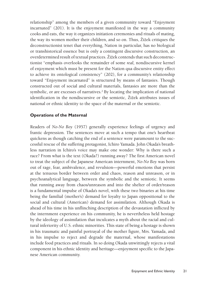relationship" among the members of a given community toward "Enjoyment incarnated" (201). It is the enjoyment manifested in the way a community cooks and eats, the way it organizes initiation ceremonies and rituals of mating, the way its women mother their children, and so on. Thus, Žižek critiques the deconstructionist tenet that everything, Nation in particular, has no biological or transhistorical essence but is only a contingent discursive construction, an overdetermined result of textual practices. Žižek contends that such deconstructionist "emphasis overlooks the remainder of some *real,* nondiscursive kernel of enjoyment which must be present for the Nation qua discursive entity effect to achieve its ontological consistency" (202), for a community's relationship toward "Enjoyment incarnated" is structured by means of fantasies. Though constructed out of social and cultural materials, fantasies are more than the symbolic, or are excesses of narratives.<sup>2</sup> By locating the implication of national identification in the nondiscursive or the semiotic, Žižek attributes issues of national or ethnic identity to the space of the maternal or the semiotic.

#### **Operations of the Maternal**

Readers of *No-No Boy* (1957) generally experience feelings of urgency and frantic depression. The sentences move at such a tempo that one's heartbeat quickens as though catching the end of a sentence were paramount to the successful rescue of the suffering protagonist, Ichiro Yamada. John Okada's breathless narration in Ichiro's voice may make one wonder: Why is there such a race? From what is the text (Okada?) running away? The first American novel to treat the subject of the Japanese American internment, *No-No Boy* was born out of rage, fear, ambivalence, and revulsion—powerful emotions that persist at the tenuous border between order and chaos, reason and unreason, or in psychoanalytical language, between the symbolic and the semiotic. It seems that running away from chaos/unreason and into the shelter of order/reason is a fundamental impulse of Okada's novel, with these two binaries at his time being the familial (mother's) demand for loyalty to Japan oppositional to the social and cultural (American) demand for assimilation. Although Okada is ahead of his time in his unflinching description of the devastation inflicted by the internment experience on his community, he is nevertheless held hostage by the ideology of assimilation that inculcates a myth about the racial and cultural inferiority of U.S. ethnic minorities. This state of being a hostage is shown in his traumatic and painful portrayal of the mother figure, Mrs. Yamada, and in his impulse to reject and degrade the maternal, whose manifestations include food practices and rituals. In so doing Okada unwittingly rejects a vital component in his ethnic identity and heritage—enjoyment specific to the Japanese American community.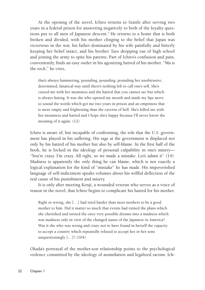At the opening of the novel, Ichiro returns to Seattle after serving two years in a federal prison for answering negatively to both of the loyalty questions put to all men of Japanese descent.<sup>3</sup> He returns to a home that is both broken and divided, with his mother clinging to the belief that Japan was victorious in the war, his father dominated by his wife painfully and bitterly keeping her belief intact, and his brother Taro dropping out of high school and joining the army to spite his parents. Part of Ichiro's confusion and pain, conveniently, finds an easy outlet in his agonizing hatred of his mother. "Ma is the rock," he cries,

that's always hammering, pounding, pounding, pounding her unobtrusive, determined, fanatical way until there's nothing left to call one's self. She's cursed me with her meanness and the hatred that you cannot see but which is always hating. It was she who opened my mouth and made my lips move to sound the words which got me two years in prison and an emptiness that is more empty and frightening than the caverns of hell. She's killed me with her meanness and hatred and I hope she's happy because I'll never know the meaning of it again. (12)

Ichiro is aware of, but incapable of confronting, the role that the U.S. government has played in his suffering. His rage at the government is displaced not only by his hatred of his mother but also by self-blame. In the first half of the book, he is locked in the ideology of personal culpability in one's misery— "You're crazy. I'm crazy. All right, so we made a mistake. Let's admit it" (14). Madness is apparently the only thing he can blame, which is not exactly a logical explanation for the kind of "mistake" he has made. His impoverished language of self-indictment speaks volumes about his willful deflection of the real cause of his punishment and misery.

 It is only after meeting Kenji, a wounded veteran who serves as a voice of reason in the novel, that Ichiro begins to complicate his hatred for his mother.

Right or wrong, she [. . .] had tried harder than most mothers to be a good mother to him. Did it matter so much that events had ruined the plans which she cherished and turned the once very possible dreams into a madness which was madness only in view of the changed status of the Japanese in America? Was it she who was wrong and crazy not to have found in herself the capacity to accept a country which repeatedly refused to accept her or her sons unquestioningly [. . .]? (104)

Okada's portrayal of the mother-son relationship points to the psychological violence committed by the ideology of assimilation and legalized racism. Ich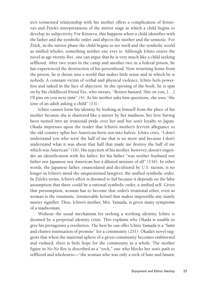iro's tormented relationship with his mother offers a complication of Kristeva's and Žižek's interpretations of the mirror stage at which a child begins to develop its subjectivity. For Kristeva, this happens when a child identifies with the father and the symbolic order, and abjects the mother and the semiotic. For Žižek, in the mirror phase the child begins to see itself and the symbolic world as unified wholes, something neither one ever is. Although Ichiro enters the novel at age twenty-five, one can argue that he is very much like a child seeking selfhood. After two years in the camp and another two in a federal prison, he has experienced the destruction of his personhood. Now returning home from the prison, he is thrust into a world that makes little sense and in which he is nobody. A constant victim of verbal and physical violence, Ichiro feels powerless and naked in the face of abjection. In the opening of the book, he is spat on by his childhood friend Eto, who swears, "Rotten bastard. Shit on you, [. . .] I'll piss on you next time" (4). As his mother asks him questions, she uses "the tone of an adult asking a child" (13).

 Ichiro cannot form his identity by looking at himself from the place of his mother because she is shattered like a mirror by her madness, her love having been turned into an irrational pride over her and her son's loyalty to Japan. Okada impresses upon the reader that Ichiro's mother's fervent allegiance to the old country splits her American-born son into halves. Ichiro cries, "I don't understand you who were the half of me that is no more and because I don't understand what it was about that half that made me destroy the half of me which was American" (16). His rejection of his mother, however, doesn't engender an identification with his father, for his father "was neither husband nor father nor Japanese nor American but a diluted mixture of all" (116). In other words, the Japanese father, emasculated and decultured by U.S. racism, is no longer in Ichiro's mind the unquestioned lawgiver, the unified symbolic order. In Žižek's terms, Ichiro's effort is doomed to fail because it depends on the false assumption that there could be a rational symbolic order, a unified self. Given that presumption, woman has to become that order's irrational other, even as woman is the traumatic, irremovable kernel that makes impossible any manly master signifier. Thus, Ichiro's mother, Mrs. Yamada, is given many symptoms of a madwoman.

 Without the usual mechanism for seeking a working identity, Ichiro is doomed by a perpetual identity crisis. This explains why Okada is unable to give his protagonist a resolution. The best he can offer Ichiro Yamada is a "faint and elusive insinuation of promise" for a community (251). Okada's novel suggests that when the maternal sphere of a given community becomes embittered and violated, there is little hope for the community as a whole. The mother figure in *No-No Boy* is described as a "rock," one who blocks her son's path to selfhood and wholeness—"the woman who was only a rock of hate and fanatic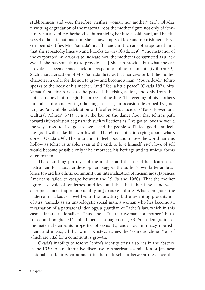stubbornness and was, therefore, neither woman nor mother" (21). Okada's unwitting degradation of the maternal robs the mother figure not only of femininity but also of motherhood, dehumanizing her into a cold, hard, and hateful vessel of fanatic nationalism. She is now empty of love and nourishment. Bryn Gribben identifies Mrs. Yamada's insufficiency in the cans of evaporated milk that she repeatedly lines up and knocks down (Okada 139): "The metaphor of the evaporated milk works to indicate how the mother is constructed as a lack even if she has something to provide. [. . .] She can provide, but what she can provide has been deemed 'lack,' an evaporation of nourishment" (Gribben 39). Such characterization of Mrs. Yamada dictates that her creator kill the mother character in order for the son to grow and become a man. "You're dead," Ichiro speaks to the body of his mother, "and I feel a little peace" (Okada 187). Mrs. Yamada's suicide serves as the peak of the rising action, and only from that point on does Ichiro begin his process of healing. The evening of his mother's funeral, Ichiro and Emi go dancing in a bar, an occasion described by Jinqi Ling as "a symbolic celebration of life after Ma's suicide" ("Race, Power, and Cultural Politics" 371). It is at the bar on the dance floor that Ichiro's path toward (ir)resolution begins with such reflections as "I've got to love the world the way I used to. I've got to love it and the people so I'll feel good, and feeling good will make life worthwhile. There's no point in crying about what's done" (Okada 209). The injunction to feel good and to love the world remains hollow as Ichiro is unable, even at the end, to love himself; such love of self would become possible only if he embraced his heritage and its unique forms of enjoyment.

 The disturbing portrayal of the mother and the use of her death as an instrument for character development suggest the author's own bitter ambivalence toward his ethnic community, an internalization of racism most Japanese Americans failed to escape between the 1940s and 1960s. That the mother figure is devoid of tenderness and love and that the father is soft and weak disrupts a most important stability in Japanese culture. What denigrates the maternal in Okada's novel lies in the unwitting but unrelenting presentation of Mrs. Yamada as an unapologetic social man, a woman who has become an incarnation of a patriarchal ideology, a guardian of Father's law, which in this case is fanatic nationalism. Thus, she is "neither woman nor mother," but a "dried and toughened" embodiment of antagonism (10). Such denigration of the maternal denies its properties of sexuality, tenderness, intimacy, nourishment, and music, all that which Kristeva names the "semiotic chora,"4 all of which are vital for a community's growth.

 Okada's inability to resolve Ichiro's identity crisis also lies in the absence in the 1950s of an alternative discourse to American assimilation or Japanese nationalism. Ichiro's entrapment in the dark schism between these two dis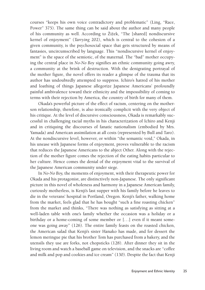courses "keeps his own voice contradictory and problematic" (Ling, "Race, Power" 375). The same thing can be said about the author and many people of his community as well. According to Žižek, "The [shared] nondiscursive kernel of enjoyment" (*Tarrying* 202), which is central to the cohesion of a given community, is the psychosocial space that gets structured by means of fantasies, uncircumscribed by language. This "nondiscursive kernel of enjoyment" is the space of the semiotic, of the maternal. The "bad" mother occupying the central place in *No-No Boy* signifies an ethnic community going awry, a community at the brink of destruction. With the denigrating portrayal of the mother figure, the novel offers its reader a glimpse of the trauma that its author has undoubtedly attempted to suppress. Ichiro's hatred of his mother and loathing of things Japanese allegorize Japanese Americans' profoundly painful ambivalence toward their ethnicity and the impossibility of coming to terms with their rejection by America, the country of birth for many of them.

 Okada's powerful picture of the effect of racism, centering on the motherson relationship, therefore, is also ironically complicit with the very object of his critique. At the level of discursive consciousness, Okada is remarkably successful in challenging racial myths in his characterization of Ichiro and Kenji and in critiquing the discourses of fanatic nationalism (embodied by Mrs. Yamada) and American assimilation at all costs (represented by Bull and Taro). At the nondiscursive level, however, or within "the semantic void," Okada, in his unease with Japanese forms of enjoyment, proves vulnerable to the racism that reduces the Japanese Americans to the abject Other. Along with the rejection of the mother figure comes the rejection of the eating habits particular to her culture. Hence comes the denial of the enjoyment vital to the survival of the Japanese American community under siege.

 In *No-No Boy,* the moments of enjoyment, with their therapeutic power for Okada and his protagonist, are distinctively non-Japanese. The only significant picture in this novel of wholeness and harmony in a Japanese American family, curiously motherless, is Kenji's last supper with his family before he leaves to die in the veterans' hospital in Portland, Oregon. Kenji's father, walking home from the market, feels glad that he has bought "such a fine roasting chicken" from the market and thinks, "There was nothing as satisfying as sitting at a well-laden table with one's family whether the occasion was a holiday or a birthday or a home-coming of some member or [...] even if it meant someone was going away" (126). The entire family feasts on the roasted chicken, the American salad that Kenji's sister Hanako has made, and for dessert the lemon meringue pie that his brother Tom has purchased from a bakery, and the utensils they use are forks, not chopsticks (128). After dinner they sit in the living room and watch a baseball game on television, and the snacks are "coffee and milk and pop and cookies and ice cream" (130). Despite the fact that Kenji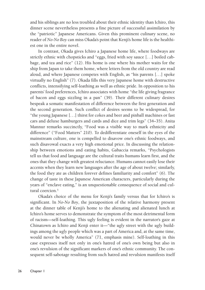and his siblings are no less troubled about their ethnic identity than Ichiro, this dinner scene nevertheless presents a fine picture of successful assimilation by the "patriotic" Japanese Americans. Given this prominent culinary scene, no reader of *No-No Boy* can miss Okada's point that Kenji's home life is the healthiest one in the entire novel.

 In contrast, Okada gives Ichiro a Japanese home life, where foodways are strictly ethnic with chopsticks and "eggs, fried with soy sauce [. . .] boiled cabbage, and tea and rice" (12). His home is one where his mother waits for the ship from Japan to take them home, where letters from the old country are read aloud, and where Japanese competes with English, as "his parents [. . .] spoke virtually no English" (7). Okada fills this very Japanese home with destructive conflicts, intensifying self-loathing as well as ethnic pride. In opposition to his parents' food preferences, Ichiro associates with home "the life giving fragrance of bacon and eggs sizzling in a pan" (39). Their different culinary desires bespeak a somatic manifestation of difference between the first generation and the second generation. Such conflict of desires seems to be widespread, for "the young Japanese [. . .] thirst for cokes and beer and pinball machines or fast cars and deluxe hamburgers and cards and dice and trim legs" (34–35). Anita Mannur remarks succinctly, "Food was a visible way to mark ethnicity and difference" ("Food Matters" 210). To dedifferentiate oneself in the eyes of the mainstream culture, one is compelled to disavow one's ethnic foodways, and such disavowal exacts a very high emotional price. In discussing the relationship between emotions and eating habits, Gabaccia remarks, "Psychologists tell us that food and language are the cultural traits humans learn first, and the ones that they change with greatest reluctance. Humans cannot easily lose their accents when they learn new languages after the age of about twelve; similarly, the food they ate as children forever defines familiarity and comfort" (6). The change of taste in these Japanese American characters, particularly during the years of "enclave eating," is an unquestionable consequence of social and cultural coercion.<sup>5</sup>

 Okada's choice of the menu for Kenji's family versus that for Ichiro's is significant. In *No-No Boy*, the juxtaposition of the relative harmony present at the dinner table of Kenji's home to the alienating and alienated lunch at Ichiro's home serves to demonstrate the symptom of the most detrimental form of racism—self-loathing. This ugly feeling is evident in the narrator's gaze at Chinatown as Ichiro and Kenji enter it—"the *ugly* street with the *ugly* buildings among the *ugly* people which was a part of America and, at the same time, would never be wholly America" (71, emphasis mine). Self-loathing in this case expresses itself not only in one's hatred of one's own being but also in one's revulsion of the significant markers of one's ethnic community. The consequent self-sabotage resulting from such hatred and revulsion manifests itself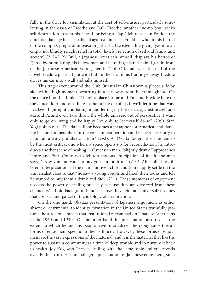fully in the drive for assimilation at the cost of self-erasure, particularly unrelenting in the cases of Freddie and Bull. Freddie, another "no-no boy," seeks self-destruction to vent his hatred for being a "Jap." Ichiro sees in Freddie the potential damage he is capable of against himself—Freddie "who, in his hatred of the complex jungle of unreasoning that had twisted a life-giving yes into an empty no, blindly sought relief in total, hateful rejection of self and family and society" (241–242). Bull, a Japanese American himself, displays his hatred of "Japs" by humiliating his fellow men and flaunting his red-haired girl in front of the Japanese American young men in Club Oriental. Near the end of the novel, Freddie picks a fight with Bull in the bar. In his frantic getaway, Freddie drives his car into a wall and kills himself.

 This tragic event around the Club Oriental in Chinatown is placed side by side with a high moment occurring in a bar away from the ethnic ghetto. On the dance floor he thinks, "There's a place for me and Emi and Freddie here on the dance floor and out there in the hustle of things if we'll let it be that way. I've been fighting it and hating it and letting my bitterness against myself and Ma and Pa and even Taro throw the whole universe out of perspective. I want only to go on living and be happy. I've only to let myself do so" (209). Stan Yogi points out, "The dance floor becomes a metaphor for America, and dancing becomes a metaphor for the constant cooperation and respect necessary to maintain a truly pluralistic nation" (242). As Okada designs this moment to be the most critical one where a space opens up for reconciliation, he introduces another scene of healing. A Caucasian man, "slightly drunk," approaches Ichiro and Emi. Contrary to Ichiro's anxious anticipation of insult, the man says, "I saw you and want to buy you both a drink" (210). After offering different interpretations of the man's motive, Ichiro and Emi happily settle on the universalist closure that "he saw a young couple and liked their looks and felt he wanted to buy them a drink and did" (211). These moments of enjoyment possess the power of healing precisely because they are divorced from these characters' ethnic background and because they reiterate universalist values that are part and parcel of the ideology of assimilation.

 On the one hand, Okada's presentation of Japanese enjoyment as either absent or detrimental to identity formation in the United States truthfully pictures the atrocious impact that institutional racism had on Japanese Americans in the 1940s and 1950s. On the other hand, his presentation also reveals the extent to which he and his people have internalized the repugnance toward forms of enjoyment specific to their ethnicity. However, these forms of enjoyment are the very expressions of the maternal, and it is the maternal that has the power to sustain a community at a time of deep trouble and to nurture it back to health. Joy Kogawa's *Obasan,* dealing with the same topic and era, reveals exactly this truth. Her unapologetic presentation of Japanese enjoyment, such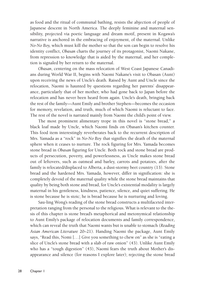as food and the ritual of communal bathing, resists the abjection of people of Japanese descent in North America. The deeply feminine and maternal sensibility, projected via poetic language and dream motif, present in Kogawa's narrative is anchored in the embracing of enjoyment, of the maternal. Unlike *No-No Boy,* which must kill the mother so that the son can begin to resolve his identity conflict, *Obasan* charts the journey of its protagonist, Naomi Nakane, from repression to knowledge that is aided by the maternal, and her completion is signaled by her return to the maternal.

*Obasan*, centering on the mass relocation of West Coast Japanese Canadians during World War II, begins with Naomi Nakane's visit to Obasan (Aunt) upon receiving the news of Uncle's death. Raised by Aunt and Uncle since the relocation, Naomi is haunted by questions regarding her parents' disappearance, particularly that of her mother, who had gone back to Japan before the relocation and has never been heard from again. Uncle's death, bringing back the rest of the family—Aunt Emily and brother Stephen—becomes the occasion for memory, revelation, and truth, much of which Naomi is reluctant to face. The rest of the novel is narrated mainly from Naomi the child's point of view.

 The most prominent alimentary trope in this novel is "stone bread," a black loaf made by Uncle, which Naomi finds on Obasan's kitchen counter. This food item interestingly reverberates back to the recurrent description of Mrs. Yamada as a "rock" in *No-No Boy* that signifies the death of the maternal sphere when it ceases to nurture. The rock figuring for Mrs. Yamada becomes stone bread in *Obasan* figuring for Uncle. Both rock and stone bread are products of persecution, poverty, and powerlessness, as Uncle makes stone bread out of leftovers, such as oatmeal and barley, carrots and potatoes, after the family is relocated/displaced to Alberta, a dust-stormy beet country (13). Stone bread and the hardened Mrs. Yamada, however, differ in signification: she is completely devoid of the maternal quality while the stone bread maintains that quality by being both stone and bread, for Uncle's existential modality is largely maternal in his gentleness, kindness, patience, silence, and quiet suffering. He is stone because he is stoic; he is bread because he is nurturing and loving.

 Sau-ling Wong's reading of the stone bread constructs a multifaceted interpretation ranging from the personal to the religious. What is relevant to the thesis of this chapter is stone bread's metaphorical and metonymical relationship to Aunt Emily's package of relocation documents and family correspondence, which can reveal the truth that Naomi wants but is unable to stomach (*Reading Asian American Literature* 20–21). Handing Naomi the package, Aunt Emily says, "Read this, Nomi [. . .] Give you something to chew on" as she is "eating a slice of Uncle's stone bread with a slab of raw onion" (43). Unlike Aunt Emily who has a "tough digestion" (43), Naomi fears the truth about Mother's disappearance and silence (for reasons I explore later); rejecting the stone bread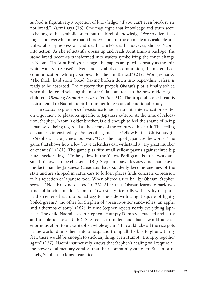as food is figuratively a rejection of knowledge: "If you can't even break it, it's not bread," Naomi says (16). One may argue that knowledge and truth seem to belong to the symbolic order, but the kind of knowledge *Obasan* offers is so tragic and overwhelming that it borders upon unreason made unspeakable and unbearable by repression and death. Uncle's death, however, shocks Naomi into action. As she reluctantly opens up and reads Aunt Emily's package, the stone bread becomes transformed into wafers symbolizing the inner change in Naomi. "In Aunt Emily's package, the papers are piled as neatly as the thin white wafers in Sensei's silver box—symbols of communion, the materials of communication, white paper bread for the mind's meal" (217). Wong remarks, "The thick, hard stone bread, having broken down into paper-thin wafers, is ready to be absorbed. The mystery that propels *Obasan*'s plot is finally solved when the letters disclosing the mother's fate are read to the now middle-aged children" (*Reading Asian American Literature* 21). The trope of stone bread is instrumental to Naomi's rebirth from her long years of emotional paralysis.

 In *Obasan* expressions of resistance to racism and its internalization center on enjoyment or pleasures specific to Japanese culture. At the time of relocation, Stephen, Naomi's older brother, is old enough to feel the shame of being Japanese, of being regarded as the enemy of the country of his birth. The feeling of shame is intensified by a Somerville game, The Yellow Peril, a Christmas gift to Stephen. It is a game about war: "Over the map of Japan are the words: 'The game that shows how a few brave defenders can withstand a very great number of enemies'" (181). The game pits fifty small yellow pawns against three big blue checker kings: "To be yellow in the Yellow Peril game is to be weak and small. Yellow is to be chicken" (181). Stephen's powerlessness and shame over the fact that the Japanese Canadians have suddenly become enemies of the state and are shipped in cattle cars to forlorn places finds concrete expression in his rejection of Japanese food. When offered a rice ball by Obasan, Stephen scowls, "Not that kind of food" (136). After that, Obasan learns to pack two kinds of lunch—one for Naomi of "two sticky rice balls with a salty red plum in the center of each, a boiled egg to the side with a tight square of lightly boiled greens," the other for Stephen of "peanut-butter sandwiches, an apple, and a thermos of soup" (182). In time Stephen rejects nearly everything Japanese. The child Naomi sees in Stephen "Humpty Dumpty—cracked and surly and unable to move" (136). She seems to understand that it would take an enormous effort to make Stephen whole again: "If I could take all the rice pots in the world, dump them into a heap, and tromp all the bits to glue with my feet, there would be enough to stick anything, even Humpty Dumpty, together again" (137). Naomi instinctively knows that Stephen's healing will require all the power of alimentary comfort that their community can offer. But unfortunately, Stephen no longer eats rice.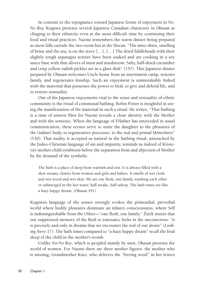In contrast to the repugnance toward Japanese forms of enjoyment in *No-No Boy,* Kogawa presents several Japanese Canadian characters in *Obasan* as clinging to their ethnicity even at the most difficult time by continuing their food and ritual practices. Naomi remembers the warm dinner being prepared as snow falls outside the two-room hut at the Slocan: "The miso shiru, smelling of brine and the sea, is on the stove [. . .]. [. . .] The dried fiddleheads with their slightly tough asparagus texture have been soaked and are cooking in a soy sauce base with thin slivers of meat and mushroom. Salty, half-dried cucumber and crisp yellow radish pickles are in a glass dish" (157). This Japanese dinner prepared by Obasan welcomes Uncle home from an internment camp, restores family, and regenerates kinship. Such an enjoyment is unmistakably linked with the maternal that possesses the power to heal, to give and defend life, and to restore sensuality.

 One of the Japanese enjoyments vital to the sense and sensuality of ethnic community is the ritual of communal bathing. Robin Potter is insightful in seeing the manifestation of the maternal in such a ritual. He writes, "That bathing is a time of utmost bliss for Naomi reveals a close identity with the Mother and with the semiotic. When the language of F/father has interceded in usual communication, these scenes serve to unite the daughter to the pleasures of the (infant) body, to regenerative processes, to the real and primal M/mothers" (130). That nudity is accepted as natural in the bathing ritual, untouched by the Judeo-Christian language of sin and impurity, reminds us indeed of Kristeva's mother-child symbiosis before the separation from and abjection of Mother by the demand of the symbolic.

The bath is a place of deep bone warmth and rest. It is always filled with a slow steamy chatter from women and girls and babies. It smells of wet cloth and wet wood and wet skin. We are one flesh, one family, washing each other or submerged in the hot water, half awake, half asleep. The bath times are like a hazy happy dream. (*Obasan* 191)

Kogawa's language of the senses strongly evokes the primordial, preverbal world where bodily pleasures dominate an infant's consciousness, where Self is indistinguishable from the Other—"one flesh, one family." Žižek insists that our suppressed memory of the Real or *jouissance* lurks in the unconscious: "it is precisely and only in dreams that we encounter the real of our desire" (*Looking Awry* 17). The bath times compared to "a hazy happy dream" recall the fetal sleep of the child in the mother's womb.

 Unlike *No-No Boy*, which is peopled mainly by men, *Obasan* presents the world of women. For Naomi there are three mother figures: the mother who is missing; Grandmother Kato, who delivers the "freeing word" in her letters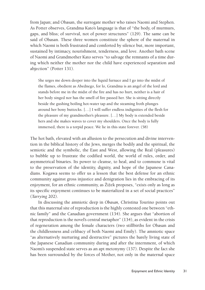from Japan; and Obasan, the surrogate mother who raises Naomi and Stephen. As Potter observes, Grandma Kato's language is that of "the body, of murmurs, gaps, and bliss; of survival, not of power structures" (129). The same can be said of Obasan. These three women constitute the sphere of the maternal in which Naomi is both frustrated and comforted by silence but, more important, sustained by intimacy, nourishment, tenderness, and love. Another bath scene of Naomi and Grandmother Kato serves "to salvage the remnants of a time during which neither the mother nor the child have experienced separation and abjection" (Potter 131).

She urges me down deeper into the liquid furnace and I go into the midst of the flames, obedient as Abednego, for lo, Grandma is an angel of the lord and stands before me in the midst of the fire and has no hurt, neither is a hair of her body singed nor has the smell of fire passed her. She is sitting directly beside the gushing boiling hot-water tap and the steaming froth plunges around her bony buttocks. [. . .] I will suffer endless indignities of the flesh for the pleasure of my grandmother's pleasure. [. . .] My body is extended beside hers and she makes waves to cover my shoulders. Once the body is fully immersed, there is a torpid peace. We lie in this state forever. (58)

The hot bath, elevated with an allusion to the persecution and divine intervention in the biblical history of the Jews, merges the bodily and the spiritual, the semiotic and the symbolic, the East and West, allowing the Real (pleasures) to bubble up to frustrate the codified world, the world of rules, order, and asymmetrical binaries. Its power to cleanse, to heal, and to commune is vital to the preservation of the identity, dignity, and hope of the Japanese Canadians. Kogawa seems to offer us a lesson that the best defense for an ethnic community against gross injustice and denigration lies in the embracing of its enjoyment, for an ethnic community, as Žižek proposes, "*exists* only as long as its specific enjoyment continues to be materialized in a set of social practices" (*Tarrying* 202).

 In discussing the amniotic deep in *Obasan,* Christina Tourino points out that this maternal site of reproduction is the highly contested one between "ethnic family" and the Canadian government (134). She argues that "abortion of that reproduction is the novel's central metaphor" (134), as evident in the crisis of regeneration among the female characters (two stillbirths for Obasan and the childlessness and celibacy of both Naomi and Emily). The amniotic space "as alternatively nurturing and destructive" pictures the barely living state of the Japanese Canadian community during and after the internment, of which Naomi's suspended state serves as an apt metonymy (137). Despite the fact she has been surrounded by the forces of Mother, not only in the maternal space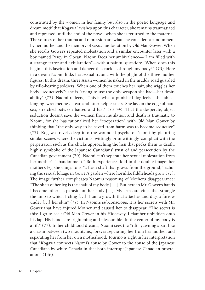constituted by the women in her family but also in the poetic language and dream motif that Kogawa lavishes upon this character, she remains traumatized and repressed until the end of the novel, when she is returned to the maternal. The sources of her trauma and repression are what she considers abandonment by her mother and the memory of sexual molestation by Old Man Gower. When she recalls Gower's repeated molestation and a similar encounter later with a boy named Percy in Slocan, Naomi faces her ambivalence—"I am filled with a strange terror and exhilaration"—with a painful question: "When does this begin—this fascination and danger that rockets through my body?" (73). Here in a dream Naomi links her sexual trauma with the plight of the three mother figures. In this dream, three Asian women lie naked in the muddy road guarded by rifle-bearing soldiers. When one of them touches her hair, she wiggles her body "seductively"; she is "trying to use the only weapon she had—her desirability" (73). Naomi reflects, "This is what a punished dog feels—this abject longing, wretchedness, fear, and utter helplessness. She lay on the edge of nausea, stretched between hatred and lust" (73–74). That the desperate, abject seduction doesn't save the women from mutilation and death is traumatic to Naomi, for she has rationalized her "cooperation" with Old Man Gower by thinking that "the only way to be saved from harm was to become seductive" (73). Kogawa travels deep into the wounded psyche of Naomi by picturing similar scenes where the victim is, wittingly or unwittingly, complicit with the perpetrator, such as the chicks approaching the hen that pecks them to death, highly symbolic of the Japanese Canadians' trust of and persecution by the Canadian government (70). Naomi can't separate her sexual molestation from her mother's "abandonment." Both experiences fold in the double image: her mother's leg she clings to is "a flesh shaft that grows from the ground," echoing the sexual foliage in Gower's garden where hornlike fiddleheads grow (77). The image further complicates Naomi's reasoning of Mother's disappearance: "The shaft of her leg is the shaft of my body [. . .]. But here in Mr. Gower's hands I become other—a parasite on her body [. . .]. My arms are vines that strangle the limb to which I cling  $[...]$ . I am a growth that attaches and digs a furrow under [. . .] her skin" (77). In Naomi's subconscious, it is her secrets with Mr. Gower that have injured Mother and caused her to disappear. "The secret is this: I go to seek Old Man Gower in his Hideaway. I clamber unbidden onto his lap. His hands are frightening and pleasurable. In the center of my body is a rift" (77). In her childhood dreams, Naomi sees the "rift" yawning apart like a chasm between two mountains, forever separating her from her mother, and separating her from her own motherhood. Tourino is right in her interpretation that "Kogawa connects Naomi's abuse by Gower to the abuse of the Japanese Canadians by white Canada in that both interrupt Japanese Canadian procreation" (146).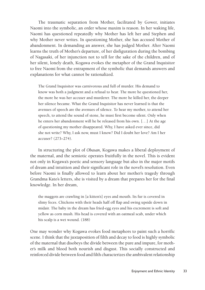The traumatic separation from Mother, facilitated by Gower, initiates Naomi into the symbolic, an order whose maxim is reason. In her waking life, Naomi has questioned repeatedly why Mother has left her and Stephen and why Mother never writes. In questioning Mother, she has accused Mother of abandonment. In demanding an answer, she has judged Mother. After Naomi learns the truth of Mother's departure, of her disfiguration during the bombing of Nagasaki, of her injunction not to tell for the sake of the children, and of her silent, lonely death, Kogawa evokes the metaphor of the Grand Inquisitor to free Naomi from the entrapment of the symbolic that demands answers and explanations for what cannot be rationalized.

The Grand Inquisitor was carnivorous and full of murder. His demand to know was both a judgment and a refusal to hear. The more he questioned her, the more he was her accuser and murderer. The more he killed her, the deeper her silence became. What the Grand Inquisitor has never learned is that the avenues of speech are the avenues of silence. To hear my mother, to attend her speech, to attend the sound of stone, he must first become silent. Only when he enters her abandonment will he be released from his own. [. . .] At the age of questioning my mother disappeared. Why, I have asked ever since, did she not write? Why, I ask now, must I know? Did I doubt her love? Am I her accuser? (273–274).

 In structuring the plot of *Obasan,* Kogawa makes a liberal deployment of the maternal, and the semiotic operates fruitfully in the novel. This is evident not only in Kogawa's poetic and sensory language but also in the major motifs of dream and intuition and their significant role in the novel's resolution. Even before Naomi is finally allowed to learn about her mother's tragedy through Grandma Kato's letters, she is visited by a dream that prepares her for the final knowledge. In her dream,

the maggots are crawling in [a kitten's] eyes and mouth. Its fur is covered in slimy feces. Chickens with their heads half off flap and swing upside down in midair. The baby in the dream has fried-egg eyes and his excrement is soft and yellow as corn mush. His head is covered with an oatmeal scab, under which his scalp is a wet wound. (188)

One may wonder why Kogawa evokes food metaphors to paint such a horrific scene. I think that the juxtaposition of filth and decay to food is highly symbolic of the maternal that disobeys the divide between the pure and impure, for mother's milk and blood both nourish and disgust. This socially constructed and reinforced divide between food and filth characterizes the ambivalent relationship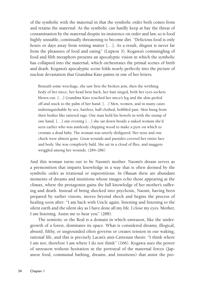of the symbolic with the maternal in that the symbolic order both comes from and retains the maternal. As the symbolic can hardly keep at bay the threat of contamination by the maternal despite its insistence on order and law, so is food highly unstable, continually threatening to become dirt. "Delicious food is only hours or days away from rotting matter [...]. As a result, disgust is never far from the pleasures of food and eating" (Lupton 3). Kogawa's commingling of food and filth metaphors presents an apocalyptic vision in which the symbolic has collapsed into the maternal, which orchestrates the primal scenes of birth and death. Kogawa's apocalyptic scene folds nearly perfectly into the picture of nuclear devastation that Grandma Kato paints in one of her letters.

Beneath some wreckage, she saw first the broken arm, then the writhing body of her niece, her head bent back, her hair singed, both her eyes sockets blown out. [. . .] Grandma Kato touched her niece's leg and the skin peeled off and stuck to the palm of her hand. [. . .] Men, women, and in many cases indistinguishable by sex, hairless, half clothed, hobbled past. Skin hung from their bodies like tattered rags. One man held his bowels in with the stump of one hand. [. . .] one evening [. . .] she sat down beside a naked woman she'd seen earlier who was aimlessly chipping wood to make a pyre on which to cremate a dead baby. The woman was utterly disfigured. Her nose and one cheek were almost gone. Great wounds and pustules covered her entire face and body. She was completely bald. She sat in a cloud of flies, and maggots wriggled among her wounds. (284–286)

And this woman turns out to be Naomi's mother. Naomi's dream serves as a premonition that imparts knowledge in a way that is often deemed by the symbolic order as irrational or superstitious. In *Obasan* there are abundant moments of dreams and intuitions whose images echo those appearing at the climax, where the protagonist gains the full knowledge of her mother's suffering and death. Instead of being shocked into psychosis, Naomi, having been prepared by earlier visions, moves beyond shock and begins the process of healing soon after: "I am back with Uncle again, listening and listening to the silent earth and the silent sky as I have done all my life. I close my eyes. Mother, I am listening. Assist me to hear you" (288).

 The semiotic or the Real is a domain in which unreason, like the undergrowth of a forest, dominates its space. What is considered dreamy, illogical, absurd, filthy, or ungrounded often governs or creates tension in our waking, rational life, and this is precisely Lacan's anti-Cartesian thesis: "I think where I am not, therefore I am where I do not think" (166). Kogawa uses the power of unreason without hesitation in the portrayal of the maternal forces (Japanese food, communal bathing, dreams, and intuitions) that assist the pro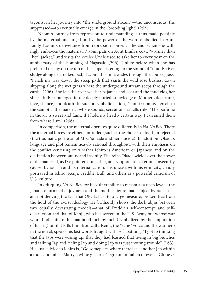tagonist in her journey into "the underground stream"—the unconscious, the suppressed—to eventually emerge in the "brooding light" (295).

 Naomi's journey from repression to understanding is thus made possible by the maternal and urged on by the power of the word embodied in Aunt Emily. Naomi's deliverance from repression comes at the end, when she willingly embraces the maternal. Naomi puts on Aunt Emily's coat, "warmer than [her] jacket," and visits the coulee Uncle used to take her to every year on the anniversary of the bombing of Nagasaki (296). Unlike before when she has preferred to stay on the top of the slope, listening to the sound of "muddy river sludge along its crooked bed," Naomi this time wades through the coulee grass: "I inch my way down the steep path that skirts the wild rose bushes, down slipping along the wet grass where the underground stream seeps through the earth" (296). She lets the river wet her pajamas and coat and the mud clog her shoes, fully submerged in the deeply buried knowledge of Mother's departure, love, silence, and death. In such a symbolic action, Naomi submits herself to the semiotic, the maternal where sounds, sensations, smells rule: "The perfume in the air is sweet and faint. If I hold my head a certain way, I can smell them from where I am" (296).

 In comparison, the maternal operates quite differently in *No-No Boy.* There the maternal forces are either controlled (such as the choices of food) or rejected (the traumatic portrayal of Mrs. Yamada and her suicide). In addition, Okada's language and plot remain heavily rational throughout, with their emphasis on the conflict centering on whether Ichiro is American or Japanese and on the distinction between sanity and insanity. The reins Okada wields over the power of the maternal, as I've pointed out earlier, are symptomatic of ethnic insecurity caused by racism and its internalization. His unease with his ethnicity, vividly portrayed in Ichiro, Kenji, Freddie, Bull, and others is a powerful criticism of U.S. culture.

 In critiquing *No-No Boy* for its vulnerability to racism at a deep level—the Japanese forms of enjoyment and the mother figure made abject by racism—I am not denying the fact that Okada has, to a large measure, broken free from the hold of the racist ideology. He brilliantly shows the dark abyss between two equally devastating models—that of Freddie's self-contempt and selfdestruction and that of Kenji, who has served in the U.S. Army but whose war wound robs him of his manhood inch by inch (symbolized by the amputation of his leg) until it kills him. Ironically, Kenji, the "sane" voice and the war hero in the novel, speaks his last words fraught with self-loathing: "I got to thinking that the Japs were wising up, that they had learned that living in big bunches and talking Jap and feeling Jap and doing Jap was just inviting trouble" (163). His final advice to Ichiro is, "Go someplace where there isn't another Jap within a thousand miles. Marry a white girl or a Negro or an Italian or even a Chinese.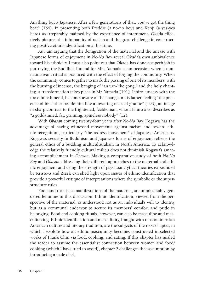Anything but a Japanese. After a few generations of that, you've got the thing beat" (164). In presenting both Freddie (a no-no boy) and Kenji (a yes-yes hero) as irreparably maimed by the experience of internment, Okada effectively pictures the inhumanity of racism and the great challenge in constructing positive ethnic identification at his time.

 As I am arguing that the denigration of the maternal and the unease with Japanese forms of enjoyment in *No-No Boy* reveal Okada's own ambivalence toward his ethnicity, I must also point out that Okada has done a superb job in portraying the Buddhist funeral for Mrs. Yamada as an occasion when a nonmainstream ritual is practiced with the effect of forging the community. When the community comes together to mark the passing of one of its members, with the burning of incense, the banging of "an urn-like gong," and the holy chanting, a transformation takes place in Mr. Yamada (191). Ichiro, uneasy with the too ethnic funeral, becomes aware of the change in his father, feeling "the presence of his father beside him like a towering mass of granite" (193), an image in sharp contrast to the frightened, feeble man, whom Ichiro also describes as "a goddamned, fat, grinning, spineless nobody" (12).

 With *Obasan* coming twenty-four years after *No-No Boy,* Kogawa has the advantage of having witnessed movements against racism and toward ethnic recognition, particularly "the redress movement" of Japanese Americans. Kogawa's security in Buddhism and Japanese forms of enjoyment reflects the general ethos of a budding multiculturalism in North America. To acknowledge the relatively friendly cultural milieu does not diminish Kogawa's amazing accomplishment in *Obasan.* Making a comparative study of both *No-No Boy* and *Obasan* addressing their different approaches to the maternal and ethnic enjoyment and using the strength of psychoanalytical theories expounded by Kristeva and Žižek can shed light upon issues of ethnic identification that provide a powerful critique of interpretations where the symbolic or the superstructure rules.

 Food and rituals, as manifestations of the maternal, are unmistakably gendered feminine in this discussion. Ethnic identification, viewed from the perspective of the maternal, is understood not as an individual's will to identity but as a communal endeavor to secure its members' comfort and pride in belonging. Food and cooking rituals, however, can also be masculine and masculinizing. Ethnic identification and masculinity, fraught with tension in Asian American culture and literary tradition, are the subjects of the next chapter, in which I explore how an ethnic masculinity becomes constructed in selected works of Frank Chin via food, cooking, and eating. If this chapter has misled the reader to assume the essentialist connection between women and food/ cooking (which I have tried to avoid), chapter 2 challenges that assumption by introducing a male chef.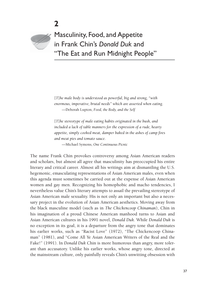

## Masculinity, Food, and Appetite in Frank Chin's *Donald Duk* and "The Eat and Run Midnight People"

[*T*]*he male body is understood as powerful, big and strong, "with enormous, imperative, brutal needs" which are asserted when eating. —*Deborah Lupton, *Food, the Body, and the Self*

[*T*]*he stereotype of male eating habits originated in the bush, and included a lack of table manners for the expression of a rude, hearty appetite, simply cooked meat, damper baked in the ashes of camp fires and meat pies and tomato sauce.*

—Michael Symons, *One Continuous Picnic*

The name Frank Chin provokes controversy among Asian American readers and scholars, but almost all agree that masculinity has preoccupied his entire literary and critical career. Almost all his writings aim at dismantling the U.S. hegemonic, emasculating representations of Asian American males, even when this agenda must sometimes be carried out at the expense of Asian American women and gay men. Recognizing his homophobic and macho tendencies, I nevertheless value Chin's literary attempts to assail the prevailing stereotype of Asian American male sexuality. His is not only an important but also a necessary project in the evolution of Asian American aesthetics. Moving away from the black masculine model (such as in *The Chickencoop Chinaman*), Chin in his imagination of a proud Chinese American manhood turns to Asian and Asian American cultures in his 1991 novel, *Donald Duk.* While *Donald Duk* is no exception in its goal, it is a departure from the angry tone that dominates his earlier works, such as "Racist Love" (1972), "The Chickencoop Chinaman" (1981), and "Come All Ye Asian American Writers of the Real and the Fake!" (1991). In *Donald Duk* Chin is more humorous than angry, more tolerant than accusatory. Unlike his earlier works, whose angry tone, directed at the mainstream culture, only painfully reveals Chin's unwitting obsession with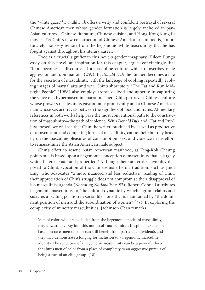the "white gaze,"1 *Donald Duk* offers a witty and confident portrayal of several Chinese American men whose gender formation is largely anchored in pan-Asian cultures—Chinese literature, Chinese cuisine, and Hong Kong kung fu movies. Yet Chin's new construction of Chinese American manhood is, unfortunately, not very remote from the hegemonic white masculinity that he has fought against throughout his literary career.

Food is a crucial signifier in this novel's gender imaginary.<sup>2</sup> Eileen Fung's essay on this novel, an inspiration for this chapter, argues convincingly that "food becomes a discourse of a masculine culture which reinscribes male aggression and domination" (259). In *Donald Duk* the kitchen becomes a site for the assertion of masculinity, with the language of cooking repeatedly evoking images of martial arts and war. Chin's short story "The Eat and Run Midnight People" (1988) also employs tropes of food and appetite in capturing the voice of a hypermasculine narrator. There Chin portrays a Chinese culture whose prowess resides in its gastronomic promiscuity and a Chinese American man whose sex act travels between the signifiers of food and trains. Alimentary references in both works help pave the most conventional path to the construction of masculinity—the path of violence. With *Donald Duk* and "Eat and Run" juxtaposed, we will see that Chin the writer, produced by as well as productive of transcultural and competing forms of masculinity, cannot help but rely heavily on the masculine pleasures of consumption, sex, and violence in his effort to remasculinize the Asian American male subject.

 Chin's effort to rescue Asian American manhood, as King-Kok Cheung points out, is based upon a hegemonic conception of masculinity that is largely white, heterosexual, and propertied.<sup>3</sup> Although there are critics favorably disposed to Chin's evocation of the Chinese male heroic tradition, such as Jinqi Ling, who advocates "a more nuanced and less reductive" reading of Chin, their appreciation of Chin's struggle does not compromise their disapproval of his masculinist agenda (*Narrating Nationalisms* 83). Robert Connell attributes hegemonic masculinity to "the cultural dynamic by which a group claims and sustains a leading position in social life," one that is maintained by "the dominant position of men and the subordination of women" (77). In exploring the complexity of minority masculinities, Jachinson Chan remarks,

Men of color, who are excluded from the hegemonic model of masculinity, may unwittingly buy into this notion of [masculinity]. In spite of exclusions based on race, men of color can still benefit from patriarchal dividends and they may demonstrate a longing for inclusion to a hegemonic masculine identity. The seduction of a hegemonic masculinity can be a powerful force that lures men of color from a place of complicity to an aggressive pursuit of being a part of an elite group. (10)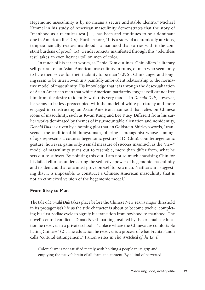Hegemonic masculinity is by no means a secure and stable identity.<sup>4</sup> Michael Kimmel in his study of American masculinity demonstrates that the story of "manhood as a relentless test [. . .] has been and continues to be a dominant one in American life" (ix). Furthermore, "It is a story of a chronically anxious, temperamentally restless manhood—a manhood that carries with it the constant burdens of proof" (x). Gender anxiety manifested through this "relentless test" takes an even heavier toll on men of color.

 In much of his earlier works, as Daniel Kim outlines, Chin offers "a literary self-portrait of an Asian American masculinity in ruins, of men who seem only to hate themselves for their inability to be men" (296). Chin's anger and longing seem to be interwoven in a painfully ambivalent relationship to the normative model of masculinity. His knowledge that it is through the desexualization of Asian American men that white American patriarchy forges itself cannot free him from the desire to identify with this very model. In *Donald Duk*, however, he seems to be less preoccupied with the model of white patriarchy and more engaged in constructing an Asian American manhood that relies on Chinese icons of masculinity, such as Kwan Kung and Lee Kuey. Different from his earlier works dominated by themes of insurmountable alienation and nonidentity, *Donald Duk* is driven by a homing plot that, in Goldstein-Shirley's words, "transcends the traditional bildungsroman, offering a protagonist whose comingof-age represents a counter-hegemonic gesture" (1). Chin's counterhegemonic gesture, however, gains only a small measure of success inasmuch as the "new" model of masculinity turns out to resemble, more than differ from, what he sets out to subvert. By pointing this out, I am not so much chastising Chin for his failed effort as underscoring the seductive power of hegemonic masculinity and its demand that one must prove oneself to be a man. Neither am I suggesting that it is impossible to construct a Chinese American masculinity that is not an ethnicized version of the hegemonic model.<sup>5</sup>

## **From Sissy to Man**

The tale of *Donald Duk* takes place before the Chinese New Year, a major threshold in its protagonist's life as the title character is about to become twelve, completing his first zodiac cycle to signify his transition from boyhood to manhood. The novel's central conflict is Donald's self-loathing instilled by the orientalist education he receives in a private school—"a place where the Chinese are comfortable hating Chinese" (2). The education he receives is a process of what Frantz Fanon calls "cultural estrangement." Fanon writes in *The Wretched of the Earth,*

Colonialism is not satisfied merely with holding a people in its grip and emptying the native's brain of all form and content. By a kind of perverted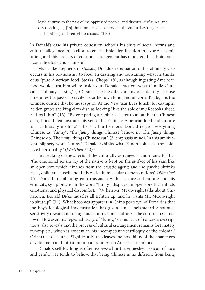logic, it turns to the past of the oppressed people, and distorts, disfigures, and destroys it. [...] [In] the efforts made to carry out the cultural estrangement [...] nothing has been left to chance. (210)

In Donald's case his private education schools his shift of social norms and cultural allegiance in its effort to erase ethnic identification in favor of assimilation, and this process of cultural estrangement has rendered the ethnic practices ridiculous and shameful.

 Much like Stephen's in *Obasan,* Donald's repudiation of his ethnicity also occurs in his relationship to food. In desiring and consuming what he thinks of as "pure American food. Steaks. Chops" (8), as though ingesting American food would turn him white inside out, Donald practices what Camille Cauti calls "culinary passing" (10). Such passing offers an anxious identity because it requires the passer to revile his or her own kind, and in Donald's life, it is the Chinese cuisine that he must spurn. At the New Year Eve's lunch, for example, he denigrates the king clam dish as looking "like the sole of my Reeboks sliced real real thin" (46). "By comparing a rubber sneaker to an authentic Chinese dish, Donald demonstrates his sense that Chinese American food and culture is [. . .] literally inedible" (Ho 31). Furthermore, Donald regards everything Chinese as "funny": "the *funny* things Chinese believe in. The *funny* things Chinese do. The *funny* things Chinese eat" (3, emphasis mine). In this ambivalent, slippery word "funny," Donald exhibits what Fanon coins as "the colonized personality" (*Wretched* 250).6

 In speaking of the affects of the culturally estranged, Fanon remarks that "the emotional sensitivity of the native is kept on the surface of his skin like an open sore which flinches from the caustic agent; and the psyche shrinks back, obliterates itself and finds outlet in muscular demonstrations" (*Wretched*  56). Donald's debilitating embarrassment with his ancestral culture and his ethnicity, symptomatic in the word "funny," displays an open sore that inflicts emotional and physical discomfort. "[W]hen Mr. Meanwright talks about Chinatown, Donald Duk's muscles all tighten up, and he wants Mr. Meanwright to shut up" (34). What becomes apparent in Chin's portrayal of Donald is that the boy's ideological indoctrination has given him a heightened emotional sensitivity toward and repugnance for his home culture—the culture in Chinatown. However, his repeated usage of "funny," or his lack of concrete descriptions, also reveals that the process of cultural estrangement remains fortunately incomplete, which is evident in his incompetent ventriloquy of the colonial/ Orientalist discourse. Significantly, this leaves the possibility of the character's development and initiation into a proud Asian American manhood.

 Donald's self-loathing is often expressed in the enmeshed lexicon of race and gender. He tends to believe that being Chinese is no different from being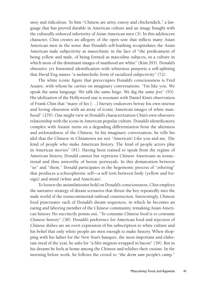sissy and ridiculous. To him "Chinese are artsy, cutesy and chickendick," a language that has proved durable in American culture and an image fraught with the culturally enforced inferiority of Asian American men (3). In this adolescent character, Chin creates an allegory of the open sore that inflicts many Asian American men in the sense that Donald's self-loathing recapitulates the Asian American male subjectivity as masochistic in the face of "the predicament of being yellow and male, of being formed as masculine subjects, in a culture in which most of the dominant images of manhood are white" (Kim 293). Donald's obsessive yet frustrated identification with whiteness purports a self-splitting that David Eng names "a melancholic form of racialized subjectivity" (72).

 The white iconic figure that preoccupies Donald's consciousness is Fred Astaire, with whom he carries on imaginary conversations. "I'm like you. We speak the same language. We talk the same lingo. We dig the same jive" (93). His idolization of the Hollywood star is resonant with Daniel Kim's observation of Frank Chin that "many of his [. . .] literary endeavors betray his own intense and loving obsession with an array of iconic American images of white manhood" (270). One might view in Donald's characterization Chin's own obsessive relationship with the icons in American popular culture. Donald's identificatory complex with Astaire turns on a degrading differentiation from the alienness and awkwardness of the Chinese. In his imaginary conversation, he tells his idol that the Chinese in Chinatown are not "American! Like you and me. The kind of people who make American history. The kind of people actors play in American movies" (91). Having been trained to speak from the regime of American history, Donald cannot but represent Chinese Americans as nonactional and thus unworthy of heroic portrayals. In this demarcation between "us" and "them," Donald participates in the hegemonic process of "othering" that produces a schizophrenic self—a self torn between body (yellow and foreign) and mind (white and American).

 To loosen the assimilationist hold on Donald's consciousness, Chin employs the narrative strategy of dream scenarios that thrust the boy repeatedly into the male world of the transcontinental railroad construction. Interestingly, Chinese food punctuates each of Donald's dream sequences, in which he becomes an eating and laboring member of the Chinese community, remaking Asian American history. Ho succinctly points out, "To consume Chinese food is to consume Chinese history" (38). Donald's preference for American food and rejection of Chinese dishes are an overt expression of his subscription to white culture and his belief that only white people are men enough to make history. When shopping with his father for the New Year's banquet, the most important and elaborate meal of the year, he asks for "a filet mignon wrapped in bacon" (39). But in his dreams he feels at home among the Chinese and relishes their cuisine. In the morning before work, he follows the crowd to "the *deem sum* people's camp."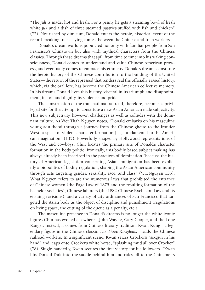"The *juk* is made, hot and fresh. For a penny he gets a steaming bowl of fresh white *juk* and a dish of three steamed pastries stuffed with fish and chicken" (72). Nourished by dim sum, Donald enters the heroic, historical event of the record-breaking track-laying contest between the Chinese and Irish workers.

 Donald's dream world is populated not only with familiar people from San Francisco's Chinatown but also with mythical characters from the Chinese classics. Through these dreams that spill from time to time into his waking consciousness, Donald comes to understand and value Chinese American prowess, and eventually comes to embrace his ethnicity. Donald's dreams constitute the heroic history of the Chinese contribution to the building of the United States—the return of the repressed that renders real the officially erased history, which, via the oral lore, has become the Chinese American collective memory. In his dreams Donald lives this history, visceral in its triumph and disappointment, its toil and dignity, its violence and pride.

 The construction of the transnational railroad, therefore, becomes a privileged site for the attempt to constitute a new Asian American male subjectivity. This new subjectivity, however, challenges as well as colludes with the dominant culture. As Viet Thah Nguyen notes, "Donald embarks on his masculine young adulthood through a journey from the Chinese ghetto to the frontier West, a space of violent character formation [. . .] fundamental to the American imagination" (135). Powerfully shaped by Hollywood representations of the West and cowboys, Chin locates the primary site of Donald's character formation in the body politic. Ironically, this bodily based subject making has always already been inscribed in the practices of domination "because the history of American legislation concerning Asian immigration has been explicitly a biopolitics of bodily regulation, shaping the Asian American community through acts targeting gender, sexuality, race, and class" (V. T. Nguyen 133). What Nguyen refers to are the numerous laws that prohibited the entrance of Chinese women (the Page Law of 1875 and the resulting formation of the bachelor societies), Chinese laborers (the 1882 Chinese Exclusion Law and its ensuing revisions), and a variety of city ordinances of San Francisco that targeted the Asian body as the object of discipline and punishment (regulations on living space, the cutting of the queue as a penalty, etc.).

 The masculine presence in Donald's dreams is no longer the white iconic figures Chin has evoked elsewhere—John Wayne, Gary Cooper, and the Lone Ranger. Instead, it comes from Chinese literary tradition. Kwan Kung—a legendary figure in the Chinese classic *The Three Kingdoms*—leads the Chinese railroad workers. In a significant scene, Kwan seizes Crocker's "sixgun in his hand" and leaps onto Crocker's white horse, "splashing mud all over Crocker" (78). Single-handedly, Kwan secures the first victory for his followers. "Kwan lifts Donald Duk into the saddle behind him and rides off to the Chinamen's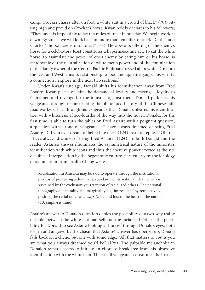camp. Crocker chases after on foot, a white suit in a crowd of black" (78). Sitting high and proud on Crocker's horse, Kwan boldly declares to his followers, "They say it is impossible to lay ten miles of track in one day. We begin work at dawn. By sunset we will look back on more than ten miles of track. Do that and Crocker's horse here is ours to eat" (78). Here Kwan's offering of the enemy's horse for a celebratory feast constitutes a hypermasculine act. To eat the white horse, to assimilate the power of one's enemy by eating him or his horse, is metonymic of the neutralization of white men's power and of the feminization of the dandy owner of the Central Pacific Railroad dressed all in white. (In both the East and West, a man's relationship to food and appetite gauges his virility, a connection I explore in the next two sections.)

 Under Kwan's tutelage, Donald shifts his identification away from Fred Astaire. Kwan places on him the demand of loyalty and revenge—loyalty to Chinamen and revenge for the injustice against them. Donald performs his vengeance through reconstructing the obliterated history of the Chinese railroad workers. It is through his vengeance that Donald unlearns his identification with whiteness. Three-fourths of the way into the novel, Donald, for the first time, is able to turn the tables on Fred Astaire with a poignant question, a question with a tone of vengeance: "I have always dreamed of being Fred Astaire. Did you ever dream of being like me?" (124). Astaire replies, "Oh, no. I have always dreamed of being Fred Astaire" (124). To both Donald and the reader, Astaire's answer illuminates the asymmetrical nature of the minority's identification with white icons and thus the coercive power exerted at the site of subject interpellation by the hegemonic culture, particularly by the ideology of assimilation. Anne Anlin Cheng writes,

Racialization in America may be said to operate through the institutional process of producing a dominant, standard, white national ideal, which is sustained by the exclusion-yet-retention of racialized others. The national topography of centrality and marginality legitimizes itself by retroactively positing the racial other as *always Other* and lost to the heart of the nation. (10, emphasis mine)

Astaire's answer to Donald's question denies the possibility of a two-way traffic of looks between the white national Self and the racialized Other—the possibility for Donald to see Astaire looking at himself through Donald's eyes. Both lost in and angered by the chasm that Astaire's answer has opened up, Donald falls back on a cliché, but one with some edge: "All that matters to you is you are what you always dreamed you'd be" (125). The palpable melancholia in Donald's remark seems to initiate an effort to break free from his obsessive identification with the white icon. This small vengeance constitutes the first act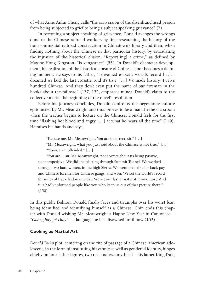of what Anne Anlin Cheng calls "the conversion of the disenfranchised person from being subjected to grief to being a subject speaking grievance" (7).

 In becoming a subject speaking of grievance, Donald avenges the wrongs done to the Chinese railroad workers by first researching the history of the transcontinental railroad construction in Chinatown's library and then, when finding nothing about the Chinese in that particular history, by articulating the injustice of the historical elision. "Report[ing] a crime," as defined by Maxine Hong Kingston, "is vengeance" (53). In Donald's character development, his realization of the historical erasure of Chinese labor becomes a defining moment. He says to his father, "I dreamed *we* set a world's record [. . .]. I dreamed *we* laid the last crosstie, and it's true. [. . .] *We* made history. Twelve hundred Chinese. And they don't even put the name of *our* foreman in the books about the railroad" (137, 122, emphases mine). Donald's claim to the collective marks the beginning of the novel's resolution.

 Before his journey concludes, Donald confronts the hegemonic culture epitomized by Mr. Meanwright and thus proves to be a man. In the classroom when the teacher begins to lecture on the Chinese, Donald feels for the first time "flashing hot blood and angry [. . .] at what he hears all the time" (149). He raises his hands and says,

"Excuse me, Mr. Meanwright. You are incorrect, sir." [. . .]

"Mr. Meanwright, what you just said about the Chinese is not true." [. . .]

"Yessir, I am offended." [. . .]

 "You are . . . sir, Mr. Meanwright, not correct about us being passive, noncompetitive. We did the blasting through Summit Tunnel. We worked through two hard winters in the high Sierra. We went on strike for back pay and Chinese foremen for Chinese gangs, and won. We set the world's record for miles of track laid in one day. We set our last crosstie at Promontory. And it is badly informed people like you who keep us out of that picture there." (150)

In this public fashion, Donald finally faces and triumphs over his worst fear: being identified and identifying himself as a Chinese. Chin ends this chapter with Donald wishing Mr. Meanwright a Happy New Year in Cantonese— *"Goong hay fot choy"*—a language he has disowned until now (152).

## **Cooking as Martial Art**

*Donald Duk*'s plot, centering on the rite of passage of a Chinese American adolescent, in the form of instituting his ethnic as well as gendered identity, hinges chiefly on four father figures, two real and two mythical—his father King Duk,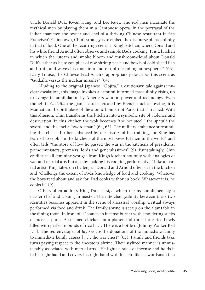Uncle Donald Duk, Kwan Kung, and Lee Kuey. The real men incarnate the mythical men by playing them in a Cantonese opera. In the portrayal of the father character, the owner and chef of a thriving Chinese restaurant in San Francisco's Chinatown, Chin's strategy is to embed the discourse of masculinity in that of food. One of the recurring scenes is King's kitchen, where Donald and his white friend Arnold often observe and sample Dad's cooking. It is a kitchen in which the "steam and smoke bloom and mushroom-cloud about Donald Duk's father as he tosses piles of raw shrimp paste and bowls of cold sliced fish and fruit, and waves his tools into and out of the roiling atmospheres" (63). Larry Louise, the Chinese Fred Astaire, appropriately describes this scene as "Godzilla versus the nuclear missiles" (64).

 Alluding to the original Japanese "Gojira," a cautionary tale against nuclear escalation, this image invokes a samurai-informed masculinity rising up to avenge its annihilation by America's wanton power and technology. Even though in *Godzilla* the giant lizard is created by French nuclear testing, it is Manhattan, the birthplace of the atomic bomb, not Paris, that is trashed. With this allusion, Chin transforms the kitchen into a symbolic site of violence and destruction. In this kitchen the wok becomes "the hot steel," the spatula the sword, and the chef a "swordsman" (64, 65). The military ambience surrounding this chef is further enhanced by the history of his training, for King has learned to cook "in the kitchens of the most powerful men in the world" and often tells "the story of how he passed the war in the kitchens of presidents, prime ministers, premiers, lords and generalissimos" (9). Painstakingly, Chin eradicates all feminine vestiges from King's kitchen not only with analogies of war and martial arts but also by making his cooking performative.7 Like a martial artist, King takes on challenges. Donald and Arnold often sit in the kitchen and "challenge the extent of Dad's knowledge of food and cooking. Whatever the boys read about and ask for, Dad cooks without a book. Whatever it is, he cooks it" (9).

 Others often address King Duk as *sifu,* which means simultaneously a master chef and a kung fu master. The interchangeability between these two identities becomes apparent in the scene of ancestral worship, a ritual always performed via food and drink. The family shrine is set up on the altar table in the dining room. In front of it "stands an incense burner with smoldering sticks of incense punk. A steamed chicken on a platter and three little rice bowls filled with perfect mounds of rice [. . .]. There is a bottle of Johnny Walker Red [...]. The red envelopes of *lay see* are the donations of the immediate family to immediate family causes [. . .], the war chest" (65). Family and friends take turns paying respect to the ancestors' shrine. Their stylized manner is unmistakably associated with martial arts. "He lights a stick of incense and holds it in his right hand and covers his right hand with his left, like a swordsman in a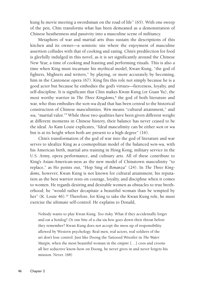kung fu movie meeting a swordsman on the road of life" (65). With one sweep of the pen, Chin transforms what has been demeaned as a demonstration of Chinese heathenness and passivity into a masculine scene of militancy.

 Metaphors of war and martial arts thus sustain the descriptions of this kitchen and its owner—a semiotic site where the enjoyment of masculine assertion colludes with that of cooking and eating. Chin's predilection for food is gleefully indulged in this novel, as it is set significantly around the Chinese New Year, a time of cooking and feasting and performing rituals. This is also a time when King must incarnate his mythical model, Kwan Kung, "the god of fighters, blighters and writers," by playing, or more accurately by becoming, him in the Cantonese opera (67). King fits this role not simply because he is a good actor but because he embodies the god's virtues—fierceness, loyalty, and self-discipline. It is significant that Chin makes Kwan Kung (or Guan Yu), the most worthy warrior in *The Three Kingdoms,*<sup>8</sup> the god of both literature and war, who thus embodies the *wen-wu* dyad that has been central to the historical construction of Chinese masculinities. *Wen* means "cultural attainment," and *wu,* "martial valor."9 While these two qualities have been given different weight at different moments in Chinese history, their balance has never ceased to be the ideal. As Kam Louie explicates, "Ideal masculinity can be either *wen* or *wu* but is at its height when both are present to a high degree" (16).

 Chin's transformation of the god of war into the god of literature and war serves to idealize King as a cosmopolitan model of the balanced *wen-wu,* with his American birth, martial arts training in Hong Kong, military service in the U.S. Army, opera performance, and culinary arts. All of these contribute to King's Asian-American-ness as the new model of Chinatown masculinity "to replace," as Ho points out, "Hop Sing of *Bonanza*" (24). In *The Three Kingdoms,* however, Kwan Kung is not known for cultural attainment; his reputation as the best warrior rests on courage, loyalty, and discipline when it comes to women. He regards desiring and desirable women as obstacles to true brotherhood; he "would rather decapitate a beautiful woman than be tempted by her" (K. Louie 46).<sup>10</sup> Therefore, for King to take the Kwan Kung role, he must exercise the ultimate self-control. He explains to Donald,

Nobody wants to play Kwan Kung. Too risky. What if they accidentally forget and eat a hotdog? Or one bite of a *cha siu bow* goes down their throat before they remember? Kwan Kung does not accept the mess up of responsibility allowed by Western psychology. Real men, real actors, real soldiers of the art don't lose control. Just like Doong the Tattooed Wrestler in *The Water Margin,* when the most beautiful woman in the empire [. . .] coos and croons all her seductive know-how on Doong, he never gives in and never forgets his mission. Never. (68)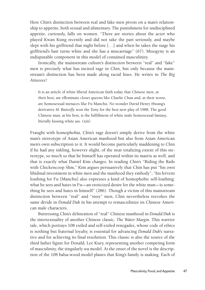Here Chin's distinction between real and fake men pivots on a man's relationship to appetite, both sexual and alimentary. The punishment for undisciplined appetite, curiously, falls on women. "There are stories about the actor who played Kwan Kung recently and did not take the part seriously, and maybe slept with his girlfriend that night before [. . .] and when he takes the stage his girlfriend's hair turns white and she has a miscarriage" (67). Misogyny is an indisputable component in this model of contained masculinity.

 Ironically, the mainstream culture's distinction between "real" and "fake" men is precisely what has incited rage in Chin, but only because the mainstream's distinction has been made along racial lines. He writes in *The Big Aiiieeeee!*

It is an article of white liberal American faith today that Chinese men, at their best, are effeminate closet queens like Charlie Chan and, at their worst, are homosexual menaces like Fu Manchu. No wonder David Henry Hwang's derivative *M. Butterfly* won the Tony for the best new play of 1988. The good Chinese man, at his best, is the fulfillment of white male homosexual fantasy, literally kissing white ass. (xiii)

Fraught with homophobia, Chin's rage doesn't simply derive from the white man's stereotype of Asian American manhood but also from Asian American men's own subscription to it. It would become particularly maddening to Chin if he had any inkling, however slight, of the near totalizing extent of this stereotype, so much so that he himself has operated within its matrix as well, and that is exactly what Daniel Kim charges. In reading Chin's "Riding the Rails with Chickencoop Slim," Kim argues persuasively that Chin has put "his own libidinal investment in white men and the manhood they embody"; "his fervent loathing for Fu [Manchu] also expresses a kind of homophobic self-loathing: what he sees and hates in Fu—an eroticized desire for the white man—is something he sees and hates in himself" (286). Though a victim of this mainstream distinction between "real" and "sissy" men, Chin nevertheless reevokes the same divide in *Donald Duk* in his attempt to remasculinize its Chinese American male characters.

 Buttressing Chin's delineation of "real" Chinese manhood in *Donald Duk* is the intertextuality of another Chinese classic, *The Water Margin.* This warrior tale, which portrays 108 exiled and self-exiled renegades, whose code of ethics is nothing but fraternal loyalty, is essential for advancing *Donald Duk*'s narrative and for achieving its final resolution. This classic is also the source of the third father figure for Donald, Lee Kuey, representing another competing form of masculinity, the singularly *wu* model. At the onset of the novel is the description of the 108 balsa-wood model planes that King's family is making. Each of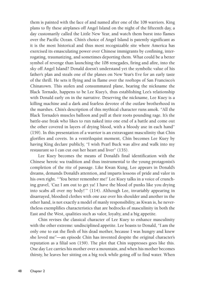them is painted with the face of and named after one of the 108 warriors. King plans to fly these airplanes off Angel Island on the night of the fifteenth day, a day customarily called the Little New Year, and watch them burst into flames over the Pacific Ocean. Chin's choice of Angel Island is patently significant as it is the most historical and thus most recognizable site where America has exercised its emasculating power over Chinese immigrants by confining, interrogating, traumatizing, and sometimes deporting them. What could be a better symbol of revenge than launching the 108 renegades, firing and afire, into the sky off Angel Island? Donald doesn't understand yet the symbolic value of his father's plan and steals one of the planes on New Year's Eve for an early taste of the thrill. He sets it flying and in flame over the rooftops of San Francisco's Chinatown. This stolen and consummated plane, bearing the nickname the Black Tornado, happens to be Lee Kuey's, thus establishing Lee's relationship with Donald early on in the narrative. Deserving the nickname, Lee Kuey is a killing machine and a dark and fearless devotee of the outlaw brotherhood in the marshes. Chin's description of this mythical character runs amok. "All the Black Tornado's muscles balloon and pull at their roots pounding rage. It's the battle-axe freak who likes to run naked into one end of a battle and come out the other covered in layers of drying blood, with a bloody axe in each hand" (159). In this presentation of a warrior is an extravagant masculinity that Chin glorifies and covets. In a ventriloquist moment, Chin becomes Lee Kuey by having King declare publicly, "I wish Pearl Buck was alive and walk into my restaurant so I can cut out her heart and liver" (135).

 Lee Kuey becomes the means of Donald's final identification with the Chinese heroic *wu* tradition and thus instrumental to the young protagonist's completion of the rite of passage. Like Kwan Kung, Lee appears in Donald's dreams, demands Donald's attention, and imparts lessons of pride and valor in his own right. " 'You better remember me!' Lee Kuey talks in a voice of crunching gravel, 'Cuz I am out to get ya! I have the blood of punks like you drying into scabs all over my body!" (114). Although Lee, invariably appearing in disarrayed, bloodied clothes with one axe over his shoulder and another in the other hand, is not exactly a model of manly responsibility, as Kwan is, he nevertheless exemplifies characteristics that are bedrocks of masculinity in both the East and the West, qualities such as valor, loyalty, and a big appetite.

 Chin revises the classical character of Lee Kuey to enhance masculinity with the other extreme: undisciplined appetite. Lee boasts to Donald, "I am the only one to eat the flesh of his dead mother, because I was hungry and knew she loved me"—an episode Chin has invented despite the original character's reputation as a filial son (159). The plot that Chin suppresses goes like this. One day Lee carries his mother over a mountain, and when his mother becomes thirsty, he leaves her sitting on a big rock while going off to find water. When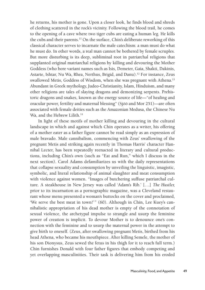he returns, his mother is gone. Upon a closer look, he finds blood and shreds of clothing scattered in the rock's vicinity. Following the blood trail, he comes to the opening of a cave where two tiger cubs are eating a human leg. He kills the cubs and their parents.11 On the surface, Chin's deliberate reworking of this classical character serves to incarnate the male catechism: a man must do what he must do. In other words, a real man cannot be bothered by female scruples. But more disturbing is its deep, subliminal root in patriarchal religions that supplanted original matriarchal religions by killing and devouring the Mother Goddess (who bore variant names such as Isis, Demeter, Gaia, Shakti, Dakinis, Astarte, Ishtar, Nu Wa, Rhea, Nerthus, Brigid, and Danu).<sup>12</sup> For instance, Zeus swallowed Metis, Goddess of Wisdom, when she was pregnant with Athena.<sup>13</sup> Abundant in Greek mythology, Judeo-Christianity, Islam, Hinduism, and many other religions are tales of slaying dragons and demonizing serpents. Prehistoric dragons and snakes, known as the energy source of life—"of healing and oracular power, fertility and maternal blessing" (Sjöö and Mor 251)—are often associated with female deities such as the Amazonian Medusa, the Chinese Nu Wa, and the Hebrew Lilith.<sup>14</sup>

 In light of these motifs of mother killing and devouring in the cultural landscape in which and against which Chin operates as a writer, his offering of a mother eater as a father figure cannot be read simply as an expression of male bravado. Male cannibalism, commencing with Zeus' swallowing of the pregnant Metis and striking again recently in Thomas Harris' character Hannibal Lecter, has been repeatedly reenacted in literary and cultural productions, including Chin's own (such as "Eat and Run," which I discuss in the next section). Carol Adams defamiliarizes us with the daily representations that collapse sexuality and consumption by unveiling the linguistic, imagistic, symbolic, and literal relationship of animal slaughter and meat consumption with violence against women. "Images of butchering suffuse patriarchal culture. A steakhouse in New Jersey was called 'Adam's Rib.' [. . .] *The Hustler,* prior to its incarnation as a pornographic magazine, was a Cleveland restaurant whose menu presented a woman's buttocks on the cover and proclaimed, 'We serve the best meat in town!'" (60). Although in Chin, Lee Kuey's cannibalistic appropriation of his dead mother is empty of the connotation of sexual violence, the archetypal impulse to strangle and usurp the feminine power of creation is implicit. To devour Mother is to denounce one's connection with the feminine and to usurp the maternal power in the attempt to give birth to oneself. (Zeus, after swallowing pregnant Metis, birthed from his head Athena, who became his mouthpiece. After killing Semele, the mother of his son Dionysus, Zeus sewed the fetus in his thigh for it to reach full term.) Chin furnishes Donald with four father figures that embody competing and yet overlapping masculinities. Their task is delivering him from his eroded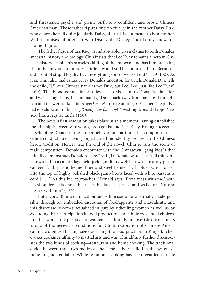and threatened psyche and giving birth to a confident and proud Chinese American man. These father figures find no rivalry in the mother Daisy Duk, who effaces herself quite jocularly. Daisy, after all, is not meant to be a mother. With its unisexual origin in Walt Disney, the Disney Duck family knows no mother figure.

 The father figure of Lee Kuey is indisputable, given claims to both Donald's ancestral history and biology. Chin insists that Lee Kuey remains a hero in Chinese history despite his senseless killing of the innocent and has him proclaim, "I am the only one to murder a little boy and still be counted a hero. Because I did it out of stupid loyalty [. . .], everything sort of worked out" (159–160). As it is, Chin also makes Lee Kuey Donald's ancestor, for Uncle Donald Duk tells the child, "[Y]our Chinese name is not Duk, but Lee, Lee, just like Lee Kuey" (160). This blood connection entitles Lee to his claim to Donald's education and well-being. Thus, he commands, "Don't back away from me, boy. I thought you and me were alike, kid. Anger! Hate! I thrive on it" (160). Then "he pulls a red envelope out of his bag. '*Goong hay fot choy*!' " wishing Donald Happy New Year like a regular uncle (160).

 The novel's first resolution takes place at this moment, having established the kinship between our young protagonist and Lee Kuey, having succeeded in schooling Donald in the proper behavior and attitude that comport to masculine conduct, and having forged an ethnic identity secured in the Chinese heroic tradition. Hence, near the end of the novel, Chin revisits the scene of male competition (Donald's encounter with the Chinatown "gang kids") that initially demonstrates Donald's "sissy" self (5). Donald watches a "tall thin Chinatown kid in a camouflage field jacket, military web belt with an army plastic canteen [. . .], plastic helmet-liner and steel helmet [. . .], blue jeans bloused into the top of highly polished black jump boots laced with white parachute cord [...]." As this kid approaches, "Donald says, 'Don't mess with me,' with his shoulders, his chest, his neck, his face, his eyes, and walks on. No one messes with him" (134).

 Both Donald's masculinization and ethnicization are partially made possible through an embedded discourse of food/appetite and masculinity, and this discourse becomes actualized in part by ridiculing women as well as by excluding their participation in food production and ethnic existential choices. In other words, the portrayal of women as culturally impoverished consumers is one of the necessary conditions for Chin's restoration of Chinese American male dignity. His language describing the food practices in King's kitchen evokes cooking's affinity to martial arts and war. This affinity further disassociates the two kinds of cooking—restaurant and home cooking. The traditional divide between these two modes of the same activity solidifies the system of value in gendered labor. While restaurant cooking has been regarded as male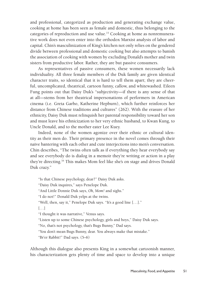and professional, categorized as production and generating exchange value, cooking at home has been seen as female and domestic, thus belonging to the categories of reproduction and use value.<sup>15</sup> Cooking at home as nonremunerative work does not even enter into the orthodox Marxist analysis of labor and capital. Chin's masculinization of King's kitchen not only relies on the gendered divide between professional and domestic cooking but also attempts to banish the association of cooking with women by excluding Donald's mother and twin sisters from productive labor. Rather, they are but passive consumers.

 As representatives of passive consumers, these women necessarily lack individuality. All three female members of the Duk family are given identical character traits, so identical that it is hard to tell them apart; they are cheerful, uncomplicated, theatrical, cartoon funny, callow, and whitewashed. Eileen Fung points out that Daisy Duk's "subjectivity—if there is any sense of that at all—stems from her theatrical impersonations of performers in American cinema (i.e. Greta Garbo, Katherine Hepburn), which further reinforces her distance from Chinese traditions and cultures" (262). With the erasure of her ethnicity, Daisy Duk must relinquish her parental responsibility toward her son and must leave his ethnicization to her very ethnic husband, to Kwan Kung, to Uncle Donald, and to the mother eater Lee Kuey.

 Indeed, none of the women agonize over their ethnic or cultural identity as their men do. Their primary presence in the novel comes through their naïve bantering with each other and cute interjections into men's conversation. Chin describes, "The twins often talk as if everything they hear everybody say and see everybody do is dialog in a memoir they're writing or action in a play they're directing.<sup>16</sup> This makes Mom feel like she's on stage and drives Donald Duk crazy."

"Is that Chinese psychology, dear?" Daisy Duk asks. "Daisy Duk inquires," says Penelope Duk. "And Little Donnie Duk says, *Oh, Mom!* and sighs." "I do not!" Donald Duk yelps at the twins. "Well, then, say it," Penelope Duk says. "It's a good line [. . .]." [. . .] "I thought it was narrative," Venus says. "Listen up to some Chinese psychology, girls and boys," Daisy Duk says. "No, that's not psychology, that's Bugs Bunny," Dad says. "You don't mean Bugs Bunny, dear. You always make that mistake." "Br'er Rabbit!" Dad says. (5–6)

Although this dialogue also presents King in a somewhat cartoonish manner, his characterization gets plenty of time and space to develop into a unique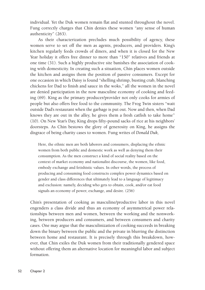individual. Yet the Duk women remain flat and stunted throughout the novel. Fung correctly charges that Chin denies these women "any sense of human authenticity" (263).

 As their characterization precludes much possibility of agency, these women serve to set off the men as agents, producers, and providers. King's kitchen regularly feeds crowds of diners, and when it is closed for the New Year holiday it offers free dinner to more than "150" relatives and friends at one time (31). Such a highly productive site banishes the association of cooking with domesticity. In creating such a situation, Chin places women outside the kitchen and assigns them the position of passive consumers. Except for one occasion in which Daisy is found "shelling shrimp, busting crab, blanching chickens for Dad to finish and sauce in the woks," all the women in the novel are denied participation in the now masculine economy of cooking and feeding (69). King as the primary producer/provider not only cooks for armies of people but also offers free food to the community. The Frog Twin sisters "wait outside Dad's restaurant when the garbage is put out. Now and then, when Dad knows they are out in the alley, he gives them a fresh catfish to take home" (10). On New Year's Day, King drops fifty-pound sacks of rice at his neighbors' doorsteps. As Chin bestows the glory of generosity on King, he assigns the disgrace of being charity cases to women. Fung writes of *Donald Duk,*

Here, the ethnic men are both laborers and consumers, displacing the ethnic women from both public and domestic work as well as denying them their consumption. As the men construct a kind of social reality based on the context of market economy and nationalist discourse, the women, like food, embody exchange and fetishistic values. In other words, the process of producing and consuming food constructs complex power dynamics based on gender and class differences that ultimately lead to a language of legitimacy and exclusion: namely, deciding who gets to obtain, cook, and/or eat food signals an economy of power, exchange, and desire. (256)

Chin's presentation of cooking as masculine/productive labor in this novel engenders a class divide and thus an economy of asymmetrical power relationships between men and women, between the working and the nonworking, between producers and consumers, and between consumers and charity cases. One may argue that the masculinization of cooking succeeds in breaking down the binary between the public and the private in blurring the distinction between home and restaurant. It is precisely through this breakdown, however, that Chin exiles the Duk women from their traditionally gendered space without offering them an alternative location for meaningful labor and subject formation.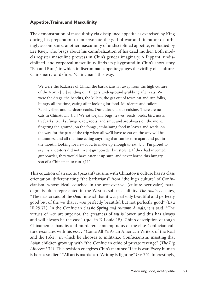## **Appetite, Trains, and Masculinity**

The demonstration of masculinity via disciplined appetite as exercised by King during his preparation to impersonate the god of war and literature disturbingly accompanies another masculinity of undisciplined appetite, embodied by Lee Kuey, who brags about his cannibalization of his dead mother. Both models register masculine prowess in Chin's gender imaginary. A flippant, undisciplined, and corporeal masculinity finds its playground in Chin's short story "Eat and Run," in which indiscriminate appetite gauges the virility of a culture. Chin's narrator defines "Chinaman" this way:

We were the badasses of China, the barbarians far away from the high culture of the North [. . .] sending our fingers underground grubbing after eats. We were the dregs, the bandits, the killers, the get out of town eat and run folks, hungry all the time, eating after looking for food. Murderers and sailors. Rebel yellers and hardcore cooks. Our culture is our cuisine. There are no cats in Chinatown. [. . .] We eat toejam, bugs, leaves, seeds, birds, bird nests, treebarks, trunks, fungus, rot, roots, and smut and are always on the move, fingering the ground, on the forage, embalming food in leaves and seeds, on the way, for the part of the trip when all we'll have to eat on the way will be mummies, and all the time eating anything that can be torn apart and put in the mouth, looking for new food to make up enough to eat. [. . .] I'm proud to say my ancestors did not invent gunpowder but stole it. If they had invented gunpowder, they would have eaten it up sure, and never borne this hungry son of a Chinaman to run. (11)

This equation of an exotic (peasant) cuisine with Chinatown culture has its class orientation, differentiating "the barbarians" from "the high culture" of Confucianism, whose ideal, couched in the *wen*-over-*wu* (culture-over-valor) paradigm, is often represented in the West as soft masculinity. *The Analects* states, "The master said of the *shao* [music] that it was perfectly beautiful and perfectly good but of the *wu* that it was perfectly beautiful but not perfectly good" (Lau III.25.71). In the Confucian classic *Spring and Autumn Annals,* it is said, "The virtues of *wen* are superior, the greatness of *wu* is lower, and this has always and will always be the case" (qtd. in K. Louie 18). Chin's description of tough Chinamen as bandits and murderers contemptuous of the elite Confucian culture resonates with his essay "Come All Ye Asian American Writers of the Real and the Fake," in which he chooses to militarize Confucianism, insisting that Asian children grow up with "the Confucian ethic of private revenge" (*The Big Aiiieeeee!* 34). This revision energizes Chin's mantras: "Life is war. Every human is born a soldier." "All art is martial art. Writing is fighting" (xv, 35). Interestingly,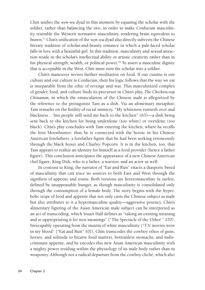Chin unifies the *wen-wu* dyad in this moment by equating the scholar with the soldier, rather than balancing the two, in order to make Confucian masculinity resemble the Western normative masculinity, rendering brain equivalent to brawn.17 Chin's unification of the *wen-wu* dyad also directly subverts the Chinese literary tradition of scholar-and-beauty romance in which a pale-faced scholar falls in love with a beautiful girl. In this tradition, masculinity and sexual attraction reside in the scholar's intellectual ability or artistic creativity rather than in his physical strength, wealth, or political power.<sup>18</sup> To assert a masculine dignity that is acceptable in the West, Chin must turn the scholar into a soldier.

 Chin's maneuver invites further meditation on food. If our cuisine is our culture and our culture is Confucian, then his logic follows that the way we eat is inseparable from the ethic of revenge and war. This masculinized complex of gender, food, and culture finds its precursor in Chin's play, *The Chickencoop Chinaman,* in which the emasculation of the Chinese male is allegorized by the reference to the protagonist Tam as a dish. Via an alimentary metaphor, Tam remarks on the futility of racial mimicry. "My whiteness runneth over and blackness . . . but people still send me back to the kitchen" (63)—a dish being sent back to the kitchen for being underdone (too white) or overdone (too black). Chin's play concludes with Tam entering the kitchen, where he recalls the Iron Moonhunter; thus he is connected with the heroic in his Chinese American forefathers, a forefather figure that he had been seeking erroneously through the black boxer and Charley Popcorn. It is in the kitchen, too, that Tam appears to realize an identity for himself as a food provider (hence a father figure). This conclusion anticipates the appearance of a new Chinese American chef figure, King Duk, who is a father, a warrior, and an actor as well.

 In contrast to King, the narrator of "Eat and Run" enacts a diasporic breed of masculinity that can trace its sources to both East and West through the signifiers of appetite and trains. Both versions are heteromasculine in surfeit, defined by unappeasable hunger, as though masculinity is consolidated only through the consumption of a female body. The story begins with the hyperbolic trope of food and appetite that not only casts the Chinese subject as male but also attributes to it a hypermasculine quality—aggressive potency. Chin's alimentary figuring of the Asian American male subject can be interpreted as an act of transcoding, which Stuart Hall defines as "taking an existing meaning and re-appropriating it for new meanings" ("The Spectacle of the 'Other' " 270). Inescapably operating from the maxim of white masculinity ("T.V. movies were in my blood" ["Eat and Run" 10]), Chin transcodes the cowboy ethos of guns, horses, and solitude to bizarre food matters, bottomless stomachs, and indiscriminate appetite, and he encodes this new Asian American masculinity with a mighty power residing within the physiology of its male body rather than in weaponry. Although not a radical departure from the cowboy cliché, which also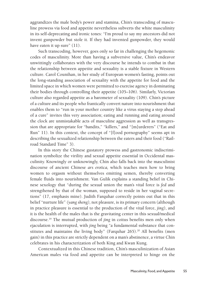aggrandizes the male body's power and stamina, Chin's transcoding of masculine prowess via food and appetite nevertheless subverts the white masculinity in its self-deprecating and ironic tones: "I'm proud to say my ancestors did not invent gunpowder but stole it. If they had invented gunpowder, they would have eaten it up sure" (11).

 Such transcoding, however, goes only so far in challenging the hegemonic codes of masculinity. More than having a subversive value, Chin's endeavor unwittingly collaborates with the very discourse he intends to combat in that the relationship between appetite and sexuality is a stable fixture in Western culture. Carol Counihan, in her study of European women's fasting, points out the long-standing association of sexuality with the appetite for food and the limited space in which women were permitted to exercise agency in dominating their bodies through controlling their appetite (105–106). Similarly, Victorian culture also regarded appetite as a barometer of sexuality (109). Chin's picture of a culture and its people who frantically convert nature into nourishment that enables them to "run in your mother country like a virus staying a step ahead of a cure" invites this very association; eating and running and eating around the clock are unmistakable acts of masculine aggression as well as transgression that are appropriate for "bandits," "killers," and "[m]urderers" ("Eat and Run" 11). In this context, the concept of "[f]ood pornography" seems apt in describing the sexualized relationship between the eaters and their food ("Railroad Standard Time" 3).

 In this story the Chinese gustatory prowess and gastronomic indiscrimination symbolize the virility and sexual appetite essential in Occidental masculinity. Knowingly or unknowingly, Chin also falls back into the masculinist discourse of ancient Chinese *ars erotica,* which teaches men how to bring women to orgasm without themselves emitting semen, thereby converting female fluids into nourishment. Van Gulik explains a standing belief in Chinese sexology that "during the sexual union the man's vital force is *fed* and strengthened by that of the woman, supposed to reside in her vaginal secretions" (17, emphasis mine). Judith Farquhar correctly points out that in this belief "nurture life" *(yang sheng),* not pleasure, is its primary concern (although in practice pleasure is essential to the production of the vital force, *jing*), and it is the health of the males that is the gravitating center in this sexual/medical discourse.19 The mutual production of *jing* in coitus benefits men only when ejaculation is interrupted, with *jing* being "a fundamental substance that constitutes and maintains the living body" (Farquhar 265).<sup>20</sup> All benefits (men gain) in this practice are strictly dependent on a man's abstinence, a virtue Chin celebrates in his characterization of both King and Kwan Kung.

 Contextualized in this Chinese tradition, Chin's masculinization of Asian American males via food and appetite can be interpreted to hinge on the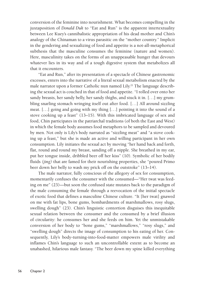conversion of the feminine into nourishment. What becomes compelling in the juxtaposition of *Donald Duk* to "Eat and Run" is the apparent intertextuality between Lee Kuey's cannibalistic appropriation of his dead mother and Chin's analogy of the Chinaman to a virus parasitic on the "mother country." Implicit in the gendering and sexualizing of food and appetite is a not-all-metaphorical subthesis that the masculine consumes the feminine (nature and women). Here, masculinity takes on the forms of an unappeasable hunger that devours whatever lies in its way and of a tough digestive system that metabolizes all that it encounters.

 "Eat and Run," after its presentation of a spectacle of Chinese gastronomic excesses, enters into the narrative of a literal sexual metabolism enacted by the male narrator upon a former Catholic nun named Lily.<sup>21</sup> The language describing the sexual act is couched in that of food and appetite. "I rolled over onto her sandy breasts, her sandy belly, her sandy thighs, and stuck it in. [. . .] my grumbling snarling stomach wringing itself out after food. [. . .] All around sizzling meat. [. . .] going and going with my thing [. . .] pointing it into the sound of a stove cooking up a feast" (13–15). With this imbricated language of sex and food, Chin participates in the patriarchal traditions (of both the East and West) in which the female body assumes food metaphors to be sampled and devoured by men. Not only is Lily's body narrated as "sizzling meat" and "a stove cooking up a feast," but she is made an active and willing participant in her own consumption. Lily initiates the sexual act by moving "her hand back and forth, flat, round and round my breast, sanding off a nipple. She breathed in my ear, put her tongue inside, dribbled beer off her kiss" (10). Symbolic of her bodily fluids *(jing)* that are famed for their nourishing properties, she "poured Primo beer down her belly to wash my prick off on the outstroke" (13–14).

 The male narrator, fully conscious of the allegory of sex for consumption, momentarily confuses the consumer with the consumed—"Her twat was feeding on me" (23)—but soon the confused state mutates back to the paradigm of the male consuming the female through a reevocation of the initial spectacle of exotic food that defines a masculine Chinese culture. "It [her twat] gnawed on me with fat lips, bone gums, bombardments of marshmallows, rosy slugs, swelling dough" (23). Chin's linguistic contortion disguises this inequitable sexual relation between the consumer and the consumed by a brief illusion of circularity: he consumes her and she feeds on him. Yet the unmistakable conversion of her body to "bone gums," "marshmallows," "rosy slugs," and "swelling dough" directs the image of consumption to his eating of her. Consequently, Lily's body-turning-into-food-matter empowers male virility and inflames Chin's language to such an uncontrollable extent as to become an unabashed, hilarious male fantasy. "The beer down my spine killed everything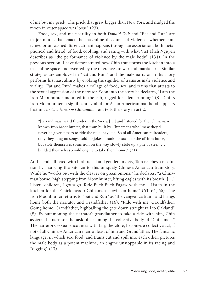of me but my prick. The prick that grew bigger than New York and nudged the moon in outer space was loose" (23).

 Food, sex, and male virility in both *Donald Duk* and "Eat and Run" are major motifs that enact the masculine discourse of violence, whether contained or unleashed. Its enactment happens through an association, both metaphorical and literal, of food, cooking, and eating with what Viet Thah Nguyen describes as "the performance of violence by the male body" (134). In the previous section, I have demonstrated how Chin transforms the kitchen into a masculine space underscored by the references to war and martial arts. Similar strategies are employed in "Eat and Run," and the male narrator in this story performs his masculinity by evoking the signifier of trains as male violence and virility. "Eat and Run" makes a collage of food, sex, and trains that attests to the sexual aggression of the narrator. Soon into the story he declares, "I am the Iron Moonhunter mounted in the cab, rigged for silent running" (8). Chin's Iron Moonhunter, a significant symbol for Asian American manhood, appears first in *The Chickencoop Chinaman.* Tam tells the story in act 2:

"[G]randmaw heard thunder in the Sierra [. . .] and listened for the Chinamanknown Iron Moonhunter, that train built by Chinamans who knew they'd never be given passes to ride the rails they laid. So of all American railroaders, only they sung no songs, told no jokes, drank no toasts to the ol' iron horse, but stole themselves some iron on the way, slowly stole up a pile of steel [. . .] builded themselves a wild engine to take them home." (31)

At the end, afflicted with both racial and gender anxiety, Tam reaches a resolution by marrying the kitchen to this uniquely Chinese American train story. While he "works out with the cleaver on green onions," he declares, "a Chinaman borne, high stepping Iron Moonhunter, lifting eagles with its breath! [. . .] Listen, children, I gotta go. Ride Buck Buck Bagaw with me...Listen in the kitchen for the Chickencoop Chinaman slowin on home" (63, 65, 66). The Iron Moonhunter returns to "Eat and Run" as "the vengeance train" and brings home both the narrator and Grandfather (16). "Ride with me, Grandfather. Going home, Grandfather, highballing the gate down straight rail to Oakland" (8). By summoning the narrator's grandfather to take a ride with him, Chin assigns the narrator the task of assuming the collective body of "Chinamen." The narrator's sexual encounter with Lily, therefore, becomes a collective act, if not of all Chinese American men, at least of him and Grandfather. The fantastic language, in which sex, food, and trains cut and spill into each other, pictures the male body as a potent machine, an engine unstoppable in its racing and "digging" (13).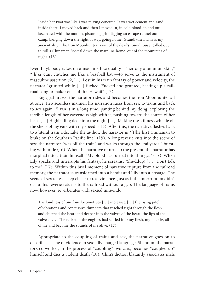Inside her twat was like I was mixing concrete. It was wet cement and sand inside there. I moved back and then I moved in, in cold blood, in and out, fascinated with the motion, pistoning grit, digging an escape tunnel out of camp, banging down the right of way, going home, Grandfather. This is my ancient ship. The Iron Moonhunter is out of the devil's roundhouse, called out to roll a Chinaman Special down the mainline home, out of the mountains of night. (13)

Even Lily's body takes on a machine-like quality—"her oily aluminum skin," "[h]er cunt clutches me like a baseball bat"—to serve as the instrument of masculine assertion (9, 14). Lost in his train fantasy of power and velocity, the narrator "grunted while [. . .] fucked. Fucked and grunted, beating up a railroad song to make sense of this Hawaii" (13).

 Engaged in sex, the narrator rides and becomes the Iron Moonhunter all at once. In a seamless manner, his narration races from sex to trains and back to sex again. "I ran it in a long time, panting behind my dong, exploring the terrible length of her cavernous sigh with it, pushing toward the source of her heat. [. . .] Highballing deep into the night [. . .]. Making the stillness whistle off the shells of my ears with my speed" (15). After this, the narrative flashes back to a literal train ride. Like the author, the narrator is "[t]he first Chinaman to brake on the Southern Pacific line" (15). A long reverie cuts into the scene of sex: the narrator "was off the train" and walks through the "railyards," bursting with pride (16). When the narrative returns to the present, the narrator has morphed into a train himself. "My blood has turned into thin gas" (17). When Lily speaks and interrupts his fantasy, he screams, "Shuddup! [...] Don't talk to me" (17). Within this brief moment of narrative rupture from the railroad memory, the narrator is transformed into a bandit and Lily into a hostage. The scene of sex takes a step closer to real violence. Just as if the interruption didn't occur, his reverie returns to the railroad without a gap. The language of trains now, however, reverberates with sexual innuendo.

The loudness of our four locomotives [. . .] increased [. . .] the rising pitch of vibrations and concussive thunders that reached right through the flesh and clutched the heart and deeper into the valves of the heart, the lips of the valves. [. . .] The racket of the engines had settled into my flesh, my muscle, all of me and become the sounds of me alive. (17)

 Appropriate to the coupling of trains and sex, the narrative goes on to describe a scene of violence in sexually charged language. Shannon, the narrator's co-worker, in the process of "coupling" two cars, becomes "coupled up" himself and dies a violent death (18). Chin's diction blatantly associates male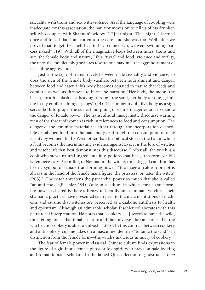sexuality with trains and sex with violence. As if the language of coupling were inadequate for this association, the narrator moves on to tell us of his drunken self who couples with Shannon's widow. "[T]hat night! That night! I learned once and for all that I am rotten to the core, and she was too. Well, after we proved that, to get the smell [. . .] to [. . .] come clean, we went swimming bareass naked" (19). With all of the imaginative leaps between times, trains and sex, the female body and nature, Lily's "twat" and food, violence and virility, the narrative predictably gravitates toward one maxim—the aggrandizement of masculine aggression.

 Just as the sign of trains travels between male sexuality and violence, so does the sign of the female body vacillate between nourishment and danger, between food and eater. Lily's body becomes equated to nature that feeds and comforts as well as threatens to harm the narrator. "Her body, the moon, the beach, breath, splash, sea heaving, through the sand, her body all one, grinding in my euphoric hunger pangs" (14). The ambiguity of Lily's body as a sign serves both to propel the surreal morphing of Chin's imageries and to denote the danger of female power. The transcultural misogynistic discourse warning men of the threat of women is rich in references to food and consumption. The danger of the feminine materializes either through the incorporation of inedible or tabooed food into the male body or through the consumption of male virility by women. In the West, other than the biblical story of the Fall in which a fruit becomes the incriminating evidence against Eve, it is the lore of witches and witchcraft that best demonstrates this discourse.<sup>22</sup> After all, the witch is a cook who stews natural ingredients into potions that heal, transform, or kill when necessary. According to Neumann, the witch's three-legged cauldron has been a symbol of female transforming power; "the magical caldron or pot is always in the hand of the female mana figure, the priestess, or, later, the witch" (288).23 The witch threatens the patriarchal power so much that she is called "an anti-cook" (Fischler 284). Only in a culture in which female transforming power is feared is there a frenzy to identify and eliminate witches. Their shamanic practices have presented such peril to the male institutions of medicine and cuisine that witches are perceived as a diabolic antithesis to health and epicurism. Although an admirable scholar, Fischler collaborates with this patriarchal interpretation. He notes that "cookery [. . .] serves to tame the wild, threatening forces that inhabit nature and the universe, the same ones that the witch's anti-cookery is able to unleash" (285). In this contrast between cookery and anticookery, cuisine takes on a masculine identity ("to tame the wild") in distinction from the female form—the witch's malicious mimicry of cookery.

 The fear of female power in classical Chinese culture finds expressions in the figure of a glutinous female ghost or fox spirit who preys on pale-looking and romantic male scholars. In the famed Qin collection of ghost tales, *Liao*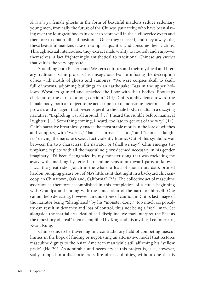*zhai zhi yi,* female ghosts in the form of beautiful maidens seduce sedentary young men, ironically the future of the Chinese patriarchy, who have been slaving over the four great books in order to score well in the civil service exam and therefore to obtain official positions. Once they succeed, and they always do, these beautiful maidens take on vampiric qualities and consume their victims. Through sexual intercourse, they extract male virility to nourish and empower themselves, a fact frighteningly antithetical to traditional Chinese *ars erotica* that values the very opposite.

 Straddling both Eastern and Western cultures and their mythical and literary traditions, Chin projects his misogynous fear in infusing the description of sex with motifs of ghosts and vampires. "We were corpses skull to skull, full of worms, adjoining buildings in an earthquake. Bats in the upper hollows. Wrestlers grunted and smacked the floor with their bodies. Footsteps click out of the dark of a long corridor" (14). Chin's ambivalence toward the female body, both an object to be acted upon to demonstrate heteromasculine prowess and an agent that presents peril to the male body, results in a dizzying narrative. "Exploding war all around. [. . .] I heard the rumble before maniacal laughter. [...] Something coming, I heard, too late to get out of the way" (14). Chin's narrative breathlessly enacts the most staple motifs in the lore of witches and vampires, with "worms," "bats," "corpses," "skull," and "maniacal laughter" driving the narrator's sexual act violently frantic. Out of this symbolic war between the two characters, the narrator or (shall we say?) Chin emerges triumphant, replete with all the masculine glory deemed necessary in his gender imaginary. "I'd been Shanghaied by my monster dong that was rocketing me away with one long hysterical streamline sensation toward parts unknown. I was the great rider, Jonah in the whale, a load of shot in my dad's primed hardon pumping grease out of Ma's little cunt that night in a backyard chickencoop, in Chinatown, Oakland, California" (23). The collective act of masculine assertion is therefore accomplished in this completion of a circle beginning with Grandpa and ending with the conception of the narrator himself. One cannot help detecting, however, an undertone of caution in Chin's last image of the narrator being "Shanghaied" by his "monster dong." Too much corporeality can result in deviancy and loss of control, thus not being a "real" man. Set alongside the martial arts ideal of self-discipline, we may interpret the East as the repository of "real" men exemplified by King and his mythical counterpart, Kwan Kung.

 Chin seems to be traversing in a contradictory field of competing masculinities in the hope of finding or negotiating an alternative model that restores masculine dignity to the Asian American man while still affirming his "yellow pride" (Ho 29). As admirable and necessary as this project is, it is, however, sadly trapped in a diasporic cross fire of masculinities, without one that is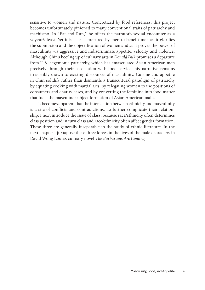sensitive to women and nature. Concretized by food references, this project becomes unfortunately pinioned to many conventional traits of patriarchy and machismo. In "Eat and Run," he offers the narrator's sexual encounter as a voyeur's feast. Yet it is a feast prepared by men to benefit men as it glorifies the submission and the objectification of women and as it proves the power of masculinity via aggressive and indiscriminate appetite, velocity, and violence. Although Chin's beefing up of culinary arts in *Donald Duk* promises a departure from U.S. hegemonic patriarchy, which has emasculated Asian American men precisely through their association with food service, his narrative remains irresistibly drawn to existing discourses of masculinity. Cuisine and appetite in Chin solidify rather than dismantle a transcultural paradigm of patriarchy by equating cooking with martial arts, by relegating women to the positions of consumers and charity cases, and by converting the feminine into food matter that fuels the masculine subject formation of Asian American males.

 It becomes apparent that the intersection between ethnicity and masculinity is a site of conflicts and contradictions. To further complicate their relationship, I next introduce the issue of class, because race/ethnicity often determines class position and in turn class and race/ethnicity often affect gender formation. These three are generally inseparable in the study of ethnic literature. In the next chapter I juxtapose these three forces in the lives of the male characters in David Wong Louie's culinary novel *The Barbarians Are Coming.*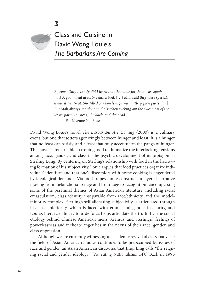

# Class and Cuisine in David Wong Louie's *The Barbarians Are Coming*

*Pigeons. Only recently did I learn that the name for them was squab.*  [*. . .*] *A good meal at forty cents a bird.* [*. . .*] *Mah said they were special, a nutritious treat. She filled our bowls high with little pigeon parts.* [*. . .*] *But Mah always sat alone in the kitchen sucking out the sweetness of the lesser parts: the neck, the back, and the head.* —Fae Myenne Ng, *Bone*

David Wong Louie's novel *The Barbarians Are Coming* (2000) is a culinary event, but one that totters agonizingly between hunger and feast. It is a hunger that no feast can satisfy, and a feast that only accentuates the pangs of hunger. This novel is remarkable in troping food to dramatize the interlocking tensions among race, gender, and class in the psychic development of its protagonist, Sterling Lung. By centering on Sterling's relationship with food in the harrowing formation of his subjectivity, Louie argues that food practices organize individuals' identities and that one's discomfort with home cooking is engendered by ideological demands. Via food tropes Louie constructs a layered narrative moving from melancholia to rage and from rage to recognition, encompassing some of the perennial themes of Asian American literature, including racial emasculation, class identity inseparable from race/ethnicity, and the modelminority complex. Sterling's self-alienating subjectivity is articulated through his class inferiority, which is laced with ethnic and gender insecurity, and Louie's literary, culinary tour de force helps articulate the truth that the social etiology behind Chinese American men's (Genius' and Sterling's) feelings of powerlessness and inchoate anger lies in the nexus of their race, gender, and class oppression.

Although we are currently witnessing an academic revival of class analysis, $<sup>1</sup>$ </sup> the field of Asian American studies continues to be preoccupied by issues of race and gender, an Asian American discourse that Jinqi Ling calls "the reigning racial and gender ideology" (Narrating Nationalisms 14).<sup>2</sup> Back in 1995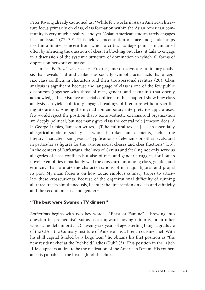Peter Kwong already cautioned us, "While few works in Asian American literature focus primarily on class, class formation within the Asian American community is very much a reality," and yet "Asian American studies rarely engages it as an issue" (77, 79). This field's concentration on race and gender traps itself in a limited concern from which a critical vantage point is maintained often by silencing the question of class. In blocking out class, it fails to engage in a discussion of the systemic structure of domination in which all forms of oppression network en masse.

 In *The Political Unconscious*, Fredric Jameson advocates a literary analysis that reveals "cultural artifacts as socially symbolic acts," acts that allegorize class conflicts in characters and their transpersonal realities (20). Class analysis is significant because the language of class is one of the few public discourses (together with those of race, gender, and sexuality) that openly acknowledge the existence of social conflicts. In this chapter I show how class analysis can yield politically engaged readings of literature without sacrificing literariness. Among the myriad contemporary interpretative apparatuses, few would reject the position that a text's aesthetic exercise and organization are deeply political, but not many give class the central role Jameson does. À la George Lukács, Jameson writes, "[T]he cultural text is [. . .] an essentially allegorical model of society as a whole, its tokens and elements, such as the literary 'character,' being read as 'typifications' of elements on other levels, and in particular as figures for the various social classes and class fractions" (33). In the context of *Barbarians*, the lives of Genius and Sterling not only serve as allegories of class conflicts but also of race and gender struggles, for Louie's novel exemplifies remarkably well the crosscurrents among class, gender, and ethnicity that saturate the characterizations of its major figures and propel its plot. My main focus is on how Louie employs culinary tropes to articulate these crosscurrents. Because of the organizational difficulty of running all three tracks simultaneously, I center the first section on class and ethnicity and the second on class and gender.<sup>3</sup>

#### **"The best were Swanson TV dinners"**

*Barbarians* begins with two key words—"Feast or Famine"—throwing into question its protagonist's status as an upward-moving minority, or in other words a model minority (3). Twenty-six years of age, Sterling Lung, a graduate of the CIA—the Culinary Institute of America—is a French cuisine chef. With his skill capital funded by a large loan,<sup>4</sup> he obtains his first position as "the new resident chef at the Richfield Ladies Club" (3). This position in the [r]ich [f]ield appears at first to be the realization of the American Dream. His exuberance is palpable at the first sight of the club.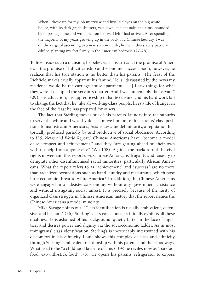When I drove up for my job interview and first laid eyes on the big white house, with its dark green shutters, vast lawn, ancient oaks and elms, bounded by imposing stone and wrought-iron fences, I felt I had arrived. After spending the majority of my years growing up in the back of a Chinese laundry, I was on the verge of ascending to a new station in life, home in this stately patrician edifice, planting my feet firmly in the American bedrock. (27–28)

To live inside such a mansion, he believes, is his arrival at the promise of America—the promise of full citizenship and economic success. Soon, however, he realizes that his true station is no better than his parents'. The feast of the Richfield makes cruelly apparent his famine. He is "devastated by the news my residence would be the carriage house apartment. [. . .] I saw things for what they were. I occupied the servant's quarter. And I was undeniably the servant" (29). His education, his apprenticeship in haute cuisine, and his hard work fail to change the fact that he, like all working-class people, lives a life of hunger in the face of the feast he has prepared for others.

 The fact that Sterling moves out of his parents' laundry into the suburbs to serve the white and wealthy doesn't move him out of his parents' class position. To mainstream Americans, Asians are a model minority, a reputation historically produced partially by and productive of social obedience. According to U.S. News and World Report,<sup>5</sup> Chinese Americans have "become a model of self-respect and achievement," and they "are getting ahead on their own with no help from anyone else" (Wu 158). Against the backdrop of the civil rights movement, this report uses Chinese Americans' frugality and tenacity to denigrate other disenfranchised racial minorities, particularly African Americans. What the report refers to as "achievement" and "success" are no more than racialized occupations such as hand laundry and restaurants, which pose little economic threat to white America.<sup>6</sup> In addition, the Chinese Americans were engaged in a subsistence economy without any government assistance and without instigating social unrest. It is precisely because of the rarity of organized class struggle in Chinese American history that the report names the Chinese Americans a model minority.

 Mike Savage points out, "Class identification is usually ambivalent, defensive, and hesitant" (36). Sterling's class consciousness initially exhibits all these qualities. He is ashamed of his background, quietly bitter in the face of injustice, and desires power and dignity via the socioeconomic ladder. As in most immigrants' class identification, Sterling's is inextricably intertwined with his discomfort in his ethnicity. Louie shows this complex of class and ethnicity through Sterling's ambivalent relationship with his parents and their foodways. What used to be "a childhood favorite of" his (104) he reviles now as "barefoot food, eat-with-stick food" (75). He opens his parents' refrigerator to expose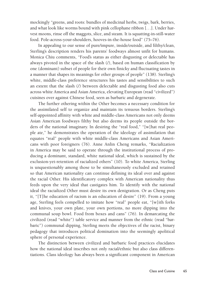mockingly "greens, and roots: bundles of medicinal herbs, twigs, bark, berries, and what look like worms bound with pink cellophane ribbon [. . .]. Under harvest moons, rinse off the maggots, slice, and steam. It is squatting-in-still-water food. Pole-across-your-shoulders, hooves-in-the-house food" (75–76).

 In appealing to our sense of pure/impure, inside/outside, and filthy/clean, Sterling's description renders his parents' foodways almost unfit for humans. Monica Chiu comments, "Food's status as either disgusting or delectable has always pivoted in the space of the slash (/), based on human classification by one (dominant) subset of people for their own finicky and fluctuating tastes in a manner that shapes its meanings for other groups of people" (138). Sterling's white, middle-class preference structures his tastes and sensibilities to such an extent that the slash (/) between delectable and disgusting food also cuts across white America and Asian America, elevating European (read "civilized") cuisines over against Chinese food, seen as barbaric and degenerate.

 The further othering within the Other becomes a necessary condition for the assimilated self to organize and maintain its tenuous borders. Sterling's self-appointed affinity with white and middle-class Americans not only deems Asian American foodways filthy but also deems its people outside the borders of the national imaginary. In desiring the "real food," "[w]hat real people ate," he demonstrates the operation of the ideology of assimilation that equates "real" people with white middle-class Americans and Asian Americans with poor foreigners (76). Anne Anlin Cheng remarks, "Racialization in America may be said to operate through the institutional process of producing a dominant, standard, white national ideal, which is sustained by the exclusion-yet-retention of racialized others" (10). To white America, Sterling is unquestionably among those to be simultaneously excluded and retained so that American nationality can continue defining its ideal over and against the racial Other. His identificatory complex with American nationality thus feeds upon the very ideal that castigates him. To identify with the national ideal the racialized Other must desire its own denigration. Or as Cheng puts it, "[T]he education of racism is an education of desire" (19). From a young age, Sterling feels compelled to imitate how "real" people eat, "[w]ith forks and knives, your own plate, your own portions, no more dipping into the communal soup bowl. Food from boxes and cans" (76). In demarcating the civilized (read "white") table service and manner from the ethnic (read "barbaric") communal dipping, Sterling meets the objectives of the racist, binary pedagogy that introduces political domination into the seemingly apolitical sphere of personal experience.

 The distinction between civilized and barbaric food practices elucidates how the national ideal inscribes not only racial/ethnic but also class differentiations. Class ideology has always been a significant component in American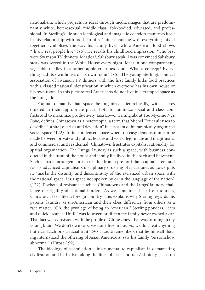nationalism, which projects its ideal through media images that are predominantly white, heterosexual, middle class, able-bodied, educated, and professional. In Sterling's life such ideological and imagistic coercion manifests itself in his relationship with food. To him Chinese cuisine with everything mixed together symbolizes the way his family lives, while American food shows "[h]ow real people live" (76). He recalls his childhood impression: "The best were Swanson TV dinners. Meatloaf, Salisbury steak. I was convinced Salisbury steak was served in the White House every night. Meat in one compartment, vegetable medley in another, apple crisp next door. What a concept! Everything had its own house or its own room" (76). The young Sterling's comical association of Swanson TV dinners with the first family links food practices with a classed national identification in which everyone has his own house or his own room. In this picture real Americans do not live in a cramped space as the Lungs do.

 Capital demands that space be organized hierarchically, with classes ordered in their appropriate places both to minimize social and class conflicts and to maximize productivity. Lisa Lowe, writing about Fae Myenne Ng's *Bone*, defines Chinatown as a heterotopia, a term that Michel Foucault uses to describe "[a site] of crisis and deviation" in a system of hierarchically organized social space (122). In its condensed space where no easy demarcation can be made between private and public, leisure and work, legitimate and illegitimate, and commercial and residential, Chinatown frustrates capitalist rationality for spatial organization. The Lungs' laundry is such a space, with business conducted in the front of the house and family life lived in the back and basement. Such a spatial arrangement is a residue from a pre- or infant capitalist era and resists advanced capitalism's disciplinary ordering of space and, as Lowe puts it, "marks the disunity and discontinuity of the racialized urban space with the national space. It's a space not spoken by or in the language of the nation" (122). Pockets of resistance such as Chinatowns and the Lungs' laundry challenge the rigidity of national borders. As we sometimes hear from tourists, Chinatown feels like a foreign country. This explains why Sterling regards his parents' laundry as un-American and their class difference from others as a race matter. "Oh, the privilege of being an American," Sterling ponders, "cars and quick escapes! Until I was fourteen or fifteen my family never owned a car. That fact was consistent with the profile of Chineseness that was forming in my young brain: We don't own cars, we don't live in houses, we don't eat anything but rice. Each one a racial trait" (45). Louie remembers that he himself, having internalized the othering of Asian Americans, saw his family "as somehow abnormal" (Hirose 199).

 The ideology of assimilation is instrumental to capitalism in demarcating civilization and barbarism along the lines of class and race/ethnicity based on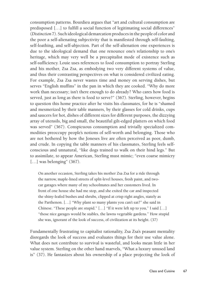consumption patterns. Bourdieu argues that "art and cultural consumption are predisposed [. . .] to fulfill a social function of legitimating social differences" (*Distinction* 7). Such ideological demarcation produces in the people of color and the poor a self-alienating subjectivity that is manifested through self-faulting, self-loathing, and self-abjection. Part of the self-alienation one experiences is due to the ideological demand that one renounce one's relationship to one's heritage, which may very well be a precapitalist mode of existence such as self-sufficiency. Louie uses references to food consumption to portray Sterling and his mother, Zsa Zsa, as embodying two very different systems of value, and thus their contrasting perspectives on what is considered civilized eating. For example, Zsa Zsa never wastes time and money on serving dishes, but serves "English muffins" in the pan in which they are cooked. "Why do more work than necessary; isn't there enough to do already? Who cares how food is served, just as long as there is food to serve?" (367). Sterling, however, begins to question this home practice after he visits his classmates, for he is "shamed and mesmerized by their table manners, by their glasses for cold drinks, cups and saucers for hot, dishes of different sizes for different purposes, the dizzying array of utensils, big and small, the beautiful gilt-edged platters on which food was served" (367). Conspicuous consumption and trivially specialized commodities preoccupy people's notions of self-worth and belonging. Those who are not bothered by how the Joneses live are often perceived as poor, dumb, and crude. In copying the table manners of his classmates, Sterling feels selfconscious and unnatural, "like dogs trained to walk on their hind legs." But to assimilate, to appear American, Sterling must mimic; "even coarse mimicry [...] was belonging" (367).

On another occasion, Sterling takes his mother Zsa Zsa for a ride through the narrow, maple-lined streets of split-level houses, fresh paint, and twocar garages where many of my schoolmates and her customers lived. In front of one house she had me stop, and she exited the car and inspected the shiny-leafed bushes and shrubs, clipped at crisp right angles, stately as the Parthenon. [. . .] "Why plant so many plants you can't eat?" she said in Chinese. "These people are stupid." [. . .] "If it were left up to you," I said [. . .] "those nice garages would be stables, the lawns vegetable gardens." How stupid she was, ignorant of the look of success, of civilization at its height. (37)

Fundamentally frustrating to capitalist rationality, Zsa Zsa's peasant mentality disregards the look of success and evaluates things for their use value alone. What does not contribute to survival is wasteful, and looks mean little in her value system. Sterling on the other hand marvels, "What a luxury unused land is" (37). He fantasizes about his ownership of a place projecting the look of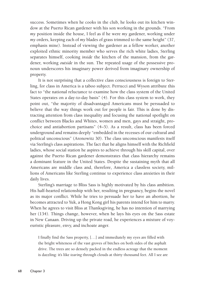success. Sometimes when he cooks in the club, he looks out its kitchen window at the Puerto Rican gardener with his son working in the grounds. "From *my* position inside the house, I feel as if he were *my* gardener, working under *my* orders, keeping each of *my* blades of grass trimmed to the same height" (37, emphasis mine). Instead of viewing the gardener as a fellow worker, another exploited ethnic minority member who serves the rich white ladies, Sterling separates himself, cooking *inside* the kitchen of the mansion, from the gardener, working *outside* in the sun. The repeated usage of the possessive pronoun underscores his imaginary power derived from imaginary ownership of property.

 It is not surprising that a collective class consciousness is foreign to Sterling, for class in America is a taboo subject. Perrucci and Wyson attribute this fact to "the national reluctance to examine how the class system of the United States operates on a day-to-day basis" (4). For this class system to work, they point out, "the majority of disadvantaged Americans must be persuaded to believe that the way things work out for people is fair. This is done by distracting attention from class inequality and focusing the national spotlight on conflict between Blacks and Whites, women and men, gays and straight, prochoice and antiabortion partisans" (4–5). As a result, class has been forced underground and remains deeply "embedded in the recesses of our cultural and political unconscious" (Aronowitz 30). The class unconscious manifests itself via Sterling's class aspirations. The fact that he aligns himself with the Richfield ladies, whose social station he aspires to achieve through his skill capital, over against the Puerto Rican gardener demonstrates that class hierarchy remains a dominant feature in the United States. Despite the sustaining myth that all Americans are middle class and, therefore, America a classless society, millions of Americans like Sterling continue to experience class anxieties in their daily lives.

 Sterling's marriage to Bliss Sass is highly motivated by his class ambition. His half-hearted relationship with her, resulting in pregnancy, begins the novel as its major conflict. While he tries to persuade her to have an abortion, he becomes attracted to Yuk, a Hong Kong girl his parents intend for him to marry. When he agrees to visit Bliss at Thanksgiving, he has no intention of marrying her (134). Things change, however, when he lays his eyes on the Sass estate in New Canaan. Driving up the private road, he experiences a mixture of voyeuristic pleasure, envy, and inchoate anger.

I finally find the Sass property, [. . .] and immediately my eyes are filled with the bright whiteness of the vast groves of birches on both sides of the asphalt drive. The trees are so densely packed in the endless acreage that the moment is dazzling: it's like *tearing* through clouds at thirty thousand feet. All I see are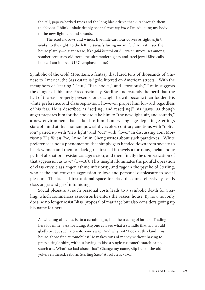the tall, papery-barked trees and the long black drive that *cuts* through them to *oblivion.* I blink, inhale deeply, *set and reset my jaws:* I'm adjusting my body to the new light, air, and sounds.

 The road narrows and winds, five-mile-an-hour curves as tight as *fish hooks,* to the right, to the left, *tortuously* luring me in. [. . .] At last, I see the house plainly—a giant tease, like *gold littered on American streets,* set among somber centuries-old trees, the ultramodern glass-and-steel jewel Bliss calls home. I am in love! (137, emphasis mine)

Symbolic of the Gold Mountain, a fantasy that lured tens of thousands of Chinese to America, the Sass estate is "gold littered on American streets." With the metaphors of "tearing," "cut," "fish hooks," and "tortuously," Louie suggests the danger of this lure. Preconsciously, Sterling understands the peril that the bait of the Sass property presents: once caught he will become their fodder. His white preference and class aspiration, however, propel him forward regardless of his fear. He is described as "set[ing] and reset[ing]" his "jaws" as though anger prepares him for the hook to take him to "the new light, air, and sounds," a new environment that is fatal to him. Louie's language depicting Sterling's state of mind at this moment powerfully evokes contrary emotions with "oblivion" paired up with "new light" and "cut" with "love." In discussing Toni Morrison's *The Bluest Eye,* Anne Anlin Cheng writes about such paradoxes: "White preference is not a phenomenon that simply gets handed down from society to black women and then to black girls; instead it travels a tortuous, melancholic path of alienation, resistance, aggression, and then, finally the domestication of that aggression as love" (17–18). This insight illuminates the painful operation of class envy, class anger, ethnic inferiority, and rage in the psyche of Sterling, who at the end converts aggression to love and personal displeasure to social pleasure. The lack of institutional space for class discourse effectively sends class anger and grief into hiding.

 Social pleasure at such personal costs leads to a symbolic death for Sterling, which commences as soon as he enters the Sasses' house. By now not only does he no longer resist Bliss' proposal of marriage but also considers giving up his name for hers.

A switching of names is, in a certain light, like the trading of fathers. Trading hers for mine, Sass for Lung. Anyone can see what a swindle that is. I would gladly accept such a one-for-one swap. And why not? Look at this land, this house, those fine automobiles! He makes tons of money without having to press a single shirt, without having to kiss a single customer's starch-or-nostarch ass. What's so bad about that? Change my name, slip free of the old yoke, refathered, reborn, Sterling Sass? Absolutely. (141)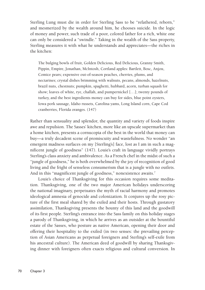Sterling Lung must die in order for Sterling Sass to be "refathered, reborn," and mesmerized by the wealth around him, he chooses suicide. In the logic of money and power, such trade of a poor, colored father for a rich, white one can only be considered a "swindle." Taking in the wealth of the Sass property, Sterling measures it with what he understands and appreciates—the riches in the kitchen:

The bulging bowls of fruit, Golden Delicious, Red Delicious, Granny Smith, Pippin, Empire, Jonathan, McIntosh, Cortland apples: Bartlett, Bosc, Anjou, Comice pears; expensive out-of-season peaches, cherries, plums, and nectarines; crystal dishes brimming with walnuts, pecans, almonds, hazelnuts, brazil nuts, chestnuts; pumpkin, spaghetti, hubbard, acorn, turban squash for show; loaves of white, rye, challah, and pumpernickel [. . .]; twenty pounds of turkey, and the best ingredients money can buy for sides, blue point oysters, Iowa pork sausage, Idaho russets, Carolina yams, Long Island corn, Cape Cod cranberries, Florida oranges. (147)

Rather than sensuality and splendor, the quantity and variety of foods inspire awe and repulsion. The Sasses' kitchen, more like an upscale supermarket than a home kitchen, presents a cornucopia of the best in the world that money can buy—a truly decadent scene of promiscuity and wastefulness. No wonder "an emergent madness surfaces on my [Sterling's] face, lost as I am in such a magnificent jungle of goodness" (147). Louie's craft in language vividly portrays Sterling's class anxiety and ambivalence. As a French chef in the midst of such a "jungle of goodness," he is both overwhelmed by the joy of recognition of good living and the fright of senseless consumerism that is a jungle with no outlets. And in this "magnificent jungle of goodness," nonexistence awaits.<sup>7</sup>

 Louie's choice of Thanksgiving for this occasion requires some meditation. Thanksgiving, one of the two major American holidays underscoring the national imaginary, perpetuates the myth of racial harmony and promotes ideological amnesia of genocide and colonization. It conjures up the rosy picture of the first meal shared by the exiled and their hosts. Through gustatory assimilation, Thanksgiving presents the bounty of this land and the goodwill of its first people. Sterling's entrance into the Sass family on this holiday stages a parody of Thanksgiving, in which he arrives as an outsider at the bountiful estate of the Sasses, who posture as native American, opening their door and offering their hospitality to the exiled (in two senses: the prevailing perception of Asian Americans as perpetual foreigners and Sterling's self-exile from his ancestral culture). The American deed of goodwill by sharing Thanksgiving dinner with foreigners often exacts religious and cultural conversion. In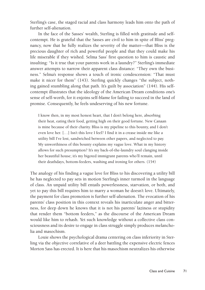Sterling's case, the staged racial and class harmony leads him onto the path of further self-alienation.

 In the face of the Sasses' wealth, Sterling is filled with gratitude and selfcontempt. He is grateful that the Sasses are civil to him in spite of Bliss' pregnancy, now that he fully realizes the severity of the matter—that Bliss is the precious daughter of rich and powerful people and that they could make his life miserable if they wished. Selma Sass' first question to him is caustic and insulting: "Is it true that your parents work in a laundry?" Sterling's immediate answer attempts to narrow their apparent class distance: "They own the business." Selma's response shows a touch of ironic condescension: "That must make it nicer for them" (143). Sterling quickly changes "the subject, nothing gained stumbling along that path. It's guilt by association" (144). His selfcontempt illustrates that the ideology of the American Dream conditions one's sense of self-worth, for it enjoins self-blame for failing to succeed in the land of promise. Consequently, he feels undeserving of his new fortune.

I know then, in my most honest heart, that I don't belong here, absorbing their heat, eating their food, getting high on their good fortune. New Canaan is mine because of their charity. Bliss is my pipeline to this bounty, and I don't even love her. [. . .] Isn't this love I feel? I find it in a crease inside me like a utility bill I've lost, sandwiched between other papers, and neglected to pay. My unworthiness of this bounty explains my vague love. What in my history allows for such presumption? It's my back-of-the-laundry soul clanging inside her beautiful house; it's my bigoted immigrant parents who'll remain, until their deathdays, bottom-feeders, washing and ironing for others. (154)

The analogy of his finding a vague love for Bliss to his discovering a utility bill he has neglected to pay sets in motion Sterling's inner turmoil in the language of class. An unpaid utility bill entails powerlessness, starvation, or both, and yet to pay this bill requires him to marry a woman he doesn't love. Ultimately, the payment for class promotion is further self-alienation. The evocation of his parents' class position in this context reveals his inarticulate anger and bitterness, for deep down he knows that it is not his parents' laziness or stupidity that render them "bottom feeders," as the discourse of the American Dream would like him to rehash. Yet such knowledge without a collective class consciousness and its desire to engage in class struggle simply produces melancholia and masochism.

 Louie shows the psychological drama centering on class inferiority in Sterling via the objective correlative of a deer battling the expensive electric fences Morton Sass has erected. It is here that his masochism neutralizes his otherwise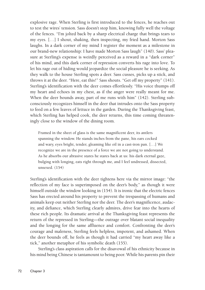explosive rage. When Sterling is first introduced to the fences, he reaches out to test the wires' tension. Sass doesn't stop him, knowing fully well the voltage of the fences. "I'm jolted back by a sharp electrical charge that brings tears to my eyes. [. . .] I shout, shaking, then inspecting, my fried hand. Morton Sass laughs. In a dark corner of my mind I register the moment as a milestone in our brand-new relationship: I have made Morton Sass laugh" (140). Sass' pleasure at Sterling's expense is weirdly perceived as a reward in a "dark corner" of his mind, and this dark corner of repression converts his rage into love. To let his rage out of hiding would jeopardize the social pleasure he is seeking. As they walk to the house Sterling spots a deer. Sass cusses, picks up a stick, and throws it at the deer. "Here, eat this!" Sass shouts. "Get off my property" (141). Sterling's identification with the deer comes effortlessly. "His voice thumps off my heart and echoes in my chest, as if the anger were really meant for me. When the deer bounds away, part of me runs with him" (142). Sterling subconsciously recognizes himself in the deer that intrudes onto the Sass property to feed on a few leaves of lettuce in the garden. During the Thanksgiving feast, which Sterling has helped cook, the deer returns, this time coming threateningly close to the window of the dining room.

Framed in the sheet of glass is the same magnificent deer, its antlers spanning the window. He stands inches from the pane, his ears cocked and wary, eyes bright, tender, gleaming like oil in a cast-iron pan. [. . .] We recognize we are in the presence of a force we are not going to understand. As he absorbs our abrasive stares he stares back at us: his dark eternal gaze, bulging with longing, eats right through me, and I feel undressed, dissected, unsexed. (154)

Sterling's identification with the deer tightens here via the mirror image: "the reflection of my face is superimposed on the deer's body," as though it were himself outside the window looking in (154). It is ironic that the electric fences Sass has erected around his property to prevent the trespassing of humans and animals keep out neither Sterling nor the deer. The deer's magnificence, audacity, and defiance, which Sterling clearly admires, drive fear into the hearts of these rich people. Its dramatic arrival at the Thanksgiving feast represents the return of the repressed in Sterling—the outrage over blatant social inequality and the longing for the same affluence and comfort. Confronting the deer's courage and maleness, Sterling feels helpless, impotent, and ashamed. When the deer bounds off, he feels as though it had carried "my heart away like a tick," another metaphor of his symbolic death (155).

 Sterling's class aspiration calls for the disavowal of his ethnicity because in his mind being Chinese is tantamount to being poor. While his parents pin their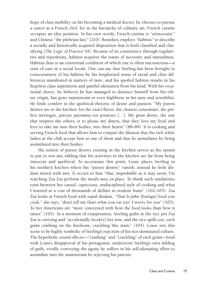hope of class mobility on his becoming a medical doctor, he chooses to pursue a career as a French chef, for in the hierarchy of culinary art, French cuisine occupies an elite position. In his own words, French cuisine is "aristocratic" and Chinese "the plebeian fare" (210). Bourdieu employs "habitus" to describe a socially and historically acquired disposition that is both classified and classifying (*The Logic of Practice* 54). Because of its consistency through regularities and repetitions, habitus acquires the status of necessity and naturalness. Habitus thus is an existential condition of which one is often unconscious—a state of ease in a social locale. One can say that Sterling has been brought to consciousness of his habitus by his heightened sense of racial and class differences manifested in matters of taste, and his spoiled habitus results in his hopeless class aspirations and painful alienation from his kind. With his vocational choice, he believes he has managed to distance himself from his ethnic origin, has gone mainstream or even highbrow in his taste and sensibility. He finds comfort in the apolitical rhetoric of desire and passion: "My purest desires are in the kitchen: for the exact flavor, the clearest consommé, the perfect meringue, precise paysanne-cut potatoes [. . .]. My great desire, the one that inspires the others, is to please my diners, that they love my food and love to take me into their bodies, into their hearts" (88–89). It is cooking and serving French food that allows him to conjure the illusion that the rich white ladies at the club accept him as one of them and that he assimilates by being assimilated into their bodies.

 His notion of purest desires existing in the kitchen serves as his opium to put to rest any inkling that his activities in the kitchen are far from being innocent and apolitical. To accentuate this point, Louie places Sterling in his mother's kitchen where his "purest desires" vanish; instead he feels disdain mixed with awe. It occurs to him "that, improbable as it may seem, I'm watching Zsa Zsa perform the meal's *mise en place.* To think such similarities exist between her casual, capricious, undisciplined style of cooking and what I learned at a cost of thousands of dollars in student loans" (102–103). Zsa Zsa looks at French food with equal disdain. "That *lo-fahn* [foreign] food you cook," she says, "don't tell me that's what you eat too! I worry for you" (103). To her Americans are "more concerned with how the food looks than how it tastes" (105). In a moment of exasperation, Sterling grabs at the rice pot Zsa Zsa is carrying and "accidentally hook[s] her arm, and the rice spills out, each grain crashing on the linoleum, crackling like static" (103). Louie sets this scene to be highly symbolic of Sterling's rejection of his rice-dominated culture. The hyperbolic sound effects—"crashing" and "crackling" of each grain—loud with Louie's disapproval of his protagonist, underscore Sterling's own inkling of guilt, vividly conveying the agony he suffers in his self-alienating effort to assimilate into the mainstream by rejecting his parents.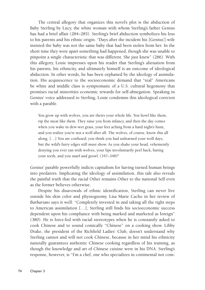The central allegory that organizes this novel's plot is the abduction of Baby Sterling by Lucy, the white woman with whom Sterling's father Genius has had a brief affair (284–285). Sterling's brief abduction symbolizes his loss to his parents and his ethnic origin. "Days after the incident his [Genius'] wife insisted the baby was not the same baby that had been stolen from her. In the short time they were apart something had happened, though she was unable to pinpoint a single characteristic that was different. She just knew" (286). With this allegory, Louie impresses upon his reader that Sterling's alienation from his parents, his ethnicity, and ultimately himself is an outcome of ideological abduction. In other words, he has been orphaned by the ideology of assimilation. His acquiescence to the socioeconomic demand that "real" Americans be white and middle class is symptomatic of a U.S. cultural hegemony that promises racial minorities economic rewards for self-abnegation. Speaking in Genius' voice addressed to Sterling, Louie condemns this ideological coercion with a parable.

You grow up with wolves, you are theirs your whole life. You howl like them, rip the meat like them. They raise you from infancy, and then the day comes when you wake in dew-wet grass, your feet aching from a hard night's hunt, and you realize you're not a wolf after all. The wolves, of course, know this all along. [. . .] You are confused; you think you had unlearned your wolf days, but the wild's furry edges still must show. As you shake your head, vehemently denying you ever ran with wolves, your lips involuntarily peel back, baring your teeth, and you snarl and growl. (347–348)8

Genius' parable powerfully indicts capitalism for having turned human beings into predators. Implicating the ideology of assimilation, this tale also reveals the painful truth that the racial Other remains Other to the national Self even as the former believes otherwise.

 Despite his disavowals of ethnic identification, Sterling can never live outside his skin color and physiognomy. Lisa Marie Cacho in her review of *Barbarians* says it well: "Completely invested in and taking all the right steps to American assimilation [. . .], Sterling still finds his socioeconomic success dependent upon his compliance with being marked and marketed as foreign" (380). He is force-fed with racial stereotypes when he is constantly asked to cook Chinese and to sound comically "Chinese" on a cooking show. Libby Drake, the president of the Richfield Ladies' Club, doesn't understand why Sterling cannot and will not cook Chinese, because in her mind his ethnicity naturally guarantees authentic Chinese cooking regardless of his training, as though the knowledge and art of Chinese cuisine were in his DNA. Sterling's response, however, is "I'm a chef, one who specializes in continental not com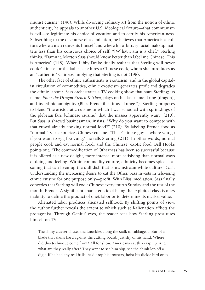munist cuisine" (146). While divorcing culinary art from the notion of ethnic authenticity, he appeals to another U.S. ideological fixture—that communism is evil—to legitimate his choice of vocation and to certify his American-ness. Subscribing to the discourse of assimilation, he believes that America is a culture where a man reinvents himself and where his arbitrary racial makeup matters less than his conscious choice of self. "[W]hat I am is a chef," Sterling thinks. "Damn it, Morton Sass should know better than label me Chinese. This is America" (148). When Libby Drake finally realizes that Sterling will never cook Chinese for the ladies, she hires a Chinese cook, whom she introduces as an "authentic" Chinese, implying that Sterling is not (198).

 The other face of ethnic authenticity is exoticism, and in the global capitalist circulation of commodities, ethnic exoticism generates profit and degrades the ethnic laborer. Sass orchestrates a TV cooking show that stars Sterling; its name, *Enter the Dragon French Kitchen,* plays on his last name, Lung (dragon), and its ethnic ambiguity (Bliss Frenchifies it as "Lunge."). Sterling proposes to blend "the aristocratic cuisine in which I was schooled with sprinklings of the plebeian fare [Chinese cuisine] that the masses apparently want" (210). But Sass, a shrewd businessman, insists, "Why do you want to compete with that crowd already cooking normal food?" (210). By labeling French food as "normal," Sass exoticizes Chinese cuisine. "That Chinese guy is where you go if you want to egg foo yung," he tells Sterling (211). In other words, normal people cook and eat normal food, and the Chinese, exotic food. Bell Hooks points out, "The commodification of Otherness has been so successful because it is offered as a new delight, more intense, more satisfying than normal ways of doing and feeling. Within commodity culture, ethnicity becomes spice, seasoning that can liven up the dull dish that is mainstream white culture" (21). Understanding the increasing desire to eat the Other, Sass invests in televising ethnic cuisine for one purpose only—profit. With Bliss' mediation, Sass finally concedes that Sterling will cook Chinese every fourth Sunday and the rest of the month, French. A significant characteristic of being the exploited class is one's inability to define the product of one's labor or to determine its market value.

 Alienated labor produces alienated selfhood. By shifting points of view, the author further reveals the extent to which such self-alienation afflicts the protagonist. Through Genius' eyes, the reader sees how Sterling prostitutes himself on TV.

The shiny cleaver chases the knuckles along the stalk of cabbage, a blur of a blade that slams hard against the cutting board, just shy of his hand. Where did this technique come from? All for show. Americans eat this crap up. And what are they really after? They want to see him slip, see the chink lop off a digit. If he had any real balls, he'd drop his trousers, hoist his dickie bird onto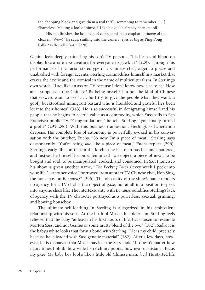the chopping block and give them a real thrill, something to remember. [. . .] Shameless. Making a fool of himself. Like his dick's already been cut off.

 His son finishes the last stalk of cabbage with an emphatic *whomp* of the cleaver. "Wow!" he says, smiling into the camera, eyes as big as Ping-Pong balls. "Velly, velly fast!" (228)

Genius feels deeply pained by his son's TV persona, "his flesh and blood on display like a rare zoo creature for everyone to gawk at" (229). Through his performance of the racial stereotype of a Chinese chef, eager to please and unabashed with foreign accents, Sterling commodifies himself in a market that craves the exotic and the comical in the name of multiculturalism. In Sterling's own words, "I act like an ass on TV because I don't know how else to act. How am I supposed to be Chinese? By being myself? I'm not the kind of Chinese that viewers want to see [. . .]. So I try to give the people what they want: a goofy bucktoothed immigrant bastard who is humbled and grateful he's been let into their homes" (348). He is so successful in denigrating himself and his people that he begins to accrue value as a commodity, which Sass sells to San Francisco public TV. "Congratulations," he tells Sterling, "you finally turned a profit" (295–296). With this business transaction, Sterling's self-alienation deepens. His complete loss of autonomy is powerfully evoked in his conversation with the butcher, Fuchs. "So now I'm a piece of meat," Sterling says despondently. "You're being *sold* like a piece of meat," Fuchs replies (296). Sterling's early illusion that in the kitchen he is a man has become shattered, and instead he himself becomes feminized—an object, a piece of meat, to be bought and sold, to be manipulated, cooked, and consumed. In San Francisco his show is given another name, "*The Peeking Duck* ('evvy week I peek into your life!'—another voice I borrowed from another TV Chinese chef, Hop Sing, the houseboy on *Bonanza*)" (296). The obscenity of the show's name renders no agency, for a TV chef is the object of gaze, not at all in a position to peek into anyone else's life. The intertextuality with *Bonanza* solidifies Sterling's lack of agency, with the TV character portrayed as a powerless, asexual, grinning, and bowing houseboy.

 The ultimate self-loathing in Sterling is allegorized in his ambivalent relationship with his sons. At the birth of Moses, his older son, Sterling feels relieved that the baby "at least in his first hours of life, has chosen to resemble Morton Sass, and not Genius or some mutty blend of the two" (182). Sadly, it is the baby's white looks that form a bond with Sterling. "He is my child, precisely because he is loaded with Sass genetic material" (182). After a few days, however, he is dismayed that Moses has lost the Sass look. "It doesn't matter how many times I blink, how wide I stretch my pupils, how near or distant I focus my gaze: My baby boy looks like a little old Chinese man. [. . .] He started life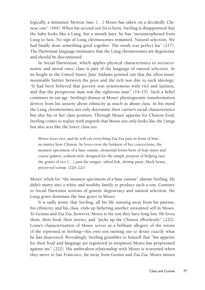logically, a miniature Morton Sass. [. . .] Moses has taken on a decidedly Chinese cast" (184). When his second son Ira is born, Sterling is disappointed that the baby looks like a Lung, but a month later, he has "metamorphosed from Lung to Sass. No sign of Lung chromosomes remained. Natural selection. We had finally done something good together. The result was perfect Ira" (217). The Darwinian language insinuates that the Lung chromosomes are degenerate and should be discontinued.

 In Social Darwinism, which applies physical characteristics to socioeconomic and moral ones, class is part of the language of natural selection. At its height in the United States, Jane Addams pointed out that the often insurmountable barrier between the poor and the rich was due to such ideology: "It had been believed that poverty was synonymous with vice and laziness, and that the prosperous man was the righteous man" (14–15). Such a belief continues in our age. Sterling's dismay at Moses' physiognomic transformation derives from his anxiety about ethnicity as much as about class. In his mind the Lung chromosomes not only determine their carrier's racial characteristics but also his or her class position. Through Moses' appetite for Chinese food, Sterling comes to realize with anguish that Moses not only looks like the Lungs but also acts like the lower class too.

Moses loves rice, and he will eat everything Zsa Zsa puts in front of him, no matter how Chinese; he loves even the funkiest of her concoctions, the meanest specimens of a base cuisine, elemental forms born of lean times and coarse palates, sodium-rich, designed for the simple purpose of helping ease the grains of rice [. . .] past the tongue: salted fish, shrimp paste, black beans, preserved turnip. (220–221)

Moses' relish for "the meanest specimens of a base cuisine" alarms Sterling. He didn't marry into a white and wealthy family to produce such a son. Contrary to Social Darwinist notions of genetic degeneracy and natural selection, the Lung genes dominate the Sass genes in Moses.

 It is sadly ironic that Sterling, all his life running away from his parents, his ethnicity, and his class, ends up fathering another unwanted self in Moses. To Genius and Zsa Zsa, however, Moses is the son they have long lost. He loves them, their food, their stories, and "picks up the Chinese effortlessly" (222). Louie's characterization of Moses serves as a brilliant allegory of the return of the repressed in Sterling—his own son turning out to desire exactly what he has disavowed. Revealingly, Sterling grumbles to himself that "his appetite for their food and language are registered as trespasses Moses has perpetrated against me" (222). His ambivalent relationship with Moses is worsened when they move to San Francisco, far away from Genius and Zsa Zsa. Moses misses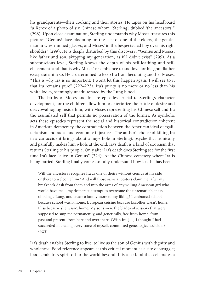his grandparents—their cooking and their stories. He tapes on his headboard "a Xerox of a photo of six Chinese whom [Sterling] dubbed 'the ancestors' " (298). Upon close examination, Sterling understands why Moses treasures this picture: "Genius's face blooming on the face of one of the elders, the gentleman in wire-rimmed glasses, and Moses' in the bespectacled boy over his right shoulder" (299). He is deeply disturbed by this discovery: "Genius and Moses, like father and son, skipping my generation, as if I didn't exist" (299). At a subconscious level, Sterling knows the depth of his self-loathing and selfeffacement, and that is why Moses' resemblance to and love for his grandfather exasperate him so. He is determined to keep Ira from becoming another Moses: "This is why Ira is so important; I won't let this happen again; I will see to it that Ira remains pure" (222–223). Ira's purity is no more or no less than his white looks, seemingly unadulterated by the Lung blood.

 The births of Moses and Ira are episodes crucial to Sterling's character development, for the children allow him to exteriorize the battle of desire and disavowal raging inside him, with Moses representing his Chinese self and Ira the assimilated self that permits no preservation of the former. As symbolic acts these episodes represent the social and historical contradiction inherent in American democracy, the contradiction between the American ideal of egalitarianism and racial and economic injustices. The author's choice of killing Ira in a car accident brings about a huge hole in Sterling's psyche that ironically and painfully makes him whole at the end. Ira's death is a kind of exorcism that returns Sterling to his people. Only after Ira's death does Sterling see for the first time Ira's face "alive in Genius" (324). At the Chinese cemetery where Ira is being buried, Sterling finally comes to fully understand how lost he has been.

Will the ancestors recognize Ira as one of theirs without Genius at his side or there to welcome him? And will those same ancestors claim me, after my breakneck dash from them and into the arms of any willing American girl who would have me—my desperate attempt to overcome the unremarkableness of being a Lung, and create a family more to my liking? I embraced school because school wasn't home, European cuisine because Escoffier wasn't home, Bliss because she wasn't home. My sons were the blades of scissors that were supposed to snip me permanently, and genetically, free from home, from past and present, from here and over there. (With Ira [. . .] I thought I had succeeded in erasing every trace of myself, committed genealogical suicide.) (323)

Ira's death enables Sterling to live, to live as the son of Genius with dignity and wholeness. Food reference appears at this critical moment as a site of struggle; food sends Ira's spirit off to the world beyond. It is also food that celebrates a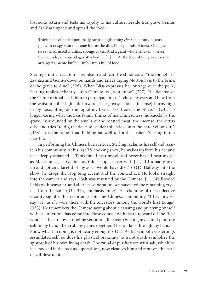lost son's return and tests his loyalty to his culture. Beside Ira's grave Genius and Zsa Zsa unpack and spread the food:

Thick slabs of boiled pork belly, strips of glistening *cha-siu,* a hunk of roast pig with crispy skin the same hue as the dirt. Four pounds of meat. Oranges, sweet tricornered muffins, sponge cakes. And a giant whole chicken at least five pounds, all appendages attached [. . .]. [. . .] At the foot of the grave they've arranged a picnic buffet. Tinfoil trays full of food.

Sterling's initial reaction is repulsion and fear. He shudders at "the thought of Zsa Zsa and Genius down on hands and knees urging Morton Sass to the brink of the grave to dine" (326). When Bliss expresses her outrage over the pork, Sterling replies defiantly, "Ira's Chinese too, you know" (327). His defense of the Chinese ritual leads him to participate in it. "I close my eyes and bow from the waist, a stiff, slight tilt forward. The greasy smoke [incense] burns high in my nose, lifting off the top of my head. I feel free of the others" (328). No longer caring what the Sass family thinks of his Chineseness, he kneels by the grave, "surrounded by the smells of the roasted meat, the incense, the citrus oils" and tries "to dig the delicate, spider-thin sticks into the hard yellow dirt" (328). It is the same ritual bidding farewell to Ira that ushers Sterling into a new life.

 In performing the Chinese burial ritual, Sterling reclaims his self and reenters his community. At his last TV cooking show, he wakes up from his act and feels deeply ashamed. "[T]his time I hear myself as I never have. I hear myself as Moses must, as Genius, as Yuk, I hope, never will. [. . .] If Ira had grown up and gotten a faceful of my act, I would have died" (331). Halfway into the show, he drops the Hop Sing accent and the comical act. He looks straight into the camera and says, "Salt was invented by the Chinese. [. . .] *We* flooded fields with seawater, and after its evaporation, *we* harvested the remaining crystals from the soil" (332–333, emphasis mine). His claiming of the collective identity signifies his reentrance into the Chinese community. "I hear myself say 'we,' as if I were there with the ancestors, among the world's first Lungs" (333). He remembers the Chinese saying about cleansing and purifying oneself with salt after one has come into close contact with death to ward off the "bad wind." "I feel it now, a tingling sensation, like teeth grazing my skin. I pour the salt in my hand, then rub my palms together. The salt falls through my hands. I know what I'm doing is not nearly enough" (333). As Ira symbolizes Sterling's assimilated self, so does his physical proximity to Ira at death symbolize the approach of his own living death. The ritual of purification with salt, which he has mocked in the past as superstition, now cleanses him and removes the peril of self-destruction.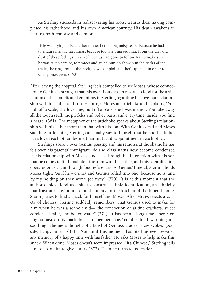As Sterling succeeds in rediscovering his roots, Genius dies, having completed his fatherhood and his own American journey. His death awakens in Sterling both remorse and comfort.

[H]e was trying to be a father to me. I cried, big noisy tears, because he had to endure me, my meanness, because too late I missed him. From the dirt and dust of these feelings I realized Genius had gone to follow Ira, to make sure he was taken care of, to protect and guide him, to show him the tricks of the trade, the ring around the neck, how to exploit another's appetite in order to satisfy one's own. (360)

After leaving the hospital, Sterling feels compelled to see Moses, whose connection to Genius is stronger than his own. Louie again resorts to food for the articulation of the complicated emotions in Sterling regarding his love-hate relationship with his father and son. He brings Moses an artichoke and explains, "You pull off a scale, she loves me, pull off a scale, she loves me not. You take away all the tough stuff, the prickles and pokey parts, and every time, inside, you find a heart" (361). The metaphor of the artichoke speaks about Sterling's relationship with his father more than that with his son. With Genius dead and Moses standing in for him, Sterling can finally say to himself that he and his father have loved each other despite their mutual disappointment in each other.

 Sterling's sorrow over Genius' passing and his remorse at the shame he has felt over his parents' immigrant life and class status now become condensed in his relationship with Moses, and it is through his interaction with his son that he comes to find final identification with his father, and this identification operates once again through food references. At Genius' funeral, Sterling holds Moses tight, "as if he were Ira and Genius rolled into one, because he is, and by my holding on they won't get away" (370). It is at this moment that the author deploys food as a site to construct ethnic identification, an ethnicity that frustrates any notion of authenticity. In the kitchen of the funeral home, Sterling tries to find a snack for himself and Moses. After Moses rejects a variety of choices, Sterling suddenly remembers what Genius used to make for him when he was a schoolchild—"the concoction of saltine crackers, sweet condensed milk, and boiled water" (371). It has been a long time since Sterling has tasted this snack, but he remembers it as "comfort food, warming and soothing. The mere thought of a bowl of Genius's cracker stew evokes good, safe, happy times" (371). Not until this moment has Sterling ever revealed any memory of a happy time with his father. He asks Moses to help make this snack. When done, Moses doesn't seem impressed. "It's Chinese," Sterling tells him to coax him to give it a try (372). Then he turns to us, readers: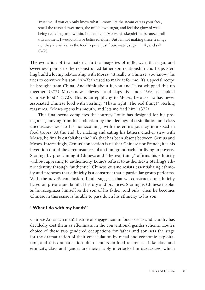Trust me. If you can only know what I know. Let the steam caress your face, smell the roasted sweetness, the milk's own sugar, and feel the glow of wellbeing radiating from within. I don't blame Moses his skepticism, because until this moment I wouldn't have believed either. But I'm not making these feelings up, they are as real as the food is pure: just flour, water, sugar, milk, and salt. (372)

The evocation of the maternal in the imageries of milk, warmth, sugar, and sweetness points to the reconstructed father-son relationship and helps Sterling build a loving relationship with Moses. "It really is Chinese, you know," he tries to convince his son. "Ah-Yeah used to make it for me. It's a special recipe he brought from China. And think about it, you and I just whipped this up together" (372). Moses now believes it and claps his hands, "We just cooked Chinese food!" (372). This is an epiphany to Moses, because he has never associated Chinese food with Sterling. "That's right. The real thing!" Sterling reassures. "Moses opens his mouth, and lets me feed him" (372).

 This final scene completes the journey Louie has designed for his protagonist, moving from his abduction by the ideology of assimilation and class unconsciousness to his homecoming, with the entire journey immersed in food tropes. At the end, by making and eating his father's cracker stew with Moses, he finally establishes the link that has been absent between Genius and Moses. Interestingly, Genius' concoction is neither Chinese nor French; it is his invention out of the circumstances of an immigrant bachelor living in poverty. Sterling, by proclaiming it Chinese and "the real thing," affirms his ethnicity without appealing to authenticity. Louie's refusal to authenticate Sterling's ethnic identity through "authentic" Chinese cuisine resists essentializing ethnicity and proposes that ethnicity is a construct that a particular group performs. With the novel's conclusion, Louie suggests that we construct our ethnicity based on private and familial history and practices. Sterling is Chinese insofar as he recognizes himself as the son of his father, and only when he becomes Chinese in this sense is he able to pass down his ethnicity to his son.

#### **"What I do with my hands"**

Chinese American men's historical engagement in food service and laundry has decidedly cast them as effeminate in the conventional gender schema. Louie's choice of these two gendered occupations for father and son sets the stage for the dramatization of their emasculation by racial and economic exploitation, and this dramatization often centers on food references. Like class and ethnicity, class and gender are inextricably interlocked in *Barbarians,* which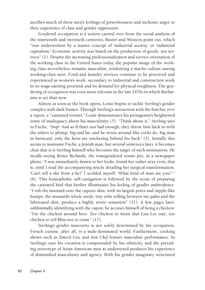ascribes much of these men's feelings of powerlessness and inchoate anger to their experience of class and gender oppression.

 Gendered occupation is a notion carried over from the social analysis of the nineteenth and twentieth centuries, Baxter and Western point out, which "was underwritten by a master concept of 'industrial society,' or 'industrial capitalism.' Economic activity was based on the production of goods, not services" (1). Despite the increasing professionalization and service orientation of the working class in the United States today, the popular image of the working class nevertheless remains masculine, reinforcing a macho culture among working-class men. Food and laundry services continue to be perceived and experienced as women's work, secondary to industrial and construction work in its wage-earning potential and its demand for physical toughness. The gendering of occupation was even more relevant in the late 1970s in which *Barbarians* is set than now.

 Almost as soon as the book opens, Louie begins to tackle Sterling's gender complex with dark humor. Through Sterling's interaction with the butcher over a capon, a "castrated rooster," Louie demonstrates his protagonist's heightened sense of inadequacy about his masculinity (5). "Think about it," Sterling says to Fuchs, "*Snip*! And as if that's not bad enough, they throw him back in with the others to plump, big and fat, and he struts around like cocks do, big man in barnyard, only the hens are snickering behind his back" (5). Initially this seems to insinuate Fuchs, a Jewish man, but several sentences later, it becomes clear that it is Sterling himself who becomes the target of such insinuation. He recalls seeing Renee Richards, the transgendered tennis pro, in a newspaper photo. "I was immediately drawn to her looks, found her rather sexy even, that is, until I read the accompanying article detailing her surgical transformation. 'Can't tell a she from a he?' I scolded myself. 'What kind of man are you?' " (6). This homophobic self-castigation is followed by the scene of preparing the castrated bird that further illuminates his feeling of gender ambivalence. "I rub the mustard onto the capon's skin, with its largish pores and nipple-like bumps; the mustard's whole seeds, tiny orbs rolling between my palm and the lubricated skin, produce a highly erotic sensation" (11). A few pages later, subliminally identifying with the capon, he accuses himself of being a chicken: "I'm the chicken around here. Too chicken to insist that Lisa Lee stay; too chicken to tell Bliss not to come" (17).

 Sterling's gender insecurity is not solely determined by his occupation; French cuisine, after all, is a male-dominated world. Furthermore, cooking shows such as *Emeril Live* and *Iron Chef* feature masculine performance. In Sterling's case his vocation is compounded by his ethnicity, and the prevailing stereotype of Asian American men as undersexed produces his experience of diminished masculinity and agency. With his gender imaginary structured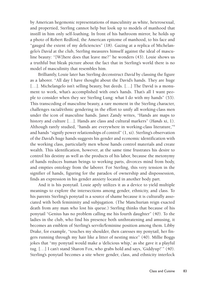by American hegemonic representations of masculinity as white, heterosexual, and propertied, Sterling cannot help but look up to models of manhood that instill in him only self-loathing. In front of his bathroom mirror, he holds up a photo of Robert Redford, the American epitome of manhood, to his face and "gauged the extent of my deficiencies" (18). Gazing at a replica of Michelangelo's *David* at the club, Sterling measures himself against the ideal of masculine beauty: "[W]here does that leave me?" he wonders (43). Louie shows us a truthful but bleak picture about the fact that in Sterling's world there is no model of masculinity that resembles him.

 Brilliantly, Louie later has Sterling deconstruct *David* by classing the figure as a laborer. "All day I have thought about the David's hands. They are huge [...]. Michelangelo isn't selling beauty, but deeds. [...] The David is a monument to work, what's accomplished with one's hands. That's all I want people to consider when they see Sterling Lung: what I do with my hands" (53). This transcoding of masculine beauty, a rare moment in the Sterling character, challenges racial/ethnic gendering in the effort to unify all working-class men under the icon of masculine hands. Janet Zandy writes, "Hands are maps to history and culture [. . .]. Hands are class and cultural markers" (*Hands* xi, 1). Although rarely studied, "hands are everywhere in working-class literature,"9 and hands "signify power relationships of control" (1, xi). Sterling's observation of the *David*'s huge hands suggests his gender and economic identification with the working class, particularly men whose hands control materials and create wealth. This identification, however, at the same time frustrates his desire to control his destiny as well as the products of his labor, because the metonymy of hands reduces human beings to working parts, divorces mind from body, and empties ontology from the laborer. For Sterling, this very tension in the signifier of hands, figuring for the paradox of ownership and dispossession, finds an expression in his gender anxiety located in another body part.

 And it is his ponytail. Louie aptly utilizes it as a device to yield multiple meanings to explore the intersections among gender, ethnicity, and class. To his parents Sterling's ponytail is a source of shame because it is culturally associated with both femininity and subjugation. (The Manchurian reign exacted death from any man who lost his queue.) Sterling thinks that because of his ponytail "Genius has no problem calling me his fourth daughter" (40). To the ladies in the club, who find his presence both unthreatening and amusing, it becomes an emblem of Sterling's servile/feminine position among them. Libby Drake, for example, "touches my shoulder, then caresses my ponytail, her fingers running through my hair like a litter of nesting mice" (40). Millie Boggs jokes that "my ponytail would make a 'delicious whip,' as she gave it a playful tug. [...] I can't stand Sharon Fox, who grabs hold and says, 'Giddyup!'" (40). Sterling's ponytail becomes a site where gender, class, and ethnicity interlock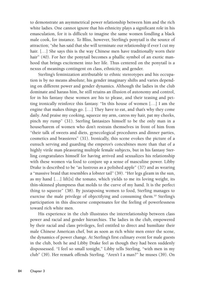to demonstrate an asymmetrical power relationship between him and the rich white ladies. One cannot ignore that his ethnicity plays a significant role in his emasculation, for it is difficult to imagine the same women fondling a black male cook, for instance. To Bliss, however, Sterling's ponytail is the source of attraction; "she has said that she will terminate our relationship if ever I cut my hair. [...] She says this is the way Chinese men have traditionally worn their hair" (40). For her the ponytail becomes a phallic symbol of an exotic manhood that brings excitement into her life. Thus centered on the ponytail is a nexus of meanings contingent on class, ethnicity, and gender.

 Sterling's feminization attributable to ethnic stereotypes and his occupation is by no means absolute; his gender imaginary shifts and varies depending on different power and gender dynamics. Although the ladies in the club dominate and harass him, he still retains an illusion of autonomy and control, for in his fantasy these women are his to please, and their teasing and petting ironically reinforce this fantasy. "In this house of women [. . .] I am the engine that makes things go. [. . .] They have to eat, and that's why they come daily. And praise my cooking, squeeze my arm, caress my hair, pat my cheeks, pinch my rump" (31). Sterling fantasizes himself to be the only man in a house/harem of women who don't restrain themselves in front of him from "their talk of sweets and diets, gynecological procedures and dinner parties, cosmetics and brassieres" (31). Ironically, this scene evokes the picture of a eunuch serving and guarding the emperor's concubines more than that of a highly virile man pleasuring multiple female subjects, but in his fantasy Sterling congratulates himself for having arrived and sexualizes his relationship with these women via food to conjure up a sense of masculine power. Libby Drake is described to be "as lustrous as a polished apple" (37) and as wearing a "massive braid that resembles a lobster tail" (39). "Her legs gleam in the sun, as my hand  $[...]$  lift $[s]$  the tomato, which yields to me its loving weight, its thin-skinned plumpness that molds to the curve of my hand. It is the perfect thing to squeeze" (38). By juxtaposing women to food, Sterling manages to exercise the male privilege of objectifying and consuming them.10 Sterling's participation in this discourse compensates for the feeling of powerlessness toward rich white men.

 His experience in the club illustrates the interrelationship between class power and racial and gender hierarchies. The ladies in the club, empowered by their racial and class privileges, feel entitled to direct and humiliate their male Chinese American chef, but as soon as rich white men enter the scene, the dynamics of power change. At Sterling's first culinary event for male guests in the club, both he and Libby Drake feel as though they had been suddenly dispossessed. "I feel so small tonight," Libby tells Sterling, "with men in my club" (39). Her remark offends Sterling. "Aren't I a man?" he muses (39). On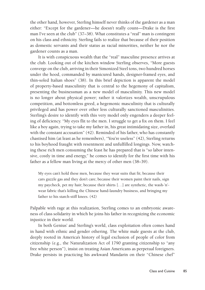the other hand, however, Sterling himself never thinks of the gardener as a man either: "Except for the gardener—he doesn't really count—Drake is the first man I've seen at the club" (37–38). What constitutes a "real" man is contingent on his class and ethnicity. Sterling fails to realize that because of their position as domestic servants and their status as racial minorities, neither he nor the gardener counts as a man.

 It is with conspicuous wealth that the "real" masculine presence arrives at the club. Looking out of the kitchen window Sterling observes, "More guests converge on the club, arriving in their Simonized Steel tons, two hundred horses under the hood, commanded by manicured hands, designer-framed eyes, and thin-soled Italian shoes" (38). In this brief depiction is apparent the model of property-based masculinity that is central to the hegemony of capitalism, presenting the businessman as a new model of masculinity. This new model is no longer about physical power; rather it valorizes wealth, unscrupulous competition, and bottomless greed, a hegemonic masculinity that is culturally privileged and has power over other less culturally sanctioned masculinities. Sterling's desire to identify with this very model only engenders a deeper feeling of deficiency. "My eyes flit to the men. I struggle to get a fix on them. I feel like a boy again, trying to take my father in, his great intimidating size, overlaid with the constant accusation" (42). Reminded of his father, who has constantly chastised him (at least as he remembers), "You're useless" (42), Sterling returns to his boyhood fraught with resentment and unfulfilled longings. Now, watching these rich men consuming the feast he has prepared that is "so labor intensive, costly in time and energy," he comes to identify for the first time with his father as a fellow man living at the mercy of other men (38–39).

My eyes can't hold these men, because they wear suits that fit; because their cars guzzle gas and they don't care; because their women paint their nails, sign my paycheck, pet my hair; because their shirts [. . .] are synthetic, the wash-'n' wear fabric that's killing the Chinese hand-laundry business, and bringing my father to his starch-stiff knees. (42)

Palpable with rage at this realization, Sterling comes to an embryonic awareness of class solidarity in which he joins his father in recognizing the economic injustice in their world.

 In both Genius' and Sterling's world, class exploitation often comes hand in hand with ethnic and gender othering. The white male guests at the club, deeply rooted in America's history of legal exclusion of people of color from citizenship (e.g., the Naturalization Act of 1790 granting citizenship to "any free white person"), insist on treating Asian Americans as perpetual foreigners. Drake persists in practicing his awkward Mandarin on their "Chinese chef"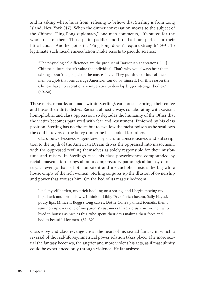and in asking where he is from, refusing to believe that Sterling is from Long Island, New York (47). When the dinner conversation moves to the subject of the Chinese "Ping-Pong diplomacy," one man comments, "It's suited for the whole race of them. Those petite paddles and little balls are perfect for their little hands." Another joins in, "Ping-Pong doesn't require strength" (49). To legitimate such racial emasculation Drake resorts to pseudo science:

"The physiological differences are the product of Darwinian adaptations. [. . .] Chinese culture doesn't value the individual. That's why you always hear them talking about 'the people' or 'the masses.' [. . .] They put three or four of their men on a job that one average American can do by himself. For this reason the Chinese have no evolutionary imperative to develop bigger, stronger bodies." (49–50)

These racist remarks are made within Sterling's earshot as he brings their coffee and buses their dirty dishes. Racism, almost always collaborating with sexism, homophobia, and class oppression, so degrades the humanity of the Other that the victim becomes paralyzed with fear and resentment. Pinioned by his class position, Sterling has no choice but to swallow the racist poison as he swallows the cold leftovers of the fancy dinner he has cooked for others.

 Class powerlessness engendered by class unconsciousness and subscription to the myth of the American Dream drives the oppressed into masochism, with the oppressed reviling themselves as solely responsible for their misfortune and misery. In Sterling's case, his class powerlessness compounded by racial emasculation brings about a compensatory pathological fantasy of mastery, a revenge that is both impotent and melancholic. Inside the big white house empty of the rich women, Sterling conjures up the illusion of ownership and power that arouses him. On the bed of its master bedroom,

I feel myself harden, my prick hooking on a spring, and I begin moving my hips, back and forth, slowly. I think of Libby Drake's rich bosom, Sally Hayes's pouty lips, Millicent Boggs's long calves, Dottie Cone's painted toenails; then I summon up every one of my parents' customers I had a crush on, women who lived in houses as nice as this, who spent their days making their faces and bodies beautiful for men. (31–32)

Class envy and class revenge are at the heart of his sexual fantasy in which a reversal of the real-life asymmetrical power relation takes place. The more sexual the fantasy becomes, the angrier and more violent his acts, as if masculinity could be experienced only through violence. He fantasizes: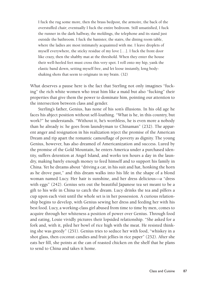I fuck the rug some more, then the brass bedpost, the armoire, the back of the overstuffed chair; eventually I fuck the entire bedroom. Still unsatisfied, I fuck the runner in the dark hallway, the moldings, the telephone and its stand just outside the bathroom. I fuck the banister, the stairs, the dining room table, where the ladies are most intimately acquainted with me. I leave droplets of myself everywhere, the sticky residue of my love [. . .]. I fuck the front door like crazy, then the shabby mat at the threshold. When they enter the house their well-heeled feet must cross this very spot. I roll onto my hip, yank the elastic band down, setting myself free, and let loose instantly, long bodyshaking shots that seem to originate in my brain. (32)

What deserves a pause here is the fact that Sterling not only imagines "fucking" the rich white women who treat him like a maid but also "fucking" their properties that give them the power to dominate him, pointing our attention to the intersection between class and gender.

 Sterling's father, Genius, has none of his son's illusions. In his old age he faces his abject position without self-loathing. "What is he, in this country, but work?" he understands. "Without it, he's worthless, he is even more a nobody than he already is: he goes from laundryman to Chinaman" (232). The apparent anger and resignation in his realization reject the promise of the American Dream and rip apart the romantic camouflage of poverty as dignity. The young Genius, however, has also dreamed of Americanization and success. Lured by the promise of the Gold Mountain, he enters America under a purchased identity, suffers detention at Angel Island, and works ten hours a day in the laundry, making barely enough money to feed himself and to support his family in China. Yet he dreams about "driving a car, in his suit and hat, honking the horn as he drove past," and this dream walks into his life in the shape of a blond woman named Lucy. Her hair is sunshine, and her dress delicious—a "dress with eggs" (242). Genius sets out the beautiful Japanese tea set meant to be a gift to his wife in China to catch the dream. Lucy drinks the tea and pilfers a cup upon each visit until the whole set is in her possession. A curious relationship begins to develop, with Genius sewing her dress and feeding her with his best food. Lucy, a working-class girl abused from time to time by men, comes to acquire through her whiteness a position of power over Genius. Through food and eating, Louie vividly pictures their lopsided relationship. "She asked for a fork and, with it, piled her bowl of rice high with the meat. He resisted thinking she was greedy" (251). Genius tries to seduce her with food, "whiskey in a shot glass, then coconut candies and fruit jellies in rice paper" (252). After she eats her fill, she points at the can of roasted chicken on the shelf that he plans to send to China and takes it home.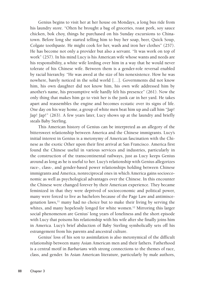Genius begins to visit her at her house on Mondays, a long bus ride from his laundry store. "Often he brought a bag of groceries, roast pork, soy sauce chicken, bok choy, things he purchased on his Sunday excursions to Chinatown. Before long she started telling him to buy her soap, beer, Quick Soup, Colgate toothpaste. He might cook for her, wash and iron her clothes" (257). He has become not only a provider but also a servant. "It was work on top of work" (257). In his mind Lucy is his American wife whose wants and needs are his responsibility, a white wife lording over him in a way that he would never tolerate of his Chinese wife. Between them is a gender-role reversal enabled by racial hierarchy. "He was awed at the size of his nonexistence. How he was nowhere, barely noticed in the solid world [. . .]. Governments did not know him, his own daughter did not know him, his own wife addressed him by another's name, his presumptive wife hardly felt his presence" (261). Now the only thing that makes him go to visit her is the junk car in her yard. He takes apart and reassembles the engine and becomes ecstatic over its signs of life. One day on his way home, a group of white men beat him up and call him "Jap! Jap! Jap!" (263). A few years later, Lucy shows up at the laundry and briefly steals Baby Sterling.

 This American history of Genius can be interpreted as an allegory of the bittersweet relationship between America and the Chinese immigrants. Lucy's initial interest in Genius is a metonymy of American fascination with the Chinese as the exotic Other upon their first arrival at San Francisco. America first found the Chinese useful in various services and industries, particularly in the construction of the transcontinental railways, just as Lucy keeps Genius around as long as he is useful to her. Lucy's relationship with Genius allegorizes race-, class-, and gender-based power relationships holding between Chinese immigrants and America, nonreciprocal ones in which America gains socioeconomic as well as psychological advantages over the Chinese. In this encounter the Chinese were changed forever by their American experience. They became feminized in that they were deprived of socioeconomic and political power, many were forced to live as bachelors because of the Page Law and antimiscegenation laws,<sup>11</sup> many had no choice but to make their living by serving the whites, and many hopelessly longed for white women.<sup>12</sup> Mirroring this larger social phenomenon are Genius' long years of loneliness and the short episode with Lucy that poisons his relationship with his wife after she finally joins him in America. Lucy's brief abduction of Baby Sterling symbolically sets off his estrangement from his parents and ancestral culture.

 Genius' loss of his son to assimilation is also metonymical of the difficult relationship between many Asian American men and their fathers. Fatherhood is a central motif in *Barbarians* with strong connections to the themes of race, class, and gender. In Asian American literature, particularly by male authors,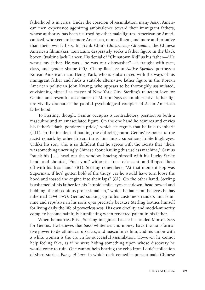fatherhood is in crisis. Under the coercion of assimilation, many Asian American men experience agonizing ambivalence toward their immigrant fathers, whose authority has been usurped by other male figures, American or Americanized, who seem to be more American, more affluent, and more authoritative than their own fathers. In Frank Chin's *Chickencoop Chinaman,* the Chinese American filmmaker, Tam Lum, desperately seeks a father figure in the black boxer, Ovaltine Jack Dancer. His denial of "Chinatown Kid" as his father—"He wasn't my father. He was ... he was our dishwasher"-is fraught with race, class, and gender shame (45). Chang-Rae Lee in *Native Speaker* portrays a Korean American man, Henry Park, who is embarrassed with the ways of his immigrant father and finds a suitable alternative father figure in the Korean American politician John Kwang, who appears to be thoroughly assimilated, envisioning himself as mayor of New York City. Sterling's reluctant love for Genius and resentful acceptance of Morton Sass as an alternative father figure vividly dramatize the painful psychological complex of Asian American fatherhood.

 To Sterling, though, Genius occupies a contradictory position as both a masculine and an emasculated figure. On the one hand he admires and envies his father's "dark, ponderous prick," which he regrets that he fails to inherit (111). In the incident of hauling the old refrigerator, Genius' response to the racist remark by other drivers turns him into a superhero in Sterling's eyes. Unlike his son, who is so diffident that he agrees with the racists that "there was something unerringly Chinese about hauling this useless machine," Genius "stuck his [. . .] head out the window, bracing himself with his Lucky Strike hand, and shouted, 'Fuck you!' without a trace of accent, and flipped them off with his free hand" (81). Sterling remembers, "At that moment Pop was Superman. If he'd gotten hold of the thugs' car he would have torn loose the hood and tossed the engine into their laps" (81). On the other hand, Sterling is ashamed of his father for his "stupid smile, eyes cast down, head bowed and bobbing, the obsequious professionalism," which he hates but believes he has inherited (344–345). Genius' sucking up to his customers renders him feminine and repulsive in his son's eyes precisely because Sterling loathes himself for living daily the life of powerlessness. His own docility and model-minority complex become painfully humiliating when rendered patent in his father.

 When he marries Bliss, Sterling imagines that he has traded Morton Sass for Genius. He believes that Sass' whiteness and money have the transformative power to de-ethnicize, up-class, and masculinize him, and his union with a white woman is the crown for successful assimilation. However, he cannot help feeling fake, as if he were hiding something upon whose discovery he would come to ruin. One cannot help hearing the echo from Louie's collection of short stories, *Pangs of Love,* in which dark comedies present male Chinese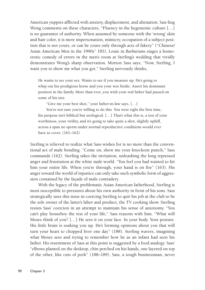American yuppies afflicted with anxiety, displacement, and alienation. Sau-ling Wong comments on these characters, "Fluency in the hegemonic culture [. . .] is no guarantee of authority. When assumed by someone with the 'wrong' skin and hair color, it is mere impersonation, mimicry, occupation of a subject position that is not yours, or can be yours only through acts of fakery" ("Chinese/ Asian American Men in the 1990s" 185). Louie in *Barbarians* stages a homoerotic comedy of errors in the men's room at Sterling's wedding that vividly demonstrates Wong's sharp observation. Morton Sass says, "Now, Sterling, I want you to show me what you got." Sterling nervously thinks,

He wants to see your sex. Wants to see if you measure up. He's going to whip out his prodigious horse and you your wee birdie. Assert his dominant position in the family. More than ever, you wish your real father had passed on some of his size.

"Give me your best shot," your father-in-law says. [. . .]

 You're not sure you're willing to do this. You were right the first time, his purpose isn't biblical but urological. [. . .] That's what this is, a test of your worthiness, your virility, and it's going to take quite a shot, slightly uphill, across a span no sperm under normal reproductive conditions would ever have to cover. (161–162)

Sterling is relieved to realize what Sass wishes for is no more than the conventional act of male bonding. "Come on, show me your knockout punch," Sass commands (162). Sterling takes the invitation, unleashing the long repressed anger and frustration at the white male world. "You feel you had wanted to hit him your entire life. When you're through, your hand is on fire" (163). His anger toward the world of injustice can only take such symbolic form of aggression contained by the façade of male comradery.

 With the legacy of the problematic Asian American fatherhood, Sterling is most susceptible to pressures about his own authority in front of his sons. Sass strategically uses this issue in coercing Sterling to quit his job at the club to be the sole owner of the latter's labor and product, the TV cooking show. Sterling resists Sass' coercion in an attempt to maintain his sense of autonomy. "You can't play houseboy the rest of your life," Sass reasons with him. "What will Moses think of you? [. . .] He sees it on your face. In your body. Your posture. His little brain is soaking you up. He's forming opinions about you that will turn your heart to chopped liver one day" (188). Sterling wavers, imagining what Moses sees and trying to remember how he as an infant had seen his father. His resentment of Sass at this point is suggested by a food analogy. Sass' "elbows planted on the desktop, chin perched on his hands, one layered on top of the other, like cuts of pork" (188–189). Sass, a tough businessman, never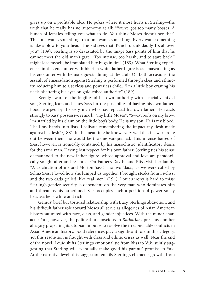gives up on a profitable idea. He pokes where it most hurts in Sterling—the truth that he really has no autonomy at all: "You've got too many bosses. A bunch of females telling you what to do. You think Moses doesn't see that? This one wants something, that one wants something. Every want-something is like a blow to your head. The kid sees that. Punch-drunk daddy. It's all over you" (189). Sterling is so devastated by the image Sass paints of him that he cannot meet the old man's gaze. "Too intense, too harsh, and to stare back I might lose myself, be immolated like bugs in fire" (189). What Sterling experiences in this encounter with his rich white father figure is as emasculating as his encounter with the male guests dining at the club. On both occasions, the assault of emasculation against Sterling is performed through class and ethnicity, reducing him to a sexless and powerless child. "I'm a little boy craning his neck, shattering his eyes on gold-robed authority" (189).

 Keenly aware of the fragility of his own authority with a racially mixed son, Sterling fears and hates Sass for the possibility of having his own fatherhood usurped by the very man who has replaced his own father. He reacts strongly to Sass' possessive remark, "my little Moses": "Sweat boils on my brow. I'm startled by his claim on the little boy's body. He is my son. He is my blood. I ball my hands into fists. I salivate remembering the impact my flesh made against his flesh" (188). In the meantime he knows very well that if a war broke out between them, he would be the one vanquished. This intense hatred of Sass, however, is ironically contained by his masochistic, identificatory desire for the same man. Having lost respect for his own father, Sterling ties his sense of manhood to the new father figure, whose approval and love are paradoxically sought after and resented. On Father's Day he and Bliss visit her family. "A celebration of me and Morton Sass! The two 'dads,' as we were called by Selma Sass. I loved how she lumped us together. I brought steaks from Fuchs's, and the two dads grilled, like real men" (194). Louie's irony is hard to miss: Sterling's gender security is dependent on the very man who dominates him and threatens his fatherhood. Sass occupies such a position of power solely because he is white and rich.

 Genius' brief but tortured relationship with Lucy, Sterling's abduction, and his difficult father role toward Moses all serve as allegories of Asian American history saturated with race, class, and gender injustices. With the minor character Yuk, however, the political unconscious in *Barbarians* presents another allegory projecting its utopian impulse to resolve the irreconcilable conflicts in Asian American history. Food references play a significant role in this allegory. Yet this resolution is fraught with class and ethnic crises as well. Near the end of the novel, Louie shifts Sterling's emotional tie from Bliss to Yuk, subtly suggesting that Sterling will eventually make good his parents' promise to Yuk. At the narrative level, this suggestion entails Sterling's character growth, from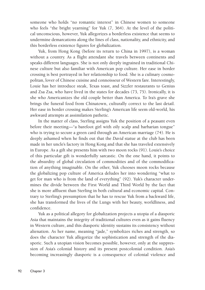someone who holds "no romantic interest" in Chinese women to someone who feels "the bright yearning" for Yuk (7, 364). At the level of the political unconscious, however, Yuk allegorizes a borderless existence that seems to undermine demarcations along the lines of class, nationality, and ethnicity, and this borderless existence figures for globalization.

 Yuk, from Hong Kong (before its return to China in 1997), is a woman without a country. As a flight attendant she travels between continents and speaks different languages. She is not only deeply ingrained in traditional Chinese culture but also familiar with American pop culture. Her ease in border crossing is best portrayed in her relationship to food. She is a culinary cosmopolitan, lover of Chinese cuisine and connoisseur of Western fare. Interestingly, Louie has her introduce steak, Texas toast, and Sizzler restaurants to Genius and Zsa Zsa, who have lived in the states for decades (73, 75). Ironically, it is she who Americanizes the old couple better than America. To Ira's grave she brings the funeral food from Chinatown, culturally correct to the last detail. Her ease in border crossing makes Sterling's American life seem old-world, his awkward attempts at assimilation pathetic.

 In the matter of class, Sterling assigns Yuk the position of a peasant even before their meeting—"a barefoot girl with oily scalp and barbarian tongue" who is trying to secure a green card through an American marriage (74). He is deeply ashamed when he finds out that the *David* statue at the club has been made in her uncle's factory in Hong Kong and that she has traveled extensively in Europe. As a gift she presents him with two moon rocks (91). Louie's choice of this particular gift is wonderfully sarcastic. On the one hand, it points to the absurdity of global circulation of commodities and of the commodification of anything imaginable. On the other, Yuk chooses moon rocks because the globalizing pop culture of America deludes her into wondering "what to get for man who is from the land of everything" (92). Yuk's character undermines the divide between the First World and Third World by the fact that she is more affluent than Sterling in both cultural and economic capital. Contrary to Sterling's presumption that he has to rescue Yuk from a backward life, she has transformed the lives of the Lungs with her beauty, worldliness, and confidence.

 Yuk as a political allegory for globalization projects a utopia of a diasporic Asia that maintains the integrity of traditional cultures even as it gains fluency in Western culture, and this diasporic identity sustains its consistency without alienation. As her name, meaning "jade," symbolizes riches and strength, so does the character Yuk allegorize the sophistication and strength of the diasporic. Such a utopian vision becomes possible, however, only at the suppression of Asia's colonial history and its present postcolonial condition. Asia's becoming increasingly diasporic is a consequence of colonial violence and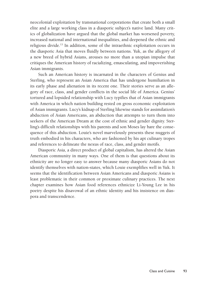neocolonial exploitation by transnational corporations that create both a small elite and a large working class in a diasporic subject's native land. Many critics of globalization have argued that the global market has worsened poverty, increased national and international inequalities, and deepened the ethnic and religious divide.<sup>13</sup> In addition, some of the intraethnic exploitation occurs in the diasporic Asia that moves fluidly between nations. Yuk, as the allegory of a new breed of hybrid Asians, arouses no more than a utopian impulse that critiques the American history of racializing, emasculating, and impoverishing Asian immigrants.

 Such an American history is incarnated in the characters of Genius and Sterling, who represent an Asian America that has undergone humiliation in its early phase and alienation in its recent one. Their stories serve as an allegory of race, class, and gender conflicts in the social life of America. Genius' tortured and lopsided relationship with Lucy typifies that of Asian immigrants with America in which nation building rested on gross economic exploitation of Asian immigrants. Lucy's kidnap of Sterling likewise stands for assimilation's abduction of Asian Americans, an abduction that attempts to turn them into seekers of the American Dream at the cost of ethnic and gender dignity. Sterling's difficult relationships with his parents and son Moses lay bare the consequence of this abduction. Louie's novel marvelously presents these nuggets of truth embodied in his characters, who are fashioned by his apt culinary tropes and references to delineate the nexus of race, class, and gender motifs.

 Diasporic Asia, a direct product of global capitalism, has altered the Asian American community in many ways. One of them is that questions about its ethnicity are no longer easy to answer because many diasporic Asians do not identify themselves with nation-states, which Louie exemplifies well in Yuk. It seems that the identification between Asian Americans and diasporic Asians is least problematic in their common or proximate culinary practices. The next chapter examines how Asian food references ethnicize Li-Young Lee in his poetry despite his disavowal of an ethnic identity and his insistence on diaspora and transcendence.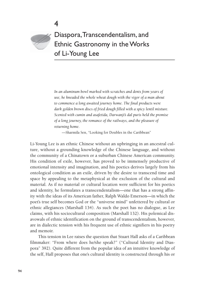

## Diaspora, Transcendentalism, and Ethnic Gastronomy in the Works of Li-Young Lee

*In an aluminum bowl marked with scratches and dents from years of use, he kneaded the whole wheat dough with the vigor of a man about to commence a long awaited journey home. The final products were*  dark golden brown discs of fried dough filled with a spicy lentil mixture. *Scented with cumin and asafetida, Darwanji's dal puris held the promise of a long journey, the romance of the railways, and the pleasure of returning home.*

—Sharmila Sen, "Looking for Doubles in the Caribbean"

Li-Young Lee is an ethnic Chinese without an upbringing in an ancestral culture, without a grounding knowledge of the Chinese language, and without the community of a Chinatown or a suburban Chinese American community. His condition of exile, however, has proved to be immensely productive of emotional intensity and imagination, and his poetics derives largely from his ontological condition as an exile, driven by the desire to transcend time and space by appealing to the metaphysical at the exclusion of the cultural and material. As if no material or cultural location were sufficient for his poetics and identity, he formulates a transcendentalism—one that has a strong affinity with the ideas of its American father, Ralph Waldo Emerson—in which the poet's true self becomes God or the "universe mind" unfettered by cultural or ethnic allegiances (Marshall 134). As such the poet has no dialogue, as Lee claims, with his sociocultural composition (Marshall 132). His polemical disavowals of ethnic identification on the ground of transcendentalism, however, are in dialectic tension with his frequent use of ethnic signifiers in his poetry and memoir.

 This tension in Lee raises the question that Stuart Hall asks of a Caribbean filmmaker: "From where does he/she speak?" ("Cultural Identity and Diaspora" 392). Quite different from the popular idea of an intuitive knowledge of the self, Hall proposes that one's cultural identity is constructed through his or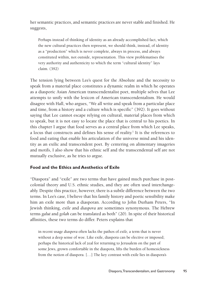her semantic practices, and semantic practices are never stable and finished. He suggests,

Perhaps instead of thinking of identity as an already accomplished fact, which the new cultural practices then represent, we should think, instead, of identity as a "production" which is never complete, always in process, and always constituted within, not outside, representation. This view problematises the very authority and authenticity to which the term "cultural identity" lays claim. (392)

The tension lying between Lee's quest for the Absolute and the necessity to speak from a material place constitutes a dynamic realm in which he operates as a diasporic Asian American transcendentalist poet, multiple selves that Lee attempts to unify with the lexicon of American transcendentalism. He would disagree with Hall, who argues, "We all write and speak from a particular place and time, from a history and a culture which is specific" (392). It goes without saying that Lee cannot escape relying on cultural, material places from which to speak, but it is not easy to locate the place that is central to his poetics. In this chapter I argue that food serves as a central place from which Lee speaks, a locus that constructs and defines his sense of reality.<sup>1</sup> It is the references to food and eating that enable his articulation of the universe mind and his identity as an exilic and transcendent poet. By centering on alimentary imageries and motifs, I also show that his ethnic self and the transcendental self are not mutually exclusive, as he tries to argue.

### **Food and the Ethics and Aesthetics of Exile**

"Diaspora" and "exile" are two terms that have gained much purchase in postcolonial theory and U.S. ethnic studies, and they are often used interchangeably. Despite this practice, however, there is a subtle difference between the two terms. In Lee's case, I believe that his family history and poetic sensibility make him an exile more than a diasporan. According to John Durham Peters, "In Jewish thinking, *exile* and *diaspora* are sometimes synonymous. The Hebrew terms *galut* and *golah* can be translated as both" (20). In spite of their historical affinities, these two terms do differ. Peters explains that

in recent usage *diaspora* often lacks the pathos of *exile,* a term that is never without a deep sense of woe. Like exile, diaspora can be elective or imposed; perhaps the historical lack of zeal for returning to Jerusalem on the part of some Jews, grown comfortable in the diaspora, lifts the burden of homesickness from the notion of diaspora. [. . .] The key contrast with exile lies in diaspora's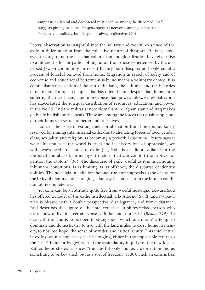emphasis on lateral and decentered relationships among the dispersed. *Exile*  suggests pining for home; *diaspora* suggests networks among compatriots. Exile may be solitary, but diaspora is always collective. (20)

Peters' observation is insightful into the solitary and woeful existence of the exile in differentiation from the collective nature of diaspora. He fails, however, to foreground the fact that colonialism and globalization have given rise to a different ethos or pathos of migration from those experienced by the dispersed Jewish community. In recent history both diaspora and exile entail a process of forceful removal from home. Migration in search of safety and of economic and educational betterment is by no means a voluntary choice. It is colonialism's devastation of the spirit, the land, the cultures, and the histories of many non-European peoples that has offered more despair than hope, more suffering than well-being, and more abuse than power. Likewise, globalization has exacerbated the unequal distribution of resources, education, and power in the world. And the militarist neocolonialism in Afghanistan and Iraq makes daily life hellish for the locals. These are among the forces that push people out of their homes in search of better and safer lives.

 Exile in the sense of estrangement or alienation from home is not solely reserved for immigrants. Internal exile, due to alienating forces of race, gender, class, sexuality, and religion, is becoming a powerful discourse. Peters says it well: "Inasmuch as the world is cruel and its history one of oppression, we will always need a discourse of exile. [. . .] Exile is an idiom available for the uprooted and abused, an insurgent rhetoric that can comfort the captives or petition the captors" (36). The discourse of exile, useful as it is in critiquing inhumane conditions, is as limiting as its offshoot, the discourse of identity politics. The nostalgia in exile for the one true home appeals to the desire for the fixity of identity and belonging, a fantasy that arises from the human condition of incompleteness.<sup>2</sup>

 Yet exile can be an attitude quite free from woeful nostalgia. Edward Said has offered a model of the exilic intellectual, à la Adorno, Swift, and Naipaul, who is blessed with a double perspective, disallegiance, and ironic distance. Said describes this figure of the intellectual as "a shipwrecked person who learns how to live in a certain sense *with* the land, not *on* it" (*Reader* 378). To live with the land is to be open to strangeness, which one doesn't attempt to dominate and domesticate. To live with the land is also to carry home in memory, to not lose hope, the sense of wonder, and critical acuity. This intellectual in exile does not hopelessly seek belonging, either in the impossible return to the "true" home or by giving in to the assimilatory impulse of the new locale. Rather, he or she experiences "the fate [of exile] not as a deprivation and as something to be bewailed, but as a sort of freedom" (380). Such an exile is free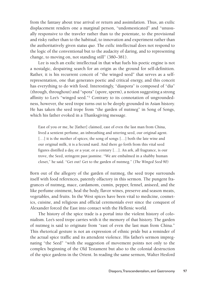from the fantasy about true arrival or return and assimilation. Thus, an exilic displacement renders one a marginal person, "undomesticated" and "unusually responsive to the traveler rather than to the potentate, to the provisional and risky rather than to the habitual, to innovation and experiment rather than the authoritatively given *status quo.* The *exilic* intellectual does not respond to the logic of the conventional but to the audacity of daring, and to representing change, to moving on, not standing still" (380–381).

 Lee is such an exilic intellectual in that what fuels his poetic engine is not a nostalgic, despairing search for an origin as the ground for self-definition. Rather, it is his recurrent conceit of "the winged seed" that serves as a selfrepresentation, one that generates poetic and critical energy, and this conceit has everything to do with food. Interestingly, "diaspora" is composed of "dia" (through, throughout) and "spora" (spore, sperm), a notion suggesting a strong affinity to Lee's "winged seed."3 Contrary to its connotation of ungroundedness, however, the seed trope turns out to be deeply grounded in Asian history. He has taken the seed trope from "the garden of nutmeg" in Song of Songs, which his father evoked in a Thanksgiving message.

East of you or me, he [father] claimed, east of even the last man from China, lived a sentient perfume, an inbreathing and uttering seed, our original agent. [...] it is the mother of spices; the song of songs [...] both the late wine and our original milk, it is a fecund nard. And there go forth from this vital seed figures distilled a day, or a year, or a century [. . .]. An ark, all fragrance, is our trove, the Seed, stringent past jasmine. "We are embalmed in a shabby human closet," he said. "Get out! Get to the garden of nutmeg." (*The Winged Seed* 90)

Born out of the allegory of the garden of nutmeg, the seed trope surrounds itself with food references, patently olfactory in this sermon. The pungent fragrances of nutmeg, mace, cardamom, cumin, pepper, fennel, aniseed, and the like perfume ointment, heal the body, flavor wines, preserve and season meats, vegetables, and fruits. In the West spices have been vital to medicine, cosmetics, cuisine, and religious and official ceremonials ever since the conquest of Alexander forced the East into contact with the Hellenic world.

 The history of the spice trade is a portal into the violent history of colonialism. Lee's seed trope carries with it the memory of that history. The garden of nutmeg is said to originate from "east of even the last man from China." This rhetorical gesture is not an expression of ethnic pride but a reminder of the actual spice traffic and its attendent violence. His father's sermon impregnating "the Seed" "with the suggestion of movement points not only to the complex beginning of the Old Testament but also to the colonial destruction of the spice gardens in the Orient. In reading the same sermon, Walter Hesford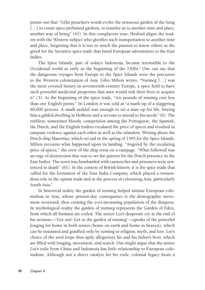points out that "[t]he preacher's words evoke the sensuous garden of the Song [...] to create spice perfumed gardens, to transfer us to another time and place, another way of being" (41). In this complacent tone, Hesford aligns the readers with the Western subject who glorifies such transportation to another time and place, forgetting that it is not so much the passion to know others as the greed for the lucrative spice trade that lured European adventurers to the East Indies.

 The Spice Islands, part of today's Indonesia, became irresistible to the Occidental world as early as the beginning of the 1500s.<sup>4</sup> One can say that the dangerous voyages from Europe to the Spice Islands were the precursor to the Western colonization of Asia. Giles Milton writes, "Nutmeg [. . .] was the most coveted luxury in seventeenth-century Europe, a spice held to have such powerful medicinal properties that men would risk their lives to acquire it" (3). At the beginning of the spice trade, "ten pounds of nutmeg cost less than one English penny." In London it was sold at "a mark-up of a staggering 60,000 percent. A small sackful was enough to set a man up for life, buying him a gabled dwelling in Holborn and a servant to attend to his needs" (6). The ruthless, sometimes bloody, competition among the Portuguese, the Spanish, the Dutch, and the English traders escalated the price of spices and resulted in rampant violence against each other as well as the islanders. Writing about the Dutch ship *Mauritius*, which set sail in the spring of 1595 for the Spice Islands, Milton recounts what happened upon its landing. "Angered by the escalating price of spices," the crew of the ship went on a rampage. "What followed was an orgy of destruction that was to set the pattern for the Dutch presence in the East Indies. The town was bombarded with cannon fire and prisoners were sentenced to death" (61). In the context of British history, it is the spice trade that called for the formation of the East India Company, which played a tremendous role in the opium trade and in the process of colonizing Asia, particularly South Asia<sup>5</sup>

 In historical reality the garden of nutmeg helped initiate European colonialism in Asia, whose present-day consequence is the demographic movement westward, thus creating the ever-increasing population of the diaspora. In mythological reality the garden of nutmeg represents the Garden of Eden, from which all humans are exiled. The senior Lee's desperate cry at the end of his sermon—"Get out! Get to the garden of nutmeg"—speaks of the powerful longing for home in both senses (home on earth and home in heaven), which can be sustained and gratified only by turning to religion, myth, and lore. Lee's choice of the seed trope thus aptly allegorizes his and his father's lives, which are filled with longing, movement, and search. One might argue that the senior Lee's exile from China and Indonesia has little relationship to European colonialism. Although not a direct catalyst for his exile, colonial legacy bears a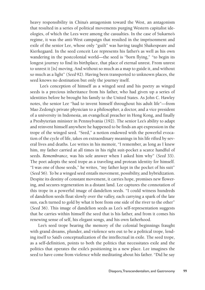heavy responsibility in China's antagonism toward the West, an antagonism that resulted in a series of political movements purging Western capitalist ideologies, of which the Lees were among the casualties. In the case of Sukarno's regime, it was the anti-West campaign that resulted in the imprisonment and exile of the senior Lee, whose only "guilt" was having taught Shakespeare and Kierkegaard. In the seed conceit Lee represents his father's as well as his own wandering in the postcolonial world—the seed is "born flying," "to begin its longest journey to find its birthplace, that place of eternal unrest. From unrest to unrest it [is] moving. And without so much as a map to guide it, and without so much as a light" (*Seed* 92). Having been transported to unknown places, the seed knows no destination but only the journey itself.

 Lee's conception of himself as a winged seed and his poetry as winged seeds is a precious inheritance from his father, who had given up a series of identities before he brought his family to the United States. As John C. Hawley notes, the senior Lee "had to invent himself throughout his adult life"—from Mao Zedong's private physician to a philosopher, a doctor, and a vice president of a university in Indonesia, an evangelical preacher in Hong Kong, and finally a Presbyterian minister in Pennsylvania (192). The senior Lee's ability to adapt and reinvent himself anywhere he happened to be finds an apt expression in the trope of the winged seed. "Seed," a notion endowed with the powerful evocation of the cycle of life, takes on extraordinary meanings in his life rifted by several lives and deaths. Lee writes in his memoir, "I remember, as long as I knew him, my father carried at all times in his right suit-pocket a scarce handful of seeds. *Remembrance,* was his sole answer when I asked him why" (*Seed* 33). The poet adopts the seed trope as a traveling and protean identity for himself. "I was one of those seeds," he writes, "my father kept in the pocket of his suit" (*Seed* 56). To be a winged seed entails movement, possibility, and hybridization. Despite its destiny of constant movement, it carries hope, promises new flowering, and secures regeneration in a distant land. Lee captures the connotation of this trope in a powerful image of dandelion seeds. "I could witness hundreds of dandelion seeds float slowly over the valley, each carrying a spark of the late sun, each turned to gold by what it bore from one side of the river to the other" (*Seed* 36). This image of dandelion seeds as Lee's self-representation suggests that he carries within himself the seed that is his father, and from it comes his renewing sense of self, his elegant songs, and his own fatherhood.

 Lee's seed trope bearing the memory of the colonial beginnings fraught with grand dreams, plunder, and violence sets out to be a political trope, lending itself to Said's conceptualization of the intellectual in exile. The seed trope, as a self-definition, points to both the politics that necessitates exile and the politics that operates the exile's positioning in a new place. Lee imagines the seed to have come from violence while meditating about his father. "Did he say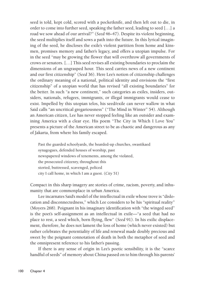seed is told, kept cold, scored with a pocketknife, and then left out to die, in order to come into further seed, speaking the father seed, leading to seed [. . .] a road we sow ahead of our arrival?" (*Seed* 46–47). Despite its violent beginning, the seed multiplies itself and sows a path into the future. In this lyrical imagining of the seed, he discloses the exile's violent partition from home and kinsmen, promises memory and father's legacy, and offers a utopian impulse. For in the seed "may be growing the flower that will overthrow all governments of crows or senators. [. . .] This seed revises all existing boundaries to proclaim the dimensions of an ungrasped hour. This seed carries news of a new continent and our first citizenship" (*Seed* 36). Here Lee's notion of citizenship challenges the ordinary meaning of a national, political identity and envisions the "first citizenship" of a utopian world that has revised "all existing boundaries" for the better. In such "a new continent," such categories as exiles, insiders, outsiders, nationals, refugees, immigrants, or illegal immigrants would cease to exist. Impelled by this utopian telos, his seed/exile can never wallow in what Said calls "an uncritical gregariousness" ("The Mind in Winter" 54). Although an American citizen, Lee has never stopped feeling like an outsider and examining America with a clear eye. His poem "The City in Which I Love You" presents a picture of the American street to be as chaotic and dangerous as any of Jakarta, from where his family escaped.

Past the guarded schoolyards, the boarded-up churches, swastikaed synagogues, defended houses of worship, past newspapered windows of tenements, among the violated, the prosecuted citizenry, throughout this storied, buttressed, scavenged, policed city I call home, in which I am a guest. (*City* 51)

Compact in this sharp imagery are stories of crime, racism, poverty, and inhumanity that are commonplace in urban America.

 Lee incarnates Said's model of the intellectual in exile whose trove is "dislocation and disconnectedness," which Lee considers to be his "spiritual reality" (Moyers 268). Poignant in his imaginary identification with "the winged seed" is the poet's self-assignment as an intellectual in exile—"a seed that had no place to rest, a seed which, born flying, flew" (*Seed* 91). In his exilic displacement, therefore, he does not lament the loss of home (which never existed) but rather celebrates the potentiality of life and renewal made doubly precious and sweet by the poignant connotation of death in both the metaphor of seed and the omnipresent reference to his father's passing.

 If there is any sense of origin in Lee's poetic sensibility, it is the "scarce handful of seeds" of memory about China passed on to him through his parents'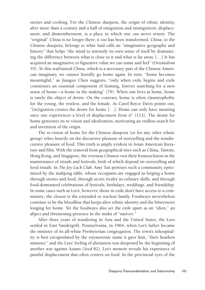stories and cooking. For the Chinese diaspora, the origin of ethnic identity, after more than a century and a half of emigration and immigration, displacement, and dismemberment, is a place to which one can never return. The "original" China is no longer there; it too has been transformed. China, to the Chinese diaspora, belongs to what Said calls an "imaginative geography and history" that helps "the mind to intensify its own sense of itself by dramatizing the difference between what is close to it and what is far away. [. . .] It has acquired an imaginative or figurative value we can name and feel" (*Orientalism* 55). To this real/unreal China, which is a necessary part of the Chinese American imaginary, we cannot literally go home again. In turn, "home becomes meaningful," as Jianguo Chen suggests, "only when exile begins and exile constitutes an essential component of homing, forever searching for a new sense of home—a home in the making" (79). When one lives at home, home is rarely the object of desire. On the contrary, home is often claustrophobic for the young, the restless, and the female. As Carol Boyce Davis points out, "[m]igration creates the desire for home [. . .]. Home can only have meaning once one experiences a level of displacement from it" (113). The desire for home generates its re-vision and idealization, motivating an endless search for and invention of the origin.

 The re-vision of home for the Chinese diaspora (or for any other ethnic group) relies heavily on the discursive pleasure of storytelling and the nondiscursive pleasure of food. This truth is amply evident in Asian American literature and film. With the removal from geographical sites such as China, Taiwan, Hong Kong, and Singapore, the overseas Chinese vest their homesickness in the maintenance of rituals and festivals, both of which depend on storytelling and food rituals. In *The Joy Luck Club,* Amy Tan portrays such a community, epitomized by the mahjong table, whose occupants are engaged in forging a home through stories and food, through secret rivalry in culinary skills, and through food-dominated celebrations of festivals, birthdays, weddings, and friendship. In some cases such as Lee's, however, those in exile don't have access to a community; the closest is the extended or nuclear family. Foodways nevertheless continue to be the bloodline that keeps alive ethnic identity and the bittersweet longing for home. Yet the foodways also set the exile apart as an "alien," an abject and threatening presence in the midst of "natives."

 After three years of wandering in Asia and the United States, the Lees settled in East Vandergrift, Pennsylvania, in 1964, when Lee's father became the minister of its all-white Presbyterian congregation. The town's inhospitality is best encapsulated by the oxymoronic name it gave him, "their heathen minister," and the Lees' feeling of alienation was deepened by the beginning of another war against Asians (*Seed* 82). Lee's memoir reveals his experience of painful displacement that often centers on food. In the provincial eyes of the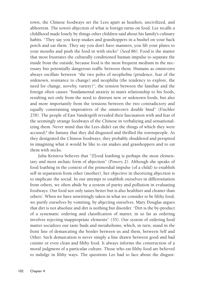town, the Chinese foodways set the Lees apart as heathen, uncivilized, and abhorrent. The town's abjection of what is foreign turns on food. Lee recalls a childhood made lonely by things other children said about his family's culinary habits. "They say you keep snakes and grasshoppers in a bushel on your back porch and eat them. They say you don't have manners, you lift your plates to your mouths and push the food in with sticks" (*Seed* 86). Food is the matter that most frustrates the culturally conditioned human impulse to separate the inside from the outside, because food is the most frequent medium in the necessary but potentially dangerous traffic between them. Humans as omnivores always oscillate between "the two poles of neophobia (prudence, fear of the unknown, resistance to change) and neophilia (the tendency to explore, the need for change, novelty, variety)"; the tension between the familiar and the foreign often causes "fundamental anxiety in man's relationship to his foods, resulting not only from the need to distrust new or unknown foods, but also and more importantly from the tensions between the two contradictory and equally constraining imperatives of the omnivore's double bind" (Fischler 278). The people of East Vandergrift revealed their fascination with and fear of the seemingly strange foodways of the Chinese in verbalizing and sensationalizing them. Never mind that the Lees didn't eat the things of which they were accused;6 the fantasy that they did disgusted and thrilled the townspeople. As they denigrated the Chinese foodways, they probably shuddered and perspired in imagining what it would be like to eat snakes and grasshoppers and to eat them with sticks.

 Julia Kristeva believes that "[f]ood loathing is perhaps the most elementary and most archaic form of abjection" (*Powers* 2). Although she speaks of food loathing in the context of the primordial impulse (of a child) to establish self in separation from other (mother), her objective in theorizing abjection is to implicate the social. In our attempt to establish ourselves in differentiation from others, we often abide by a system of purity and pollution in evaluating foodways. Our food not only tastes better but is also healthier and cleaner than others'. When we have unwittingly taken in what we consider to be filthy food, we purify ourselves by vomiting, by abjecting ourselves. Mary Douglas argues that dirt is not absolute and dirt is nothing but disorder. "Dirt is the by-product of a systematic ordering and classification of matter, in so far as ordering involves rejecting inappropriate elements" (35). Our system of ordering food matter socializes our taste buds and metabolisms, which, in turn, stand in the front line of demarcating the border between us and them, between Self and Other. Such demarcation is never simply a line drawn between good and bad cuisine or even clean and filthy food. It always informs the construction of a moral judgment of a particular culture. Those who eat filthy food are believed to indulge in filthy ways. The questions Lee had to face about the disgust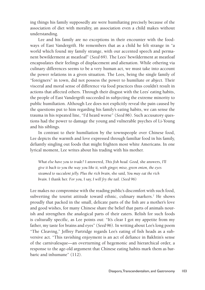ing things his family supposedly ate were humiliating precisely because of the association of diet with morality, an association even a child makes without understanding.

 Lee and his family are no exceptions in their encounter with the foodways of East Vandergrift. He remembers that as a child he felt strange in "a world which found my family strange, with our accented speech and permanent bewilderment at meatloaf" (*Seed* 69). The Lees' bewilderment at meatloaf encapsulates their feelings of displacement and alienation. While othering via culinary differences seems to be a very human act, we must take into account the power relations in a given situation. The Lees, being the single family of "foreigners" in town, did not possess the power to humiliate or abject. Their visceral and moral sense of difference via food practices thus couldn't result in actions that affected others. Through their disgust with the Lees' eating habits, the people of East Vandergrift succeeded in subjecting the extreme minority to public humiliation. Although Lee does not explicitly reveal the pain caused by the questions put to him regarding his family's eating habits, we can sense the trauma in his repeated line, "I'd heard worse" (*Seed* 86). Such accusatory questions had the power to damage the young and vulnerable psyches of Li-Young and his siblings.

 In contrast to their humiliation by the townspeople over Chinese food, Lee depicts the warmth and love expressed through familiar food in his family, defiantly singling out foods that might frighten most white Americans. In one lyrical moment, Lee writes about his trading with his mother.

*What else have you to trade?* I answered, *This fish head. Good,* she answers, *I'll give it back to you the way you like it, with ginger, miso, green onion, the eyes steamed to succulent jelly. Plus the rich brain,* she said, *You may eat the rich brain.* I thank her. *For you,* I say, *I will fry the tail.* (*Seed* 96)

Lee makes no compromise with the reading public's discomfort with such food, subverting the tourist attitude toward ethnic, culinary markers.<sup>7</sup> He shows proudly that packed in the small, delicate parts of the fish are a mother's love and good wishes, for many Chinese share the belief that parts of animals nourish and strengthen the analogical parts of their eaters. Relish for such foods is culturally specific, as Lee points out: "It's clear I got my appetite from my father, my taste for brains and eyes" (*Seed* 96). In writing about Lee's long poem "The Cleaving," Jeffrey Partridge regards Lee's eating of fish heads as a subversive act. "This ravishing enjoyment is an act of defiance in Bakhtin's sense of the carnivalesque—an overturning of hegemonic and hierarchical order, a response to the age-old argument that Chinese eating habits mark them as barbaric and inhumane" (112).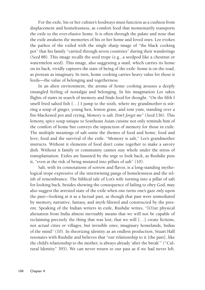For the exile, his or her culture's foodways must function as a cushion from displacement and homelessness, as comfort food that momentarily transports the exile to the ever-elusive home. It is often through the palate and nose that the exile awakens the memories of his or her home and loved ones. Lee evokes the pathos of the exiled with the single sharp image of "the black cooking pot" that his family "carried through seven countries" during their wanderings (*Seed* 88). This image recalls the seed trope (e.g., a seedpod like a chestnut or watermelon seed). This image, also suggesting a snail, which carries its home on its back, vividly captures the state of being of the exile: home is on the road, as protean as imaginary. In turn, home cooking carries heavy value for those it feeds—the value of belonging and togetherness.

 In an alien environment, the aroma of home cooking arouses a deeply entangled feeling of nostalgia and belonging. In his imagination Lee takes flights of stairs in search of memory and finds food for thought. "On the fifth I smell fried salted fish [...] I jump to the sixth, where my grandmother is stirring a soup of ginger, young hen, lemon grass, and tom yum, standing over a fire-blackened pot and crying, *Memory is salt. Don't forget me*" (*Seed* 136). This lemony, spicy soup unique to Southeast Asian cuisine not only reminds him of the comfort of home but conveys the injunction of memory for those in exile. The multiple meanings of salt unite the themes of food and home, food and love, food and the survival of the exile. "Memory is salt," Lee's grandmother instructs. Without it elements of food don't come together to make a savory dish. Without it family or community cannot stay whole under the stress of transplantation. Exiles are haunted by the urge to look back, as Rushdie puts it, "even at the risk of being mutated into pillars of salt" (10).

 Salt, with its connotations of sorrow and flavor, is a long-standing mythological trope expressive of the intertwining pangs of homelessness and the relish of remembrance. The biblical tale of Lot's wife turning into a pillar of salt for looking back, besides showing the consequence of failing to obey God, may also suggest the arrested state of the exile when one turns one's gaze *only* upon the past—looking at it as a factual past, as though that past were unmediated by memory, narrative, fantasy, and myth filtered and constructed by the present. Speaking of the Indian writers in exile, Rushdie writes, "[O]ur physical alienation from India almost inevitably means that we will not be capable of reclaiming precisely the thing that was lost; that we will [. . .] create fictions, not actual cities or villages, but invisible ones, imaginary homelands, Indias of the mind" (10). In theorizing identity as an endless production, Stuart Hall resonates with Rushdie and believes that "our relationship to it [the past], like the child's relationship to the mother, is always already 'after the break' " ("Cultural Identity" 395). We can never return to our past as if we had never left.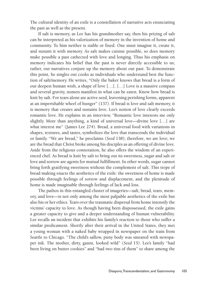The cultural identity of an exile is a constellation of narrative acts enunciating the past as well as the present.

 If salt is memory, as Lee has his grandmother say, then his prizing of salt can be interpreted as his valorization of memory in the invention of home and community. To him neither is stable or fixed. One must imagine it, create it, and sustain it with memory. As salt makes cuisine possible, so does memory make possible a past cathected with love and longing. Thus his emphasis on memory indicates his belief that the past is never directly accessible to us; rather, our narratives conjure up the memory about our past. To demonstrate this point, he singles out cooks as individuals who understand best the function of salt/memory. He writes, "Only the baker knows that bread is a form of our deepest human wish, a shape of love [. . .]. [. . .] Love is a massive compass and several gravity, numen manifest in what can be eaten. Know how bread is knit by salt. For tears alone are active seed, leavening perishing forms, apparent at an imperishable wheel of hunger" (137). If bread is love and salt memory, it is memory that creates and sustains love. Lee's notion of love clearly exceeds romantic love. He explains in an interview, "Romantic love interests me only slightly. More than anything, a kind of universal love—divine love [...] are what interest me" (James Lee 274). Bread, a universal food with variations in shapes, textures, and tastes, symbolizes the love that transcends the individual or family. "We are bread," he proclaims (*Seed* 138); therefore, we are love; we are the bread that Christ broke among his disciples as an offering of divine love. Aside from the religious connotation, he also offers the wisdom of an experienced chef. As bread is knit by salt to bring out its sweetness, sugar and salt or love and sorrow are agents for mutual fulfillment. In other words, sugar cannot bring forth gratifying sweetness without the complement of salt. This trope of bread making enacts the aesthetics of the exile: the sweetness of home is made possible through feelings of sorrow and displacement, and the plenitude of home is made imaginable through feelings of lack and loss.

 The pathos in this entangled cluster of imageries—salt, bread, tears, memory, and love—is not only among the most palpable aesthetics of the exile but also his or her ethics. Tears over the traumatic dispersal from home intensify the victims' capacity to love. As though having been dispossessed, the exile gains a greater capacity to give and a deeper understanding of human vulnerability. Lee recalls an incident that exhibits his family's reaction to those who suffer a similar predicament. Shortly after their arrival in the United States, they met a young woman with a naked baby wrapped in newspaper on the train from Seattle to Chicago. "The child's sallow, puny body was smeared with newspaper ink. The mother, dirty, gaunt, looked wild" (*Seed* 15). Lee's family "had been living on butter cookies" and "had two tins of them" to share among the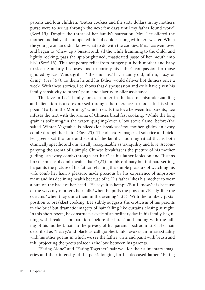parents and four children. "Butter cookies and the sixty dollars in my mother's purse were to see us through the next few days until my father found work" (*Seed* 15). Despite the threat of her family's starvation, Mrs. Lee offered the mother and baby "the unopened tin" of cookies along with her sweater. When the young woman didn't know what to do with the cookies, Mrs. Lee went over and began to "chew up a biscuit and, all the while humming to the child, and lightly rocking, pass the spit-brightened, masticated paste of her mouth into his" (*Seed* 16). This temporary relief from hunger put both mother and baby to sleep. Similarly, Lee uses food to portray his father's compassion for those ignored by East Vandergrift—" 'the shut-ins,' [. . .] mainly old, infirm, crazy, or dying" (*Seed* 67). To them he and his father would deliver hot dinners once a week. With these stories, Lee shows that dispossession and exile have given his family sensitivity to others' pain, and alacrity to offer assistance.

 The love in Lee's family for each other in the face of misunderstanding and alienation is also expressed through the references to food. In his short poem "Early in the Morning," which recalls the love between his parents, Lee infuses the text with the aroma of Chinese breakfast cooking. "While the long grain is softening/in the water, gurgling/over a low stove flame, before/the salted Winter Vegetable is sliced/for breakfast/my mother glides an ivory comb / through her hair" (*Rose* 25). The olfactory images of soft rice and pickled greens set the tone and scent of the familial morning ritual that is both ethnically specific and universally recognizable as tranquility and love. Accompanying the aroma of a simple Chinese breakfast is the picture of his mother gliding "an ivory comb / through her hair" as his father looks on and "listens for/the music of comb/against hair" (25). In this ordinary but intimate setting, he paints the picture of his father relishing the simple pleasure of watching his wife comb her hair, a pleasure made precious by his experience of imprisonment and his declining health because of it. His father likes his mother to wear a bun on the back of her head. "He says it is kempt. / But I know / it is because of the way / my mother's hair falls / when he pulls the pins out. / Easily, like the curtains / when they untie them in the evening" (25). With the unlikely juxtaposition to breakfast cooking, Lee subtly suggests the eroticism of his parents in the brief but dramatic imagery of hair falling like curtains closing at night. In this short poem, he constructs a cycle of an ordinary day in his family, beginning with breakfast preparation "before the birds" and ending with the falling of his mother's hair in the privacy of his parents' bedroom (25). Her hair described as "heavy / and black as calligrapher's ink" evokes an intertextuality with his other poems in which we see the father write and paint with brush and ink, projecting the poet's solace in the love between his parents.

 "Eating Alone" and "Eating Together" pair well for their alimentary imageries and their intensity of the poet's longing for his deceased father. "Eating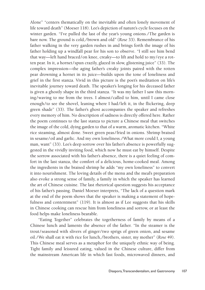Alone" "centers thematically on the inevitable and often lonely movement of life toward death" (Moeser 118). Lee's depiction of nature's cycle focuses on the winter garden. "I've pulled the last of the year's young onions. / The garden is bare now. The ground is cold, / brown and old" (*Rose* 33). Remembrance of his father walking in the very garden rushes in and brings forth the image of his father holding up a windfall pear for his son to observe. "I still see him bend that way—left hand braced / on knee, creaky—to lift and hold to my / eye a rotten pear. In it, a hornet / spun crazily, glazed in slow, glistening juice" (33). The complex impression—the aging father's creaky joints paired with the rotten pear drowning a hornet in its juice—builds upon the tone of loneliness and grief in the first stanza. Vivid in this picture is the poet's meditation on life's inevitable journey toward death. The speaker's longing for his deceased father is given a ghostly shape in the third stanza. "It was my father I saw this morning / waving to me from the trees. I almost / called to him, until I came close enough/to see the shovel, leaning where I had/left it, in the flickering, deep green shade" (33). The father's ghost accompanies the speaker and refreshes every memory of him. No description of sadness is directly offered here. Rather the poem continues to the last stanza to picture a Chinese meal that switches the image of the cold, dying garden to that of a warm, aromatic kitchen. "White rice steaming, almost done. Sweet green peas / fried in onions. Shrimp braised in sesame / oil and garlic. And my own loneliness. / What more could I, a young man, want" (33). Lee's deep sorrow over his father's absence is powerfully suggested in the vividly inviting food, which now he must eat by himself. Despite the sorrow associated with his father's absence, there is a quiet feeling of comfort in the last stanza, the comfort of a delicious, home-cooked meal. Among the ingredients in the braised shrimp he adds "my own loneliness" to convert it into nourishment. The loving details of the menu and the meal's preparation also evoke a strong sense of family, a family in which the speaker has learned the art of Chinese cuisine. The last rhetorical question suggests his acceptance of his father's passing. Daniel Moeser interprets, "The lack of a question mark at the end of the poem shows that the speaker is making a statement of hopefulness and contentment" (119). It is almost as if Lee suggests that his skills in Chinese cooking can rescue him from loneliness and sorrow, or at least the food helps make loneliness bearable.

 "Eating Together" celebrates the togetherness of family by means of a Chinese lunch and laments the absence of the father. "In the steamer is the trout / seasoned with slivers of ginger / two sprigs of green onion, and sesame oil. / We shall eat it with rice for lunch, / brothers, sister, my mother" (*Rose* 49). This Chinese meal serves as a metaphor for the uniquely ethnic way of being. Tight family and leisured eating, valued in the Chinese culture, differ from the mainstream American life in which fast foods, microwaved dinners, and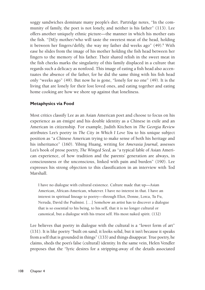soggy sandwiches dominate many people's diet. Partridge notes, "In the community of family, the poet is not lonely, and neither is his father" (113). Lee offers another uniquely ethnic picture—the manner in which his mother eats the fish. "[M]y mother / who will taste the sweetest meat of the head, holding it between her fingers/deftly, the way my father did weeks ago" (49).<sup>8</sup> With ease he slides from the image of his mother holding the fish head between her fingers to the memory of his father. Their shared relish in the sweet meat in the fish cheeks marks the singularity of this family displaced in a culture that regards such a delicacy as nonfood. This image of eating a fish head also accentuates the absence of the father, for he did the same thing with his fish head only "weeks ago" (49). But now he is gone, "lonely for no one" (49). It is the living that are lonely for their lost loved ones, and eating together and eating home cooking are how we shore up against that loneliness.

## **Metaphysics via Food**

Most critics classify Lee as an Asian American poet and choose to focus on his experience as an émigré and his double identity as a Chinese in exile and an American in citizenship. For example, Judith Kitchen in *The Georgia Review* attributes Lee's poetry in *The City in Which I Love You* to his unique subject position as "a Chinese American trying to make sense of both his heritage and his inheritance" (160). Yibing Huang, writing for *Amerasia Journal,* assesses Lee's book of prose poetry, *The Winged Seed*, as "a typical fable of Asian American experience, of how tradition and the parents' generation are always, in consciousness or the unconscious, linked with pain and burden" (190). Lee expresses his strong objection to this classification in an interview with Tod Marshall.

I have no dialogue with cultural existence. Culture made that up—Asian American, African-American, whatever. I have no interest in that. I have an interest in spiritual lineage to poetry—through Eliot, Donne, Lorca, Tu Fu, Neruda, David the Psalmist. [. . .] Somehow an artist has to discover a dialogue that is so essential to his being, to his self, that it is no longer cultural or canonical, but a dialogue with his truest self. His most naked spirit. (132)

Lee believes that poetry in dialogue with the cultural is a "lower form of art" (131). It is like poetry "built on sand; it looks solid, but it isn't because it speaks from a self that is grounded in things" (133) and things disappear. True poetry, he claims, sheds the poet's false (cultural) identity. In the same vein, Helen Vendler proposes that the "lyric desires for a stripping-away of the details associated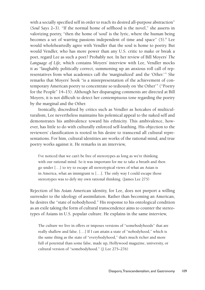with a socially specified self in order to reach its desired all-purpose abstraction" (*Soul Says* 2–3). "If the normal home of selfhood is the novel," she asserts in valorizing poetry, "then the home of 'soul' is the lyric, where the human being becomes a set of warring passions independent of time and space" (5).9 Lee would wholeheartedly agree with Vendler that the soul is home to poetry. But would Vendler, who has more power than any U.S. critic to make or break a poet, regard Lee as such a poet? Probably not. In her review of Bill Moyers' *The Language of Life,* which contains Moyers' interview with Lee, Vendler mocks it as "laughably politically correct, summoning up an anxious roll call of representatives from what academics call the 'marginalized' and the 'Other.'" She remarks that Moyers' book "is a misrepresentation of the achievement of contemporary American poetry to concentrate so tediously on 'the Other' " ("Poetry for the People" 14–15). Although her disparaging comments are directed at Bill Moyers, it is not difficult to detect her contemptuous tone regarding the poetry by the marginal and the Other.

 Ironically, discredited by critics such as Vendler as hotcakes of multiculturalism, Lee nevertheless maintains his polemical appeal to the naked self and demonstrates his ambivalence toward his ethnicity. This ambivalence, however, has little to do with culturally enforced self-loathing. His objection to the reviewers' classification is rooted in his desire to transcend all cultural representations. For him, cultural identities are works of the rational mind, and true poetry works against it. He remarks in an interview,

I've noticed that we can't be free of stereotypes as long as we're thinking with our rational mind. So it was important for me to take a breath and then go under [. . .] to try to escape all stereotypical views of what an Asian is in America, what an immigrant is [. . .]. The only way I could escape those stereotypes was to defy my own rational thinking. (James Lee 275)

Rejection of his Asian American identity, for Lee, does not purport a willing surrender to the ideology of assimilation. Rather than becoming an American, he desires the "state of nobodyhood." His response to his ontological condition as an exile taking the form of cultural transcendence aims to counter the stereotypes of Asians in U.S. popular culture. He explains in the same interview,

The culture we live in offers or imposes versions of "somebodyhoods" that are really shallow and false. [. . .] If I can attain a state of "nobodyhood," which is the same thing as the state of "everybodyhood," that's much richer and more full of potential than some false, made up, Hollywood magazine, university, or cultural version of "somebodyhood." (J. Lee 275–276)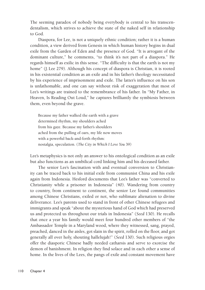The seeming paradox of nobody being everybody is central to his transcendentalism, which strives to achieve the state of the naked self in relationship to God.

 Diaspora, for Lee, is not a uniquely ethnic condition; rather it is a human condition, a view derived from Genesis in which human history begins in dual exile from the Garden of Eden and the presence of God. "It is arrogant of the dominant culture," he comments, "to think it's not part of a diaspora." He regards himself as exilic in this sense. "The difficulty is that the earth is not my home" (J. Lee 279). Although his concept of diaspora is Christian, it is rooted in his existential condition as an exile and in his father's theology necessitated by his experience of imprisonment and exile. The latter's influence on his son is unfathomable, and one can say without risk of exaggeration that most of Lee's writings are trained to the remembrance of his father. In "My Father, in Heaven, Is Reading Out Loud," he captures brilliantly the symbiosis between them, even beyond the grave.

Because my father walked the earth with a grave determined rhythm, my shoulders ached from his gaze. Because my father's shoulders ached from the pulling of oars, my life now moves with a powerful back-and-forth rhythm: nostalgia, speculation. (*The City in Which I Love You* 39)

Lee's metaphysics is not only an answer to his ontological condition as an exile but also functions as an umbilical cord linking him and his deceased father.

 The senior Lee's fascination with and eventual conversion to Christianity can be traced back to his initial exile from communist China and his exile again from Indonesia. Hesford documents that Lee's father was "converted to Christianity while a prisoner in Indonesia" (40). Wandering from country to country, from continent to continent, the senior Lee found communities among Chinese Christians, exiled or not, who sublimate alienation to divine deliverance. Lee's parents used to stand in front of other Chinese refugees and immigrants and speak "about the mysterious hand of God which had preserved us and protected us throughout our trials in Indonesia" (*Seed* 130). He recalls that once a year his family would meet four hundred other members of "the Ambassador Temple in a Maryland wood, where they witnessed, sang, prayed, preached, danced in the aisles, got slain in the spirit, rolled on the floor, and got generally all over holy, shouting hallelujah!" (*Seed* 130). Such religious orgies offer the diasporic Chinese badly needed catharsis and serve to exorcise the demon of banishment. In religion they find solace and in each other a sense of home. In the lives of the Lees, the pangs of exile and constant movement have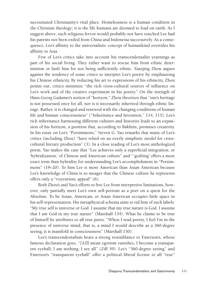necessitated Christianity's vital place. Homelessness is a human condition in the Christian theology; it is the life humans are doomed to lead on earth. As I suggest above, such religious fervor would probably not have touched Lee had his parents not been exiled from China and Indonesia successively. As a consequence, Lee's affinity to the universalistic concept of humankind overrides his affinity to Asia.

 Few of Lee's critics take into account his transcendentalist yearnings as part of his social living. They either want to rescue him from ethnic determinism or fault him for not being sufficiently ethnic. Xiaojing Zhou argues against the tendency of some critics to interpret Lee's poetry by emphasizing his Chinese ethnicity. By reducing his art to expressions of his ethnicity, Zhou points out, critics minimize "the rich cross-cultural sources of influence on Lee's work and of the creative experiment in his poetry." On the strength of Hans-Georg Gadamer's notion of "horizon," Zhou theorizes that "one's heritage is not possessed once for all, nor is it necessarily inherited through ethnic lineage. Rather, it is changed and renewed with the changing conditions of human life and human consciousness" ("Inheritance and Invention," 114, 115). Lee's rich inheritance harnessing different cultures and histories leads to an expansion of his horizon, a position that, according to Bakhtin, promises creativity. In his essay on Lee's "Persimmons," Steven G. Yao remarks that many of Lee's critics (including Zhou) "have relied on an overly simplistic model for crosscultural literary production" (3). In a close reading of Lee's most anthologized poem, Yao makes the case that "Lee achieves only a superficial integration, or 'hybridization,' of Chinese and American culture" and " 'grafting' offers a more exact term than hybridity for understanding Lee's accomplishment in "Persimmons" (19–20). To him Lee is more American than Asian American because Lee's knowledge of China is so meager that the Chinese culture he represents offers only a "voyeuristic appeal" (6).

 Both Zhou's and Yao's efforts to free Lee from interpretive limitations, however, only partially meet Lee's own self-portrait as a poet on a quest for the Absolute. To be Asian, American, or Asian American occupies little space in his self-representation. His metaphysical schema aims to rid him of such labels: "My true self is universe or God. I assume that my true nature is God. I assume that I am God in my true nature" (Marshall 134). What he claims to be true of himself he attributes to all true poets. "When I read poetry, I feel I'm in the presence of universe mind; that is, a mind I would describe as a 360-degree seeing; it is manifold in consciousness" (Marshall 130).

 Lee's transcendentalism bears a strong resemblance to Emerson's, whose famous declaration goes, "[A]ll mean egotism vanishes, I become a transparent eyeball; I am nothing; I see all" (Ziff 39). Lee's "360-degree seeing" and Emerson's "transparent eyeball" offer a political liberal license to all "true"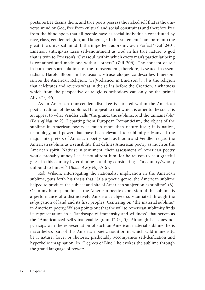poets, as Lee deems them, and true poets possess the naked self that is the universe mind or God, free from cultural and social constraints and therefore free from the blind spots that all people have as social individuals constituted by race, class, gender, religion, and language. In his statement "I am born into the great, the universal mind. I, the imperfect, adore my own Perfect" (Ziff 240), Emerson anticipates Lee's self-anointment as God in his true nature, a god that is twin to Emerson's "Oversoul, within which every man's particular being is contained and made one with all others" (Ziff 206). The concept of self in both men's articulations of the transcendent, therefore, is seated in essentialism. Harold Bloom in his usual abstruse eloquence describes Emersonism as the American Religion. "*Self*-reliance, in Emerson [. . .] is the religion that celebrates and reveres what in the self is before the Creation, a whatness which from the perspective of religious orthodoxy can only be the primal Abyss" (146).

 As an American transcendentalist, Lee is situated within the American poetic tradition of the sublime. His appeal to that which is other to the social is an appeal to what Vendler calls "the grand, the sublime, and the unnameable" (*Part of Nature* 2). Departing from European Romanticism, the object of the sublime in American poetry is much more than nature itself; it is nation, technology, and power that have been elevated to sublimity.10 Many of the major interpreters of American poetry, such as Bloom and Vendler, regard the American sublime as a sensibility that defines American poetry as much as the American spirit. Nativist in sentiment, their assessment of American poetry would probably annoy Lee, if not affront him, for he refuses to be a grateful guest in this country by critiquing it and by considering it "a country / wholly unfound to himself" (*Book of My Nights* 6).

 Rob Wilson, interrogating the nationalist implication in the American sublime, puts forth his thesis that "[a]s a poetic genre, the American sublime helped to produce the subject and site of American subjection as sublime" (3). Or in my blunt paraphrase, the American poetic expression of the sublime is a performance of a distinctively American subject substantiated through the subjugation of land and its first peoples. Centering on "the material sublime" in American poetry, Wilson points out that the will to American sublimity finds its representation in a "landscape of immensity and wildness" that serves as the "Americanized self's inalienable ground" (3, 5). Although Lee does not participate in the representation of such an American material sublime, he is nevertheless part of this American poetic tradition in which wild immensity, be it nature, force, or rhetoric, predictably accompanies self-deification and hyperbolic imagination. In "Degrees of Blue," he evokes the sublime through the grand language of power: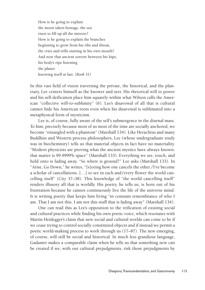How is he going to explain the moon taken hostage, the sea risen to fill up all the mirrors? How is he going to explain the branches beginning to grow from his ribs and throat, the cries and trills starting in his own mouth? And now that ancient sorrow between his hips, his body's ripe listening the planet knowing itself at last. (*Book* 31)

In this vast field of vision traversing the private, the historical, and the planetary, Lee centers himself as the knower and seer. His rhetorical will to power and his self-deification place him squarely within what Wilson calls the American "collective will-to-sublimity" (6). Lee's disavowal of all that is cultural cannot hide his American roots even when his disavowal is sublimated into a metaphysical form of mysticism.

 Lee is, of course, fully aware of the self's submergence in the diurnal mass. To him, precisely because most of us most of the time are socially anchored, we become "entangled with a phantom" (Marshall 134). Like Heraclitus and many Buddhist and Western process philosophers, Lee (whose undergraduate study was in biochemistry) tells us that material objects in fact have no materiality. "Modern physicists are proving what the ancient mystics have always known: that matter is 99.9999% space" (Marshall 133). Everything we see, touch, and hold onto is fading away. "So where is ground?" Lee asks (Marshall 133). In "Arise, Go Down," he writes, "[s]eeing how one cancels the other. / I've become a scholar of cancellations. [. . .] to see in each and / every flower the world cancelling itself" (*City* 37–38). This knowledge of "the world cancelling itself" renders illusory all that is worldly. His poetry, he tells us, is born out of his frustration because he cannot continuously live the life of the universe mind. It is writing poetry that keeps him living "in constant remembrance of who I am. That I am not this. I am not this stuff that is fading away" (Marshall 134).

 One can read this as Lee's opposition to the reification of existing social and cultural practices while finding his own poetic voice, which resonates with Martin Heidegger's claim that new social and cultural worlds can come to be if we cease trying to control socially constituted objects and if instead we permit a poetic world-making process to work through us (17–87). The new emerging, of course, will still be social and historical. In much less grandiose language, Gadamer makes a comparable claim when he tells us that something new can be created if we, with our cultural prejudgments, risk those prejudgments by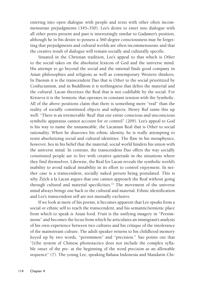entering into open dialogue with people and texts with other often incommensurate prejudgments (345–350). Lee's desire to enter into dialogue with all other poets present and past is interestingly similar to Gadamer's position, although he in his desire to possess a 360-degree consciousness may be forgetting that prejudgments and cultural worlds are often incommensurate and that the creative result of dialogue will remain socially and culturally specific.

 Situated in the Christian tradition, Lee's appeal to that which is Other to the social takes on the absolutist lexicon of God and the universe mind. His attempt to go beyond the social and the rational finds good company in Asian philosophies and religions as well as contemporary Western thinkers. In Daoism it is the transcendent Dao that is Other to the social prioritized by Confucianism, and in Buddhism it is nothingness that defies the material and the cultural. Lacan theorizes the Real that is not codifiable by the social. For Kristeva it is the Semiotic that operates in constant tension with the Symbolic. All of the above positions claim that there is something more "real" than the reality of socially constituted objects and subjects. Henry Ruf sums this up well: "There is an irremovable 'Real' that our entire conscious and unconscious symbolic apparatus cannot account for or control" (209). Lee's appeal to God is his way to name the unnameable, the Lacanian Real that is Other to social rationality. When he disavows his ethnic identity, he is really attempting to resist absolutizing social and cultural identities. The flaw in his metaphysics, however, lies in his belief that the material, social world hinders his union with the universe mind. In contrast, the transcendent Dao offers the way socially constituted people are to live with creative quietude in the situations where they find themselves. Likewise, the Real for Lacan reveals the symbolic world's inability to avoid radical instability in its effort to control enjoyment. In neither case is a transcendent, socially naked person being postulated. This is why Žižek à la Lacan argues that one cannot approach the Real without going through cultural and material specificities.<sup>11</sup> The movement of the universe mind always brings one back to the cultural and material. Ethnic identification and Lee's transcendent self are not mutually exclusive.

 If we look at more of his poems, it becomes apparent that Lee speaks from a social or ethnic self to reach the transcendent, and his semantic/semiotic place from which to speak is Asian food. Fruit is the unifying imagery in "Persimmons" and becomes the locus from which he articulates an immigrant's analysis of his own experience between two cultures and his critique of the intolerance of the mainstream culture. The adult speaker returns to his childhood memory keyed up by two words, "persimmon" and "precision." Yao points out that "[t]he system of Chinese phonotactics does not include the complex syllable onset of the *pre-* at the beginning of the word *precision* as an allowable sequence" (7). The young Lee, speaking Bahasa Indonesia and Mandarin Chi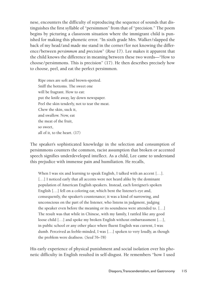nese, encounters the difficulty of reproducing the sequence of sounds that distinguishes the first syllable of "persimmon" from that of "precision." The poem begins by picturing a classroom situation where the immigrant child is punished for making this phonetic error. "In sixth grade Mrs. Walker / slapped the back of my head/and made me stand in the corner/for not knowing the difference / between *persimmon* and *precision*" (*Rose* 17). Lee makes it apparent that the child knows the difference in meaning between these two words—"How to choose / persimmons. This is precision" (17). He then describes precisely how to choose, peel, and eat the perfect persimmon.

Ripe ones are soft and brown-spotted. Sniff the bottoms. The sweet one will be fragrant. How to eat: put the knife away, lay down newspaper. Peel the skin tenderly, not to tear the meat. Chew the skin, suck it, and swallow. Now, eat the meat of the fruit, so sweet, all of it, to the heart. (17)

The speaker's sophisticated knowledge in the selection and consumption of persimmons counters the common, racist assumption that broken or accented speech signifies underdeveloped intellect. As a child, Lee came to understand this prejudice with immense pain and humiliation. He recalls,

When I was six and learning to speak English, I talked with an accent [...]. [...] I noticed early that all accents were not heard alike by the dominant population of American English speakers. Instead, each foreigner's spoken English [. . .] fell on a coloring ear, which bent the listener's eye and, consequently, the speaker's countenance; it was a kind of narrowing, and unconscious on the part of the listener, who listens in judgment, judging the speaker even before the meaning or its soundness were attended to. [. . .] The result was that while in Chinese, with my family, I rattled like any good loose child [...] and spoke my broken English without embarrassment [...], in public school or any other place where fluent English was current, I was dumb. Perceived as feeble-minded, I was [. . .] spoken to very loudly, as though the problem were deafness. (*Seed* 76–78)

His early experience of physical punishment and social isolation over his phonetic difficulty in English resulted in self-disgust. He remembers "how I used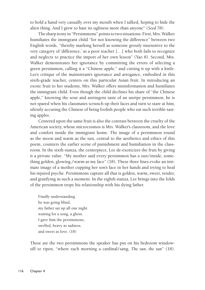to hold a hand very casually over my mouth when I talked, hoping to hide the alien thing. And I grew to hate its ugliness more than anyone" (*Seed* 78).

 The sharp irony in "Persimmons" points to two situations. First, Mrs. Walker humiliates the immigrant child "for not knowing the difference" between two English words, "thereby marking herself as someone grossly insensitive to the very category of 'difference,' as a poor teacher [. . .] who both fails to recognize and neglects to practice the import of her own lesson" (Yao 8). Second, Mrs. Walker demonstrates her ignorance by committing the errors of selecting a green persimmon, calling it a "Chinese apple," and cutting it up with a knife. Lee's critique of the mainstream's ignorance and arrogance, embodied in this sixth-grade teacher, centers on this particular Asian fruit. In introducing an exotic fruit to her students, Mrs. Walker offers misinformation and humiliates the immigrant child. Even though the child declines his share of "the Chinese apple," knowing the sour and astringent taste of an unripe persimmon, he is not spared when his classmates scrunch up their faces and turn to stare at him, silently accusing the Chinese of being foolish people who eat such terrible-tasting apples.

 Centered upon the same fruit is also the contrast between the cruelty of the American society, whose microcosmos is Mrs. Walker's classroom, and the love and comfort inside the immigrant home. The image of a persimmon round as the moon and warm as the sun, central to the aesthetics and ethics of this poem, counters the earlier scene of punishment and humiliation in the classroom. In the sixth stanza, the centerpiece, Lee de-exoticizes the fruit by giving it a private value. "My mother said every persimmon has a sun / inside, something golden, glowing, / warm as my face" (18). These three lines evoke an intimate image of a mother cupping her son's face in her hands and trying to heal his injured psyche. Persimmons capture all that is golden, warm, sweet, tender, and gratifying in such a moment. In the eighth stanza, Lee brings into the folds of the persimmon trope his relationship with his dying father.

Finally understanding he was going blind, my father sat up all one night waiting for a song, a ghost. I gave him the persimmons, swelled, heavy as sadness, and sweet as love. (18)

These are the two persimmons the speaker has put on his bedroom windowsill to ripen, "where each morning a cardinal / sang, *The sun, the sun*" (18).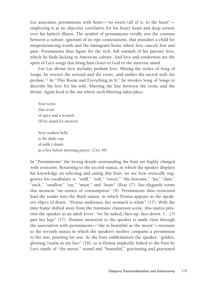Lee associates persimmons with heart—"so sweet,/all of it, to the heart" employing it as an objective correlative for his heavy heart and deep sorrow over his father's illness. The symbol of persimmons vividly sets the contrast between a culture, ignorant of its ripe connotations, that punishes a child for mispronouncing words and the immigrant home where love cancels fear and pain. Persimmons thus figure for the rich, full warmth of his parents' love, which he finds lacking in American culture. And love and tenderness are the spirit of Lee's songs that bring him closer to God or the universe mind.

 For Lee divine love includes profane love. Mining the riches of Song of Songs, he rescues the sensual and the erotic, and unifies the sacred with the profane.12 In "This Room and Everything in It," he invokes Song of Songs to describe his love for his wife, blurring the line between the erotic and the divine. Again food is the site where such blurring takes place.

Your scent that scent of spice and a wound, I'll let stand for mystery.

Your sunken belly is the daily cup of milk I drank as a boy before morning prayer. (*City* 49)

In "Persimmons" the loving details surrounding the fruit are highly charged with eroticism. Returning to the second stanza, in which the speaker displays his knowledge on selecting and eating this fruit, we see how erotically suggestive his vocabulary is: "sniff," "soft," "sweet," "the bottoms," "lay," "skin," "suck," "swallow," "eat," "meat," and "heart" (*Rose* 17). Yao elegantly terms this moment "an erotics of consumption" (9). Persimmons thus eroticized lead the reader into the third stanza, in which Donna appears as the speaker's object of desire. "Donna undresses, her stomach is white" (17). With the time frame shifted away from the traumatic classroom scene, this stanza presents the speaker as an adult lover: "we lie naked,/face-up, face-down. [...]/I part her legs" (17). Donna's attraction to the speaker is made clear through the association with persimmons—"she is beautiful as the moon"—resonant to the seventh stanza in which the speaker's mother compares a persimmon to the sun, punning for son. As the fruit emblematizes the speaker, "golden, glowing, / warm as my face" (18), so is Donna implicitly linked to the fruit by Lee's simile of "the moon," round and "beautiful," gravitating and gravitated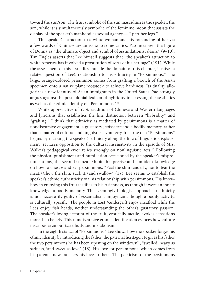toward the sun/son. The fruit symbolic of the sun masculinizes the speaker, the son, while it is simultaneously symbolic of the feminine moon that assists the display of the speaker's manhood as sexual agency—"I part her legs."

 The speaker's attraction to a white woman and his romancing of her via a few words of Chinese are an issue to some critics. Yao interprets the figure of Donna as "the ultimate object and symbol of assimilationist desire" (9–10). Tim Engles asserts that Lee himself suggests that "the speaker's attraction to white America has involved a prostitution of sorts of his heritage" (191). While the assessment of this issue lies outside the domain of this chapter, it raises a related question of Lee's relationship to his ethnicity in "Persimmons." The large, orange-colored persimmon comes from grafting a branch of the Asian specimen onto a native plant rootstock to achieve hardiness. Its duality allegorizes a new identity of Asian immigrants in the United States. Yao strongly argues against the postcolonial lexicon of hybridity in assessing the aesthetics as well as the ethnic identity of "Persimmons."13

 While appreciative of Yao's erudition of Chinese and Western languages and lyricisms that establishes the fine distinction between "hybridity" and "grafting," I think that ethnicity as mediated by persimmons is a matter of nondiscursive engagement, a gustatory *jouissance* and a bodily memory, rather than a matter of cultural and linguistic asymmetry. It is true that "Persimmons" begins by marking the speaker's ethnicity along the line of linguistic displacement. Yet Lee's opposition to the cultural insensitivity in the episode of Mrs. Walker's pedagogical error relies strongly on nonlinguistic acts.<sup>14</sup> Following the physical punishment and humiliation occasioned by the speaker's mispronunciations, the second stanza exhibits his precise and confident knowledge on how to choose and eat persimmons. "Peel the skin tenderly, not to tear the meat. / Chew the skin, suck it, / and swallow" (17). Lee seems to establish the speaker's ethnic authenticity via his relationship with persimmons. His knowhow in enjoying this fruit testifies to his Asianness, as though it were an innate knowledge, a bodily memory. This seemingly biologist approach to ethnicity is not necessarily guilty of essentialism. Enjoyment, though a bodily activity, is culturally specific. The people in East Vandergrift enjoy meatloaf while the Lees enjoy fish heads, neither understanding the other's gustatory passion. The speaker's loving account of the fruit, erotically tactile, evokes sensations more than beliefs. This nondiscursive ethnic identification evinces how culture inscribes even our taste buds and metabolism.

 In the eighth stanza of "Persimmons," Lee shows how the speaker forges his ethnic identity by introducing the father, the paternal heritage. He gives his father the two persimmons he has been ripening on the windowsill, "swelled, heavy as sadness,/and sweet as love" (18). His love for persimmons, which comes from his parents, now transfers his love to them. The poeticism of the persimmons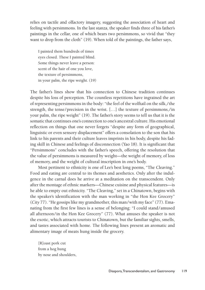relies on tactile and olfactory imagery, suggesting the association of heart and feeling with persimmons. In the last stanza, the speaker finds three of his father's paintings in the cellar, one of which bears two persimmons, so vivid that "they want to drop from the cloth" (19). When told of the paintings, the father says,

I painted them hundreds of times eyes closed. These I painted blind. Some things never leave a person: scent of the hair of one you love, the texture of persimmons, in your palm, the ripe weight. (19)

The father's lines show that his connection to Chinese tradition continues despite his loss of perception. The countless repetitions have ingrained the art of representing persimmons in the body: "the feel of the wolftail on the silk, / the strength, the tense / precision in the wrist. [. . .] the texture of persimmons, / in your palm, the ripe weight" (19). The father's story seems to tell us that it is the somatic that continues one's connection to one's ancestral culture. His emotional reflection on things that one never forgets "despite any form of geographical, linguistic or even sensory displacement" offers a consolation to the son that his link to his parents and their culture leaves imprints in his body, despite his fading skill in Chinese and feelings of disconnection (Yao 18). It is significant that "Persimmons" concludes with the father's speech, offering the resolution that the value of persimmons is measured by weight—the weight of memory, of loss of memory, and the weight of cultural inscription in one's body.

 Most pertinent to ethnicity is one of Lee's best long poems, "The Cleaving." Food and eating are central to its themes and aesthetics. Only after the indulgence in the carnal does he arrive at a meditation on the transcendent. Only after the montage of ethnic markers—Chinese cuisine and physical features—is he able to empty out ethnicity. "The Cleaving," set in a Chinatown, begins with the speaker's identification with the man working in "the Hon Kee Grocery" (*City* 77). "He gossips like my grandmother, this man / with my face" (77). Emanating from the first few lines is a sense of belonging: "I could stand / amused all afternoon/in the Hon Kee Grocery" (77). What amuses the speaker is not the exotic, which attracts tourists to Chinatown, but the familiar sights, smells, and tastes associated with home. The following lines present an aromatic and alimentary image of meats hung inside the grocery.

[R]oast pork cut from a hog hung by nose and shoulders,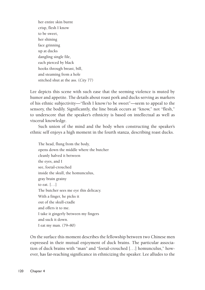her entire skin burnt crisp, flesh I know to be sweet, her shining face grinning up at ducks dangling single file, each pierced by black hooks through breast, bill, and steaming from a hole stitched shut at the ass. (*City* 77)

Lee depicts this scene with such ease that the seeming violence is muted by humor and appetite. The details about roast pork and ducks serving as markers of his ethnic subjectivity—"flesh I know / to be sweet"—seem to appeal to the sensory, the bodily. Significantly, the line break occurs at "know," not "flesh," to underscore that the speaker's ethnicity is based on intellectual as well as visceral knowledge.

 Such union of the mind and the body when constructing the speaker's ethnic self enjoys a high moment in the fourth stanza, describing roast ducks.

The head, flung from the body, opens down the middle where the butcher cleanly halved it between the eyes, and I see, foetal-crouched inside the skull, the homunculus, gray brain grainy to eat.  $[\,\ldots]$ The butcher sees me eye this delicacy. With a finger, he picks it out of the skull-cradle and offers it to me. I take it gingerly between my fingers and suck it down. I eat my man. (79–80)

On the surface this moment describes the fellowship between two Chinese men expressed in their mutual enjoyment of duck brains. The particular association of duck brains with "man" and "foetal-crouched [. . .] homunculus," however, has far-reaching significance in ethnicizing the speaker. Lee alludes to the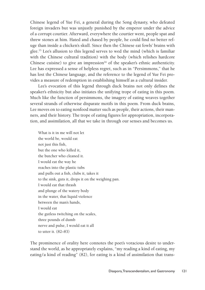Chinese legend of Yue Fei, a general during the Song dynasty, who defeated foreign invaders but was unjustly punished by the emperor under the advice of a corrupt courtier. Afterward, everywhere the courtier went, people spat and threw stones at him. Hated and chased by people, he could find no better refuge than inside a chicken's skull. Since then the Chinese eat fowls' brains with glee.<sup>15</sup> Lee's allusion to this legend serves to wed the mind (which is familiar with the Chinese cultural tradition) with the body (which relishes hardcore Chinese cuisine) to give an impression<sup>16</sup> of the speaker's ethnic authenticity. Lee has expressed a sense of helpless regret, such as in "Persimmons," that he has lost the Chinese language, and the reference to the legend of Yue Fei provides a measure of redemption in establishing himself as a cultural insider.

 Lee's evocation of this legend through duck brains not only defines the speaker's ethnicity but also initiates the unifying trope of eating in this poem. Much like the function of persimmons, the imagery of eating weaves together several strands of otherwise disparate motifs in this poem. From duck brains, Lee moves on to eating nonfood matter such as people, their actions, their manners, and their history. The trope of eating figures for appropriation, incorporation, and assimilation, all that we take in through our senses and becomes us.

What is it in me will not let the world be, would eat not just this fish, but the one who killed it, the butcher who cleaned it. I would eat the way he reaches into the plastic tubs and pulls out a fish, clubs it, takes it to the sink, guts it, drops it on the weighing pan. I would eat that thrash and plunge of the watery body in the water, that liquid violence between the man's hands, I would eat the gutless twitching on the scales, three pounds of dumb nerve and pulse, I would eat it all to utter it. (82–83)

The prominence of orality here connotes the poet's voracious desire to understand the world, as he appropriately explains, "my reading a kind of eating, my eating/a kind of reading"  $(82)$ , for eating is a kind of assimilation that trans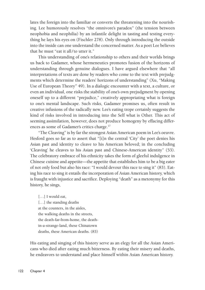lates the foreign into the familiar or converts the threatening into the nourishing. Lee humorously resolves "the omnivore's paradox" (the tension between neophobia and neophilia) by an infantile delight in tasting and testing everything he lays his eyes on (Fischler 278). Only through introducing the outside into the inside can one understand the concerned matter. As a poet Lee believes that he must "eat it all/to utter it."

 This understanding of one's relationship to others and their worlds brings us back to Gadamer, whose hermeneutics promotes fusion of the horizons of understanding through genuine dialogues. I have argued elsewhere that "all interpretations of texts are done by readers who come to the text with prejudgments which determine the readers' horizons of understanding" (Xu, "Making Use of European Theory" 49). In a dialogic encounter with a text, a culture, or even an individual, one risks the stability of one's own prejudgment by opening oneself up to a different "prejudice," creatively appropriating what is foreign to one's mental landscape. Such risks, Gadamer promises us, often result in creative infusions of the radically new. Lee's eating trope certainly suggests the kind of risks involved in introducing into the Self what is Other. This act of seeming assimilation, however, does not produce homogeny by effacing differences as some of Gadamer's critics charge.<sup>17</sup>

 "The Cleaving" is by far the strongest Asian American poem in Lee's oeuvre. Hesford goes so far as to assert that "[i]n the central 'City' the poet denies his Asian past and identity to cleave to his American beloved; in the concluding 'Cleaving' he cleaves to his Asian past and Chinese-American identity" (53). The celebratory embrace of his ethnicity takes the form of gleeful indulgence in Chinese cuisine and appetite—the appetite that establishes him to be a big eater of not only food but also his race: "I would devour this race to sing it" (83). Eating his race to sing it entails the incorporation of Asian American history, which is fraught with injustice and sacrifice. Deploying "death" as a metonymy for this history, he sings,

[...] I would eat, [...] the standing deaths at the counters, in the aisles, the walking deaths in the streets, the death-far-from-home, the deathin-a-strange-land, these Chinatown deaths, these American deaths. (83)

His eating and singing of this history serve as an elegy for all the Asian Americans who died after eating much bitterness. By eating their misery and deaths, he endeavors to understand and place himself within Asian American history.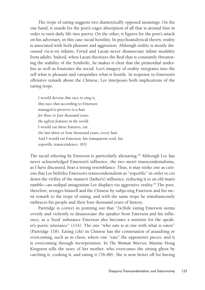The trope of eating suggests two diametrically opposed meanings. On the one hand, it stands for the poet's eager absorption of all that is around him in order to turn daily life into poetry. On the other, it figures for the poet's attack on his adversary, in this case racial hostility. In psychoanalytical theory, orality is associated with both pleasure and aggression. Although orality is mostly discussed vis-à-vis infants, Freud and Lacan never disassociate infant modality from adults. Indeed, when Lacan theorizes the Real that is constantly threatening the stability of the Symbolic, he makes it clear that the primordial underlies as well as frustrates the social. Lee's imagery of orality integrates into the self what is pleasant and vanquishes what is hostile. In response to Emerson's offensive remark about the Chinese, Lee interposes both implications of the eating trope.

I would devour this race to sing it, this race that according to Emerson *managed to preserve to a hair for three or four thousand years the ugliest features in the world.* I would eat these features, eat the last three or four thousand years, every hair. And I would eat Emerson, his transparent soul, his soporific transcendence. (83)

The racial othering by Emerson is particularly alienating.<sup>18</sup> Although Lee has never acknowledged Emerson's influence, the two men's transcendentalisms, as I have discussed, bear a strong resemblance. Thus, it may strike one as curious that Lee belittles Emerson's transcendentalism as "soporific" in order to cut down the virility of the master's (father's) influence, reducing it to an old man's ramble—an oedipal antagonism Lee displays via aggressive orality.<sup>19</sup> The poet, therefore, avenges himself and the Chinese by subjecting Emerson and his racist remark to the trope of eating, and with the same trope he simultaneously embraces his people and their four thousand years of history.

 Partridge is correct in pointing out that "[w]hile eating Emerson seems overtly and violently to disassociate the speaker from Emerson and his influence, as a 'food' substance Emerson also becomes a nutrient for the speaker's poetic utterance" (114). The one "who eats is at one with what is eaten" (Partridge 118). Eating *(chi)* in Chinese has the connotation of assaulting or overcoming, such as in chess, where one "eats" the opponent's pieces, and it is overcoming through incorporation. In *The Woman Warrior,* Maxine Hong Kingston tells the story of her mother, who overcomes the sitting ghost by catching it, cooking it, and eating it (78–88). She is now better off for having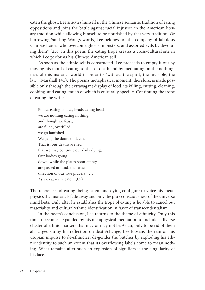eaten the ghost. Lee situates himself in the Chinese semantic tradition of eating oppositions and joins the battle against racial injustice in the American literary tradition while allowing himself to be nourished by that very tradition. Or borrowing Sau-ling Wong's words, Lee belongs to "the company of fabulous Chinese heroes who overcome ghosts, monsters, and assorted evils by devouring them" (25). In this poem, the eating trope creates a cross-cultural site in which Lee performs his Chinese American self.

 As soon as the ethnic self is constructed, Lee proceeds to empty it out by moving his motif of eating to that of death and by meditating on the nothingness of this material world in order to "witness the spirit, the invisible, the law" (Marshall 141). The poem's metaphysical moment, therefore, is made possible only through the extravagant display of food, its killing, cutting, cleaning, cooking, and eating, much of which is culturally specific. Continuing the trope of eating, he writes,

Bodies eating bodies, heads eating heads, we are nothing eating nothing, and though we feast, are filled, overfilled, we go famished. We gang the doors of death. That is, our deaths are fed that we may continue our daily dying, Our bodies going down, while the plates-soon-empty are passed around, that true direction of our true prayers, [...] As we eat we're eaten. (85)

The references of eating, being eaten, and dying configure to voice his metaphysics that materials fade away and only the pure consciousness of the universe mind lasts. Only after he establishes the trope of eating is he able to cancel out materiality and cultural/ethnic identification in favor of transcendentalism.

 In the poem's conclusion, Lee returns to the theme of ethnicity. Only this time it becomes expanded by his metaphysical meditation to include a diverse cluster of ethnic markers that may or may not be Asian, only to be rid of them all. Urged on by his reflection on death/change, Lee loosens the rein on his utopian impulse to de-ethnicize, de-gender the butcher by exploding his ethnic identity to such an extent that its overflowing labels come to mean nothing. What remains after such an explosion of signifiers is the singularity of his face.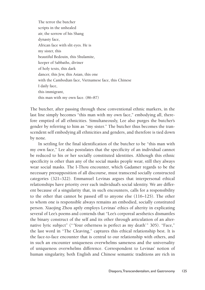The terror the butcher scripts in the unhealed air, the sorrow of his Shang dynasty face, African face with slit eyes. He is my sister, this beautiful Bedouin, this Shulamite, keeper of Sabbaths, diviner of holy texts, this dark dancer, this Jew, this Asian, this one with the Cambodian face, Vietnamese face, this Chinese I daily face, this immigrant, this man with my own face. (86–87)

The butcher, after passing through these conventional ethnic markers, in the last line simply becomes "this man with my own face," embodying all, therefore emptied of all ethnicities. Simultaneously, Lee also purges the butcher's gender by referring to him as "my sister." The butcher thus becomes the transcendent self embodying all ethnicities and genders, and therefore is tied down by none.

 In settling for the final identification of the butcher to be "this man with my own face," Lee also postulates that the specificity of an individual cannot be reduced to his or her socially constituted identities. Although this ethnic specificity is other than any of the social masks people wear, still they always wear social masks. The I-Thou encounter, which Gadamer regards to be the necessary presupposition of all discourse, must transcend socially constructed categories (321–322). Emmanuel Levinas argues that interpersonal ethical relationships have priority over each individual's social identity. We are different because of a singularity that, in such encounters, calls for a responsibility to the other that cannot be passed off to anyone else (116–125). The other to whom one is responsible always remains an embodied, socially constituted person. Xiaojing Zhou aptly employs Levinas' ethics of alterity in explicating several of Lee's poems and contends that "Lee's corporeal aesthetics dismantles the binary construct of the self and its other through articulation of an alternative lyric subject" ("'Your otherness is perfect as my death'" 305). "Face," the last word in "The Cleaving," captures this ethical relationship best. It is the face-to-face encounter that is central to our relationship with others, and in such an encounter uniqueness overwhelms sameness and the universality of uniqueness overwhelms difference. Correspondent to Levinas' notion of human singularity, both English and Chinese semantic traditions are rich in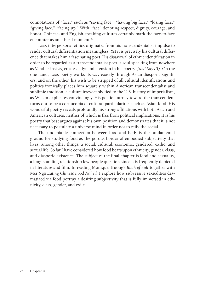connotations of "face," such as "saving face," "having big face," "losing face," "giving face," "facing up." With "face" denoting respect, dignity, courage, and honor, Chinese- and English-speaking cultures certainly mark the face-to-face encounter as an ethical moment.<sup>20</sup>

 Lee's interpersonal ethics originates from his transcendentalist impulse to render cultural differentiation meaningless. Yet it is precisely his cultural difference that makes him a fascinating poet. His disavowal of ethnic identification in order to be regarded as a transcendentalist poet, a soul speaking from nowhere as Vendler insists, creates a dynamic tension in his poetry (*Soul Says* 5). On the one hand, Lee's poetry works its way exactly through Asian diasporic signifiers, and on the other, his wish to be stripped of all cultural identifications and politics ironically places him squarely within American transcendentalist and sublimic tradition, a culture irrevocably tied to the U.S. history of imperialism, as Wilson explicates convincingly. His poetic journey toward the transcendent turns out to be a cornucopia of cultural particularities such as Asian food. His wonderful poetry reveals profoundly his strong affiliations with both Asian and American cultures, neither of which is free from political implications. It is his poetry that best argues against his own position and demonstrates that it is not necessary to postulate a universe mind in order not to reify the social.

 The undeniable connection between food and body is the fundamental ground for studying food as the porous border of embodied subjectivity that lives, among other things, a social, cultural, economic, gendered, exilic, and sexual life. So far I have considered how food bears upon ethnicity, gender, class, and diasporic existence. The subject of the final chapter is food and sexuality, a long-standing relationship few people question since it is frequently depicted in literature and film. In reading Monique Truong's *Book of Salt* together with Mei Ng's *Eating Chinese Food Naked,* I explore how subversive sexualities dramatized via food portray a desiring subjectivity that is fully immersed in ethnicity, class, gender, and exile.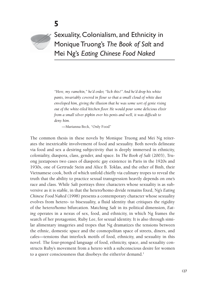

Sexuality, Colonialism, and Ethnicity in Monique Truong's *The Book of Salt* and Mei Ng's *Eating Chinese Food Naked* 

*"Here, my ramekin," he'd order, "lick this!" And he'd drop his white pants, invariably covered in flour so that a small cloud of white dust enveloped him, giving the illusion that he was some sort of genie rising out of the white-tiled kitchen floor. He would pour some delicious elixir from a small silver pipkin over his penis and well, it was difficult to deny him.*

—Marianna Beck, "Only Food"

The common thesis in these novels by Monique Truong and Mei Ng reiterates the inextricable involvement of food and sexuality. Both novels delineate via food and sex a desiring subjectivity that is deeply immersed in ethnicity, coloniality, diaspora, class, gender, and space. In *The Book of Salt* (2003), Truong juxtaposes two cases of diasporic gay existence in Paris in the 1920s and 1930s, one of Gertrude Stein and Alice B. Toklas, and the other of Bình, their Vietnamese cook, both of which unfold chiefly via culinary tropes to reveal the truth that the ability to practice sexual transgression heavily depends on one's race and class. While *Salt* portrays three characters whose sexuality is as subversive as it is stable, in that the hetero/homo divide remains fixed, Ng's *Eating Chinese Food Naked* (1998) presents a contemporary character whose sexuality evolves from hetero- to bisexuality, a fluid identity that critiques the rigidity of the hetero/homo bifurcation. Matching *Salt* in its political dimension, *Eating* operates in a nexus of sex, food, and ethnicity, in which Ng frames the search of her protagonist, Ruby Lee, for sexual identity. It is also through similar alimentary imageries and tropes that Ng dramatizes the tensions between the ethnic, domestic space and the cosmopolitan space of streets, diners, and cafes—tensions that interlock motifs of food, ethnicity, and sexuality in this novel. The four-pronged language of food, ethnicity, space, and sexuality constructs Ruby's movement from a hetero with a subconscious desire for women to a queer consciousness that disobeys the either/or demand.<sup>1</sup>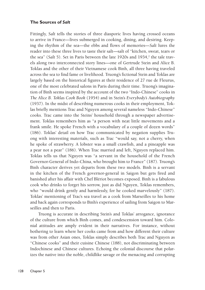## **The Sources of** *Salt*

Fittingly, *Salt* tells the stories of three diasporic lives having crossed oceans to arrive in France—lives submerged in cooking, dining, and desiring. Keeping the rhythm of the sea—the ebbs and flows of memories—*Salt* lures the reader into these three lives to taste their salt—salt of "kitchen, sweat, tears or the sea" (Salt 5). Set in Paris between the late 1920s and 1934,<sup>2</sup> the tale travels along two interconnected story lines—one of Gertrude Stein and Alice B. Toklas and the other of their Vietnamese cook Bình, all three having traveled across the sea to find fame or livelihood. Truong's fictional Stein and Toklas are largely based on the historical figures at their residence of 27 rue de Fleurus, one of the most celebrated salons in Paris during their time. Truong's imagination of Bình seems inspired by the account of the two "Indo-Chinese" cooks in *The Alice B. Toklas Cook Book* (1954) and in Stein's *Everybody's Autobiography* (1937). In the midst of describing numerous cooks in their employment, Toklas briefly mentions Trac and Nguyen among several nameless "Indo-Chinese" cooks. Trac came into the Steins' household through a newspaper advertisement. Toklas remembers him as "a person with neat little movements and a frank smile. He spoke French with a vocabulary of a couple of dozen words" (186). Toklas' detail on how Trac communicated by negation supplies Truong with interesting materials, such as Trac "would say, not a cherry, when he spoke of strawberry. A lobster was a small crawfish, and a pineapple was a pear not a pear" (186). When Trac married and left, Nguyen replaced him. Toklas tells us that Nguyen was "a servant in the household of the French Governor-General of Indo-China, who brought him to France" (187). Truong's Bình character derives yet departs from these two models. Bình is a servant in the kitchen of the French governor-general in Saigon but gets fired and banished after his affair with Chef Blériot becomes exposed. Bình is a fabulous cook who drinks to forget his sorrow, just as did Nguyen, Toklas remembers, who "would drink gently and harmlessly, for he cooked marvelously" (187). Toklas' mentioning of Trac's sea travel as a cook from Marseilles to his home and back again corresponds to Bình's experience of sailing from Saigon to Marseilles and then to Paris.

 Truong is accurate in describing Stein's and Toklas' arrogance, ignorance of the culture from which Bình comes, and condescension toward him. Colonial attitudes are amply evident in their narratives. For instance, without bothering to learn where her cooks came from and how different their culture was from other Asian ones, Toklas simply describes both Trac and Nguyen as "Chinese cooks" and their cuisine Chinese (188), not discriminating between Indochinese and Chinese cultures. Echoing the colonial discourse that polarizes the native into the noble, childlike savage or the menacing and corrupting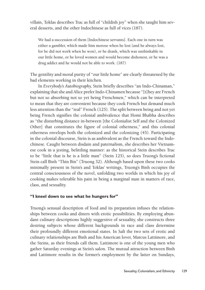villain, Toklas describes Trac as full of "childish joy" when she taught him several desserts, and the other Indochinese as full of vices (187).

We had a succession of them [Indochinese servants]. Each one in turn was either a gambler, which made him morose when he lost (and he always lost, for he did not work when he won), or he drank, which was unthinkable in our little home, or he loved women and would become dishonest, or he was a drug addict and he would not be able to work. (187)

The gentility and moral purity of "our little home" are clearly threatened by the bad elements working in their kitchen.

 In *Everybody's Autobiography,* Stein briefly describes "an Indo-Chinaman," explaining that she and Alice prefer Indo-Chinamen because "[t]hey are French but not so absorbing not so yet being Frenchmen," which can be interpreted to mean that they are convenient because they cook French but demand much less attention than the "real" French (125). The split between being and not yet being French signifies the colonial ambivalence that Homi Bhabha describes as "the disturbing distance in-between [the Colonialist Self and the Colonized Other] that constitutes the figure of colonial otherness," and this colonial otherness envelops both the colonized and the colonizing (45). Participating in the colonial discourse, Stein is as ambivalent as the French toward the Indochinese. Caught between disdain and paternalism, she describes her Vietnamese cook in a jesting, belittling manner: as the historical Stein describes Trac to be "little that is he is a little man" (Stein 125), so does Truong's fictional Stein call Bình "Thin Bin" (Truong 32). Although based upon these two cooks minimally present in Stein's and Toklas' writings, Truong's Bình occupies the central consciousness of the novel, unfolding two worlds in which his joy of cooking makes tolerable his pain in being a marginal man in matters of race, class, and sexuality.

## **"I kneel down to see what he hungers for"**

Truong's sensual description of food and its preparation infuses the relationships between cooks and diners with erotic possibilities. By employing abundant culinary descriptions highly suggestive of sexuality, she constructs three desiring subjects whose different backgrounds in race and class determine their profoundly different emotional states. In *Salt* the two sets of erotic and culinary relationships are Bình and his American lover, Marcus Lattimore, and the Steins, as their friends call them. Lattimore is one of the young men who gather Saturday evenings at Stein's salon. The mutual attraction between Bình and Lattimore results in the former's employment by the latter on Sundays,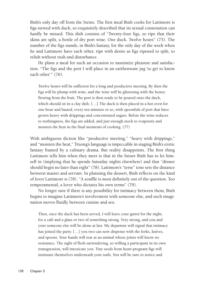Bình's only day off from the Steins. The first meal Bình cooks for Lattimore is figs stewed with duck, so exquisitely described that its sexual connotation can hardly be missed. This dish consists of "Twenty-four figs, so ripe that their skins are split, a bottle of dry port wine. One duck. Twelve hours" (75). The number of the figs stands, in Bình's fantasy, for the only day of the week when he and Lattimore have each other, ripe with desire as figs ripened to split, to relish without rush and disturbance.

 He plans a meal for such an occasion to maximize pleasure and satisfaction. "The figs and the port I will place in an earthenware jug 'to get to know each other'" (76).

Twelve hours will be sufficient for a long and productive meeting. By then the figs will be plump with wine, and the wine will be glistening with the honey flowing from the fruit. The port is then ready to be poured onto the duck, which should sit in a clay dish. [. . .] The duck is then placed in a hot oven for one hour and basted, every ten minutes or so, with spoonfuls of port that have grown heavy with drippings and concentrated sugars. Before the wine reduces to nothingness, the figs are added, and just enough stock to evaporate and moisten the heat in the final moments of cooking. (77)

With ambiguous diction like "productive meeting," "heavy with drippings," and "moisten the heat," Truong's language is impeccable in staging Bình's erotic fantasy framed by a culinary drama. But reality disappoints. The first thing Lattimore tells him when they meet is that in the future Bình has to let himself in (implying that he spends Saturday nights elsewhere) and that "dinner should begin no later than eight" (78). Lattimore's "terse" tone sets the distance between master and servant. In planning the dessert, Bình reflects on the kind of lover Lattimore is (78). "A soufflé is most definitely out of the question. Too temperamental, a lover who dictates his own terms" (79).

 No longer sure if there is any possibility for intimacy between them, Bình begins to imagine Lattimore's involvement with someone else, and such imagination moves fluidly between cuisine and sex.

Then, once the duck has been served, I will leave your garret for the night, for a café and a glass or two of something strong. Very strong, and you and your someone else will be alone at last. My departure will signal that intimacy has joined the party. [...] you two can now dispense with the forks, knives, and spoons. Your hands will tear at an animal whose joints will know no resistance. The sight of flesh surrendering, so willing a participant in its own transgression, will intoxicate you. Tiny seeds from heart-pregnant figs will insinuate themselves underneath your nails. You will be sure to notice and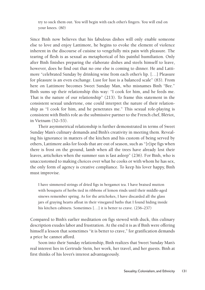try to suck them out. You will begin with each other's fingers. You will end on your knees. (80)

Since Bình now believes that his fabulous dishes will only enable someone else to love and enjoy Lattimore, he begins to evoke the element of violence inherent in the discourse of cuisine to vengefully mix pain with pleasure. The tearing of flesh is as sexual as metaphorical of his painful humiliation. Only after Bình finishes preparing the elaborate dishes and steels himself to leave, however, does he find out that no one else is coming to dinner. He and Lattimore "celebrated Sunday by drinking wine from each other's lip. [. . .] Pleasure for pleasure is an even exchange. Lust for lust is a balanced scale" (83). From here on Lattimore becomes Sweet Sunday Man, who misnames Bình "Bee." Bình sums up their relationship this way: "I cook for him, and he feeds me. That is the nature of our relationship" (213). To frame this statement in the consistent sexual undertone, one could interpret the nature of their relationship as "I cook for him, and he penetrates me." This sexual role-playing is consistent with Bình's role as the submissive partner to the French chef, Blériot, in Vietnam (52–53).

 Their asymmetrical relationship is further demonstrated in terms of Sweet Sunday Man's culinary demands and Bình's creativity in meeting them. Revealing his ignorance in matters of the kitchen and his custom of being served by others, Lattimore asks for foods that are out of season, such as "[r]ipe figs when there is frost on the ground, lamb when all the trees have already lost their leaves, artichokes when the summer sun is fast asleep" (236). For Bình, who is unaccustomed to making choices over what he cooks or with whom he has sex, the only form of agency is creative compliance. To keep his lover happy, Bình must improvise.

I have simmered strings of dried figs in bergamot tea. I have braised mutton with bouquets of herbs tied in ribbons of lemon rinds until their middle-aged sinews remember spring. As for the artichokes, I have discarded all the glass jars of graying hearts afloat in their vinegared baths that I found hiding inside his kitchen cabinets. Sometimes [...] it is better to crave. (236–237)

Compared to Bình's earlier meditation on figs stewed with duck, this culinary description exudes labor and frustration. At the end it is as if Bình were offering himself a lesson that sometimes "it is better to crave," for gratification demands a price he cannot afford.

 Soon into their Sunday relationship, Bình realizes that Sweet Sunday Man's real interest lies in Gertrude Stein, her work, her travel, and her guests. Bình at first thinks of his lover's interest advantageously.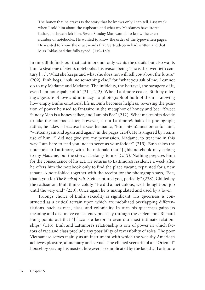The honey that he craves is the story that he knows only I can tell. Last week when I told him about the cupboard and what my Mesdames have stored inside, his breath left him. Sweet Sunday Man wanted to know the exact number of notebooks. He wanted to know the order of the typewritten pages. He wanted to know the exact words that GertrudeStein had written and that Miss Toklas had dutifully typed. (149–150)

In time Bình finds out that Lattimore not only wants the details but also wants him to steal one of Stein's notebooks, his reason being "she is the twentieth century [. . .]. What she keeps and what she does not will tell you about the future" (209). Bình begs, "Ask me something else," for "what you ask of me, I cannot do to my Madame and Madame. The infidelity, the betrayal, the savagery of it, even I am not capable of it" (211, 212). When Lattimore coaxes Bình by offering a gesture of love and intimacy—a photograph of both of them—knowing how empty Bình's emotional life is, Bình becomes helpless, reversing the position of power he used to fantasize in the metaphor of honey and bee: "Sweet Sunday Man is a honey talker, and I am his Bee" (212). What makes him decide to take the notebook later, however, is not Lattimore's bait of a photograph; rather, he takes it because he sees his name, "Bin," Stein's misnomer for him, "written again and again and again" in the pages (214). He is angered by Stein's use of him: "I did not give you my permission, Madame, to treat me in this way. I am here to feed you, not to serve as your fodder" (215). Bình takes the notebook to Lattimore, with the rationale that "[t]his notebook may belong to my Madame, but the story, it belongs to me" (215). Nothing prepares Bình for the consequence of his act. He returns to Lattimore's residence a week after he offers him the notebook only to find the place vacant, repainted for a new tenant. A note folded together with the receipt for the photograph says, "Bee, thank you for *The Book of Salt.* Stein captured you, perfectly" (238). Chilled by the realization, Bình thinks coldly, "He did a meticulous, well-thought-out job until the very end" (238). Once again he is manipulated and used by a lover.

 Truong's choice of Bình's sexuality is significant. His queerness is constructed as a critical terrain upon which are mobilized overlapping differentiations, such as race, class, and coloniality. In turn his queerness gains its meaning and discursive consistency precisely through these elements. Richard Fung points out that "[r]ace is a factor in even our most intimate relationships" (116). Bình and Lattimore's relationship is one of power in which factors of race and class preclude any possibility of reversibility of roles. The poor Vietnamese serves mainly as an instrument with which the wealthy American achieves pleasure, alimentary and sexual. The clichéd scenario of an "Oriental" houseboy serving his master, however, is complicated by the fact that Lattimore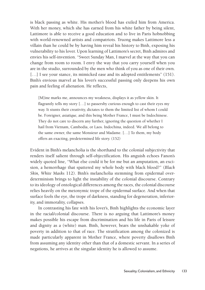is black passing as white. His mother's blood has exiled him from America. With her money, which she has earned from his white father by being silent, Lattimore is able to receive a good education and to live in Paris hobnobbing with world-renowned artists and compatriots. Truong makes Lattimore less a villain than he could be by having him reveal his history to Bình, exposing his vulnerability to his lover. Upon learning of Lattimore's secret, Bình admires and envies his self-invention. "Sweet Sunday Man, I marvel at the way that you can change from room to room. I envy the way that you carry yourself when you are in the studio, surrounded by the men who think of you as one of their own. [...] I see your stance, its mimicked ease and its adopted entitlements" (151). Bình's envious marvel at his lover's successful passing only deepens his own pain and feeling of alienation. He reflects,

[M]ine marks me, announces my weakness, displays it as yellow skin. It flagrantly tells my story [. . .] to passersby curious enough to cast their eyes my way. It stunts their creativity, dictates to them the limited list of whom I could be. Foreigner, *asiatique,* and this being Mother France, I must be Indochinese. They do not care to discern any further, ignoring the question of whether I hail from Vietnam, Cambodia, or Laos. Indochina, indeed. We all belong to the same owner, the same Monsieur and Madame. [. . .] To them, my body offers an exacting, predetermined life story. (152)

Evident in Bình's melancholia is the shorthand to the colonial subjectivity that renders itself salient through self-objectification. His anguish echoes Fanon's widely quoted line, "What else could it be for me but an amputation, an excision, a hemorrhage that spattered my whole body with black blood?" (*Black Skin, White Masks* 112). Bình's melancholia stemming from epidermal overdeterminism brings to light the instability of the colonial discourse. Contrary to its ideology of ontological differences among the races, the colonial discourse relies heavily on the metonymic trope of the epidermal surface. And when that surface fools the eye, the trope of darkness, standing for degeneration, inferiority, and immorality, collapses.

 In contrasting his fate with his lover's, Bình highlights the economic layer in the racial/colonial discourse. There is no arguing that Lattimore's money makes possible his escape from discrimination and his life in Paris of leisure and dignity as a (white) man. Bình, however, bears the unshakable yoke of poverty in addition to that of race. The stratification among the colonized is made particularly apparent in Mother France, where poverty disallows Bình from assuming any identity other than that of a domestic servant. In a series of negations, he arrives at the singular identity he is allowed to assume.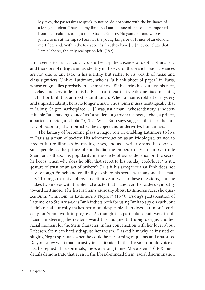My eyes, the passersby are quick to notice, do not shine with the brilliance of a foreign student. I have all my limbs so I am not one of the soldiers imported from their colonies to fight their Grande Guerre. No gamblers and whores joined to me at the hip so I am not the young Emperor or Prince of an old and mortified land. Within the few seconds that they have [. . .] they conclude that I am a laborer, the only real option left. (152)

Bình seems to be particularly disturbed by the absence of depth, of mystery, and therefore of intrigue in his identity in the eyes of the French. Such absences are not due to any lack in his identity, but rather to its wealth of racial and class signifiers. Unlike Lattimore, who is "a blank sheet of paper" in Paris, whose enigma lies precisely in its emptiness, Bình carries his country, his race, his class and servitude in his body—an antitext that yields one fixed meaning (151). For Bình this antitext is antihuman. When a man is robbed of mystery and unpredictability, he is no longer a man. Thus, Bình muses nostalgically that in "a busy Saigon marketplace [. . .] I was just a man," whose identity is indeterminable "at a passing glance" as "a student, a gardener, a poet, a chef, a prince, a porter, a doctor, a scholar" (152). What Bình says suggests that it is the fantasy of becoming that nourishes the subject and underwrites humanness.

 The fantasy of becoming plays a major role in enabling Lattimore to live in Paris as a man of society. His self-introduction as an iridologist, trained to predict future illnesses by reading irises, and as a writer opens the doors of such people as the prince of Cambodia, the emperor of Vietnam, Gertrude Stein, and others. His popularity in the circle of exiles depends on the secret he keeps. Then why does he offer that secret to his Sunday cook/lover? Is it a gesture of trust or an act of bribery? Or is it his arrogance that Bình does not have enough French and credibility to share his secret with anyone that matters? Truong's narrative offers no definitive answer to these questions, but she makes two moves with the Stein character that maneuver the reader's sympathy toward Lattimore. The first is Stein's curiosity about Lattimore's race; she quizzes Bình, "Thin Bin, is Lattimore a Negro?" (157). Truong's juxtaposition of Lattimore to Stein vis-à-vis Bình indicts both for using Bình to spy on each, but Stein's racial curiosity makes her more despicable than does Lattimore's curiosity for Stein's work in progress. As though this particular detail were insufficient in steering the reader toward this judgment, Truong designs another racial moment for the Stein character. In her conversation with her lover about Robeson, Stein can hardly disguise her racism. "I asked him why he insisted on singing Negro spirituals when he could be performing requiems and oratorios. Do you know what that curiosity in a suit said? In that basso profundo voice of his, he replied, 'The spirituals, theys a belong to me, Missa Stein'" (188). Such details demonstrate that even in the liberal-minded Stein, racial discrimination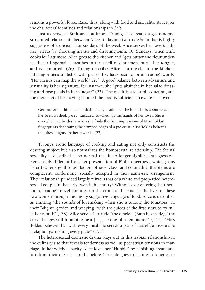remains a powerful force. Race, thus, along with food and sexuality, structures the characters' identities and relationships in *Salt.*

 Just as between Bình and Lattimore, Truong also creates a gastronomystructured relationship between Alice Toklas and Gertrude Stein that is highly suggestive of eroticism. For six days of the week Alice serves her lover's culinary needs by choosing menus and directing Bình. On Sundays, when Bình cooks for Lattimore, Alice goes to the kitchen and "gets butter and flour underneath her fingernails, breathes in the smell of cinnamon, burns her tongue, and is comforted" (26). Truong describes Alice as a traveler in the kitchen, infusing American dishes with places they have been to, or in Truong's words, "Her menus can map the world" (27). A good balance between adventure and sensuality is her signature; for instance, she "puts absinthe in her salad dressing and rose petals in her vinegar" (27). The result is a feast of seduction, and the mere fact of her having handled the food is sufficient to excite her lover.

GertrudeStein thinks it is unfathomably erotic that the food she is about to eat has been washed, pared, kneaded, touched, by the hands of her lover. She is overwhelmed by desire when she finds the faint impressions of Miss Toklas' fingerprints decorating the crimped edges of a pie crust. Miss Toklas believes that these nights are her rewards. (27)

 Truong's erotic language of cooking and eating not only constructs the desiring subject but also normalizes the homosexual relationship. The Steins' sexuality is described as so normal that it no longer signifies transgression. Remarkably different from her presentation of Bình's queerness, which gains its critical energy through factors of race, class, and coloniality, the Steins are complacent, conforming, socially accepted in their same-sex arrangement. Their relationship indeed largely mirrors that of a white and propertied heterosexual couple in the early twentieth century.<sup>3</sup> Without ever entering their bedroom, Truong's novel conjures up the erotic and sexual in the lives of these two women through the highly suggestive language of food. Alice is described as emitting "the sounds of lovemaking when she is among the tomatoes" in their Bilignin garden and weeping "with the juices of the first strawberry full in her mouth" (138). Alice serves Gertrude "the omelet" (Bình has made), "the curved edges still humming heat  $[...]$ , a song of a temptation" (154). "Miss Toklas believes that with every meal she serves a part of herself, an exquisite metaphor garnishing every plate" (155).

 The heterosexual domestic drama plays out in this lesbian relationship in the culinary site that reveals tenderness as well as pedestrian tensions in marriage. In her wifely capacity, Alice loves her "Hubbie" by banishing cream and lard from their diet six months before Gertrude goes to lecture in America to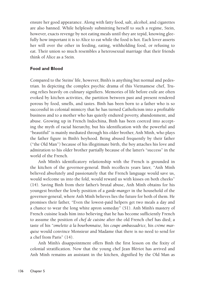ensure her good appearance. Along with fatty food, salt, alcohol, and cigarettes are also banned. While helplessly submitting herself to such a regime, Stein, however, exacts revenge by not eating meals until they are tepid, knowing gleefully how important it is to Alice to eat while the food is hot. Each lover asserts her will over the other in feeding, eating, withholding food, or refusing to eat. Their union so much resembles a heterosexual marriage that their friends think of Alice as a Stein.

## **Food and Blood**

Compared to the Steins' life, however, Bình's is anything but normal and pedestrian. In depicting the complex psychic drama of this Vietnamese chef, Truong relies heavily on culinary signifiers. Memories of life before exile are often evoked by kitchen activities, the partition between past and present rendered porous by food, smells, and tastes. Bình has been born to a father who is so successful in colonial mimicry that he has turned Catholicism into a profitable business and to a mother who has quietly endured poverty, abandonment, and abuse. Growing up in French Indochina, Bình has been coerced into accepting the myth of racial hierarchy, but his identification with the powerful and "beautiful" is mainly mediated through his older brother, Anh Minh, who plays the father figure in Bình's boyhood. Being abused frequently by their father ("the Old Man") because of his illegitimate birth, the boy attaches his love and admiration to his older brother partially because of the latter's "success" in the world of the French.

 Anh Minh's identificatory relationship with the French is grounded in the kitchen of the governor-general. Bình recollects years later, "Anh Minh believed absolutely and passionately that the French language would save us, would welcome us into the fold, would reward us with kisses on both cheeks" (14). Saving Bình from their father's brutal abuse, Anh Minh obtains for his youngest brother the lowly position of a *garde-manger* in the household of the governor-general, where Anh Minh believes lies the future for both of them. He promises their father, "Even the lowest-paid helpers get two meals a day and a chance to wear the long white apron someday" (51). Anh Minh's mastery of French cuisine leads him into believing that he has become sufficiently French to assume the position of *chef de cuisine* after the old French chef has died; a taste of his "*omelette à la bourbonnaise,* his *coupe ambassadrice,* his *crème marquise* would convince Monsieur and Madame that there is no need to send for a chef from Paris" (14).

 Anh Minh's disappointment offers Bình the first lesson on the fixity of colonial stratification. Now that the young chef Jean Blériot has arrived and Anh Minh remains an assistant in the kitchen, dignified by the Old Man as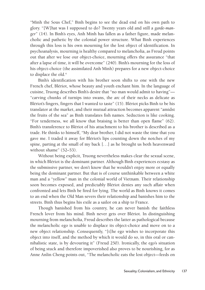"Minh the Sous Chef," Bình begins to see the dead end on his own path to glory. "[W]hat was I supposed to do? Twenty years old and still a *garde-manger*" (14). In Bình's eyes, Anh Minh has fallen as a father figure, made melancholic and pathetic by the colonial power structure. What Bình experiences through this loss is his own mourning for the lost object of identification. In psychoanalysis, mourning is healthy compared to melancholia, as Freud points out that after we lose our object-choice, mourning offers the assurance "that after a lapse of time, it will be overcome" (240). Bình's mourning for the loss of his object-choice (the assimilated Anh Minh) prepares for a new object-choice to displace the old.<sup>4</sup>

 Bình's identification with his brother soon shifts to one with the new French chef, Blériot, whose beauty and youth enchant him. In the language of cuisine, Truong describes Bình's desire that "no man would admit to having"— "carving chunks of turnips into swans, the arc of their necks as delicate as Blériot's fingers, fingers that I wanted to taste" (15). Blériot picks Bình to be his translator at the market, and their mutual attraction becomes apparent "amidst the fruits of the sea" as Bình translates fish names. Seduction is like cooking. "For tenderness, we all know that braising is better than open flame" (62). Bình's transference to Blériot of his attachment to his brother is described as a trade. He thinks to himself, "My dear brother, I did not waste the time that you gave me. I traded it away for Blériot's lips counting down the notches of my spine, parting at the small of my back [. . .] as he brought us both heavenward without shame" (52-53).

 Without being explicit, Truong nevertheless makes clear the sexual scene, in which Blériot is the dominant partner. Although Bình experiences ecstasy as the submissive partner, we don't know that he wouldn't enjoy more or equally being the dominant partner. But that is of course unthinkable between a white man and a "yellow" man in the colonial world of Vietnam. Their relationship soon becomes exposed, and predictably Blériot denies any such affair when confronted and lets Bình be fired for lying. The world as Bình knows it comes to an end when the Old Man severs their relationship and banishes him to the streets. Bình thus begins his exile as a sailor on a ship to France.

 Though banished from his country, he can never banish the faithless French lover from his mind. Bình never gets over Blériot. In distinguishing mourning from melancholia, Freud describes the latter as pathological because the melancholic ego is unable to displace its object-choice and move on to a new object relationship. Consequently, "[t]he ego wishes to incorporate this object into itself, and the method by which it would do so, in this oral or cannibalistic state, is by devouring it" (Freud 250). Ironically, the ego's situation of being stuck and therefore impoverished also proves to be nourishing, for as Anne Anlin Cheng points out, "The melancholic eats the lost object—feeds on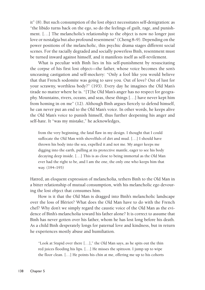it" (8). But such consumption of the lost object necessitates self-denigration: as "the libido turns back on the ego, so do the feelings of guilt, rage, and punishment. [. . .] The melancholic's relationship to the object is now no longer just love or nostalgia but also profound resentment" (Cheng 8–9). Depending on the power positions of the melancholic, this psychic drama stages different social scenes. For the racially degraded and socially powerless Bình, resentment must be turned inward against himself, and it manifests itself as self-revilement.

 What is peculiar with Bình lies in his self-punishment by resuscitating the corpse of his first lost object—the father, whose voice becomes the son's unceasing castigation and self-mockery: "Only a fool like you would believe that that French sodomite was going to save you. Out of love? Out of lust for your scrawny, worthless body?" (193). Every day he imagines the Old Man's tirade no matter where he is. "[T]he Old Man's anger has no respect for geography. Mountains, rivers, oceans, and seas, these things [. . .] have never kept him from homing in on me" (12). Although Bình argues fiercely to defend himself, he can never put an end to the Old Man's voice. In other words, he keeps alive the Old Man's voice to punish himself, thus further deepening his anger and self-hate. It "was my mistake," he acknowledges,

from the very beginning, the fatal flaw in my design. I thought that I could suffocate the Old Man with shovelfuls of dirt and mud. [. . .] I should have thrown his body into the sea, expelled it and not me. My anger keeps me digging into the earth, pulling at its protective mantle, eager to see his body decaying deep inside. [. . .] This is as close to being immortal as the Old Man ever had the right to be, and I am the one, the only one who keeps him that way. (194–195)

Hatred, an eloquent expression of melancholia, tethers Bình to the Old Man in a bitter relationship of mutual consumption, with his melancholic ego devouring the lost object that consumes him.

 How is it that the Old Man is dragged into Bình's melancholic landscape over the loss of Blériot? What does the Old Man have to do with the French chef? Why don't we simply regard the caustic voice of the Old Man as the evidence of Bình's melancholia toward his father alone? It is correct to assume that Bình has never gotten over his father, whom he has lost long before his death. As a child Bình desperately longs for paternal love and kindness, but in return he experiences mostly abuse and humiliation.

"Look at Stupid over there [. . .]," the Old Man says, as he spits out the thin red juices flooding his lips. [. . .] He misses the spittoon. I jump up to wipe the floor clean. [. . .] He points his chin at me, offering me up to his cohorts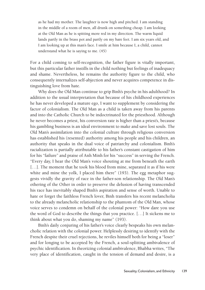as he had my mother. The laughter is now high and pitched. I am standing in the middle of a room of men, all drunk on something cheap. I am looking at the Old Man as he is spitting more red in my direction. The warm liquid lands partly in the brass pot and partly on my bare feet. I am six years old, and I am looking up at this man's face. I smile at him because I, a child, cannot understand what he is saying to me. (45)

For a child coming to self-recognition, the father figure is vitally important, but this particular father instills in the child nothing but feelings of inadequacy and shame. Nevertheless, he remains the authority figure to the child, who consequently internalizes self-abjection and never acquires competence in distinguishing love from hate.

 Why does the Old Man continue to grip Bình's psyche in his adulthood? In addition to the usual interpretation that because of his childhood experiences he has never developed a mature ego, I want to supplement by considering the factor of colonialism. The Old Man as a child is taken away from his parents and into the Catholic Church to be indoctrinated for the priesthood. Although he never becomes a priest, his conversion rate is higher than a priest's, because his gambling business is an ideal environment to make and save lost souls. The Old Man's assimilation into the colonial culture through religious conversion has established his (resented) authority among his people and his children, an authority that speaks in the dual voice of patriarchy and colonialism. Bình's racialization is partially attributable to his father's constant castigation of him for his "failure" and praise of Anh Minh for his "success" in serving the French. "Every day, I hear the Old Man's voice shouting at me from beneath the earth [...]. The moment that he took his blood from mine, separated it as if his were white and mine the yolk, I placed him there" (193). The egg metaphor suggests vividly the gravity of race in the father-son relationship. The Old Man's othering of the Other in order to preserve the delusion of having transcended his race has inevitably shaped Bình's aspiration and sense of worth. Unable to hate or forget the faithless French lover, Bình transfers his recent melancholia to the already melancholic relationship to the phantom of the Old Man, whose voice serves to condemn on behalf of the colonial power: "How dare you use the word of God to describe the things that you practice. [. . .] It sickens me to think about what you do, shaming my name" (193).

 Bình's daily conjuring of his father's voice clearly bespeaks his own melancholic relation with the colonial power. Helplessly desiring to identify with the French despite their cruel rejections, he reviles himself both for being a "loser" and for longing to be accepted by the French, a soul-splitting ambivalence of psychic identification. In theorizing colonial ambivalence, Bhabha writes, "The very place of identification, caught in the tension of demand and desire, is a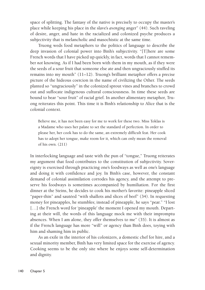space of splitting. The fantasy of the native is precisely to occupy the master's place while keeping his place in the slave's *avenging* anger" (44). Such raveling of desire, anger, and hate in the racialized and colonized psyche produces a subjectivity that is melancholic and masochistic at the same time.

 Truong weds food metaphors to the politics of language to describe the deep invasion of colonial power into Bình's subjectivity. "[T]here are some French words that I have picked up quickly, in fact, words that I cannot remember *not* knowing. As if I had been born with them in my mouth, as if they were the seeds of a sour fruit that someone else ate and then ungraciously stuffed its remains into my mouth" (11–12). Truong's brilliant metaphor offers a precise picture of the hideous coercion in the name of civilizing the Other. The seeds planted so "ungraciously" in the colonized sprout vines and branches to crowd out and suffocate indigenous cultural consciousness. In time these seeds are bound to bear "sour fruit" of racial grief. In another alimentary metaphor, Truong reiterates this point. This time it is Bình's relationship to Alice that is the colonial context.

Believe me, it has not been easy for me to work for these two. Miss Toklas is a Madame who uses her palate to set the standard of perfection. In order to please her, her cook has to do the same, an extremely difficult feat. Her cook has to adopt her tongue, make room for it, which can only mean the removal of his own. (211)

In interlocking language and taste with the pun of "tongue," Truong reiterates my argument that food contributes to the constitution of subjectivity. Sovereignty is exercised through practicing one's foodways as well as one's language and doing it with confidence and joy. In Bình's case, however, the constant demand of colonial assimilation corrodes his agency, and the attempt to preserve his foodways is sometimes accompanied by humiliation. For the first dinner at the Steins, he decides to cook his mother's favorite: pineapple sliced "paper-thin" and sautéed "with shallots and slices of beef" (34). In requesting money for pineapples, he stumbles; instead of pineapple, he says "pear." "I lost [...] the French word for 'pineapple' the moment I opened my mouth. Departing at their will, the words of this language mock me with their impromptu absences. When I am alone, they offer themselves to me" (35). It is almost as if the French language has more "will" or agency than Bình does, toying with him and shaming him in public.

 As an exile in the interior of his colonizers, a domestic chef for hire, and a sexual minority member, Bình has very limited space for the exercise of agency. Cooking seems to be the only site where he enjoys some self-determination and dignity.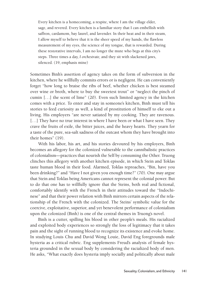Every kitchen is a homecoming, a respite, where I am the village elder, sage, and revered. Every kitchen is a familiar story that I can embellish with saffron, cardamom, bay laurel, and lavender. In their heat and in their steam, I allow myself to believe that it is the sheer speed of my hands, the flawless measurement of my eyes, the science of my tongue, that is rewarded. During these restorative intervals, I am no longer the mute who begs at this city's steps. Three times a day, *I orchestrate,* and they sit with slackened jaws, silenced. (19, emphasis mine)

Sometimes Bình's assertion of agency takes on the form of subversion in the kitchen, where he willfully commits errors or is negligent. He can conveniently forget "how long to braise the ribs of beef, whether chicken is best steamed over wine or broth, where to buy the sweetest trout" or "neglect the pinch of cumin  $[...]$  the scent of lime" (20). Even such limited agency in the kitchen comes with a price. To enter and stay in someone's kitchen, Bình must tell his stories to feed curiosity as well, a kind of prostitution of himself to eke out a living. His employers "are never satiated by my cooking. They are ravenous. [...] They have no true interest in where I have been or what I have seen. They crave the fruits of exile, the bitter juices, and the heavy hearts. They yearn for a taste of the pure, sea-salt sadness of the outcast whom they have brought into their homes" (19).

 With his labor, his art, and his stories devoured by his employers, Bình becomes an allegory for the colonized vulnerable to the cannibalistic practices of colonialism—practices that nourish the Self by consuming the Other. Truong clinches this allegory with another kitchen episode, in which Stein and Toklas taste human blood in their food. Alarmed, Toklas reproaches, "Bin, have you been drinking?" and "Have I not given you enough time?" (70). One may argue that Stein and Toklas being Americans cannot represent the colonial power. But to do that one has to willfully ignore that the Steins, both real and fictional, comfortably identify with the French in their attitudes toward the "Indochinese" and that their power relation with Bình mirrors certain aspects of the relationship of the French with the colonized. The Steins' symbolic value for the coercive, exploitative, superior, and yet benevolent performance of colonialism upon the colonized (Bình) is one of the central themes in Truong's novel.

 Bình is a cutter, spilling his blood in other people's meals. His racialized and exploited body experiences so strongly the loss of legitimacy that it takes pain and the sight of running blood to recognize its existence and evoke home. In studying Louis Chu and David Wong Louie, David Eng foregrounds male hysteria as a critical rubric. Eng supplements Freud's analysis of female hysteria grounded in the sexual body by considering the racialized body of men. He asks, "What exactly does hysteria imply socially and politically about male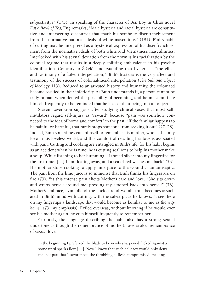subjectivity?" (173). In speaking of the character of Ben Loy in Chu's novel *Eat a Bowl of Tea,* Eng remarks, "Male hysteria and racial hysteria are constitutive and intersecting discourses that mark his symbolic disenfranchisement from the normative national ideals of white masculinity" (181). Bình's habit of cutting may be interpreted as a hysterical expression of his disenfranchisement from the normative ideals of both white and Vietnamese masculinities. Interlocked with his sexual deviation from the norm is his racialization by the colonial regime that results in a deeply splitting ambivalence in his psychic identification. Contrary to Žižek's understanding that hysteria is "the effect and testimony of a failed interpellation," Bình's hysteria is the very effect and testimony of the success of colonial/racial interpellation (*The Sublime Object of Ideology* 113). Reduced to an arrested history and humanity, the colonized become ossified in their inferiority. As Bình understands it, a person cannot be truly human when denied the possibility of becoming, and he must mutilate himself frequently to be reminded that he is a sentient being, not an object.

 Steven Levenkron suggests after studying clinical cases that most selfmutilators regard self-injury as "reward" because "pain was somehow connected to the idea of home and comfort" in the past. "If the familiar happens to be painful or harmful, that rarely stops someone from seeking it out" (27–28). Indeed, Bình sometimes cuts himself to remember his mother, who is the only love in his loveless world, and this comfort of recalling her love is associated with pain. Cutting and cooking are entangled in Bình's life, for his habit begins as an accident when he is nine: he is cutting scallions to help his mother make a soup. While listening to her humming, "I thread silver into my fingertips for the first time. [. . .] I am floating away, and a sea of red washes me back" (73). His mother stops cooking to apply lime juice to the wound as an antiseptic. The pain from the lime juice is so immense that Bình thinks his fingers are on fire (73). Yet this intense pain elicits Mother's care and love. "She sits down and wraps herself around me, pressing my stooped back into herself" (73). Mother's embrace, symbolic of the enclosure of womb, thus becomes associated in Bình's mind with cutting, with the safest place he knows: "I see there on my fingertips a landscape that would become as familiar to me as *the way home*" (73, my emphasis). Exiled overseas, without knowing if he would ever see his mother again, he cuts himself frequently to remember her.

 Curiously, the language describing the habit also has a strong sexual undertone as though the remembrance of mother's love evokes remembrance of sexual love.

In the beginning I preferred the blade to be newly sharpened, licked against a stone until sparks flew [. . .]. Now I know that such delicacy would only deny me that part that I savor most, the throbbing of flesh compromised, meeting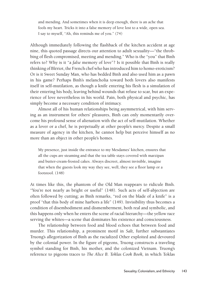and mending. And sometimes when it is deep enough, there is an ache that fools my heart. Tricks it into a false memory of love lost to a wide, open sea. I say to myself, "Ah, this reminds me of you." (74)

Although immediately following the flashback of the kitchen accident at age nine, this quoted passage directs our attention to adult sexuality—"the throbbing of flesh compromised, meeting and mending." Who is the "you" that Bình refers to? Why is it "a *false* memory of love"? Is it possible that Bình is really thinking of Blériot, the French chef who has introduced him to homo-eroticism? Or is it Sweet Sunday Man, who has bedded Bình and also used him as a pawn in his game? Perhaps Bình's melancholia toward both lovers also manifests itself in self-mutilation, as though a knife entering his flesh is a simulation of their entering his body, leaving behind wounds that refuse to scar, but an experience of love nevertheless in his world. Pain, both physical and psychic, has simply become a necessary condition of intimacy.

 Almost all of his human relationships being asymmetrical, with him serving as an instrument for others' pleasures, Bình can only momentarily overcome his profound sense of alienation with the act of self-mutilation. Whether as a lover or a chef, he is perpetually at other people's mercy. Despite a small measure of agency in the kitchen, he cannot help but perceive himself as no more than an object in other people's homes.

My presence, just inside the entrance to my Mesdames' kitchen, ensures that all the cups are steaming and that the tea table stays covered with marzipan and butter-cream-frosted cakes. Always discreet, almost invisible, imagine that when the guests look my way they see, well, they see a floor lamp or a footstool. (148)

At times like this, the phantom of the Old Man reappears to ridicule Bình. "You're not nearly as bright or useful" (148). Such acts of self-abjection are often followed by cutting; as Bình remarks, "red on the blade of a knife" is a proof "that this body of mine harbors a life" (149). Invisibility thus becomes a condition of disembodiment and dismemberment, both real and symbolic, and this happens only when he enters the scene of racial hierarchy—the yellow race serving the whites—a scene that dominates his existence and consciousness.

 The relationship between food and blood echoes that between food and murder. This relationship, a prominent motif in *Salt,* further substantiates Truong's allegorization of Bình as the racialized Other exploited and devoured by the colonial power. In the figure of pigeons, Truong constructs a traveling symbol standing for Bình, his mother, and the colonized Vietnam. Truong's reference to pigeons traces to *The Alice B. Toklas Cook Book,* in which Toklas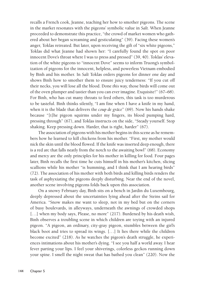recalls a French cook, Jeanne, teaching her how to smother pigeons. The scene in the market resonates with the pigeons' symbolic value in *Salt.* When Jeanne proceeded to demonstrate this practice, "the crowd of market women who gathered about her began screaming and gesticulating" (39). Facing these women's anger, Toklas retreated. But later, upon receiving the gift of "six white pigeons," Toklas did what Jeanne had shown her: "I carefully found the spot on poor innocent Dove's throat where I was to press and pressed" (39, 40). Toklas' elevation of the white pigeons to "innocent Dove" seems to inform Truong's symbolization of pigeons for the innocent, helpless, and powerless Vietnam embodied by Bình and his mother. In *Salt* Toklas orders pigeons for dinner one day and shows Bình how to smother them to ensure juicy tenderness: "If you cut off their necks, you will lose all the blood. Done *this* way, those birds will come out of the oven plumper and tastier than you can ever imagine. Exquisite!" (67–68). For Bình, who has cut many throats to feed others, this task is too murderous to be tasteful. Bình thinks silently, "I am fine when I have a knife in my hand, when it is the blade that delivers the *coup de grâce*" (69). Now his hands shake because "[t]he pigeon squirms under my fingers, its blood pumping hard, pressing through" (67), and Toklas instructs on the side, "Steady yourself. Stop shaking. Keep pressing down. Harder, that is right, harder" (67).

 The association of pigeons with his mother begins in this scene as he remembers how he learned to kill chickens from his mother. "First, my mother would nick the skin until the blood flowed. If the knife was inserted deep enough, there is a red arc that falls neatly from the notch to the awaiting bowl" (68). Economy and mercy are the only principles for his mother in killing for food. Four pages later, Bình recalls the first time he cuts himself in his mother's kitchen, slicing scallions while his mother "is humming, and I think that I am hearing birds" (72). The association of his mother with both birds and killing birds renders the task of asphyxiating the pigeons deeply disturbing. Near the end of the novel, another scene involving pigeons folds back upon this association.

 On a snowy February day, Bình sits on a bench in Jardin du Luxembourg, deeply depressed about the uncertainties lying ahead after the Steins sail for America. "Snow makes me want to sleep, not in my bed but on the corners of busy boulevards, in alleyways, underneath the awnings of crowded shops [...] when my body says, Please, no more" (217). Burdened by his death wish, Bình observes a troubling scene in which children are toying with an injured pigeon. "A pigeon, an ordinary, city-gray pigeon, stumbles between the girl's black boot and tries to spread its wings. [. . .] It lies there while the children become excited" (218). As he watches the pigeon's death struggle, he experiences intimations about his mother's dying. "I see you half a world away. I hear fever parting your lips. I feel your shiverings, colorless geckos running down your spine. I smell the night sweat that has bathed you clean" (220). Now the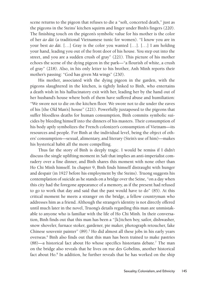scene returns to the pigeon that refuses to die a "soft, concerted death," just as the pigeons in the Steins' kitchen squirm and linger under Bình's fingers (220). The finishing touch on the pigeon's symbolic value for his mother is the color of her *áo dài* (a traditional Vietnamese tunic for women). "I know you are in your best *áo dài*. [...] Gray is the color you wanted [...]. [...] I am holding your hand, leading you out of the front door of his house. You step out into the street, and you are a sudden crush of gray" (221). This picture of his mother echoes the scene of the dying pigeon in the park—"a flourish of white, a crush of gray" (218). Also, in his only letter to his brother, Anh Minh reports their mother's passing: "God has given Má wings" (230).

 His mother, associated with the dying pigeon in the garden, with the pigeons slaughtered in the kitchen, is tightly linked to Bình, who entertains a death wish in his hallucinatory exit with her, leading her by the hand out of her husband's house where both of them have suffered abuse and humiliation: "We swore not to die on the kitchen floor. We swore not to die under the eaves of his [the Old Man's] house" (221). Powerfully juxtaposed to the pigeons that suffer bloodless deaths for human consumption, Bình commits symbolic suicides by bleeding himself into the dinners of his masters. Their consumption of his body aptly symbolizes the French colonizer's consumption of Vietnam—its resources and people. For Bình at the individual level, being the object of others' consumption—sexual, alimentary, and literary (Stein's use of him)—makes his hysterical habit all the more compelling.

 Thus far the story of Bình is deeply tragic. I would be remiss if I didn't discuss the single uplifting moment in *Salt* that implies an anti-imperialist comradery over a fine dinner, and Bình shares this moment with none other than Ho Chi Minh himself. In chapter 9, Bình finds himself distraught with hunger and despair (in 1927 before his employment by the Steins). Truong suggests his contemplation of suicide as he stands on a bridge over the Seine, "on a day when this city had the foregone appearance of a memory, as if the present had refused to go to work that day and said that the past would have to do" (85). At this critical moment he meets a stranger on the bridge, a fellow countryman who addresses him as a friend. Although the stranger's identity is not directly offered until much later in the novel, Truong's details regarding this man are unmistakable to anyone who is familiar with the life of Ho Chi Minh. In their conversation, Bình finds out that this man has been a "[k]itchen boy, sailor, dishwasher, snow shoveler, furnace stoker, gardener, pie maker, photograph retoucher, fake Chinese souvenir painter" (89).<sup>5</sup> Ho did almost all these jobs in his early years overseas.<sup>6</sup> Bình also finds out that this man has been trained to make pastries  $(88)$ —a historical fact about Ho whose specifics historians debate.<sup>7</sup> The man on the bridge also reveals that he lives on rue des Gobelins, another historical fact about Ho.<sup>8</sup> In addition, he further reveals that he has worked on the ship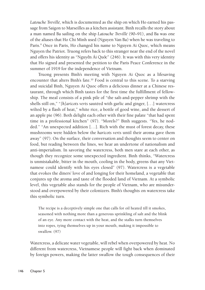*Latouche Trevillé,* which is documented as the ship on which Ho earned his passage from Saigon to Marseilles as a kitchen assistant. Bình recalls the story about a man named Ba sailing on the ship *Latouche Trevillé* (90–91), and Ba was one of the aliases that Ho Chi Minh used (Nguyen Van Ba) when he was traveling to Paris.<sup>9</sup> Once in Paris, Ho changed his name to Nguyen Ai Quoc, which means Nguyen the Patriot. Truong refers back to this stranger near the end of the novel and offers his identity as "Nguyễn Ái Quốc" (246). It was with this very identity that Ho signed and presented the petition to the Paris Peace Conference in the summer of 1919 for the independence of Vietnam.

 Truong presents Bình's meeting with Nguyen Ai Quoc as a lifesaving encounter that alters Bình's fate.<sup>10</sup> Food is central to this scene. To a starving and suicidal Bình, Nguyen Ai Quoc offers a delicious dinner at a Chinese restaurant, through which Bình tastes for the first time the fulfillment of fellowship. The meal consists of a pink pile of "the salt-and-pepper shrimp with the shells still on," "*[h]aricots verts* sautéed with garlic and ginger, [. . .] watercress wilted by a flash of heat," white rice, a bottle of good wine, and the dessert of an apple pie (96). Both delight each other with their fine palate "that had spent time in a professional kitchen" (97). "Morels?" Bình suggests. "Yes, he nodded." "An unexpected addition [...]. Rich with the must of forest decay, these mushrooms were hidden below the *haricots verts* until their aroma gave them away" (97). On the surface, their conversation and thoughts seem to center on food, but reading between the lines, we hear an undertone of nationalism and anti-imperialism. In savoring the watercress, both men stare at each other, as though they recognize some unexpected ingredient. Bình thinks, "Watercress is unmistakable, bitter in the mouth, cooling in the body, greens that any Vietnamese could identify with his eyes closed" (97). Watercress is a vegetable that evokes the diners' love of and longing for their homeland, a vegetable that conjures up the aroma and taste of the flooded land of Vietnam. At a symbolic level, this vegetable also stands for the people of Vietnam, who are misunderstood and overpowered by their colonizers. Bình's thoughts on watercress take this symbolic turn.

The recipe is a deceptively simple one that calls for oil heated till it smokes, seasoned with nothing more than a generous sprinkling of salt and the blink of an eye. Any more contact with the heat, and the stalks turn themselves into ropes, tying themselves up in your mouth, making it impossible to swallow. (97)

Watercress, a delicate water vegetable, will rebel when overpowered by heat. No different from watercress, Vietnamese people will fight back when dominated by foreign powers, making the latter swallow the tough consequences of their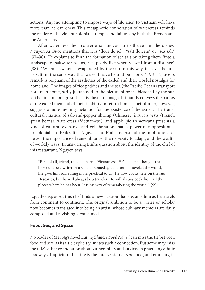actions. Anyone attempting to impose ways of life alien to Vietnam will have more than he can chew. This metaphoric connotation of watercress reminds the reader of the violent colonial attempts and failures by both the French and the Americans.

 After watercress their conversation moves on to the salt in the dishes. Nguyen Ai Quoc mentions that it is "fleur de sel," "salt flowers" or "sea salt" (97–98). He explains to Bình the formation of sea salt by taking them "into a landscape of saltwater basins, rice-paddy-like when viewed from a distance" (98). "When seawater is evaporated by the sun in this way, it leaves behind its salt, in the same way that we will leave behind our bones" (98). Nguyen's remark is poignant of the aesthetics of the exiled and their woeful nostalgia for homeland. The images of rice paddies and the sea (the Pacific Ocean) transport both men home, sadly juxtaposed to the picture of bones bleached by the sun left behind on foreign soils. This cluster of images brilliantly conveys the pathos of the exiled men and of their inability to return home. Their dinner, however, suggests a more inviting metaphor for the existence of the exiled. The transcultural mixture of salt-and-pepper shrimp (Chinese), *haricots verts* (French green beans), watercress (Vietnamese), and apple pie (American) presents a kind of cultural exchange and collaboration that is powerfully oppositional to colonialism. Exiles like Nguyen and Bình understand the implications of travel: the importance of remembrance, the necessity to adapt, and the wealth of worldly ways. In answering Bình's question about the identity of the chef of this restaurant, Nguyen says,

"First of all, friend, the chef here is Vietnamese. He's like me, thought that he would be a writer or a scholar someday, but after he traveled the world, life gave him something more practical to do. He now cooks here on the rue Descartes, but he will always be a traveler. He will always cook from all the places where he has been. It is his way of remembering the world." (99)

Equally displaced, this chef finds a new passion that sustains him as he travels from continent to continent. The original ambition to be a writer or scholar now becomes translated into being an artist, whose culinary memoirs are daily composed and ravishingly consumed.

## **Food, Sex, and Space**

No reader of Mei Ng's novel *Eating Chinese Food Naked* can miss the tie between food and sex, as its title explicitly invites such a connection. But some may miss the title's other connotation about vulnerability and anxiety in practicing ethnic foodways. Implicit in this title is the intersection of sex, food, and ethnicity, in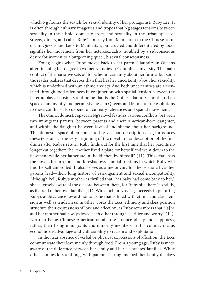which Ng frames the search for sexual identity of her protagonist, Ruby Lee. It is often through culinary imageries and tropes that Ng stages tensions between sexuality in the ethnic, domestic space and sexuality in the urban space of streets, diners, and cafes. Ruby's journey from Manhattan to the Chinese laundry in Queens and back to Manhattan, punctuated and differentiated by food, signifies her movement from her heterosexuality troubled by a subconscious desire for women to a burgeoning queer, bisexual consciousness.

 *Eating* begins when Ruby moves back to her parents' laundry in Queens after finishing her degree in women's studies at Columbia University. The main conflict of the narrative sets off to be her uncertainty about her future, but soon the reader realizes that deeper than that lies her uncertainty about her sexuality, which is underlined with an ethnic anxiety. And both uncertainties are articulated through food references in conjunction with spatial tension between the heterotopias of business and home that is the Chinese laundry and the urban space of anonymity and permissiveness in Queens and Manhattan. Resolutions to these conflicts also depend on culinary references and spatial movement.

 The ethnic, domestic space in Ng's novel features various conflicts, between two immigrant parents, between parents and their American-born daughter, and within the daughter between love of and shame about her background. This domestic space often comes to life via food descriptions. Ng introduces these tensions at the very beginning of the novel in her description of the first dinner after Ruby's return. Ruby finds out for the first time that her parents no longer eat together: "her mother fixed a plate for herself and went down to the basement while her father ate in the kitchen by himself" (11). This detail sets the novel's forlorn tone and foreshadows familial frictions in which Ruby will find herself embroiled. It also serves as a metonymy for the separate lives her parents lead—their long history of estrangement and sexual incompatibility. Although Bell, Ruby's mother, is thrilled that "her baby had come back to her," she is tensely aware of the discord between them, for Ruby sits there "so stiffly, as if afraid of her own family" (11). With such brevity Ng succeeds in picturing Ruby's ambivalence toward home—one that is filled with ethnic and class tension as well as tenderness. In other words the Lees' ethnicity and class position structure their expressions of love and affection, as Ruby remembers that "[s]he and her mother had always loved each other through sacrifice and worry" (14). Not that being Chinese American entails the absence of joy and happiness; rather, their being immigrants and minority members in this country means economic disadvantage and vulnerability to racism and exploitation.

 In the near absence of verbal or physical expressions of affection, the Lees communicate their love mainly through food. From a young age, Ruby is made aware of the difference between her family and her classmates' families. While other families kiss and hug, with parents sharing one bed, her family displays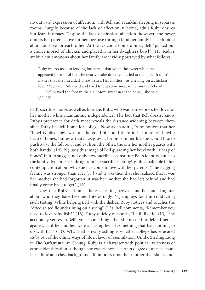no outward expression of affection, with Bell and Franklin sleeping in separate rooms. Largely because of the lack of affection at home, adult Ruby desires but fears intimacy. Despite the lack of physical affection, however, she never doubts her parents' love for her, because through food her family has exhibited abundant love for each other. At the welcome-home dinner, Bell "picked out a choice morsel of chicken and placed it in her daughter's bowl" (11). Ruby's ambivalent emotions about her family are vividly portrayed by what follows.

Ruby was so used to fending for herself that when the sweet white meat appeared in front of her, she nearly broke down and cried at the table. It didn't matter that she liked dark meat better. Her mother was chewing on a chicken foot. "You eat," Ruby said and tried to put some meat in her mother's bowl.

Bell waved the foot in the air. "More sweet near the bone," she said.

 $(11-12)$ 

Bell's sacrifice moves as well as burdens Ruby, who wants to express her love for her mother while maintaining independence. The fact that Bell doesn't know Ruby's preference for dark meat reveals the distance widening between them since Ruby has left home for college. Now as an adult, Ruby notices that her "bowl is piled high with all the good bits, and there in her mother's bowl a heap of bones. But now that she's grown, for once in her life she would like to push away the full bowl and eat from the other, the one her mother guards with both hands" (14). Ng uses this image of Bell guarding her bowl with "a heap of bones" in it to suggest not only how sacrifices constitute Bell's identity but also the family dynamics resulting from her sacrifices. Ruby's guilt is palpable in her contemplation about why she has come to live with her parents. "The nagging feeling was stronger than ever [. . .] and it was then that she realized that it was her mother she had forgotten; it was her mother she had left behind and had finally come back to get" (16).

 Now that Ruby is home, there is testing between mother and daughter about who they have become. Interestingly, Ng employs food in conducting such testing. While helping Bell with the dishes, Ruby notices and touches the "dried salted flounder hung on a string" (13). Bell comments, "Remember you used to love salty fish?" (13). Ruby quickly responds, "I still like it" (13). She accurately senses in Bell's voice something "that she needed to defend herself against, as if her mother were accusing her of something that had nothing to do with fish" (13). What Bell is really asking is whether college has educated Ruby out of the ethnic ways of life in favor of assimilation. Unlike Sterling Lung in *The Barbarians Are Coming,* Ruby is a character with political awareness of ethnic identification, although she experiences a certain degree of unease about her ethnic and class background. To impress upon her mother that she has not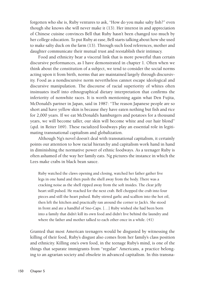forgotten who she is, Ruby ventures to ask, "How do you make salty fish?" even though she knows she will never make it (13). Her interest in and appreciation of Chinese cuisine convinces Bell that Ruby hasn't been changed too much by her college education. To put Ruby at ease, Bell starts talking about how she used to make salty duck on the farm (13). Through such food references, mother and daughter communicate their mutual trust and reestablish their intimacy.

 Food and ethnicity bear a visceral link that is more powerful than certain discursive performances, as I have demonstrated in chapter 1. Often when we think about the constitution of a subject, we tend to consider the social norms acting upon it from birth, norms that are maintained largely through discursivity. Food as a nondiscursive norm nevertheless cannot escape ideological and discursive manipulation. The discourse of racial superiority of whites often insinuates itself into ethnographical dietary interpretation that confirms the inferiority of nonwhite races. It is worth mentioning again what Den Fujita, McDonald's partner in Japan, said in 1987: "The reason Japanese people are so short and have yellow skin is because they have eaten nothing but fish and rice for 2,000 years. If we eat McDonald's hamburgers and potatoes for a thousand years, we will become taller, our skin will become white and our hair blond" (qtd. in Reiter 169). These racialized foodways play an essential role in legitimating transnational capitalism and globalization.

 Although Ng's novel doesn't deal with transnational capitalism, it certainly points our attention to how racial hierarchy and capitalism work hand in hand in diminishing the normative power of ethnic foodways. As a teenager Ruby is often ashamed of the way her family eats. Ng pictures the instance in which the Lees make crabs in black bean sauce.

Ruby watched the claws opening and closing, watched her father gather five legs in one hand and then push the shell away from the body. There was a cracking noise as the shell ripped away from the soft insides. The clear jelly heart still pulsed. He reached for the next crab. Bell chopped the crab into four pieces and still the heart pulsed. Ruby stirred garlic and scallion into the hot oil, then left the kitchen and practically ran around the corner to Jack's. She stood in front and ate a handful of Sno-Caps. [. . .] Ruby wished she had been born into a family that didn't kill its own food and didn't live behind the laundry and where the father and mother talked to each other once in a while. (41)

Granted that most American teenagers would be disgusted by witnessing the killing of their food, Ruby's disgust also comes from her family's class position and ethnicity. Killing one's own food, in the teenage Ruby's mind, is one of the things that separate immigrants from "regular" Americans, a practice belonging to an agrarian society and obsolete in advanced capitalism. In this transna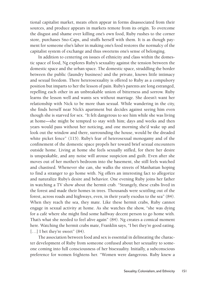tional capitalist market, meats often appear in forms disassociated from their sources, and produce appears in markets remote from its origin. To overcome the disgust and shame over killing one's own food, Ruby rushes to the corner store, purchases Sno-Caps, and stuffs herself with them. It is as though payment for someone else's labor in making one's food restores the normalcy of the capitalist system of exchange and thus sweetens one's sense of belonging.

In addition to centering on issues of ethnicity and class within the domestic space of food, Ng explores Ruby's sexuality against the tension between the domestic space and the urban space. The domestic space, straddling the border between the public (laundry business) and the private, knows little intimacy and sexual freedom. There heterosexuality is offered to Ruby as a compulsory position but imparts to her the lesson of pain. Ruby's parents are long estranged, repelling each other in an unbreakable union of bitterness and sorrow. Ruby learns the lesson well and wants sex without marriage. She doesn't want her relationship with Nick to be more than sexual. While wandering in the city, she finds herself near Nick's apartment but decides against seeing him even though she is starved for sex. "It felt dangerous to see him while she was living at home—she might be tempted to stay with him; days and weeks and then years would pass without her noticing, and one morning she'd wake up and look out the window and there, surrounding the house, would be the dreaded white picket fence" (115). Ruby's fear of heterosexual monogamy and of the confinement of the domestic space propels her toward brief sexual encounters outside home. Living at home she feels sexually stifled, for there her desire is unspeakable, and any noise will arouse suspicion and guilt. Even after she moves out of her mother's bedroom into the basement, she still feels watched and chastised. Whenever she can, she walks the streets of Manhattan hoping to find a stranger to go home with. Ng offers an interesting fact to allegorize and naturalize Ruby's desire and behavior. One evening Ruby joins her father in watching a TV show about the hermit crab. "Strangely, these crabs lived in the forest and made their homes in trees. Thousands were scuttling out of the forest, across roads and highways, even, in their yearly exodus to the sea" (84). When they reach the sea, they mate. Like these hermit crabs, Ruby cannot engage in sexual activity at home. As she watches the show, "she was dying for a café where she might find some halfway decent person to go home with. That's what she needed to feel alive again" (84). Ng creates a comical moment here. Watching the hermit crabs mate, Franklin says, "I bet they're good eating. [...] I bet they're sweet" (84).

 The association between food and sex is essential in delineating the character development of Ruby from someone confused about her sexuality to someone coming into full consciousness of her bisexuality. Initially, a subconscious preference for women frightens her. "Women were dangerous. Ruby knew a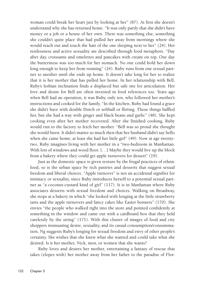woman could break her heart just by looking at her" (87). At first she doesn't understand why she has returned home. "It was only partly that she didn't have money or a job or a house of her own. There was something else, something she couldn't quite place that had pulled her away from mornings where she would reach out and touch the hair of the one sleeping next to her" (24). Her restlessness and active sexuality are described through food metaphors. "Day after day, croissants and omelettes and pancakes with cream on top. One day the butteriness was too much for her stomach. No one could hold her down long enough to keep her from running" (24). Ruby runs from one sexual partner to another until she ends up home. It doesn't take long for her to realize that it is her mother that has pulled her home. In her relationship with Bell, Ruby's lesbian inclination finds a displaced but safe site for articulation. Her love and desire for Bell are often invested in food references too. Years ago when Bell had an operation, it was Ruby, only ten, who followed her mother's instructions and cooked for the family. "In the kitchen, Ruby had found a grace she didn't have with double Dutch or softball or flirting. Those things baffled her, but she had a way with ginger and black beans and garlic" (48). She kept cooking even after her mother recovered. After she finished cooking, Ruby would run to the factory to fetch her mother. "Bell was so proud she thought she would burst. It didn't matter so much then that her husband didn't say hello when she came home; at least she had her little girl" (49). Now at age twentytwo, Ruby imagines living with her mother in a "two-bedroom in Manhattan. With lots of windows and wood floor. [. . .] Maybe they would live up the block from a bakery where they could get apple turnovers for dessert" (19).

 Just as the domestic space is given texture by the frugal practices of ethnic food, so is the urban space by rich pastries and desserts that suggest sexual freedom and liberal choices. "Apple turnover" is not an accidental signifier for intimacy or sexuality, since Ruby introduces herself to a potential sexual partner as "a coconut-custard kind of girl" (117). It is in Manhattan where Ruby associates desserts with sexual freedom and choices. Walking on Broadway, she stops at a bakery in which "she looked with longing at the little strawberry tarts and the apple turnovers and fancy cakes like Easter bonnets" (170). She envies "the people who walked right into the store and pointed confidently at something in the window and came out with a cardboard box that they held carelessly by the string" (171). With this cluster of images of food and city shoppers insinuating desire, sexuality, and its casual consumption/consummation, Ng suggests Ruby's longing for sexual freedom and envy of other people's certainty. She wishes that she knew what she wanted and could take what she desired. Is it her mother, Nick, men, or women that she wants?

 Ruby loves and desires her mother, entertaining a fantasy of rescue that takes (elopes with) her mother away from her father to the paradise of Flor-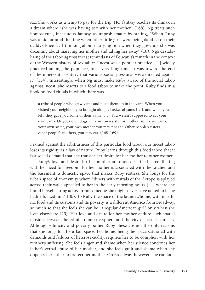ida. She works as a temp to pay for the trip. Her fantasy reaches its climax in a dream where "she was having sex with her mother" (168). Ng treats such homosexual, incestuous fantasy as unproblematic by stating, "When Ruby was a kid, around the time when other little girls were being dandled on their daddy's knee [...] thinking about marrying him when they grew up, she was dreaming about marrying her mother and taking her away" (18). Ng's destabilizing of the taboo against incest reminds us of Foucault's remark in the context of the Western history of sexuality: "Incest was a popular practice [. . .] widely practiced among the populace, for a very long time. It was toward the end of the nineteenth century that various social pressures were directed against it" (154). Interestingly, when Ng must make Ruby aware of the social taboo against incest, she resorts to a food taboo to make the point. Ruby finds in a book on food rituals in which there was

a tribe of people who grew yams and piled them up in the yard. When you visited your neighbor, you brought along a basket of yams [. . .], and when you left, they gave you some of their yams [. . .]. You weren't supposed to eat your own yams. Or your own dogs. Or your own sister or mother. Your own yams, your own sister, your own mother you may not eat. Other people's sisters, other people's mothers, you may eat. (168–169)

Framed against the arbitrariness of this particular food taboo, our incest taboo loses its rigidity as a law of nature. Ruby learns through this food taboo that it is a social demand that she transfer her desire for her mother to other women.

 Ruby's love and desire for her mother are often described as conflicting with her need for freedom, for her mother is associated with the kitchen and the basement, a domestic space that makes Ruby restless. She longs for the urban space of anonymity where "diners with murals of the Acropolis splayed across their walls appealed to her in the early-morning hours [. . .] where she found herself sitting across from someone she might never have talked to if she hadn't fucked him" (86). To Ruby the space of the laundry/home, with its ethnic food and its customs and its poverty, is a different America from Broadway, so much so that she feels she can be "a regular American girl" only when she lives elsewhere (25). Her love and desire for her mother endure such spatial tension between the ethnic, domestic sphere and the city of casual contacts. Although ethnicity and poverty bother Ruby, these are not the only reasons that she longs for the urban space. For home, being the space saturated with demands and failures of heterosexuality, requires her to be complicit with her mother's suffering. She feels anger and shame when her silence condones her father's verbal abuse of her mother, and she feels guilt and shame when she opposes her father to protect her mother. On Broadway, however, she can look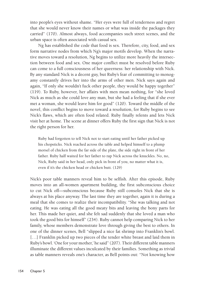into people's eyes without shame. "Her eyes were full of tenderness and regret that she would never know their names or what was inside the packages they carried" (170). Almost always, food accompanies such street scenes, and the urban space is often associated with casual sex.

 Ng has established the code that food is sex. Therefore, city, food, and sex form narrative nodes from which Ng's major motifs develop. When the narrative moves toward a resolution, Ng begins to utilize more heavily the intersection between food and sex. One major conflict must be resolved before Ruby can come to a full consciousness of her queerness: her relationship with Nick. By any standard Nick is a decent guy, but Ruby's fear of committing to monogamy constantly drives her into the arms of other men. Nick says again and again, "If only she wouldn't fuck other people, they would be happy together" (119). To Ruby, however, her affairs with men mean nothing, for "she loved Nick as much as she could love any man, but she had a feeling that if she ever met a woman, she would leave him for good" (120). Toward the middle of the novel, this conflict begins to move toward a resolution, for Ruby begins to see Nick's flaws, which are often food related. Ruby finally relents and lets Nick visit her at home. The scene at dinner offers Ruby the first sign that Nick is not the right person for her.

Ruby had forgotten to tell Nick not to start eating until her father picked up his chopsticks. Nick reached across the table and helped himself to a plump morsel of chicken from the far side of the plate, the side right in front of her father. Ruby half waited for her father to rap Nick across the knuckles. No, no, Nick, Ruby said in her head, only pick in front of you, no matter what it is, even if it's the chicken head or chicken butt. (129)

Nick's poor table manners reveal him to be selfish. After this episode, Ruby moves into an all-women apartment building, the first subconscious choice to cut Nick off—subconscious because Ruby still consoles Nick that she is always at his place anyway. The last time they are together, again it is during a meal that she comes to realize their incompatibility. "She was talking and not eating. He was eating all the good meaty bits and leaving the bony parts for her. This made her quiet, and she felt sad suddenly that she loved a man who took the good bits for himself" (234). Ruby cannot help comparing Nick to her family, whose members demonstrate love through giving the best to others. In one of the dinner scenes, Bell "slipped a nice fat shrimp into Franklin's bowl. [...] Franklin picked up two pieces of the tender white breast and laid them in Ruby's bowl. 'One for your mother,' he said" (207). Their different table manners illuminate the different values inculcated by their families. Something as trivial as table manners reveals one's character, as Bell points out: "Not knowing how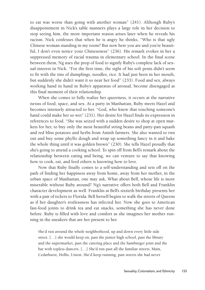to eat was worse than going with another woman" (241). Although Ruby's disappointment in Nick's table manners plays a large role in her decision to stop seeing him, the more important reason arises later when he reveals his racism. Nick confesses that when he is angry he thinks, "Who is that ugly Chinese woman standing in my room? But now here you are and you're beautiful, I don't even notice your Chineseness" (236). His remark evokes in her a suppressed memory of racial trauma in elementary school. In the final scene between them, Ng uses the prop of food to signify Ruby's complete lack of sexual interest in Nick. "For the first time, the sight of his soft penis didn't seem to fit with the tins of dumplings, noodles, rice. It had just been in her mouth, but suddenly she didn't want it so near her food" (233). Food and sex, always working hand in hand in Ruby's apparatus of arousal, become disengaged at this final moment of their relationship.

 When she comes to fully realize her queerness, it occurs at the narrative nexus of food, space, and sex. At a party in Manhattan, Ruby meets Hazel and becomes intensely attracted to her. "God, who knew that touching someone's hand could make her so wet" (231). Her desire for Hazel finds its expression in references to food. "She was seized with a sudden desire to shop at open markets for her, to buy only the most beautiful string beans and patty-pan squash and red bliss potatoes and herbs from Amish farmers. She also wanted to run out and buy some phyllo dough and wrap up something fancy in it and bake the whole thing until it was golden brown" (230). She tells Hazel proudly that she's going to attend a cooking school. To spin off from Bell's remark about the relationship between eating and being, we can venture to say that knowing how to cook, eat, and feed others is knowing how to love.

 Now that Ruby finally comes to a self-understanding and sets off on the path of finding her happiness away from home, away from her mother, in the urban space of Manhattan, one may ask, What about Bell, whose life is more miserable without Ruby around? Ng's narrative offers both Bell and Franklin character development as well. Franklin at Bell's sixtieth birthday presents her with a pair of tickets to Florida. Bell herself begins to walk the streets of Queens as if her daughter's restlessness has infected her. Now she goes to American fast-food joints to drink tea and eat snacks, something she has never done before. Ruby is filled with love and comfort as she imagines her mother running in the sneakers that are her present to her.

She'd run around the whole neighborhood, up and down every little side street. [...] she would keep on, past the junior high school, past the library and the supermarket, past the catering place and the hamburger joint and the bar with topless dancers. [. . .] She'd run past all the familiar streets, Main, Cedarhurst, Hollis, Union. She'd keep running, past streets she had never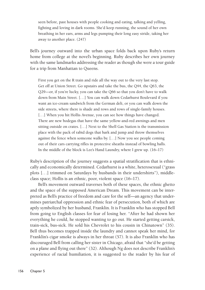seen before, past houses with people cooking and eating, talking and yelling, fighting and loving in dark rooms. She'd keep running, the sound of her own breathing in her ears, arms and legs pumping their long easy stride, taking her away to another place. (247)

Bell's journey outward into the urban space folds back upon Ruby's return home from college at the novel's beginning. Ruby describes her own journey with the same landmarks addressing the reader as though she were a tour guide for a trip from Manhattan to Queens.

First you get on the R train and ride all the way out to the very last stop. Get off at Union Street. Go upstairs and take the bus, the Q44, the Q63, the Q29—or, if you're lucky, you can take the Q66 so that you don't have to walk down from Main Street. [. . .] You can walk down Cedarhurst Boulevard if you want an ice-cream sandwich from the German deli, or you can walk down the side streets, where there is shade and rows and rows of single-family houses. [...] When you hit Hollis Avenue, you can see how things have changed. There are new bodegas that have the same yellow-and-red awnings and men sitting outside on crates. [. . .] Next to the Shell Gas Station is the transmission place with the pack of rabid dogs that bark and jump and throw themselves against the fence when someone walks by. [. . .] Now you see people coming out of their cars carrying rifles in protective sheaths instead of bowling balls. In the middle of the block is Lee's Hand Laundry, where I grew up. (16–17)

Ruby's description of the journey suggests a spatial stratification that is ethnically and economically determined. Cedarhurst is a white, heterosexual ("grass plots [. . .] trimmed on Saturdays by husbands in their undershirts"), middleclass space; Hollis is an ethnic, poor, violent space (16–17).

 Bell's movement outward traverses both of these spaces, the ethnic ghetto and the space of the supposed American Dream. This movement can be interpreted as Bell's practice of freedom and care for the self—an agency that undermines patriarchal oppression and ethnic fear of persecution, both of which are aptly symbolized by her husband, Franklin. It is Franklin who has stopped Bell from going to English classes for fear of losing her. "After he had shown her everything he could, he stopped wanting to go out. He started getting carsick, train-sick, bus-sick. He sold his Chevrolet to his cousin in Chinatown" (35). Bell thus becomes trapped inside the laundry and cannot speak her mind, for Franklin's cigar smoke is always in her throat (57). It is also Franklin who has discouraged Bell from calling her sister in Chicago, afraid that "she'd be getting on a plane and flying out there" (32). Although Ng does not describe Franklin's experience of racial humiliation, it is suggested to the reader by his fear of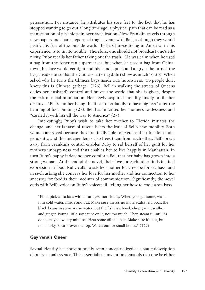persecution. For instance, he attributes his sore feet to the fact that he has stopped wanting to go out a long time ago, a physical pain that can be read as a manifestation of psychic pain over racialization. Now Franklin travels through newspapers and shares reports of tragic events with Bell, as though they would justify his fear of the outside world. To be Chinese living in America, in his experience, is to invite trouble. Therefore, one should not broadcast one's ethnicity. Ruby recalls her father taking out the trash. "He was calm when he used a bag from the American supermarket, but when he used a bag from Chinatown, his face would get tight and his hands quick and angry as he turned the bags inside out so that the Chinese lettering didn't show as much" (126). When asked why he turns the Chinese bags inside out, he answers, "So people don't know this is Chinese garbage" (126). Bell in walking the streets of Queens defies her husband's control and braves the world that she is given, despite the risk of racial humiliation. Her newly acquired mobility finally fulfills her destiny—"Bell's mother being the first in her family to have big feet" after the banning of foot binding (27). Bell has inherited her mother's restlessness and "carried it with her all the way to America" (27).

 Interestingly, Ruby's wish to take her mother to Florida initiates the change, and her fantasy of rescue bears the fruit of Bell's new mobility. Both women are saved because they are finally able to exercise their freedom independently, and this independence also frees them from each other. Bell's break away from Franklin's control enables Ruby to rid herself of her guilt for her mother's unhappiness and thus enables her to live happily in Manhattan. In turn Ruby's happy independence comforts Bell that her baby has grown into a strong woman. At the end of the novel, their love for each other finds its final expression in food. Ruby calls to ask her mother for a recipe for sea bass, and in such asking she conveys her love for her mother and her connection to her ancestry, for food is their medium of communication. Significantly, the novel ends with Bell's voice on Ruby's voicemail, telling her how to cook a sea bass.

"First, pick a sea bass with clear eyes, not cloudy. When you get home, wash it in cold water, inside and out. Make sure there's no more scales left. Soak the black beans in some warm water. Put the fish in a bowl, chop garlic, scallion and ginger. Pour a little soy sauce on it, not too much. Then steam it until it's done, maybe twenty minutes. Heat some oil in a pan. Make sure it's hot, but not smoky. Pour it over the top. Watch out for small bones." (252)

#### **Gay versus Queer**

Sexual identity has conventionally been conceptualized as a static description of one's sexual essence. This essentialist convention demands that one be either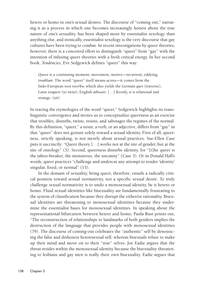hetero or homo in one's sexual desires. The discourse of "coming out," narrating it as a process in which one becomes increasingly honest about the true nature of one's sexuality, has been shaped more by essentialist sexology than anything else, and ironically, essentialist sexology is the very discourse that gay cultures have been trying to combat. In recent investigations by queer theories, however, there is a concerted effort to distinguish "queer" from "gay" with the intention of infusing queer theories with a fresh critical energy. In her second book, *Tendencies,* Eve Sedgewick defines "queer" this way:

Queer is a continuing moment, movement, motive—recurrent, eddying, *troublant.* The word "queer" itself means *across*—it comes from the Indo-European root *twerkw,* which also yields the German *quer* (traverse), Latin *torquere* (to twist), English *athwart.* [. . .] Keenly, it is relational and strange. (xii)

In tracing the etymologies of the word "queer," Sedgewick highlights its translinguistic convergence and invites us to conceptualize queerness as an exercise that troubles, disturbs, twists, resists, and sabotages the regimes of the normal. By this definition, "queer," a noun, a verb, or an adjective, differs from "gay" in that "queer" does not gesture solely toward a sexual identity. First of all, queerness, strictly speaking, is not merely about sexual practices. Sue-Ellen Case puts it succinctly: "Queer theory [. . .] works not at the site of gender, but at the site of ontology" (3). Second, queerness disturbs identity, for "[t]he queer is the taboo-breaker, the monstrous, the uncanny" (Case 3). Or in Donald Hall's words, queer practices "challenge and undercut any attempt to render 'identity' singular, fixed, or normal" (15).

 In the domain of sexuality, being queer, therefore, entails a radically critical position toward sexual normativity, not a specific sexual desire. To truly challenge sexual normativity is to undo a monosexual identity, be it hetero or homo. Fluid sexual identities like bisexuality are fundamentally frustrating to the system of classification because they disrupt the either/or rationality. Bisexual identities are threatening to monosexual identities because they undermine the essentialist bases for monosexual identities. In speaking about the representational bifurcation between hetero and homo, Paula Rust points out, "The reconstruction of relationships to landmarks of both genders implies the destruction of the language that provides people with monosexual identities (79). The discourse of coming-out celebrates the "authentic" self by denouncing the false and dishonest heterosexual self, whereas bisexuals refuse to make up their mind and move on to their "true" selves. Joe Eadie argues that the threat resides within the monosexual identity because the bisexuality threatening to lesbians and gay men is really their own bisexuality. Eadie argues that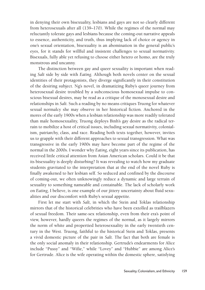in denying their own bisexuality, lesbians and gays are not so clearly different from heterosexuals after all (139–170). While the regimes of the normal may reluctantly tolerate gays and lesbians because the coming-out narrative appeals to essence, authenticity, and truth, thus implying lack of choice or agency in one's sexual orientation, bisexuality is an abomination in the general public's eyes, for it stands for willful and insistent challenges to sexual normativity. Bisexuals, fully able yet refusing to choose either hetero or homo, are the truly monstrous and uncanny.

 The distinction between gay and queer sexuality is important when reading *Salt* side by side with *Eating.* Although both novels center on the sexual identities of their protagonists, they diverge significantly in their constitution of the desiring subject. Ng's novel, in dramatizing Ruby's queer journey from heterosexual desire troubled by a subconscious homosexual impulse to conscious bisexual desires, may be read as a critique of the monosexual desire and relationships in *Salt.* Such a reading by no means critiques Truong for whatever sexual normalcy she may observe in her historical fiction. Anchored in the mores of the early 1900s when a lesbian relationship was more readily tolerated than male homosexuality, Truong deploys Bình's gay desire as the radical terrain to mobilize a host of critical issues, including sexual normativity, colonialism, patriarchy, class, and race. Reading both texts together, however, invites us to grapple with their different approaches to sexual transgression. What was transgressive in the early 1900s may have become part of the regime of the normal in the 2000s. I wonder why *Eating*, eight years since its publication, has received little critical attention from Asian American scholars. Could it be that its bisexuality is deeply disturbing? It was revealing to watch how my graduate students gravitated to the interpretation that at the end of the novel Ruby is finally awakened to her lesbian self. So seduced and confined by the discourse of coming-out, we often unknowingly reduce a dynamic and large terrain of sexuality to something nameable and containable. The lack of scholarly work on *Eating,* I believe, is one example of our jittery uncertainty about fluid sexualities and our discomfort with Ruby's sexual appetite.

 First let me start with *Salt,* in which the Stein and Toklas relationship mirrors that of the historical celebrities who have been extolled as trailblazers of sexual freedom. Their same-sex relationship, even from their era's point of view, however, hardly queers the regimes of the normal, as it largely mirrors the norm of white and propertied heterosexuality in the early twentieth century in the West. Truong, faithful to the historical Stein and Toklas, presents a vivid domestic picture of the pair in *Salt.* The fact that both are female is the only social anomaly in their relationship. Gertrude's endearments for Alice include "Pussy" and "Wifie," while "Lovey" and "Hubbie" are among Alice's for Gertrude. Alice is the wife operating within the domestic sphere, satisfying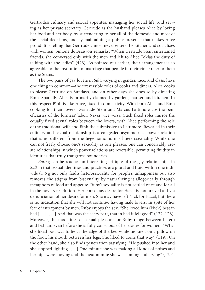Gertrude's culinary and sexual appetites, managing her social life, and serving as her private secretary. Gertrude as the husband pleases Alice by loving her food and her body, by surrendering to her all of the domestic and most of the social decisions, and by maintaining a public presence that makes Alice proud. It is telling that Gertrude almost never enters the kitchen and socializes with women. Simone de Beauvoir remarks, "When Gertrude Stein entertained friends, she conversed only with the men and left to Alice Toklas the duty of talking with the ladies" (423). As pointed out earlier, their arrangement is so agreeable to the institution of marriage that people in their circle refer to them as the Steins.

 The two pairs of gay lovers in *Salt,* varying in gender, race, and class, have one thing in common—the irreversible roles of cooks and diners. Alice cooks to please Gertrude on Sundays, and on other days she does so by directing Bình. Spatially, Alice is primarily claimed by garden, market, and kitchen. In this respect Bình is like Alice, fixed in domesticity. With both Alice and Bình cooking for their lovers, Gertrude Stein and Marcus Lattimore are the beneficiaries of the formers' labor. Never vice versa. Such fixed roles mirror the equally fixed sexual roles between the lovers, with Alice performing the role of the traditional wife and Bình the submissive to Lattimore. Revealed in their culinary and sexual relationship is a congealed asymmetrical power relation that is no different from the hegemonic norm of heterosexuality. While one can not freely choose one's sexuality as one pleases, one can conceivably create relationships in which power relations are reversible, permitting fluidity in identities that truly transgress boundaries.

 *Eating* can be read as an interesting critique of the gay relationships in *Salt* in that sexual identities and practices are plural and fluid within one individual. Ng not only faults heterosexuality for people's unhappiness but also removes the stigma from bisexuality by naturalizing it allegorically through metaphors of food and appetite. Ruby's sexuality is not settled once and for all in the novel's resolution. Her conscious desire for Hazel is not arrived at by a denunciation of her desire for men. She may have left Nick for Hazel, but there is no indication that she will not continue having male lovers. In spite of her fear of entrapment by men, Ruby enjoys the sex. "She loved him (Nick) best in bed [. . .]. [. . .] And that was the scary part, that in bed it felt good" (122–123). Moreover, the modalities of sexual pleasure for Ruby range between hetero and lesbian, even before she is fully conscious of her desire for women. "What she liked best was to lie at the edge of the bed while he knelt on a pillow on the floor, his mouth between her legs. She liked to come that way" (119). On the other hand, she also finds penetration satisfying. "He pushed into her and she stopped fighting. [. . .] One minute she was making all kinds of noises and her hips were moving and the next minute she was coming and crying" (124).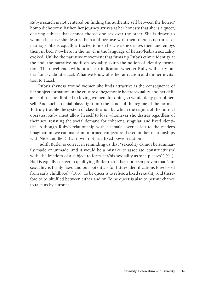Ruby's search is not centered on finding the authentic self between the hetero/ homo dichotomy. Rather, her journey arrives at her honesty that she is a queer, desiring subject that cannot choose one sex over the other. She is drawn to women because she desires them and because with them there is no threat of marriage. She is equally attracted to men because she desires them and enjoys them in bed. Nowhere in the novel is the language of hetero/lesbian sexuality evoked. Unlike the narrative movement that firms up Ruby's ethnic identity at the end, the narrative motif on sexuality skirts the notion of identity formation. The novel ends without a clear indication whether Ruby will carry out her fantasy about Hazel. What we know of is her attraction and dinner invitation to Hazel.

 Ruby's shyness around women she finds attractive is the consequence of her subject formation in the culture of hegemonic heterosexuality, and her defiance of it is not limited to loving women, for doing so would deny part of herself. And such a denial plays right into the hands of the regime of the normal. To truly trouble the system of classification by which the regime of the normal operates, Ruby must allow herself to love whomever she desires regardless of their sex, resisting the social demand for coherent, singular, and fixed identities. Although Ruby's relationship with a female lover is left to the reader's imagination, we can make an informed conjecture (based on her relationships with Nick and Bell) that it will not be a fixed power relation.

 Judith Butler is correct in reminding us that "sexuality cannot be summarily made or unmade, and it would be a mistake to associate 'constructivism' with 'the freedom of a subject to form her/his sexuality as s/he pleases'" (94). Hall is equally correct in qualifying Butler that it has not been proven that "our sexuality is firmly fixed and our potentials for future identifications foreclosed from early childhood" (183). To be queer is to refuse a fixed sexuality and therefore to be shuffled between either and or. To be queer is also to permit chance to take us by surprise.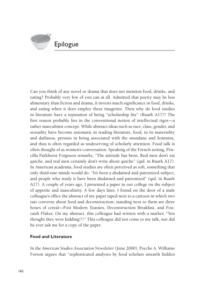

Can you think of any novel or drama that does not mention food, drinks, and eating? Probably very few of you can at all. Admitted that poetry may be less alimentary than fiction and drama, it invests much significance in food, drinks, and eating when it does employ these imageries. Then why do food studies in literature have a reputation of being "scholarship lite" (Ruark A17)? The first reason probably lies in the conventional notion of intellectual rigor—a rather masculinist concept. While abstract ideas such as race, class, gender, and sexuality have become axiomatic in reading literature, food, in its materiality and dailiness, persists in being associated with the mundane and feminine, and thus is often regarded as undeserving of scholarly attention. Food talk is often thought of as women's conversation. Speaking of the French setting, Priscilla Parkhurst Ferguson remarks, "The attitude has been, Real men don't eat quiche, and real men certainly don't write about quiche" (qtd. in Ruark A17). In American academia, food studies are often perceived as soft, something that only third-rate minds would do. "It's been a disdained and patronized subject, and people who study it have been disdained and patronized" (qtd. in Ruark A17). A couple of years ago, I presented a paper in our college on the subject of appetite and masculinity. A few days later, I found on the door of a male colleague's office the abstract of my paper taped next to a cartoon in which two rats converse about food and deconstruction; standing next to them are three boxes of cereal—Post Modern Toasties, Deconstruction Breakfast, and Foucault Flakes. On my abstract, this colleague had written with a marker, "You thought they were kidding!!!" This colleague did not come to my talk, nor did he ever ask me for a copy of the paper.

# **Food and Literature**

In the *American Studies Association Newsletter* (June 2000), Psyche A. Williams Forson argues that "sophisticated analyses by food scholars unearth hidden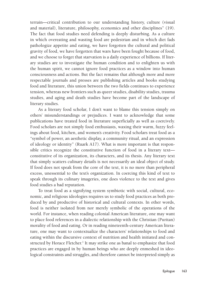terrain—critical contribution to our understanding history, culture (visual and material), literature, philosophy, economics and other disciplines" (19). The fact that food studies need defending is deeply disturbing. As a culture in which overeating and wasting food are pedestrian and in which diet fads pathologize appetite and eating, we have forgotten the cultural and political gravity of food, we have forgotten that wars have been fought because of food, and we choose to forget that starvation is a daily experience of billions. If literary studies are to investigate the human condition and to enlighten us with the human spirit, we cannot ignore food practices as a window into human consciousness and actions. But the fact remains that although more and more respectable journals and presses are publishing articles and books studying food and literature, this union between the two fields continues to experience tension, whereas new frontiers such as queer studies, disability studies, trauma studies, and aging and death studies have become part of the landscape of literary studies.

 As a literary food scholar, I don't want to blame this tension simply on others' misunderstandings or prejudices. I want to acknowledge that some publications have treated food in literature superficially as well as coercively. Food scholars are not simply food enthusiasts, waxing their warm, fuzzy feelings about food, kitchen, and women's creativity. Food scholars treat food as a "symbol of power, an aesthetic display, a community ritual, and an expression of ideology or identity" (Ruark A17). What is more important is that responsible critics recognize the constitutive function of food in a literary text constitutive of its organization, its characters, and its thesis. Any literary text that simply scatters culinary details is not necessarily an ideal object of study. If food does not speak from the core of the text, it is no more than peripheral excess, unessential to the text's organization. In coercing this kind of text to speak through its culinary imageries, one does violence to the text and gives food studies a bad reputation.

 To treat food as a signifying system symbiotic with social, cultural, economic, and religious ideologies requires us to study food practices as both produced by and productive of historical and cultural contexts. In other words, food is neither isolated from nor merely symbolic of the operations of the world. For instance, when reading colonial American literature, one may want to place food references in a dialectic relationship with the Christian (Puritan) morality of food and eating. Or in reading nineteenth-century American literature, one may want to contextualize the characters' relationships to food and eating within the discursive context of nutrition and health initiated and constructed by Horace Fletcher.<sup>1</sup> It may strike one as banal to emphasize that food practices are engaged in by human beings who are deeply enmeshed in ideological constraints and struggles, and therefore cannot be interpreted simply as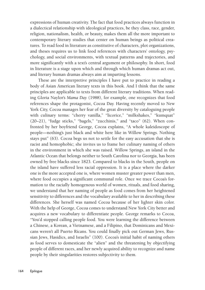expressions of human creativity. The fact that food practices always function in a dialectical relationship with ideological practices, be they class, race, gender, religion, nationalism, health, or beauty, makes them all the more important to contemporary literary studies that center on human beings as political creatures. To read food in literature as constitutive of characters, plot organizations, and theses requires us to link food references with characters' ontology, psychology, and social environments, with textual patterns and trajectories, and more significantly with a text's central argument or philosophy. In short, food in literature is a stage upon which and through which human dramas act out, and literary human dramas always aim at imparting lessons.

 These are the interpretive principles I have put to practice in reading a body of Asian American literary texts in this book. And I think that the same principles are applicable to texts from different literary traditions. When reading Gloria Naylor's *Mama Day* (1988), for example, one recognizes that food references shape the protagonist, Cocoa Day. Having recently moved to New York City, Cocoa manages her fear of the great diversity by cataloguing people with culinary terms: "cherry vanilla," "licorice," "milkshakes," "kumquat" (20–21), "fudge sticks," "bagels," "zucchinis," and "taco" (62). When confronted by her boyfriend George, Cocoa explains, "A whole kaleidoscope of people—nothing's just black and white here like in Willow Springs. Nothing stays put" (63). Cocoa begs us not to settle for the easy accusation that she is racist and homophobic; she invites us to frame her culinary naming of others in the environment in which she was raised. Willow Springs, an island in the Atlantic Ocean that belongs neither to South Carolina nor to Georgia, has been owned by free blacks since 1823. Compared to blacks in the South, people on the island have suffered less racial oppression. It is a place where the darker one is the more accepted one is, where women muster greater power than men, where food occupies a significant communal role. Once we trace Cocoa's formation to the racially homogenous world of women, rituals, and food sharing, we understand that her naming of people as food comes from her heightened sensitivity to differences and the vocabulary available to her in describing these differences. She herself was named Cocoa because of her lighter skin color. With the help of George, Cocoa comes to understand New York City better and acquires a new vocabulary to differentiate people. George remarks to Cocoa, "You'd stopped calling people food. You were learning the difference between a Chinese, a Korean, a Vietnamese, and a Filipino, that Dominicans and Mexicans weren't all Puerto Ricans. You could finally pick out German Jews, Russian Jews, Hasidics, and Israelis" (100). Cocoa's initial habit of naming others as food serves to domesticate the "alien" and the threatening by objectifying people of different races, and her newly acquired ability to recognize and name people by their singularities restores subjectivity to them.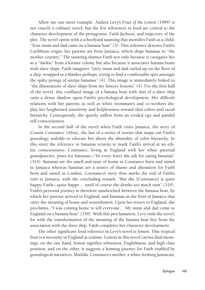Allow me one more example. Andrea Levy's *Fruit of the Lemon* (1999) is not exactly a culinary novel, but the few references to food are central to the character development of the protagonist, Faith Jackson, and trajectory of the plot. The novel opens with a schoolyard taunting that mortifies Faith as a child: "Your mum and dad came on a banana boat" (3). This reference denotes Faith's Caribbean origin; her parents are from Jamaica, which ships bananas to "the mother country." The taunting shames Faith not only because it castigates her as a "darkie" from a former colony, but also because it associates banana boats with slave ships. Faith imagines "[m]y mum and dad curled up on the floor of a ship, wrapped in a blanket perhaps, trying to find a comfortable spot amongst the spiky prongs of unripe bananas" (4). This image is immediately linked to "the illustrations of slave ships from my history lessons" (4). For the first half of the novel, this conflated image of a banana boat with that of a slave ship casts a dense shadow upon Faith's psychological development. Her difficult relations with her parents as well as white roommates and co-workers display her heightened sensitivity and helplessness toward skin colors and racial hierarchy. Consequently, she quietly suffers from an eroded ego and painful self-consciousness.

 In the second half of the novel when Faith visits Jamaica, the story of Cousin Constance (Afria), the last of a series of stories that maps out Faith's genealogy, unfolds to educate her about the absurdity of color hierarchy. In this story the reference to bananas returns to mark Faith's arrival at an ethnic consciousness. Constance, living in England with her white paternal grandparents, pines for bananas—"In every letter she ask for eating bananas" (314). Bananas are the smell and taste of home to Constance born and raised in Jamaica whereas bananas are a source of shame and alienation for Faith born and raised in London. Constance's story thus marks the end of Faith's visit to Jamaica, with the concluding remark, "But she [Constance] is quite happy, Faith—quite happy ... until of course she drinks too much rum" (319). Faith's personal journey is therefore sandwiched between the banana boat, by which her parents arrived in England, and bananas as the fruit of Jamaica that carry the meaning of home and nourishment. Upon her return to England, she proclaims, "I was coming home to tell everyone . . . My mum and dad come to England on a banana boat" (339). With this proclamation, Levy ends the novel, for with the transformation of the meaning of the banana boat free from the association with the slave ship, Faith completes her character development.

 The other significant food reference in Levy's novel is lemon. This tropical fruit is a necessity in England at teatime. Lemon in this novel carries dual meanings; on the one hand, lemon signifies whiteness, Englishness, and high class position, and on the other, it suggests a homing journey for Faith enabled by genealogical narratives. Matilda, Constance's mother, a white-looking Jamaican,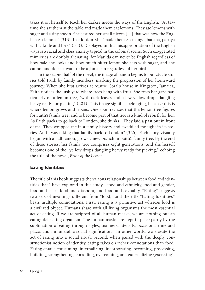takes it on herself to teach her darker nieces the ways of the English. "At teatime she sat them at the table and made them eat lemons. They ate lemons with sugar and a tiny spoon. She assured her small nieces [. . .] that was how the English eat lemons" (313). In addition, she "made them eat mango, banana, papaya with a knife and fork" (313). Displayed in this misappropriation of the English ways is a racial and class anxiety typical in the colonial scene. Such exaggerated mimicries are doubly alienating, for Matilda can never be English regardless of how pale she looks and how much bitter lemon she eats with sugar, and she cannot and doesn't want to be a Jamaican regardless of her birth.

 In the second half of the novel, the image of lemon begins to punctuate stories told Faith by family members, marking the progression of her homeward journey. When she first arrives at Auntie Coral's house in Kingston, Jamaica, Faith notices the lush yard where trees hang with fruit. She rests her gaze particularly on a lemon tree, "with dark leaves and a few yellow drops dangling heavy ready for picking" (201). This image signifies belonging, because this is where lemon grows and ripens. One soon realizes that the lemon tree figures for Faith's family tree, and to become part of that tree is a kind of rebirth for her. As Faith packs to go back to London, she thinks, "They laid a past out in front of me. They wrapped me in a family history and swaddled me tight in its stories. And I was taking that family back to London" (326). Each story, visually begun with a half lemon, grows a new branch in Faith's family tree. By the end of these stories, her family tree comprises eight generations, and she herself becomes one of the "yellow drops dangling heavy ready for picking," echoing the title of the novel, *Fruit of the Lemon.*

## **Eating Identities**

The title of this book suggests the various relationships between food and identities that I have explored in this study—food and ethnicity, food and gender, food and class, food and diaspora, and food and sexuality. "Eating" suggests two sets of meanings different from "food," and the title "Eating Identities" bears multiple connotations. First, eating is a primitive act whereas food is a civilized object. Humans share with all living organisms the most essential act of eating. If we are stripped of all human masks, we are nothing but an eating-defecating organism. The human masks are kept in place partly by the sublimation of eating through styles, manners, utensils, occasions, time and place, and innumerable social significations. In other words, we elevate the act of eating into a social ritual. Second, when paired with the deeply constructionist notion of identity, eating takes on richer connotations than food. Eating entails consuming, internalizing, incorporating, becoming, processing, building, strengthening, corroding, overcoming, and externalizing (excreting).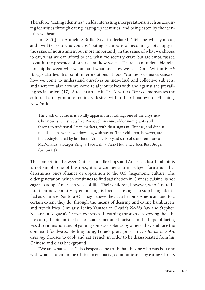Therefore, "Eating Identities" yields interesting interpretations, such as acquiring identities through eating, eating up identities, and being eaten by the identities we bear.

 In 1825 Jean Anthelme Brillat-Savarin declared, "Tell me what you eat, and I will tell you who you are." Eating is a means of becoming, not simply in the sense of nourishment but more importantly in the sense of what we choose to eat, what we can afford to eat, what we secretly crave but are embarrassed to eat in the presence of others, and how we eat. There is an undeniable relationship between who we are and what and how we eat. Doris Witt in *Black Hunger* clarifies this point: interpretations of food "can help us make sense of how we come to understand ourselves as individual and collective subjects, and therefore also how we come to ally ourselves with and against the prevailing social order" (17). A recent article in *The New York Times* demonstrates the cultural battle ground of culinary desires within the Chinatown of Flushing, New York.

The clash of cultures is vividly apparent in Flushing, one of the city's new Chinatowns. On streets like Roosevelt Avenue, older immigrants still throng to traditional Asian markets, with their signs in Chinese, and dine at noodle shops where windows fog with steam. Their children, however, are increasingly lured by fast food. Along a 100-yard strip of storefronts are a McDonald's, a Burger King, a Taco Bell, a Pizza Hut, and a Joe's Best Burger. (Santora 4)

The competition between Chinese noodle shops and American fast-food joints is not simply one of business; it is a competition in subject formation that determines one's alliance or opposition to the U.S. hegemonic culture. The older generation, which continues to find satisfaction in Chinese cuisine, is not eager to adopt American ways of life. Their children, however, who "try to fit into their new country by embracing its foods," are eager to stop being identified as Chinese (Santora 4). They believe they can become American, and to a certain extent they do, through the means of desiring and eating hamburgers and french fries. Similarly, Ichiro Yamada in Okada's *No-No Boy* and Stephen Nakane in Kogawa's *Obasan* express self-loathing through disavowing the ethnic eating habits in the face of state-sanctioned racism. In the hope of facing less discrimination and of gaining some acceptance by others, they embrace the dominant foodways. Sterling Lung, Louie's protagonist in *The Barbarians Are Coming,* chooses to cook and eat French in order to be disassociated from his Chinese and class background.

 "We are what we eat" also bespeaks the truth that the one who eats is at one with what is eaten. In the Christian eucharist, communicants, by eating Christ's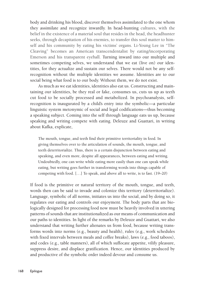body and drinking his blood, discover themselves assimilated to the one whom they assimilate and recognize inwardly. In head-hunting cultures, with the belief in the existence of a material soul that resides in the head, the headhunter seeks, through decapitation of his enemies, to transfer this soul matter to himself and his community by eating his victims' organs. Li-Young Lee in "The Cleaving" becomes an American transcendentalist by eating/incorporating Emerson and his transparent eyeball. Turning inward into our multiple and sometimes competing selves, we understand that we eat (live on) our identities, for they actualize and sustain our selves. There would not be any selfrecognition without the multiple identities we assume. Identities are to our social being what food is to our body. Without them, we do not exist.

 As much as we eat identities, identities also eat us. Constructing and maintaining our identities, be they real or fake, consumes us, cuts us up as teeth cut food to be socially processed and metabolized. In psychoanalysis, selfrecognition is inaugurated by a child's entry into the symbolic—a particular linguistic system metonymic of social and legal codifications—thus becoming a speaking subject. Coming into the self through language eats us up, because speaking and writing compete with eating. Deleuze and Guattari, in writing about Kafka, explicate,

The mouth, tongue, and teeth find their primitive territoriality in food. In giving themselves over to the articulation of sounds, the mouth, tongue, and teeth deterritorialize. Thus, there is a certain disjunction between eating and speaking, and even more, despite all appearances, between eating and writing. Undoubtedly, one can write while eating more easily than one can speak while eating, but writing goes further in transforming words into things capable of competing with food. [. . .] To speak, and above all to write, is to fast. (19–20)

If food is the primitive or natural territory of the mouth, tongue, and teeth, words then can be said to invade and colonize this territory (deterritorialize). Language, symbolic of all norms, initiates us into the social, and by doing so, it regulates our eating and controls our enjoyment. The body parts that are biologically designed for processing food now must be heavily involved in uttering patterns of sounds that are institutionalized as our means of communication and our paths to identities. In light of the remarks by Deleuze and Guattari, we also understand that writing further alienates us from food, because writing transforms words into norms (e.g., beauty and health), rules (e.g., work schedules with fixed intervals between meals and coffee breaks), laws (e.g., food taboos), and codes (e.g., table manners), all of which suffocate appetite, vilify pleasure, suppress desire, and displace gratification. Hence, our identities produced by and productive of the symbolic order indeed devour and consume us.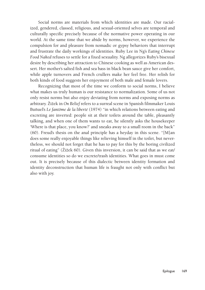Social norms are materials from which identities are made. Our racialized, gendered, classed, religious, and sexual-oriented selves are temporal and culturally specific precisely because of the normative power operating in our world. At the same time that we abide by norms, however, we experience the compulsion for and pleasure from nomadic or gypsy behaviors that interrupt and frustrate the daily workings of identities. Ruby Lee in Ng's *Eating Chinese Food Naked* refuses to settle for a fixed sexuality. Ng allegorizes Ruby's bisexual desire by describing her attraction to Chinese cooking as well as American dessert. Her mother's salted fish and sea bass in black bean sauce give her comfort, while apple turnovers and French crullers make her feel free. Her relish for both kinds of food suggests her enjoyment of both male and female lovers.

 Recognizing that most of the time we conform to social norms, I believe what makes us truly human is our resistance to normalization. Some of us not only resist norms but also enjoy deviating from norms and exposing norms as arbitrary. Žižek in *On Belief* refers to a surreal scene in Spanish filmmaker Louis Buñuel's *Le fantôme de la liberté* (1974) "in which relations between eating and excreting are inverted: people sit at their toilets around the table, pleasantly talking, and when one of them wants to eat, he silently asks the housekeeper 'Where is that place, you know?' and sneaks away to a small room in the back" (60). Freud's thesis on the anal principle has a heyday in this scene. "[M]an does some really enjoyable things like relieving himself in the toilet, but nevertheless, we should not forget that he has to pay for this by the boring civilized ritual of eating" (Žižek 60). Given this inversion, it can be said that as we eat/ consume identities so do we excrete/trash identities. What goes in must come out. It is precisely because of this dialectic between identity formation and identity deconstruction that human life is fraught not only with conflict but also with joy.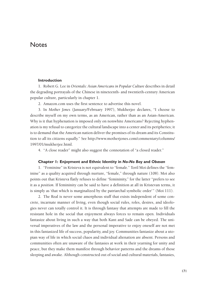## **Notes**

#### **Introduction**

 1. Robert G. Lee in *Orientals: Asian Americans in Popular Culture* describes in detail the degrading portrayals of the Chinese in nineteenth- and twentieth-century American popular culture, particularly in chapter 1.

2. Amazon.com uses the first sentence to advertise this novel.

 3. In *Mother Jones* (January/February 1997), Mukherjee declares, "I choose to describe myself on my own terms, as an American, rather than as an Asian-American. Why is it that hyphenation is imposed only on nonwhite Americans? Rejecting hyphenation is my refusal to categorize the cultural landscape into a center and its peripheries; it is to demand that the American nation deliver the promises of its dream and its Constitution to all its citizens equally." See http://www.motherjones.com/commentary/columns/ 1997/01/mukherjee.html.

4. "A close reader" might also suggest the connotation of "a closed reader."

#### **Chapter 1: Enjoyment and Ethnic Identity in** *No-No Boy* **and** *Obasan*

 1. "Feminine" in Kristeva is not equivalent to "female." Toril Moi defines the "feminine" as a quality acquired through nurture, "female," through nature (108). Moi also points out that Kristeva flatly refuses to define "femininity," for the latter "prefers to see it as a *position.* If femininity can be said to have a definition at all in Kristevan terms, it is simply as 'that which is marginalized by the patriarchal symbolic order'" (Moi 111).

 2. The Real is never some amorphous stuff that exists independent of some concrete, incarnate manner of living, even though social rules, roles, desires, and ideologies never can totally control it. It is through fantasy that attempts are made to fill the resistant hole in the social that enjoyment always forces to remain open. Individuals fantasize about living in such a way that both Kant and Sade can be obeyed. The universal imperatives of the law and the personal imperative to enjoy oneself are not met in this fantasized life of success, popularity, and joy. Communities fantasize about a utopian way of life in which social chaos and individual alienation are absent. Persons and communities often are unaware of the fantasies at work in their yearning for unity and peace, but they make them manifest through behavior patterns and the dreams of those sleeping and awake. Although constructed out of social and cultural materials, fantasies,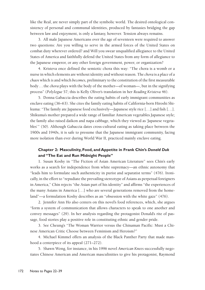like the Real, are never simply part of the symbolic world. The desired ontological consistency of personal and communal identities, produced by fantasies bridging the gap between law and enjoyment, is only a fantasy, however. Tension always remains.

 3. All male Japanese Americans over the age of seventeen were required to answer two questions: Are you willing to serve in the armed forces of the United States on combat duty wherever ordered? and Will you swear unqualified allegiance to the United States of America and faithfully defend the United States from any form of allegiance to the Japanese emperor, or any other foreign government, power, or organization?

 4. Kristeva once defined the semiotic chora this way: "The chora is a womb or a nurse in which elements are without identity and without reason. The *chora* is a *place* of a *chaos* which *is* and which *becomes,* preliminary to the constitution of the first measurable body . . . the *chora* plays with the body of the mother—of woman—, but in the signifying process" (*Polylogue* 57; this is Kelly Oliver's translation in her *Reading Kristeva* 46).

 5. Donna Gabaccia describes the eating habits of early immigrant communities as enclave eating (36–63). She cites the family eating habits of California-born Hiroshi Shikuma: "The family ate Japanese food exclusively—Japanese style rice [. . .] and fish [. . .]. Shikuma's mother prepared a wide range of familiar American vegetables Japanese style; the family also raised daikon and napa cabbage, which they viewed as 'Japanese vegetables'" (50). Although Gabaccia dates cross-cultural eating as taking place between the 1900s and 1940s, it is safe to presume that the Japanese immigrant community, facing more isolation than ever during World War II, practiced mainly enclave eating.

#### **Chapter 2: Masculinity, Food, and Appetite in Frank Chin's** *Donald Duk*  **and "The Eat and Run Midnight People"**

 1. Susan Koshy in "The Fiction of Asian American Literature" sees Chin's early works as a search for independence from white supremacy—an ethnic autonomy that "leads him to formulate such authenticity in purist and separatist terms" (476). Ironically, in the effort to "repudiate the prevailing stereotype of Asians as perpetual foreigners in America," Chin rejects "the Asian part of his identity" and affirms "the experiences of the many Asians in America [. . .] who are several generations removed from the homeland"—a formulation Koshy describes as an "obsession with the white gaze" (476).

 2. Jennifer Ann Ho also centers on this novel's food references, which, she argues "form a system of communication that allows characters to speak to one another and convey messages" (29). In her analysis regarding the protagonist Donald's rite of passage, food stories play a positive role in constituting ethnic and gender pride.

 3. See Cheung's "The Woman Warrior versus the Chinaman Pacific: Must a Chinese American Critic Choose between Feminism and Heroism?"

 4. Michael Kimmel offers an analysis of the Black Panther Party that made manhood a centerpiece of its appeal (271–272).

 5. Shawn Wong, for instance, in his 1996 novel *American Knees* successfully negotiates Chinese American and American masculinities to give his protagonist, Raymond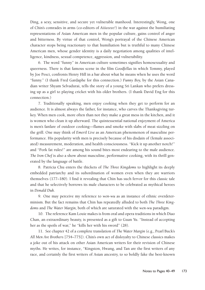Ding, a sexy, sensitive, and secure yet vulnerable manhood. Interestingly, Wong, one of Chin's comrades in arms (co-editors of *Aiiieeeee!*) in the war against the humiliating representations of Asian American men in the popular culture, gains control of anger and bitterness. By virtue of that control, Wong's portrayal of the Chinese American character stops being reactionary to that humiliation but is truthful to many Chinese American men, whose gender identity is a daily negotiation among qualities of intelligence, kindness, sexual competence, aggression, and vulnerability.

 6. The word "funny" in American culture sometimes signifies homosexuality and queerness. There is that famous scene in the film *Goodfellas* in which Tommy, played by Joe Pesci, confronts Henry Hill in a bar about what he means when he uses the word "funny." (I thank Fred Gardaphe for this connection.) *Funny Boy,* by the Asian Canadian writer Shyam Selvadurai, tells the story of a young Sri Lankan who prefers dressing up as a girl to playing cricket with his older brothers. (I thank David Eng for this connection.)

 7. Traditionally speaking, men enjoy cooking when they get to perform for an audience. It is almost always the father, for instance, who carves the Thanksgiving turkey. When men cook, more often than not they make a great mess in the kitchen, and it is women who clean it up afterward. The quintessential national enjoyment of America is men's fanfare of outdoor cooking—flames and smoke with slabs of meat sizzling on the grill. One may think of *Emeril Live* as an American phenomenon of masculine performance. His popularity with men is precisely because of his disdain of (female associated) measurement, moderation, and health consciousness. "Kick it up another notch!" and "Pork fat rules!" are among his sound bites most endearing to the male audience. *The Iron Chef* is also a show about masculine, performative cooking, with its thrill generated by the language of battle.

 8. Patricia Chu enters the thickets of *The Three Kingdoms* to highlight its deeply embedded patriarchy and its subordination of women even when they are warriors themselves (177–180). I find it revealing that Chin has such fervor for this classic tale and that he selectively borrows its male characters to be celebrated as mythical heroes in *Donald Duk.*

 9. One may perceive my reference to *wen-wu* as an instance of ethnic overdeterminism. But the fact remains that Chin has repeatedly alluded to both *The Three Kingdoms* and *The Water Margin,* both of which are saturated with the *wen-wu* paradigm.

 10. The reference Kam Louie makes is from oral and opera traditions in which Diao Chan, an extraordinary beauty, is presented as a gift to Guan Yu. "Instead of accepting her as the spoils of war," he "kills her with his sword" (28).

 11. See chapter 42 of a complete translation of *The Water Margin* (e.g., Pearl Buck's *All Men Are Brothers* [754–775]). Chin's own act of disloyalty to Chinese classics makes a joke out of his attack on other Asian American writers for their revision of Chinese myths. He writes, for instance, "Kingston, Hwang, and Tan are the first writers of any race, and certainly the first writers of Asian ancestry, to so boldly fake the best-known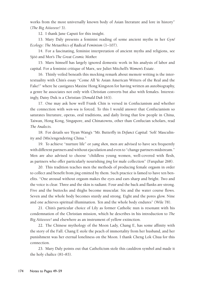works from the most universally known body of Asian literature and lore in history" (*The Big Aiiieeeee!* 3).

12. I thank Jane Caputi for this insight.

 13. Mary Daly presents a feminist reading of some ancient myths in her *Gyn/ Ecology: The Metaethics of Radical Feminism* (1–107).

 14. For a fascinating, feminist interpretation of ancient myths and religions, see Sjöö and Mor's *The Great Cosmic Mother.*

15. Marx himself has largely ignored domestic work in his analysis of labor and capital. For a feminist critique of Marx, see Juliet Mitchell's *Women's Estate.*

 16. Thinly veiled beneath this mocking remark about memoir writing is the intertextuality with Chin's essay "Come All Ye Asian American Writers of the Real and the Fake!" where he castigates Maxine Hong Kingston for having written an autobiography, a genre he associates not only with Christian converts but also with females. Interestingly, Daisy Duk is a Christian (*Donald Duk* 163).

 17. One may ask how well Frank Chin is versed in Confucianism and whether the connection with *wen-wu* is forced. To this I would answer that Confucianism so saturates literature, operas, oral traditions, and daily living that few people in China, Taiwan, Hong Kong, Singapore, and Chinatowns, other than Confucian scholars, read *The Analects.*

 18. For details see Yiyan Wang's "Mr. Butterfly in *Defunct Capital:* 'Soft' Masculinity and (Mis)engendering China."

 19. To achieve "nurture life" or *yang shen,* men are advised to have sex frequently with different partners and without ejaculation and even to "change partners midstream." Men are also advised to choose "childless young women, well-covered with flesh, as partners who offer particularly nourishing *jing* for male collection" (Farquhar 268).

 20. This tradition teaches men the methods of producing female orgasm in order to collect and benefit from *jing* emitted by them. Such practice is famed to have ten benefits. "One arousal without orgasm makes the eyes and ears sharp and bright. Two and the voice is clear. Three and the skin is radiant. Four and the back and flanks are strong. Five and the buttocks and thighs become muscular. Six and the water course flows. Seven and the whole body becomes sturdy and strong. Eight and the pores glow. Nine and one achieves spiritual illumination. Ten and the whole body endures" (Wile 78).

 21. Chin's particular choice of Lily as former Catholic nun is resonant with his condemnation of the Christian mission, which he describes in his introduction to *The Big Aiiieeeee!* and elsewhere as an instrument of yellow extinction.

 22. The Chinese mythology of the Moon Lady, Chang E, has some affinity with the story of the Fall. Chang E stole the peach of immortality from her husband, and her punishment was her eternal loneliness on the Moon. I thank Cheng Lok Chua for this connection.

 23. Mary Daly points out that Catholicism stole this cauldron symbol and made it the holy chalice (81–83).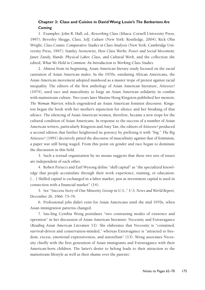#### **Chapter 3: Class and Cuisine in David Wong Louie's** *The Barbarians Are Coming*

 1. Examples: John R. Hall, ed., *Reworking Class* (Ithaca: Cornell University Press, 1997); Beverley Skeggs, *Class, Self, Culture* (New York: Routledge, 2004); Rick Olin Wright, *Class Counts: Comparative Studies in Class Analysis* (New York: Cambridge University Press, 1997); Stanley Aronowitz, *How Class Works: Power and Social Movement;* Janet Zandy, *Hands: Physical Labor, Class, and Cultural Work,* and the collection she edited, *What We Hold in Common: An Introduction to Working-Class Studies.*

2. Almost from its beginning, Asian American literary study focused on the racial castration of Asian American males. In the 1970s, emulating African Americans**,** the Asian American movement adopted manhood as a master trope of protest against racial inequality. The editors of the first anthology of Asian American literature, *Aiiieeeee!*  (1974), used race and masculinity to forge an Asian American solidarity in combat with mainstream culture. Two years later Maxine Hong Kingston published her memoir, *The Woman Warrior,* which engendered an Asian American feminist discourse. Kingston began the book with her mother's injunction for silence and her breaking of that silence. The silencing of Asian American women, therefore, became a new trope for the cultural condition of Asian Americans. In response to the success of a number of Asian American writers, particularly Kingston and Amy Tan, the editors of *Aiiieeeee!* produced a second edition that further heightened its potency by prefixing it with "big." *The Big Aiiieeeee!* (1991) decisively pitted the discourse of masculinity against that of feminism, a paper war still being waged. From this point on gender and race began to dominate the discussion in this field.

 3. Such a textual organization by no means suggests that these two sets of issues are independent of each other.

 4. Robert Perucci and Earl Wysong define "skill capital" as "the specialized knowledge that people accumulate through their work experience, training, or education. [...] Skilled capital is exchanged in a labor market, just as investment capital is used in connection with a financial market" (14).

 5. See "Success Story of One Minority Group in U.S.," *U.S. News and World Report,* December 26, 1966: 73–76.

 6. Professional jobs didn't exist for Asian Americans until the mid 1970s, when Asian immigration patterns changed.

 7. Sau-ling Cynthia Wong postulates "two contrasting modes of existence and operation" in her discussion of Asian American literature: Necessity and Extravagance (*Reading Asian American Literature* 13). She elaborates that Necessity is "contained, survival-driven and conservation-minded," whereas Extravagance is "attracted to freedom, excess, emotional expressiveness, and autotelism" (13). Wong associates Necessity chiefly with the first generation of Asian immigrants and Extravagance with their American-born children. The latter's desire to belong leads to their attraction to the mainstream lifestyle as well as their shame over the parents'.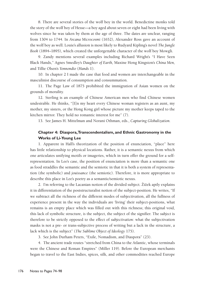8. There are several stories of the wolf boy in the world. Benedictine monks told the story of the wolf boy of Hesse—a boy aged about seven or eight had been living with wolves since he was taken by them at the age of three. The dates are unclear, ranging from 1304 to 1744. In *Arcana Microcosmi* (1652), Alexander Ross gave an account of the wolf boy as well. Louie's allusion is most likely to Rudyard Kipling's novel *The Jungle Book* (1894–1895), which created the unforgettable character of the wolf boy Mowgli.

 9. Zandy mentions several examples including Richard Wright's "I Have Seen Black Hands," Agnes Smedley's *Daughter of Earth,* Maxine Hong Kingston's *China Men,* and Tillie Olsen's *Yonnondio* (*Hands* 1).

 10. In chapter 2 I made the case that food and women are interchangeable in the masculinist discourse of consumption and consummation.

 11. The Page Law of 1875 prohibited the immigration of Asian women on the grounds of morality.

 12. Sterling is an example of Chinese American men who find Chinese women undesirable. He thinks, "[I]n my heart every Chinese woman registers as an aunt, my mother, my sisters, or the Hong Kong girl whose picture my mother keeps taped to the kitchen mirror. They hold no romantic interest for me" (7).

13. See James H. Mittelman and Norani Othman, eds., *Capturing Globalization.*

## **Chapter 4: Diaspora, Transcendentalism, and Ethnic Gastronomy in the Works of Li-Young Lee**

 1. Apparent in Hall's theorization of the position of enunciation, "place" here has little relationship to physical locations. Rather, it is a semantic nexus from which one articulates unifying motifs or imageries, which in turn offer the ground for a selfrepresentation. In Lee's case, the position of enunciation is more than a semantic one as food straddles the semantic and the semiotic in that it is both a system of representation (the symbolic) and *jouissance* (the semiotic). Therefore, it is more appropriate to describe this place in Lee's poetry as a semantic/semiotic nexus.

 2. I'm referring to the Lacanian notion of the divided subject. Žižek aptly explains it in differentiation of the poststructuralist notion of the subject-position. He writes, "If we subtract all the richness of the different modes of subjectivation, all the fullness of experience present in the way the individuals are 'living' their subject-positions, what remains is an empty place which was filled out with this richness; this original void, this lack of symbolic structure, *is* the subject, the subject of the signifier. The *subject* is therefore to be strictly opposed to the effect of *subjectivation:* what the subjectivation masks is not a pre- or trans-subjective process of writing but a lack in the structure, a lack which is the subject" (*The Sublime Object of Ideology* 175).

3. See John Durham Peters, "Exile, Nomadism, and Diaspora" (23).

 4. The ancient trade routes "stretched from China to the Atlantic, whose terminals were the Chinese and Roman Empires" (Miller 119). Before the European merchants began to travel to the East Indies, spices, silk, and other commodities reached Europe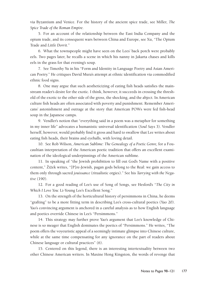via Byzantium and Venice. For the history of the ancient spice trade, see Miller, *The Spice Trade of the Roman Empire.*

 5. For an account of the relationship between the East India Company and the opium trade, and its consequent wars between China and Europe, see Xu, "The Opium Trade and *Little Dorrit.*"

 6. What the townspeople might have seen on the Lees' back porch were probably eels. Two pages later, he recalls a scene in which his nanny in Jakarta chases and kills eels in the grass for that evening's soup.

 7. See Timothy Yu in his "Form and Identity in Language Poetry and Asian American Poetry." He critiques David Mura's attempt at ethnic identification via commodified ethnic food signs.

 8. One may argue that such aestheticizing of eating fish heads satisfies the mainstream reader's desire for the exotic. I think, however, it succeeds in crossing the threshold of the exotic to the other side of the gross, the shocking, and the abject. In American culture fish heads are often associated with poverty and punishment. Remember Americans' astonishment and outrage at the story that American POWs were fed fish-head soup in the Japanese camps.

 9. Vendler's notion that "everything said in a poem was a metaphor for something in my inner life" advocates a humanistic universal identification (*Soul Says* 3). Vendler herself, however, would probably find it gross and hard to swallow that Lee writes about eating fish heads, their brains and eyeballs, with loving detail.

 10. See Rob Wilson, *American Sublime: The Genealogy of a Poetic Genre,* for a Foucaultian interpretation of the American poetic tradition that offers an excellent examination of the ideological underpinnings of the American sublime.

 11. In speaking of "the Jewish prohibition to fill out God's Name with a positive content," Žižek writes, "[P]re-Jewish, pagan gods belong to the Real: we gain access to them only through sacred *jouissance* (ritualistic orgies)." See his *Tarrying with the Negative* (190).

 12. For a good reading of Lee's use of Song of Songs, see Hesford's "*The City in Which I Love You:* Li-Young Lee's Excellent Song."

 13. On the strength of the horticultural history of persimmons in China, he deems "grafting" to be a more fitting term in describing Lee's cross-cultural poetics (Yao 20). Yao's convincing argument is anchored in a careful analysis as to how English language and poetics override Chinese in Lee's "Persimmons."

 14. This strategy may further prove Yao's argument that Lee's knowledge of Chinese is so meager that English dominates the poetics of "Persimmons." He writes, "The poem offers the voyeuristic appeal of a seemingly intimate glimpse into Chinese culture, while at the same time compensating for any ignorance on the part of readers about Chinese language or cultural practices" (6).

 15. Centered on this legend, there is an interesting intertextuality between two other Chinese American writers. In Maxine Hong Kingston, the words of revenge that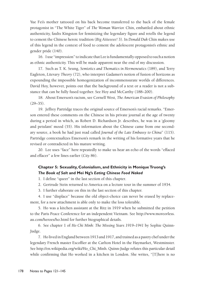Yue Fei's mother tattooed on his back become transferred to the back of the female protagonist in "The White Tiger" of *The Woman Warrior.* Chin, embattled about ethnic authenticity, faults Kingston for feminizing the legendary figure and retells the legend to cement the Chinese heroic tradition (*Big Aiiieeeee!* 3). In *Donald Duk* Chin makes use of this legend in the context of food to cement the adolescent protagonist's ethnic and gender pride (140).

 16. I use "impression" to indicate that Lee is fundamentally opposed to such a notion as ethnic authenticity. This will be made apparent near the end of my discussion.

 17. Such as T. K. Seung, *Semiotics and Thematics in Hermeneutics* (189), and Terry Eagleton, *Literary Theory* (72), who interpret Gadamer's notion of fusion of horizons as expounding the impossible homogenization of incommensurate worlds of differences. David Hoy, however, points out that the background of a text or a reader is not a substance that can be fully fused together. See Hoy and McCarthy (188–200).

 18. About Emerson's racism, see Cornell West, *The American Evasion of Philosophy*   $(29 - 35)$ .

 19. Jeffrey Partridge traces the original source of Emerson's racial remarks. "Emerson entered these comments on the Chinese in his private journal at the age of twenty during a period in which, as Robert D. Richardson Jr. describes, he was in a 'gloomy and petulant' mood (55). His information about the Chinese came from one secondary source, a book he had just read called *Journal of the Late Embassy to China*" (115). Partridge contextualizes Emerson's remark in the writing of his formative years that he revised or contradicted in his mature writing.

 20. Lee uses "face" here repeatedly to make us hear an echo of the words "effaced and effacer" a few lines earlier (*City* 86).

## **Chapter 5: Sexuality, Colonialism, and Ethnicity in Monique Truong's**  *The Book of Salt* **and Mei Ng's** *Eating Chinese Food Naked*

1. I define "queer" in the last section of this chapter.

2. Gertrude Stein returned to America on a lecture tour in the summer of 1934.

3. I further elaborate on this in the last section of this chapter.

 4. I use "displace" because the old object-choice can never be erased by replacement, for a new attachment is able only to make the loss tolerable.

 5. Ho was a kitchen assistant at the Ritz in 1919 when he submitted the petition to the Paris Peace Conference for an independent Vietnam. See http://www.moreorless. au.com/heroes/ho.html for further biographical details.

 6. See chapter 1 of *Ho Chi Minh: The Missing Years 1919–1941* by Sophie Quinn-Judge.

 7. Ho lived in England between 1913 and 1917, and trained as a pastry chef under the legendary French master Escoffier at the Carlton Hotel in the Haymarket, Westminster. See http://en.wikipedia.org/wiki/Ho\_Chi\_Minh. Quinn-Judge refutes this particular detail while confirming that Ho worked in a kitchen in London. She writes, "[T]here is no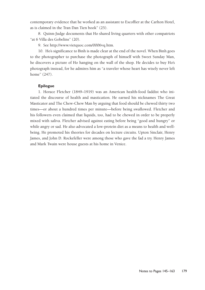contemporary evidence that he worked as an assistant to Escoffier at the Carlton Hotel, as is claimed in the Tran Dan Tien book" (25).

 8. Quinn-Judge documents that Ho shared living quarters with other compatriots "at 6 Villa des Gobelins" (20).

9. See http://www.vietquoc.com/0006vq.htm.

 10. Ho's significance to Bình is made clear at the end of the novel. When Bình goes to the photographer to purchase the photograph of himself with Sweet Sunday Man, he discovers a picture of Ho hanging on the wall of the shop. He decides to buy Ho's photograph instead, for he admires him as "a traveler whose heart has wisely never left home" (247).

#### **Epilogue**

 1. Horace Fletcher (1849–1919) was an American health-food faddist who initiated the discourse of health and mastication. He earned his nicknames The Great Masticator and The Chew-Chew Man by arguing that food should be chewed thirty two times—or about a hundred times per minute—before being swallowed. Fletcher and his followers even claimed that liquids, too, had to be chewed in order to be properly mixed with saliva. Fletcher advised against eating before being "good and hungry" or while angry or sad. He also advocated a low-protein diet as a means to health and wellbeing. He promoted his theories for decades on lecture circuits. Upton Sinclair, Henry James, and John D. Rockefeller were among those who gave the fad a try. Henry James and Mark Twain were house guests at his home in Venice.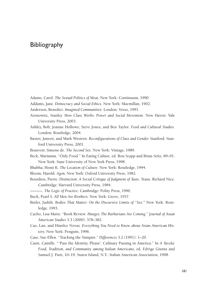# **Bibliography**

Adams, Carol. *The Sexual Politics of Meat.* New York: Continuum, 1990.

- Addams, Jane. *Democracy and Social Ethics.* New York: Macmillan, 1902.
- Anderson, Benedict. *Imagined Communities.* London: Verso, 1991.
- Aronowitz, Stanley. *How Class Works: Power and Social Movement.* New Haven: Yale University Press, 2003.
- Ashley, Bob; Joanne Hollows; Steve Jones; and Ben Taylor. *Food and Cultural Studies.* London: Routledge, 2004.
- Baxter, Janeen, and Mark Western. *Reconfigurations of Class and Gender.* Stanford: Stanford University Press, 2001.
- Beauvoir, Simone de. *The Second Sex.* New York: Vintage, 1989.
- Beck, Marianna. "Only Food." In *Eating Culture,* ed. Ron Scapp and Brian Seitz, 89–91. New York: State University of New York Press, 1998.
- Bhabha, Homi K. *The Location of Culture.* New York: Routledge, 1994.
- Bloom, Harold. *Agon.* New York: Oxford University Press, 1982.
- Bourdieu, Pierre. *Distinction: A Social Critique of Judgment of Taste.* Trans. Richard Nice. Cambridge: Harvard University Press, 1984.
	- ———. *The Logic of Practice.* Cambridge: Polity Press, 1990.
- Buck, Pearl S. *All Men Are Brothers.* New York: Grove, 1937.
- Butler, Judith. *Bodies That Matter: On the Discursive Limits of "Sex."* New York: Routledge, 1993.
- Cacho, Lisa Marie. "Book Review: *Hunger, The Barbarians Are Coming.*" *Journal of Asian American Studies* 3.3 (2000): 378–382.
- Cao, Lan, and Himilce Novas. *Everything You Need to Know about Asian American History.* New York: Penguin, 1996.
- Case, Sue-Ellen. "Tracking the Vampire." *Differences* 3.2 (1991): 1–20.
- Cauti, Camille. " 'Pass the Identity, Please': Culinary Passing in America." In *A Tavola: Food, Tradition, and Community among Italian Americans,* ed. Edvige Giunta and Samuel J. Patti, 10–19. Staten Island, N.Y.: Italian American Association, 1998.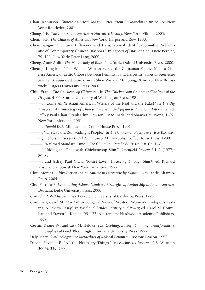- Chan, Jachinson. *Chinese American Masculinities: From Fu Manchu to Bruce Lee.* New York: Routledge, 2001.
- Chang, Iris. *The Chinese in America: A Narrative History.* New York: Viking, 2003.
- Chen, Jack. *The Chinese of America.* New York: Harper and Row, 1980.
- Chen, Jianguo. " 'Cultural Difference' and Trans/national Identification—the Problematic of Contemporary Chinese Diaspora." In *Aspects of Diaspora,* ed. Lucie Bernier, 79–100. New York: Peter Lang, 2000.
- Cheng, Anne Anlin. *The Melancholy of Race.* New York: Oxford University Press, 2000.
- Cheung, King-kok. "The Woman Warrior versus the Chinaman Pacific: Must a Chinese American Critic Choose between Feminism and Heroism?" In *Asian American Studies: A Reader,* ed. Jean Yu-wen Shen Wu and Min Song, 307–323. New Brunswick: Rutgers University Press. 2000.
- Chin, Frank. *The Chickencoop Chinaman.* In *The Chickencoop Chinaman / The Year of the Dragon,* 4–66. Seattle: University of Washington Press, 1981.
	- ———. "Come All Ye Asian American Writers of the Real and the Fake!" In *The Big Aiiieeeee! An Anthology of Chinese American and Japanese American Literature,* ed. Jeffrey Paul Chan, Frank Chin, Lawson Fusao Inada, and Shawn Hsu Wong, 1–92. New York: Meridian, 1991.
	- ———. *Donald Duk.* Minneapolis: Coffee House Press, 1991.
- ———. "The Eat and Run Midnight People." In *The Chinaman Pacific & Frisco R.R. Co.:* 
	- *Eight Short Stories by Frank Chin,* 8–23. Minneapolis: Coffee House Press, 1988.
	- ———. "Railroad Standard Time." *The Chinaman Pacific & Frisco R.R. Co,* 1–7.
	- ———. "Riding the Rails with Chickencoop Slim." *Greenfield Review* 6.1–2 (1977): 80–89.
		- ———, and Jeffrey Paul Chan. "Racist Love." In *Seeing Through Shuck,* ed. Richard Kostelanetz, 65–79. New York: Ballantine, 1972.
- Chiu, Monica. *Filthy Fiction: Asian American Literature by Women.* New York: Altamira Press, 2004.
- Chu, Patricia P. *Assimilating Asians: Gendered Strategies of Authorship in Asian America.* Durham: Duke University Press, 2000.
- Connell, R. W. *Masculinities.* Berkeley: University of California Press, 1995.
- Counihan, Carol M. "An Anthropological View of Western Women's Prodigious Fasting: A Review Essay." In *Food and Gender: Identity and Power,* ed. Carol M. Counihan and Steven L. Kaplan, 99–123. Amsterdam: Hardwood Academic Publishers, 1998.
- Curtin, Deane W., and Lisa M. Heldke, eds. *Cooking, Eating, Thinking: Transformative Philosophies of Food.* Bloomington: Indiana University Press, 1992.
- Daly, Mary. *Gyn/Ecology: The Metaethics of Radical Feminism.* Boston: Beacon, 1990.
- Dason, Shymala B. "All the Necessary Things." *Massachusetts Review* 45.3 (Autumn 2004): 229–240.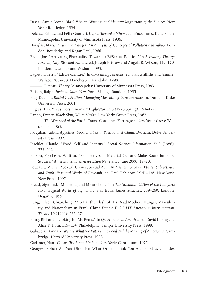- Davis, Carole Boyce. *Black Women, Writing, and Identity: Migrations of the Subject.* New York: Routledge, 1994.
- Deleuze, Gilles, and Félix Guattari. *Kafka: Toward a Minor Literature.* Trans. Dana Polan. Minneapolis: University of Minnesota Press, 1986.
- Douglas, Mary. *Purity and Danger: An Analysis of Concepts of Pollution and Taboo.* London: Routledge and Kegan Paul, 1966.
- Eadie, Joe. "Activating Bisexuality: Towards a Bi/Sexual Politics." In *Activating Theory: Lesbian, Gay, Bisexual Politics,* ed. Joseph Bristow and Angela R. Wilson, 139–170. London: Lawrence and Wishart, 1993.
- Eagleton, Terry. "Edible écriture." In *Consuming Passions,* ed. Sian Griffiths and Jennifer Wallace, 203–208. Manchester: Mandolin, 1998.
- ———. *Literary Theory.* Minneapolis: University of Minnesota Press, 1983.
- Ellison, Ralph. *Invisible Man.* New York: Vintage-Random, 1995.
- Eng, David L. *Racial Castration: Managing Masculinity in Asian America.* Durham: Duke University Press, 2001.
- Engles, Tim. "Lee's 'Persimmons.' " *Explicator* 54.3 (1996 Spring): 191–192.
- Fanon, Frantz. *Black Skin, White Masks.* New York: Grove Press, 1967.
- ———. *The Wretched of the Earth.* Trans. Constance Farrington. New York: Grove Weidenfeld, 1963.
- Farquhar, Judith. *Appetites: Food and Sex in Postsocialist China.* Durham: Duke University Press, 2002.
- Fischler, Claude. "Food, Self and Identity." *Social Science Information* 27.2 (1988): 275–292.
- Forson, Psyche A. William. "Perspectives in Material Culture: Make Room for Food Studies." *American Studies Association Newsletter,* June 2000: 19–20.
- Foucault, Michel. "Sexual Choice, Sexual Act." In *Michel Foucault: Ethics, Subjectivity, and Truth. Essential Works of Foucault,* ed. Paul Rabinow, 1:141–156. New York: New Press, 1997.
- Freud, Sigmund. "Mourning and Melancholia." In *The Standard Edition of the Complete Psychological Works of Sigmund Freud,* trans. James Strachey, 239–260. London: Hogarth, 1955.
- Fung, Eileen Chia-Ching. " 'To Eat the Flesh of His Dead Mother': Hunger, Masculinity, and Nationalism in Frank Chin's *Donald Duk.*" *LIT: Literature, Interpretation, Theory* 10 (1999): 255–274.
- Fung, Richard. "Looking for My Penis." In *Queer in Asian America,* ed. David L. Eng and Alice Y. Hom, 115–134. Philadelphia: Temple University Press, 1998.
- Gabaccia, Donna R. *We Are What We Eat: Ethnic Food and the Making of Americans.* Cambridge: Harvard University Press, 1998.
- Gadamer, Hans-Georg. *Truth and Method.* New York: Continuum, 1975.
- Georges, Robert A. "You Often Eat What Others Think You Are: Food as an Index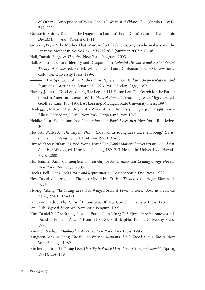of Other's Conceptions of Who One Is." *Western Folklore* 43.4 (October 1984): 249–255.

- Goldstein-Shirley, David. " 'The Dragon Is a Lantern': Frank Chin's Counter-Hegemonic *Donald Duk.*" *49th Parallel* 6:1–11.
- Gribben, Bryn. "The Mother That Won't Reflect Back: Situating Psychoanalysis and the Japanese Mother in *No-No Boy.*" *MELUS* 28.2 (Summer 2003): 31–46.
- Hall, Donald E. *Queer Theories.* New York: Palgrave, 2003.
- Hall, Stuart. "Cultural Identity and Diaspora." In *Colonial Discourse and Post-Colonial Theory: A Reader,* ed. Patrick Williams and Laura Chrisman, 392–403. New York: Columbia University Press, 1994.
- ———. "The Spectacle of the 'Other.' " In *Representation: Cultural Representations and Signifying Practices,* ed. Stuart Hall, 223–290. London: Sage, 1997.
- Hawley, John C. "Gus Lee, Chang-Rae Lee, and Li-Young Lee: The Search for the Father in Asian American Literature." In *Ideas of Home: Literature of Asian Migration,* ed. Geoffrey Kain, 183–195. East Lansing: Michigan State University Press, 1997.
- Heidegger, Martin. "The Origin of a Work of Art." In *Poetry, Language, Thought,* trans. Albert Hofstadter, 17–87. New York: Harper and Row, 1971.
- Heldke, Lisa. *Exotic Appetites: Ruminations of a Food Adventurer.* New York: Routledge, 2003.
- Hesford, Walter A. "*The City in Which I Love You:* Li-Young Lee's Excellent Song." *Christianity and Literature* 46.1 (Autumn 1996): 37–60.
- Hirose, Stacey Yukari. "David Wong Louie." In *Words Matter: Conversations with Asian American Writers,* ed. King-kok Cheung, 189–213. Honolulu: University of Hawai'i Press, 2000.
- Ho, Jennifer Ann. *Consumption and Identity in Asian American Coming-of-Age Novels.* New York: Routledge, 2005.
- Hooks, Bell. *Black Looks: Race and Representation.* Boston: South End Press, 1992.
- Hoy, David Cousens, and Thomas McCarthy. *Critical Theory.* Cambridge: Blackwell, 1994.
- Huang, Yibing. "Li-Young Lee's *The Winged Seed: A Remembrance.*" *Amerasia Journal*  24.2 (1998): 189–191.
- Jameson, Fredric. *The Political Unconscious.* Ithaca: Cornell University Press, 1981.
- Jen, Gish. *Typical American.* New York: Penguin, 1991.
- Kim, Daniel Y. "The Strange Love of Frank Chin." In *Q & A: Queer in Asian America,* ed. David L. Eng and Alice Y. Hom, 270–303. Philadelphia: Temple University Press, 1998.
- Kimmel, Michael. *Manhood in America.* New York: Free Press, 1996.
- Kingston, Maxine Hong. *The Woman Warrior: Memoirs of a Girlhood among Ghosts.* New York: Vintage, 1989.
- Kitchen, Judith. "Li-Young Lee's *The City in Which I Love You.*" *Georgia Review* 45 (Spring 1991): 154–169.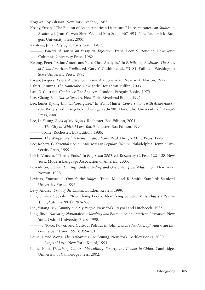Kogawa, Joy. *Obasan.* New York: Anchor, 1982.

- Koshy, Susan. "The Fiction of Asian American Literature." In *Asian American Studies: A Reader,* ed. Jean Yu-wen Shen Wu and Min Song, 467–495. New Brunswick: Rutgers University Press, 2000.
- Kristeva, Julia. *Polylogue.* Paris: Seuil, 1977.
	- ———. *Powers of Horror, an Essay on Abjection.* Trans. Leon S. Roudiez. New York: Columbia University Press, 1982.
- Kwong, Peter. "Asian Americans Need Class Analysis." In *Privileging Positions: The Sites of Asian American Studies,* ed. Gary Y. Okihiro et al., 75–81. Pullman: Washington State University Press, 1995.
- Lacan, Jacques. *Ecrits: A Selection.* Trans. Alan Sheridan. New York: Norton, 1977.
- Lahiri, Jhumpa. *The Namesake.* New York: Houghton Mifflin, 2003.
- Lau, D. C., trans. *Confucius: The Analects.* London: Penguin Books, 1979.
- Lee, Chang-Rae. *Native Speaker.* New York: Riverhead Books, 1995.
- Lee, James Kyung-Jin. "Li-Young Lee." In *Words Matter: Conversations with Asian American Writers,* ed. King-Kok Cheung, 270–280. Honolulu: University of Hawai'i Press, 2000.
- Lee, Li-Young. *Book of My Nights.* Rochester: Boa Edition, 2001.
- ———. *The City in Which I Love You.* Rochester: Boa Edition, 1990.
- ———. *Rose.* Rochester: Boa Edition, 1986.
- ———. *The Winged Seed: A Remembrance.* Saint Paul: Hungry Mind Press, 1995.
- Lee, Robert, G. *Orientals: Asian Americans in Popular Culture.* Philadelphia: Temple University Press, 1999.
- Leich, Vincent. "Theory Ends." In *Profession 2005,* ed. Rosemary G. Feal, 122–128. New York: Modern Language Association of America, 2005.
- Levenkron, Steven. *Cutting: Understanding and Overcoming Self-Mutilation.* New York: Norton, 1998.
- Levinas, Emmanuel. *Outside the Subject.* Trans. Michael B. Smith. Stanford: Stanford University Press, 1994.
- Levy, Andrea. *Fruit of the Lemon.* London: Review, 1999.
- Lim, Shirley Geok-lin. "Identifying Foods, Identifying Selves." *Massachusetts Review* 45.3 (Autumn 2004): 297–306.
- Lin, Yutang. *My Country and My People.* New York: Reynal and Hitchcock, 1935.
- Ling, Jinqi. *Narrating Nationalisms: Ideology and Form in Asian American Literature.* New York: Oxford University Press, 1998.
- ———. "Race, Power, and Cultural Politics in John Okada's *No-No Boy.*" *American Literature* 67.2 (June 1995): 359–381.
- Louie, David Wong. *The Barbarians Are Coming.* New York: Berkley Books, 2000.
- ———. *Pangs of Love.* New York: Knopf, 1991.
- Louie, Kam. *Theorising Chinese Masculinity: Society and Gender in China.* Cambridge: University of Cambridge Press, 2002.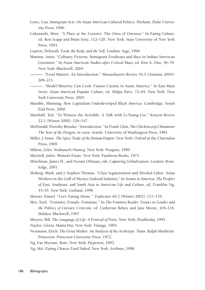- Lowe, Lisa. *Immigrant Acts: On Asian American Cultural Politics.* Durham: Duke University Press, 1996.
- Lukanuski, Mary. "A Place at the Counter: The Onus of Oneness." In *Eating Culture,* ed. Ron Scapp and Brian Seitz, 112–120. New York: State University of New York Press, 1993.
- Lupton, Deborah. *Food, the Body, and the Self.* London: Sage, 1996.
- Mannur, Anita. "Culinary Fictions: Immigrant Foodways and Race in Indian American Literature." In *Asian American Studies after Critical Mass,* ed. Ken A. Ono, 56–70. New York: Blackwell, 2004.
- ———. "Food Matters: An Introduction." *Massachusetts Review* 45.3 (Autumn 2004): 209–215.
- ———. "Model Minority Can Cook: Fusion Cuisine in Asian America." In *East Main Street: Asian American Popular Culture,* ed. Shilpa Dave, 72–94. New York: New York University Press, 2005.
- Marable, Manning. *How Capitalism Underdeveloped Black America.* Cambridge: South End Press, 2000.
- Marshall, Tod. "To Witness the Invisible: A Talk with Li-Young Lee." *Kenyon Review* 22.1 (Winter 2000): 129–147.
- McDonald, Dorothy Ritsuko. "Introduction." In Frank Chin, *The Chickencoop Chinamen / The Year of the Dragon,* ix–xxix. Seattle: University of Washington Press, 1981.
- Miller, J. Innes. *The Spice Trade of the Roman Empire.* New York: Oxford at the Clarendon Press, 1969.
- Milton, Giles. *Nathaniel's Nutmeg.* New York: Penguin, 1999.
- Mitchell, Juliet. *Women's Estate.* New York: Pantheon Books, 1971.
- Mittelman, James H., and Norani Othman, eds. *Capturing Globalization.* London: Routledge, 2001.
- Moberg, Mark, and J. Stephen Thomas. "Class Segmentation and Divided Labor: Asian Workers in the Gulf of Mexico Seafood Industry." In *Asians in America: The Peoples of East, Southeast, and South Asia in American Life and Culture,* ed. Franklin Ng, 43–55. New York: Garland, 1998.
- Moeser, Daniel. "Lee's 'Eating Alone.' " *Explicator* 60.2 (Winter 2002): 117–119.
- Moi, Toril. "Feminist, Female, Feminine." In *The Feminist Reader: Essays in Gender and the Politics of Literary Criticism,* ed. Catherine Belsey and Jane Moore, 104–116. Malden: Blackwell, 1997.
- Moyers, Bill. *The Language of Life: A Festival of Poets.* New York: Doubleday, 1995.
- Naylor, Gloria. *Mama Day.* New York: Vintage, 1993.
- Neumann, Erich. *The Great Mother: An Analysis of the Archetype.* Trans. Ralph Manheim. Princeton: Princeton University Press, 1972.

Ng, Fae Myenne. *Bone.* New York: Hyperion, 1993.

Ng, Mei. *Eating Chinese Food Naked.* New York: Scribner, 1998.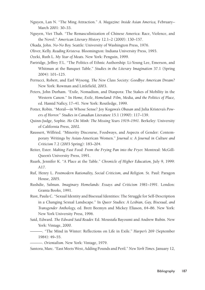- Nguyen, Lan N. "The Ming Attraction." *A. Magazine: Inside Asian America,* February– March 2001: 30–33.
- Nguyen, Viet Thah. "The Remasculinization of Chinese America: Race, Violence, and the Novel." *American Literary History* 12.1–2 (2000): 130–157.
- Okada, John. *No-No Boy.* Seattle: University of Washington Press, 1976.
- Oliver, Kelly. *Reading Kristeva.* Bloomington: Indiana University Press, 1993.
- Ozeki, Ruth L. *My Year of Meats.* New York: Penguin, 1999.
- Partridge, Jeffrey F.L. "The Politics of Ethnic Authorship: Li-Young Lee, Emerson, and Whitman at the Banquet Table." *Studies in the Literary Imagination* 37.1 (Spring 2004): 101–125.
- Perrucci, Robert, and Earl Wysong. *The New Class Society: Goodbye American Dream?*  New York: Rowman and Littlefield, 2003.
- Peters, John Durham. "Exile, Nomadism, and Diaspora: The Stakes of Mobility in the Western Canon." In *Home, Exile, Homeland: Film, Media, and the Politics of Place,* ed. Hamid Naficy, 17–41. New York: Routledge, 1999.
- Potter, Robin. "Moral—in Whose Sense? Joy Kogawa's *Obasan* and Julia Kristeva's *Powers of Horror.*" *Studies in Canadian Literature* 15.1 (1990): 117–139.
- Quinn-Judge, Sophie. *Ho Chi Minh: The Missing Years 1919–1941.* Berkeley: University of California Press, 2002.
- Raussert, Wilfried. "Minority Discourse, Foodways, and Aspects of Gender: Contemporary Writings by Asian-American Women." *Journal x: A Journal in Culture and Criticism* 7.2 (2003 Spring): 183–204.
- Reiter, Ester. *Making Fast Food: From the Frying Pan into the Fryer.* Montreal: McGill-Queen's University Press, 1991.
- Ruark, Jennifer K. "A Place at the Table." *Chronicle of Higher Education,* July 9, 1999: A17.
- Ruf, Henry L. *Postmodern Rationality, Social Criticism, and Religion.* St. Paul: Paragon House, 2005.
- Rushdie, Salman. *Imaginary Homelands: Essays and Criticism 1981–1991.* London: Granta Books, 1991.
- Rust, Paula C. "Sexual Identity and Bisexual Identities: The Struggle for Self-Description in a Changing Sexual Landscape." In *Queer Studies: A Lesbian, Gay, Bisexual, and Transgender Anthology,* ed. Brett Beemyn and Mickey Eliason, 64–86. New York: New York University Press, 1996.
- Said, Edward. *The Edward Said Reader.* Ed. Moustafa Bayoumi and Andrew Rubin. New York: Vintage, 2000.
	- ———. "The Mind in Winter: Reflections on Life in Exile." *Harper's* 269 (September 1984): 49–55.
- ———. *Orientalism.* New York: Vintage, 1979.

Santora, Marc. "East Meets West, Adding Pounds and Peril." *New York Times.* January 12,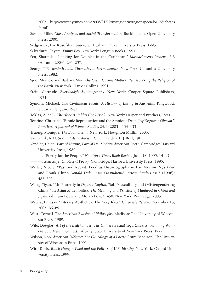2006. http://www.nytimes.com/2006/01/12/nyregion/nyregionspecial5/12diabetes .html?

- Savage, Mike. *Class Analysis and Social Transformation.* Buckingham: Open University Press, 2000.
- Sedgewick, Eve Kosofsky. *Tendencies.* Durham: Duke University Press, 1993.
- Selvadurai, Shyam. *Funny Boy.* New York: Penguin Books, 1994.
- Sen, Sharmila. "Looking for Doubles in the Caribbean." *Massachusetts Review* 45.3 (Autumn 2004): 241–257.
- Seung, T. E. *Semiotics and Thematics in Hermeneutics.* New York: Columbia University Press, 1982.
- Sjöö, Monica, and Barbara Mor. *The Great Cosmic Mother: Rediscovering the Religion of the Earth.* New York: Harper Collins, 1991.
- Stein, Gertrude. *Everybody's Autobiography.* New York: Cooper Square Publishers, 1971.
- Symons, Michael. *One Continuous Picnic: A History of Eating in Australia.* Ringwood, Victoria: Penguin, 1984.
- Toklas, Alice B. *The Alice B. Toklas Cook Book.* New York: Harper and Brothers, 1954.
- Tourino, Christina. "Ethnic Reproduction and the Amniotic Deep: Joy Kogawa's *Obasan.*" *Frontiers: A Journal of Women Studies* 24.1 (2003): 134–153.
- Truong, Monique. *The Book of Salt.* New York: Houghton Mifflin, 2003.
- Van Gulik, R. H. *Sexual Life in Ancient China.* Leiden: E. J. Brill, 1961.
- Vendler, Helen. *Part of Nature, Part of Us: Modern American Poets.* Cambridge: Harvard University Press, 1980.
	- ———. "Poetry for the People." *New York Times Book Review,* June 18, 1995: 14–15.
- ———. *Soul Says: On Recent Poetry.* Cambridge: Harvard University Press, 1995.
- Waller, Nicole. "Past and Repast: Food as Historiography in Fae Myenne Ng's *Bone* and Frank Chin's *Donald Duk.*" *Amerikastudien/American Studies* 40.3 (1996): 485–502.
- Wang, Yiyan. "Mr. Butterfly in *Defunct Capital:* 'Soft' Masculinity and (Mis)engendering China." In *Asian Masculinities: The Meaning and Practice of Manhood in China and Japan,* ed. Kam Louie and Morris Low, 41–58. New York: Routledge, 2003.
- Waters, Lindsay. "Literary Aesthetics: The Very Idea." *Chronicle Review,* December 15, 2005: B6–B9.
- West, Cornell. *The American Evasion of Philosophy.* Madison: The University of Wisconsin Press, 1989.
- Wile, Douglas. *Art of the Bedchamber: The Chinese Sexual Yoga Classics, including Women's Solo Meditation Texts.* Albany: State University of New York Press, 1992.
- Wilson, Rob. *American Sublime: The Genealogy of a Poetic Genre.* Madison: The University of Wisconsin Press, 1991.
- Witt, Doris. *Black Hunger: Food and the Politics of U.S. Identity.* New York: Oxford University Press, 1999.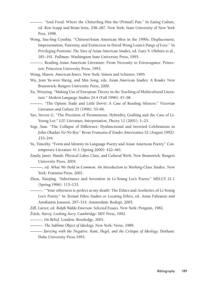———. "Soul Food: Where the Chitterling Hits the (Primal) Pan." In *Eating Culture,* ed. Ron Scapp and Brian Seitz, 258–287. New York: State University of New York Pess, 1998.

- Wong, Sau-ling Cynthia. "Chinese/Asian American Men in the 1990s: Displacement, Impersonation, Paternity, and Extinction in David Wong Louie's *Pangs of Love.*" In *Privileging Positions: The Sites of Asian American Studies,* ed. Gary Y. Okihiro et al., 181–191. Pullman: Washington State University Press, 1995.
- ———. Reading Asian American Literature: From Necessity to *Extravagance.* Princeton: Princeton University Press, 1993.

Wong, Shawn. *American Knees.* New York: Simon and Schuster, 1995.

- Wu, Jean Yu-wen Sheng, and Min Song, eds. *Asian American Studies: A Reader.* New Brunswick: Rutgers University Press, 2000.
- Xu, Wenying. "Making Use of European Theory in the Teaching of Multicultural Literature." *Modern Language Studies* 24.4 (Fall 1996): 47–58.

———. "The Opium Trade and *Little Dorrit:* A Case of Reading Silences." *Victorian Literature and Culture* 25 (1996): 53–66.

- Yao, Steven G. "The Precision of Persimmons: Hybridity, Grafting and the Case of Li-Young Lee." *LIT: Literature, Interpretation, Theory* 12 (2001): 1–23.
- Yogi, Stan. "The Collapse of Difference: Dysfunctional and Inverted Celebrations in John Okada's *No-No Boy.*" *Revue Française d' Etudes Americaines* 52 (August 1992): 233–244.
- Yu, Timothy. "Form and Identity in Language Poetry and Asian American Poetry." *Contemporary Literature* 41.1 (Spring 2000): 422–461.
- Zandy, Janet. *Hands: Physical Labor, Class, and Cultural Work.* New Brunswick: Rutgers University Press, 2004.
- ———, ed. *What We Hold in Common: An Introduction to Working-Class Studies.* New York: Feminist Press, 2001.
- Zhou, Xiaojing. "Inheritance and Invention in Li-Young Lee's Poetry." *MELUS* 21.1 (Spring 1996): 113–133.

———. " 'Your otherness is perfect as my death': The Ethics and Aesthetics of Li-Young Lee's Poetry." In *Textual Ethos Studies or Locating Ethics,* ed. Anna Fahraeus and AnnKatrin Jonsson, 297–314. Amsterdam: Rodopi, 2005.

Ziff, Larzer, ed. *Ralph Waldo Emerson: Selected Essays.* New York: Penguin, 1982.

Žižek, Slavoj. *Looking Awry.* Cambridge: MIT Press, 1992.

———. *On Belief.* London: Routledge, 2001.

- ———. *The Sublime Object of Ideology.* New York: Verso, 1989.
- ———.*Tarrying with the Negative: Kant, Hegel, and the Critique of Ideology.* Durham: Duke University Press 1993.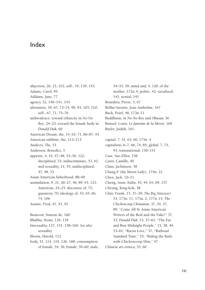# Index

abjection, 20, 23, 102; self-, 19, 139, 143 Adams, Carol, 49 Addams, Jane, 77 agency, 52, 140–141, 143 alienation, 39, 67, 73–74, 90, 93, 103, 110; self-, 67, 71, 75–76 ambivalence: toward ethnicity in *No-No Boy*, 24–25; toward the female body in *Donald Duk,* 60 American Dream, the, 14, 63, 71, 86–87, 93 American sublime, the, 112–113 *Analects, The,* 53 Anderson, Benedict, 3 appetite, 4, 43, 47–48, 53–56, 122; disciplined, 53; indiscriminate, 53, 61; and sexuality, 15, 55; undisciplined, 47, 48, 53 Asian American fatherhood, 88–90 assimilation, 9, 21, 26–27, 40, 89, 93, 121; American, 24–25; discourse of, 75; gustatory, 70; ideology of, 43, 65, 66, 74, 106 Astaire, Fred, 41, 43, 45 Beauvoir, Simone de, 160 Bhabha, Homi, 129, 139 bisexuality, 127, 151, 158–160. *See also*  sexuality Bloom, Harold, 112 body, 31, 114, 119, 126, 168; consumption of female, 54, 56; female, 59–60; male,

54–55, 59; mind and, 4, 120; of the mother, 172n. 4; politic, 42; racialized, 141; sexual, 141 Bourdieu, Pierre, 5, 67 Brillat-Savarin, Jean Anthelme, 167 Buck, Pearl, 48, 173n. 11 Buddhism, in *No-No Boy* and *Obasan,* 36 Buñuel, Louis, *Le fantôme de la liberté,* 169 Butler, Judith, 161 capital, 7, 51, 63, 66, 175n. 4 capitalism, 6–7, 66, 74, 85; global, 7, 75, 93; transnational, 150–151 Case, Sue-Ellen, 158 Cauti, Camille, 40 Chan, Jachinson, 38 Chang E (the Moon Lady), 174n. 22 Chen, Jack, 10–11 Cheng, Anne Anlin, 43, 44, 65, 69, 137 Cheung, King-kok, 38 Chin, Frank, 15, 37–39; *The Big Aiiieeeee!* 53, 173n. 11, 175n. 2, 177n. 15; *The Chickencoop Chinaman,* 37, 54, 57, 89; "Come All Ye Asian American Writers of the Real and the Fake!" 37, 53; *Donald Duk*, 15, 37–61; "The Eat and Run Midnight People," 15, 38, 49, 53–61; "Racist Love," 37; "Railroad Standard Time," 55; "Riding the Rails with Chickencoop Slim," 47 Chinese *ars erotica*, 55, 60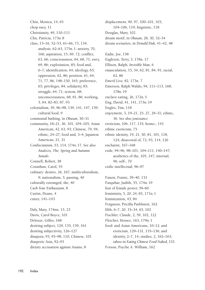Chiu, Monica, 14, 65 chop suey, 11 Christianity, 49, 110–111 Chu, Patricia, 173n. 8 class, 15–16, 52–53, 61–66, 73, 134; analysis, 62–63, 175n. 1; anxiety, 70, 166; aspiration, 15, 69, 72; conflict, 63, 66; consciousness, 64, 68, 71; envy, 69, 86; exploitation, 85; food and, 6–7; identification, 64; ideology, 65; oppression, 62, 86; position, 61, 64, 71, 77, 86, 148–150, 165; preference, 65; privileges, 84; solidarity, 85; struggle, 64, 71; system, 68; unconsciousness, 68, 81, 86; working, 5, 64, 82–83, 87, 93 colonialism, 39, 96–98, 139, 141, 147, 159; cultural food, 9 communal bathing, in *Obasan,* 30–31 community, 18–21, 36, 101, 104–105; Asian American, 42, 63, 93; Chinese, 79, 94; ethnic, 24–27; food and, 3–4; Japanese American, 21, 31 Confucianism, 53, 114, 174n. 17. See also *Analects, The; Spring and Autumn Annals* Connell, Robert, 38 Counihan, Carol, 55 culinary: desires, 26, 167; multiculturalism, 9; nationalism, 5; passing, 40 culturally estranged, the, 40 *Curb Your Enthusiasm,* 8 Curtin, Deane, 4 cutter, 141–143 Daly, Mary, 174nn. 13, 23 Davis, Carol Boyce, 101 Deleuze, Gilles, 168 desiring subject, 129, 135, 159, 161 desiring subjectivity, 126–127 diaspora, 93, 95–98, 110; Chinese, 101 diasporic Asia, 92–93 dietary accusation against Asians, 8

displacement, 90, 97, 100–101, 103, 104–106, 119; linguistic, 118 Douglas, Mary, 102 dream motif, in *Obasan,* 28, 30, 32–34 dream scenarios, in *Donald Duk,* 41–42, 48 Eadie, Joe, 158 Eagleton, Terry, 3, 178n. 17 Ellison, Ralph, *Invisible Man,* 6 emasculation, 15, 54, 62, 81, 84, 91; racial, 62, 86 *Emeril Live,* 82, 173n. 7 Emerson, Ralph Waldo, 94, 111–113, 168, 178n. 19 enclave eating, 26, 172n. 5 Eng, David, 41, 141, 173n. 19 Engles, Tim, 118 enjoyment, 3, 19–21, 25, 27, 29–31; ethnic, 36. See also *jouissance* eroticism, 106, 117, 135; homo-, 143 ethnic exoticism, 75 ethnic identity, 19, 21, 50, 81, 101, 118, 124; disavowal of, 72, 93, 114, 126 eucharist, 167–168 exile, 94–96, 98–101, 104–111, 140–147; aesthetics of the, 105, 147; internal, 96; self-, 70 exilic intellectual, 96–97 Fanon, Frantz, 39–40, 133 Farquhar, Judith, 55, 174n. 19 fear of female power, 59–60 femininity, 5, 20, 24, 83, 171n. 1 feminization, 43, 84 Ferguson, Pricilla Parkhurst, 162 filth, 6–7, 20, 33–34, 65, 102 Fischler, Claude, 2, 59, 102, 122 Fletcher, Horace, 163, 179n. 1 food: and Asian Americans, 10–12; and eroticism, 129–131, 135–136; and

identity, 2–7, 14; studies, 2, 162–163; taboo in *Eating Chinese Food Naked,* 153 Forson, Psyche A. William, 162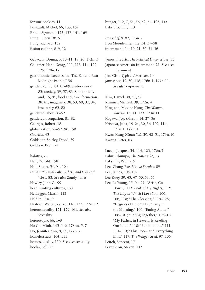fortune cookies, 11 Foucault, Michel, 66, 153, 162 Freud, Sigmund, 123, 137, 141, 169 Fung, Eileen, 38, 51 Fung, Richard, 132 fusion cuisine, 8–9, 12

Gabaccia, Donna, 5, 10–11, 18, 26, 172n. 5 Gadamer, Hans-Georg, 111, 113–114, 122, 125, 178n. 17 gastronomic excesses, in "The Eat and Run Midnight People," 56 gender, 20, 36, 81, 87–89; ambivalence, 82; anxiety, 39, 57, 83–84; ethnicity and, 15, 84; food and, 4–7; formation, 38, 61; imaginary, 38, 53, 60, 82, 84; insecurity, 62, 82 gendered labor, 50–52 gendered occupation, 81–82 Georges, Robert, 18 globalization, 92–93, 96, 150 *Godzilla,* 45 Goldstein-Shirley, David, 39 Gribben, Bryn, 24

habitus, 73 Hall, Donald, 158 Hall, Stuart, 54, 94, 104 *Hands: Physical Labor, Class, and Cultural Work,* 83. *See also* Zandy, Janet Hawley, John C., 99 head hunting cultures, 168 Heidegger, Martin, 113 Heldke, Lisa, 9 Hesford, Walter, 97, 98, 110, 122, 177n. 12 heterosexuality, 151, 159–161. *See also*  sexuality heterotopia, 66, 148 Ho Chi Minh, 145–146, 178nn. 5, 7 Ho, Jennifer Ann, 8, 14, 172n. 2 homelessness, 104, 111 homosexuality, 159. *See also* sexuality hooks, bell, 75

hunger, 1–2, 7, 54, 56, 62, 64, 106, 145 hybridity, 111, 118

*Iron Chef,* 9, 82, 173n. 7 Iron Moonhunter, the, 54, 57–58 internment, 14, 19, 21, 30–31, 36

James, Fredric, *The Political Unconscious,* 63 Japanese American Internment, 21. *See also*  Internment Jen, Gish, *Typical American*, 14 *jouissance,* 19, 30, 118, 176n. 1, 177n. 11. *See also* enjoyment

Kim, Daniel, 39, 41, 47 Kimmel, Michael, 39, 172n. 4 Kingston, Maxine Hong, *The Woman Warrior,* 13, 44, 123, 173n. 11 Kogawa, Joy, *Obasan*, 14, 27–36 Kristeva, Julia, 19–24, 30, 36, 102, 114, 171n. 1, 172n. 4 Kwan Kung (Guan Yu), 39, 42–51, 173n. 10 Kwong, Peter, 63

Lacan, Jacques, 34, 114, 123, 176n. 2 Lahiri, Jhumpa, *The Namesake,* 13 Lakshmi, Padma, 9 Lee, Chang-Rae, *Native Speaker,* 89 Lee, James, 105, 109 Lee Kuey, 39, 45, 47–50, 53, 56 Lee, Li-Young, 15, 94–97; "Arise, Go Down," 113; *Book of My Nights,* 112; *The City in Which I Love You,* 100, 108, 110; "The Cleaving," 119–125; "Degrees of Blue," 112; "Early in the Morning," 106; "Eating Alone," 106–107; "Eating Together," 106–108; "My Father, in Heaven, Is Reading Out Loud," 110; "Persimmons," 111, 114–119; "This Room and Everything in It," 117; *The Winged Seed,* 97–106 Leitch, Vincent, 17 Levenkron, Steven, 142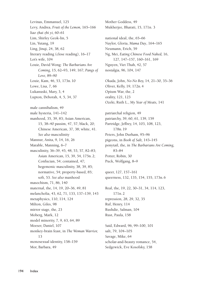Levinas, Emmanuel, 125 Levy, Andrea, *Fruit of the Lemon,* 165–166 *liao zhai zhi yi,* 60–61 Lim, Shirley Geok-lin, 5 Lin, Yutang, 19 Ling, Jinqi, 24, 38, 62 literary reading (close reading), 16–17 Lot's wife, 104 Louie, David Wong: *The Barbarians Are Coming,* 15, 62–93, 149, 167; *Pangs of Love,* 89–90 Louie, Kam, 46, 53, 173n. 10 Lowe, Lisa, 7, 66 Lukanuski, Mary, 3, 4 Lupton, Deborah, 4, 5, 34, 37 male cannibalism, 49 male hysteria, 141–142 manhood, 35, 39, 83; Asian American, 15, 38–40 passim, 47, 57; black, 20; Chinese American, 37, 38; white, 41. *See also* masculinity Mannur, Anita, 9, 14, 16, 26 Marable, Manning, 6–7 masculinity, 36–39, 45, 48, 53, 57, 82–83; Asian American, 15, 39, 54, 175n. 2; Confucian, 54; contained, 47; hegemonic masculinity, 38, 39, 85; normative, 54; property-based, 85; soft, 53. *See also* manhood masochism, 71, 86, 140 maternal, the, 14, 19, 20–36, 49, 81 melancholia, 43, 62, 71, 133, 137–139, 143 metaphysics, 110, 114, 124 Milton, Giles, 98 mirror stage, the, 23 Moberg, Mark, 12 model minority, 7, 9, 63, 64, 89 Moeser, Daniel, 107 monkey-brain feast, in *The Woman Warrior,* 13 monosexual identity, 158–159 Mor, Barbara, 49

Mother Goddess, 49 Mukherjee, Bharati, 15, 171n. 3 national ideal, the, 65–66 Naylor, Gloria, *Mama Day*, 164–165 Neumann, Erich, 59 Ng, Mei, *Eating Chinese Food Naked,* 16, 127, 147–157, 160–161, 169 Nguyen, Viet Thah, 42, 57 nostalgia, 96, 104, 147 Okada, John, *No-No Boy,* 14, 21–30, 35–36 Oliver, Kelly, 19, 172n. 4 Opium War, the, 2 orality, 121, 123 Ozeki, Ruth L., *My Year of Meats,* 141 patriarchal religion, 49 patriarchy, 39, 60, 61, 139, 159 Partridge, Jeffrey, 14, 103, 108, 123, 178n. 19 Peters, John Durham, 95–96 pigeons, in *Book of Salt,* 143–145 ponytail, the, in *The Barbarians Are Coming,*  83–84 Potter, Robin, 30 Puck, Wolfgang, 8–9 queer, 127, 157–161 queerness, 132, 135, 154, 155, 173n. 6 Real, the, 19, 22, 30–31, 34, 114, 123, 171n. 2 repression, 28, 29, 32, 35 Ruf, Henry, 114 Rushdie, Salman, 104 Rust, Paula, 158 Said, Edward, 96, 99–100, 101 salt, 79, 104–105 Savage, Mike, 64 scholar-and-beauty romance, 54, Sedgewick, Eve Kosofsky, 158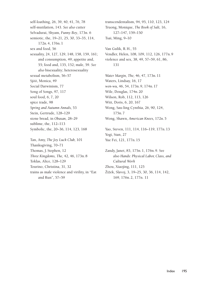self-loathing, 26, 39, 40, 41, 76, 78 self-mutilation, 143. *See also* cutter Selvadurai, Shyam, *Funny Boy*, 173n. 6 semiotic, the, 19–21, 25, 30, 33–35, 114, 172n. 4, 176n. 1 sex and food, 56 sexuality, 24, 127, 129, 148, 158, 159, 161; and consumption, 49; appetite and, 55; food and, 135, 152; male, 59. *See also* bisexuality; heterosexuality sexual metabolism, 56–57 Sjöö, Monica, 49 Social Darwinism, 77 Song of Songs, 97, 117 soul food, 6, 7, 20 spice trade, 98 *Spring and Autumn Annals,* 53 Stein, Gertrude, 128–129 stone bread, in *Obasan,* 28–29 sublime, the, 112–113 Symbolic, the, 20–36, 114, 123, 168 Tan, Amy, *The Joy Luck Club,* 101 Thanksgiving, 70–71 Thomas, J. Stephen, 12 *Three Kingdoms, The,* 42, 46, 173n. 8 Toklas, Alice, 128–129 Tourino, Christina, 31, 32 trains as male violence and virility, in "Eat

and Run", 57–59

transcendentalism, 94, 95, 110, 123, 124 Truong, Monique, *The Book of Salt,* 16, 127–147, 159–150 Tsai, Ming, 9–10 Van Gulik, R. H., 55 Vendler, Helen, 108, 109, 112, 126, 177n. 9 violence and sex, 38, 49, 57–59, 61, 86, 131 *Water Margin, The,* 46, 47, 173n. 11 Waters, Lindsay, 16, 17 *wen-wu,* 46, 54, 173n. 9, 174n. 17 Wile, Douglas, 174n. 20 Wilson, Rob, 112, 113, 126 Witt, Doris, 6, 20, 167 Wong, Sau-ling Cynthia, 26, 90, 124, 175n. 7 Wong, Shawn, *American Knees,* 172n. 5 Yao, Steven, 111, 114, 116–119, 177n. 13 Yogi, Stan, 27 Yue Fei, 121, 177n. 15 Zandy, Janet, 83, 175n. 1, 176n. 9. See also *Hands: Physical Labor, Class, and Cultural Work* Zhou, Xiaojing, 111, 125 Žižek, Slavoj, 3, 19–25, 30, 36, 114, 142,

169, 176n. 2, 177n. 11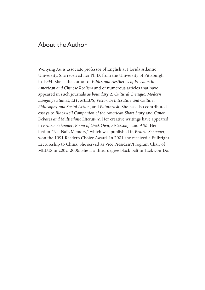# About the Author

**Wenying Xu** is associate professor of English at Florida Atlantic University. She received her Ph.D. from the University of Pittsburgh in 1994. She is the author of *Ethics and Aesthetics of Freedom in American and Chinese Realism* and of numerous articles that have appeared in such journals as *boundary 2*, *Cultural Critique*, *Modern Language Studies*, *LIT*, *MELUS*, *Victorian Literature and Culture*, *Philosophy and Social Action*, and *Paintbrush*. She has also contributed essays to *Blackwell Companion of the American Short Story and Canon Debates and Multiethnic Literature.* Her creative writings have appeared in *Prairie Schooner*, *Room of One's Own*, *Sistersong*, and *AIM.* Her fiction "Nai Nai's Memory," which was published in *Prairie Schooner,* won the 1991 Reader's Choice Award. In 2001 she received a Fulbright Lectureship to China. She served as Vice President/Program Chair of MELUS in 2002–2006. She is a third-degree black belt in Taekwon-Do.